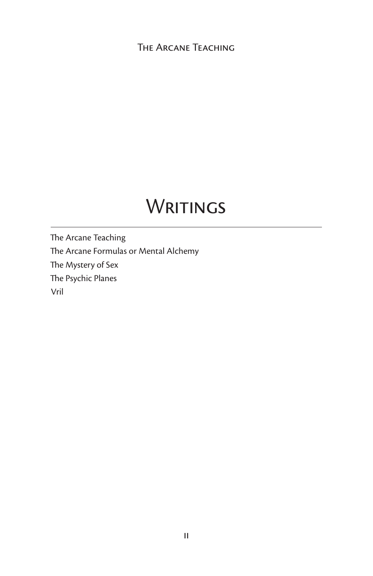# WRITINGS

The Arcane Teaching The Arcane Formulas or Mental Alchemy The Mystery of Sex The Psychic Planes Vril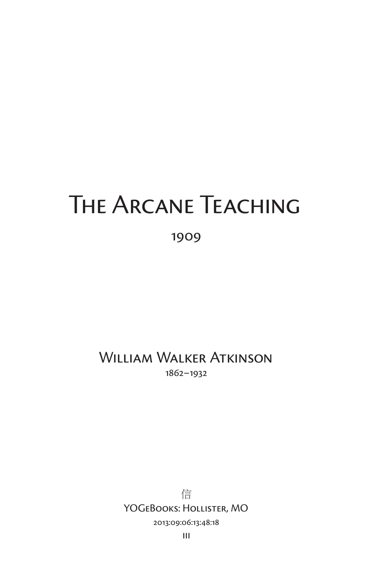## 1909

# William Walker Atkinson 1862–1932

信 YOGeBooks: Hollister, MO 2013:09:06:13:48:18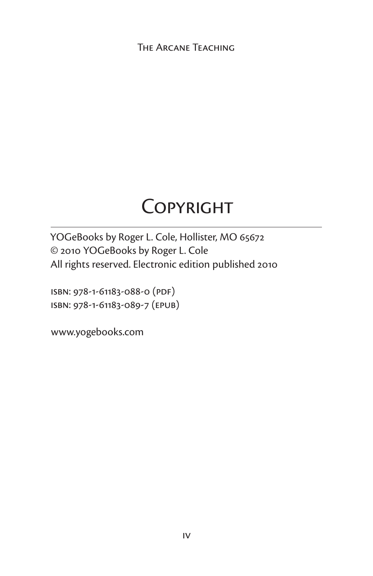# **COPYRIGHT**

YOGeBooks by Roger L. Cole, Hollister, MO 65672 © 2010 YOGeBooks by Roger L. Cole All rights reserved. Electronic edition published 2010

isbn: 978‑1‑61183‑088‑0 (pdf) isbn: 978‑1‑61183‑089‑7 (epub)

[www.yogebooks.com](http://www.yogebooks.com)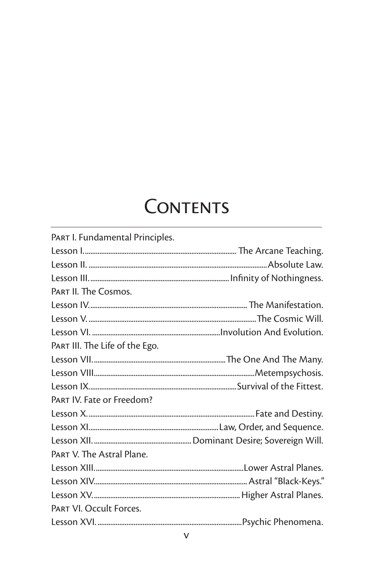# **CONTENTS**

| PART I. Fundamental Principles. |  |
|---------------------------------|--|
|                                 |  |
|                                 |  |
|                                 |  |
| PART II. The Cosmos.            |  |
|                                 |  |
|                                 |  |
|                                 |  |
| PART III. The Life of the Ego.  |  |
|                                 |  |
|                                 |  |
|                                 |  |
| PART IV. Fate or Freedom?       |  |
|                                 |  |
|                                 |  |
|                                 |  |
| PART V. The Astral Plane.       |  |
|                                 |  |
|                                 |  |
|                                 |  |
| PART VI. Occult Forces.         |  |
|                                 |  |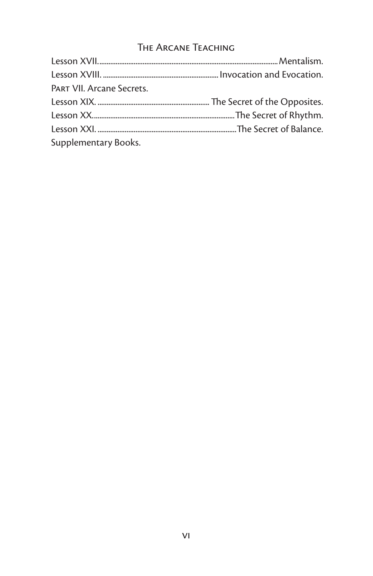| PART VII. Arcane Secrets. |  |
|---------------------------|--|
|                           |  |
|                           |  |
|                           |  |
| Supplementary Books.      |  |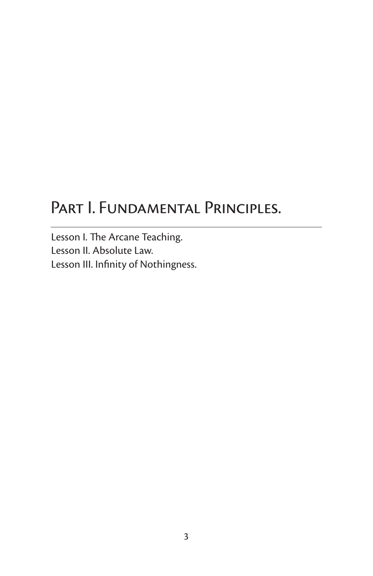# <span id="page-8-0"></span>PART I. FUNDAMENTAL PRINCIPLES.

Lesson I. The Arcane Teaching. Lesson II. Absolute Law. Lesson III. Infinity of Nothingness.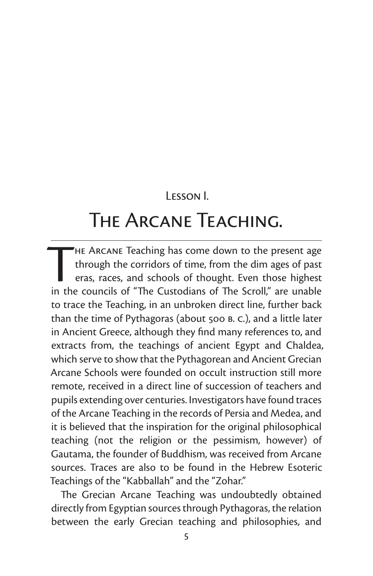### Lesson I.

# <span id="page-10-0"></span>The Arcane Teaching.

THE ARCANE Teaching has come down to the present age through the corridors of time, from the dim ages of past eras, races, and schools of thought. Even those highest in the councils of "The Custodians of The Scroll," are unable to trace the Teaching, in an unbroken direct line, further back than the time of Pythagoras (about 500 b. c.), and a little later in Ancient Greece, although they find many references to, and extracts from, the teachings of ancient Egypt and Chaldea, which serve to show that the Pythagorean and Ancient Grecian Arcane Schools were founded on occult instruction still more remote, received in a direct line of succession of teachers and pupils extending over centuries. Investigators have found traces of the Arcane Teaching in the records of Persia and Medea, and it is believed that the inspiration for the original philosophical teaching (not the religion or the pessimism, however) of Gautama, the founder of Buddhism, was received from Arcane sources. Traces are also to be found in the Hebrew Esoteric Teachings of the "Kabballah" and the "Zohar."

The Grecian Arcane Teaching was undoubtedly obtained directly from Egyptian sources through Pythagoras, the relation between the early Grecian teaching and philosophies, and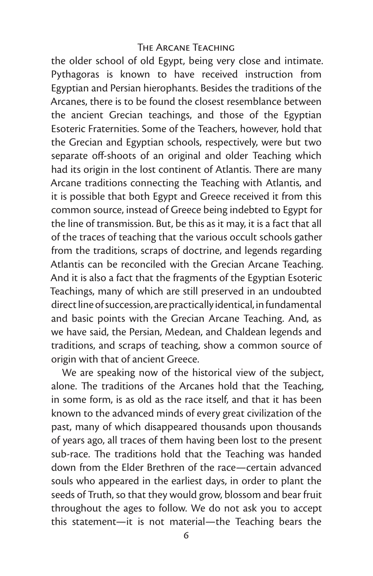the older school of old Egypt, being very close and intimate. Pythagoras is known to have received instruction from Egyptian and Persian hierophants. Besides the traditions of the Arcanes, there is to be found the closest resemblance between the ancient Grecian teachings, and those of the Egyptian Esoteric Fraternities. Some of the Teachers, however, hold that the Grecian and Egyptian schools, respectively, were but two separate off-shoots of an original and older Teaching which had its origin in the lost continent of Atlantis. There are many Arcane traditions connecting the Teaching with Atlantis, and it is possible that both Egypt and Greece received it from this common source, instead of Greece being indebted to Egypt for the line of transmission. But, be this as it may, it is a fact that all of the traces of teaching that the various occult schools gather from the traditions, scraps of doctrine, and legends regarding Atlantis can be reconciled with the Grecian Arcane Teaching. And it is also a fact that the fragments of the Egyptian Esoteric Teachings, many of which are still preserved in an undoubted direct line of succession, are practically identical, in fundamental and basic points with the Grecian Arcane Teaching. And, as we have said, the Persian, Medean, and Chaldean legends and traditions, and scraps of teaching, show a common source of origin with that of ancient Greece.

We are speaking now of the historical view of the subject, alone. The traditions of the Arcanes hold that the Teaching, in some form, is as old as the race itself, and that it has been known to the advanced minds of every great civilization of the past, many of which disappeared thousands upon thousands of years ago, all traces of them having been lost to the present sub-race. The traditions hold that the Teaching was handed down from the Elder Brethren of the race—certain advanced souls who appeared in the earliest days, in order to plant the seeds of Truth, so that they would grow, blossom and bear fruit throughout the ages to follow. We do not ask you to accept this statement—it is not material—the Teaching bears the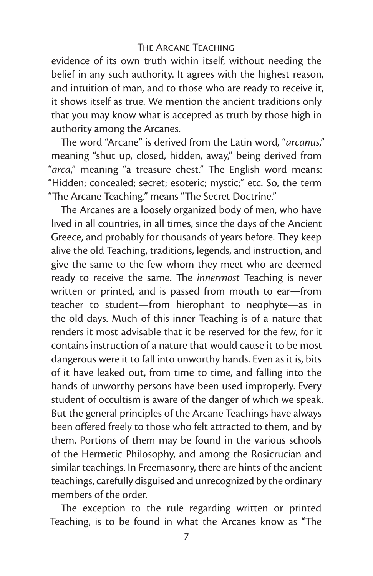evidence of its own truth within itself, without needing the belief in any such authority. It agrees with the highest reason, and intuition of man, and to those who are ready to receive it, it shows itself as true. We mention the ancient traditions only that you may know what is accepted as truth by those high in authority among the Arcanes.

The word "Arcane" is derived from the Latin word, "*arcanus*," meaning "shut up, closed, hidden, away," being derived from "*arca*," meaning "a treasure chest." The English word means: "Hidden; concealed; secret; esoteric; mystic;" etc. So, the term "The Arcane Teaching." means "The Secret Doctrine."

The Arcanes are a loosely organized body of men, who have lived in all countries, in all times, since the days of the Ancient Greece, and probably for thousands of years before. They keep alive the old Teaching, traditions, legends, and instruction, and give the same to the few whom they meet who are deemed ready to receive the same. The *innermost* Teaching is never written or printed, and is passed from mouth to ear—from teacher to student—from hierophant to neophyte—as in the old days. Much of this inner Teaching is of a nature that renders it most advisable that it be reserved for the few, for it contains instruction of a nature that would cause it to be most dangerous were it to fall into unworthy hands. Even as it is, bits of it have leaked out, from time to time, and falling into the hands of unworthy persons have been used improperly. Every student of occultism is aware of the danger of which we speak. But the general principles of the Arcane Teachings have always been offered freely to those who felt attracted to them, and by them. Portions of them may be found in the various schools of the Hermetic Philosophy, and among the Rosicrucian and similar teachings. In Freemasonry, there are hints of the ancient teachings, carefully disguised and unrecognized by the ordinary members of the order.

The exception to the rule regarding written or printed Teaching, is to be found in what the Arcanes know as "The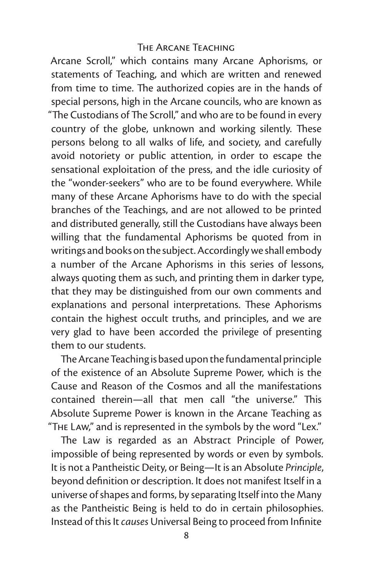Arcane Scroll," which contains many Arcane Aphorisms, or statements of Teaching, and which are written and renewed from time to time. The authorized copies are in the hands of special persons, high in the Arcane councils, who are known as "The Custodians of The Scroll," and who are to be found in every country of the globe, unknown and working silently. These persons belong to all walks of life, and society, and carefully avoid notoriety or public attention, in order to escape the sensational exploitation of the press, and the idle curiosity of the "wonder‑seekers" who are to be found everywhere. While many of these Arcane Aphorisms have to do with the special branches of the Teachings, and are not allowed to be printed and distributed generally, still the Custodians have always been willing that the fundamental Aphorisms be quoted from in writings and books on the subject. Accordingly we shall embody a number of the Arcane Aphorisms in this series of lessons, always quoting them as such, and printing them in darker type, that they may be distinguished from our own comments and explanations and personal interpretations. These Aphorisms contain the highest occult truths, and principles, and we are very glad to have been accorded the privilege of presenting them to our students.

The Arcane Teaching is based upon the fundamental principle of the existence of an Absolute Supreme Power, which is the Cause and Reason of the Cosmos and all the manifestations contained therein—all that men call "the universe." This Absolute Supreme Power is known in the Arcane Teaching as "The Law," and is represented in the symbols by the word "Lex."

The Law is regarded as an Abstract Principle of Power, impossible of being represented by words or even by symbols. It is not a Pantheistic Deity, or Being—It is an Absolute *Principle*, beyond definition or description. It does not manifest Itself in a universe of shapes and forms, by separating Itself into the Many as the Pantheistic Being is held to do in certain philosophies. Instead of this It *causes* Universal Being to proceed from Infinite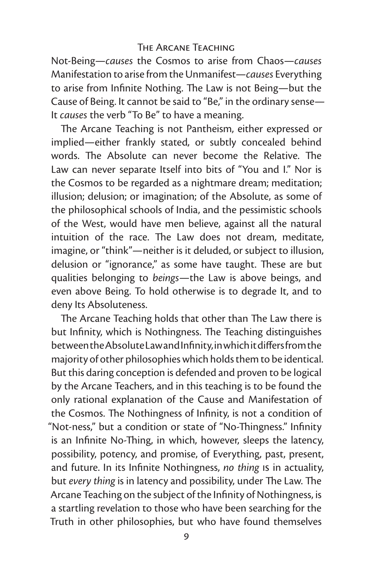Not‑Being—*causes* the Cosmos to arise from Chaos—*causes* Manifestation to arise from the Unmanifest—*causes* Everything to arise from Infinite Nothing. The Law is not Being—but the Cause of Being. It cannot be said to "Be," in the ordinary sense— It *causes* the verb "To Be" to have a meaning.

The Arcane Teaching is not Pantheism, either expressed or implied—either frankly stated, or subtly concealed behind words. The Absolute can never become the Relative. The Law can never separate Itself into bits of "You and I." Nor is the Cosmos to be regarded as a nightmare dream; meditation; illusion; delusion; or imagination; of the Absolute, as some of the philosophical schools of India, and the pessimistic schools of the West, would have men believe, against all the natural intuition of the race. The Law does not dream, meditate, imagine, or "think"—neither is it deluded, or subject to illusion, delusion or "ignorance," as some have taught. These are but qualities belonging to *beings*—the Law is above beings, and even above Being. To hold otherwise is to degrade It, and to deny Its Absoluteness.

The Arcane Teaching holds that other than The Law there is but Infinity, which is Nothingness. The Teaching distinguishes between the Absolute Law and Infinity, in which it differs from the majority of other philosophies which holds them to be identical. But this daring conception is defended and proven to be logical by the Arcane Teachers, and in this teaching is to be found the only rational explanation of the Cause and Manifestation of the Cosmos. The Nothingness of Infinity, is not a condition of "Not‑ness," but a condition or state of "No‑Thingness." Infinity is an Infinite No-Thing, in which, however, sleeps the latency, possibility, potency, and promise, of Everything, past, present, and future. In its Infinite Nothingness, *no thing* is in actuality, but *every thing* is in latency and possibility, under The Law. The Arcane Teaching on the subject of the Infinity of Nothingness, is a startling revelation to those who have been searching for the Truth in other philosophies, but who have found themselves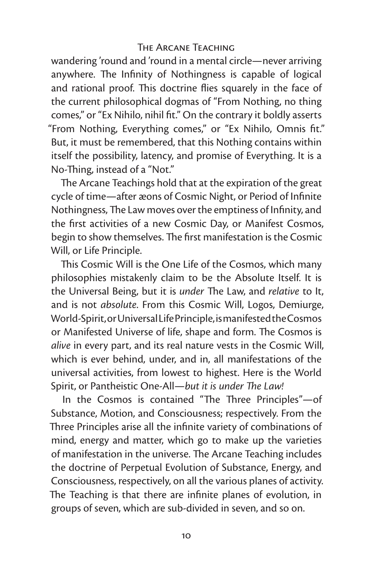wandering 'round and 'round in a mental circle—never arriving anywhere. The Infinity of Nothingness is capable of logical and rational proof. This doctrine flies squarely in the face of the current philosophical dogmas of "From Nothing, no thing comes," or "Ex Nihilo, nihil fit." On the contrary it boldly asserts "From Nothing, Everything comes," or "Ex Nihilo, Omnis fit." But, it must be remembered, that this Nothing contains within itself the possibility, latency, and promise of Everything. It is a No‑Thing, instead of a "Not."

The Arcane Teachings hold that at the expiration of the great cycle of time—after æons of Cosmic Night, or Period of Infinite Nothingness, The Law moves over the emptiness of Infinity, and the first activities of a new Cosmic Day, or Manifest Cosmos, begin to show themselves. The first manifestation is the Cosmic Will, or Life Principle.

This Cosmic Will is the One Life of the Cosmos, which many philosophies mistakenly claim to be the Absolute Itself. It is the Universal Being, but it is *under* The Law, and *relative* to It, and is not *absolute*. From this Cosmic Will, Logos, Demiurge, World‑Spirit, or Universal Life Principle, is manifested the Cosmos or Manifested Universe of life, shape and form. The Cosmos is *alive* in every part, and its real nature vests in the Cosmic Will, which is ever behind, under, and in, all manifestations of the universal activities, from lowest to highest. Here is the World Spirit, or Pantheistic One‑All—*but it is under The Law!*

In the Cosmos is contained "The Three Principles"—of Substance, Motion, and Consciousness; respectively. From the Three Principles arise all the infinite variety of combinations of mind, energy and matter, which go to make up the varieties of manifestation in the universe. The Arcane Teaching includes the doctrine of Perpetual Evolution of Substance, Energy, and Consciousness, respectively, on all the various planes of activity. The Teaching is that there are infinite planes of evolution, in groups of seven, which are sub‑divided in seven, and so on.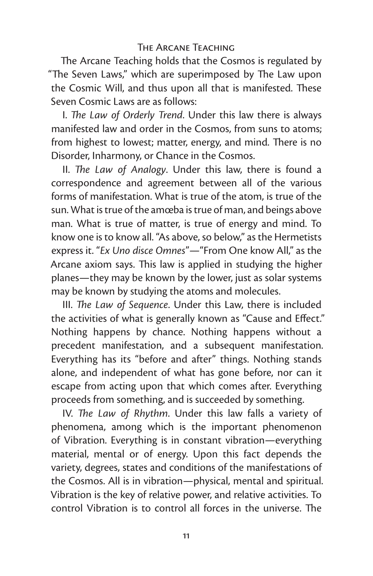The Arcane Teaching holds that the Cosmos is regulated by "The Seven Laws," which are superimposed by The Law upon the Cosmic Will, and thus upon all that is manifested. These Seven Cosmic Laws are as follows:

I. *The Law of Orderly Trend*. Under this law there is always manifested law and order in the Cosmos, from suns to atoms; from highest to lowest; matter, energy, and mind. There is no Disorder, Inharmony, or Chance in the Cosmos.

II. *The Law of Analogy*. Under this law, there is found a correspondence and agreement between all of the various forms of manifestation. What is true of the atom, is true of the sun. What is true of the amœba is true of man, and beings above man. What is true of matter, is true of energy and mind. To know one is to know all. "As above, so below," as the Hermetists express it. "*Ex Uno disce Omnes*"—"From One know All," as the Arcane axiom says. This law is applied in studying the higher planes—they may be known by the lower, just as solar systems may be known by studying the atoms and molecules.

III. *The Law of Sequence*. Under this Law, there is included the activities of what is generally known as "Cause and Effect." Nothing happens by chance. Nothing happens without a precedent manifestation, and a subsequent manifestation. Everything has its "before and after" things. Nothing stands alone, and independent of what has gone before, nor can it escape from acting upon that which comes after. Everything proceeds from something, and is succeeded by something.

IV. *The Law of Rhythm*. Under this law falls a variety of phenomena, among which is the important phenomenon of Vibration. Everything is in constant vibration—everything material, mental or of energy. Upon this fact depends the variety, degrees, states and conditions of the manifestations of the Cosmos. All is in vibration—physical, mental and spiritual. Vibration is the key of relative power, and relative activities. To control Vibration is to control all forces in the universe. The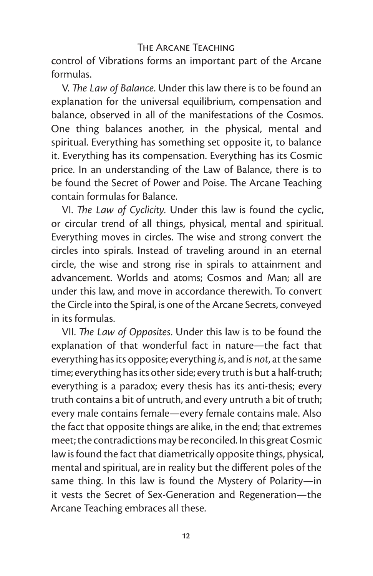control of Vibrations forms an important part of the Arcane formulas.

V. *The Law of Balance*. Under this law there is to be found an explanation for the universal equilibrium, compensation and balance, observed in all of the manifestations of the Cosmos. One thing balances another, in the physical, mental and spiritual. Everything has something set opposite it, to balance it. Everything has its compensation. Everything has its Cosmic price. In an understanding of the Law of Balance, there is to be found the Secret of Power and Poise. The Arcane Teaching contain formulas for Balance.

VI. *The Law of Cyclicity.* Under this law is found the cyclic, or circular trend of all things, physical, mental and spiritual. Everything moves in circles. The wise and strong convert the circles into spirals. Instead of traveling around in an eternal circle, the wise and strong rise in spirals to attainment and advancement. Worlds and atoms; Cosmos and Man; all are under this law, and move in accordance therewith. To convert the Circle into the Spiral, is one of the Arcane Secrets, conveyed in its formulas.

VII. *The Law of Opposites*. Under this law is to be found the explanation of that wonderful fact in nature—the fact that everything has its opposite; everything *is*, and *is not*, at the same time; everything has its other side; every truth is but a half-truth; everything is a paradox; every thesis has its anti-thesis; every truth contains a bit of untruth, and every untruth a bit of truth; every male contains female—every female contains male. Also the fact that opposite things are alike, in the end; that extremes meet; the contradictions may be reconciled. In this great Cosmic law is found the fact that diametrically opposite things, physical, mental and spiritual, are in reality but the different poles of the same thing. In this law is found the Mystery of Polarity—in it vests the Secret of Sex‑Generation and Regeneration—the Arcane Teaching embraces all these.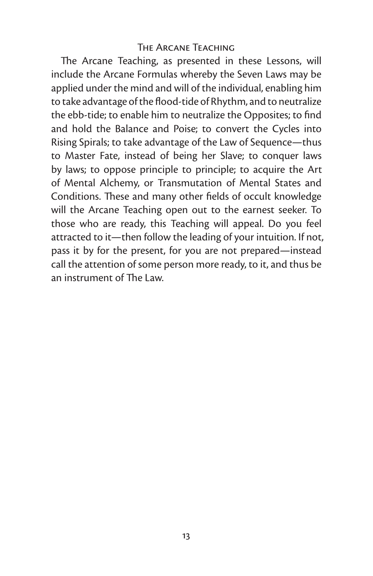The Arcane Teaching, as presented in these Lessons, will include the Arcane Formulas whereby the Seven Laws may be applied under the mind and will of the individual, enabling him to take advantage of the flood‑tide of Rhythm, and to neutralize the ebb-tide; to enable him to neutralize the Opposites; to find and hold the Balance and Poise; to convert the Cycles into Rising Spirals; to take advantage of the Law of Sequence—thus to Master Fate, instead of being her Slave; to conquer laws by laws; to oppose principle to principle; to acquire the Art of Mental Alchemy, or Transmutation of Mental States and Conditions. These and many other fields of occult knowledge will the Arcane Teaching open out to the earnest seeker. To those who are ready, this Teaching will appeal. Do you feel attracted to it—then follow the leading of your intuition. If not, pass it by for the present, for you are not prepared—instead call the attention of some person more ready, to it, and thus be an instrument of The Law.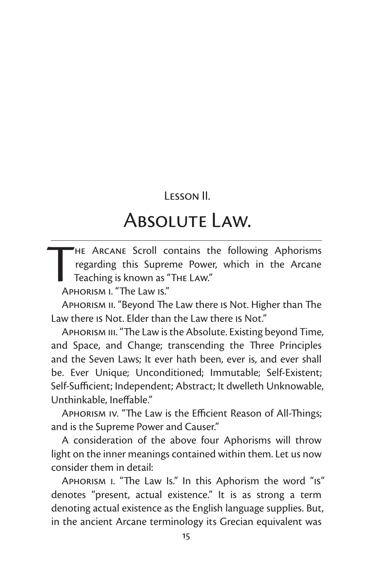## Lesson II.

# <span id="page-20-0"></span>Absolute Law.

THE ARCANE Scroll contains the following Aphorisms regarding this Supreme Power, which in the Arcane Teaching is known as "The Law."

Aphorism i. "The Law is."

APHORISM II. "Beyond The Law there IS Not. Higher than The Law there is Not. Elder than the Law there is Not."

APHORISM III. "The Law is the Absolute. Existing beyond Time, and Space, and Change; transcending the Three Principles and the Seven Laws; It ever hath been, ever is, and ever shall be. Ever Unique; Unconditioned; Immutable; Self‑Existent; Self‑Sufficient; Independent; Abstract; It dwelleth Unknowable, Unthinkable, Ineffable."

APHORISM IV. "The Law is the Efficient Reason of All-Things; and is the Supreme Power and Causer."

A consideration of the above four Aphorisms will throw light on the inner meanings contained within them. Let us now consider them in detail:

Aphorism i. "The Law Is." In this Aphorism the word "is" denotes "present, actual existence." It is as strong a term denoting actual existence as the English language supplies. But, in the ancient Arcane terminology its Grecian equivalent was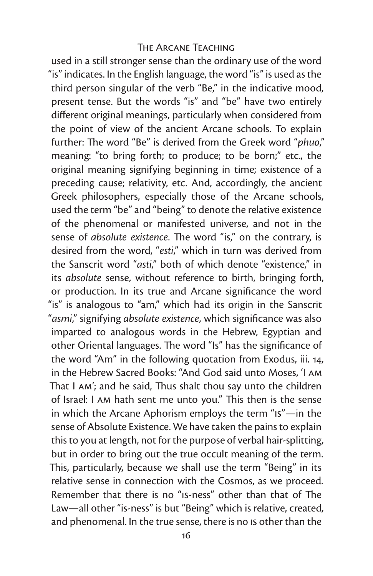used in a still stronger sense than the ordinary use of the word "is" indicates. In the English language, the word "is" is used as the third person singular of the verb "Be," in the indicative mood, present tense. But the words "is" and "be" have two entirely different original meanings, particularly when considered from the point of view of the ancient Arcane schools. To explain further: The word "Be" is derived from the Greek word "*phuo*," meaning: "to bring forth; to produce; to be born;" etc., the original meaning signifying beginning in time; existence of a preceding cause; relativity, etc. And, accordingly, the ancient Greek philosophers, especially those of the Arcane schools, used the term "be" and "being" to denote the relative existence of the phenomenal or manifested universe, and not in the sense of *absolute existence*. The word "is," on the contrary, is desired from the word, "*esti*," which in turn was derived from the Sanscrit word "*asti*," both of which denote "existence," in its *absolute* sense, without reference to birth, bringing forth, or production. In its true and Arcane significance the word "is" is analogous to "am," which had its origin in the Sanscrit "*asmi*," signifying *absolute existence*, which significance was also imparted to analogous words in the Hebrew, Egyptian and other Oriental languages. The word "Is" has the significance of the word "Am" in the following quotation from Exodus, iii. 14, in the Hebrew Sacred Books: "And God said unto Moses, 'I am That I am'; and he said, Thus shalt thou say unto the children of Israel: I am hath sent me unto you." This then is the sense in which the Arcane Aphorism employs the term "is"—in the sense of Absolute Existence. We have taken the pains to explain this to you at length, not for the purpose of verbal hair‑splitting, but in order to bring out the true occult meaning of the term. This, particularly, because we shall use the term "Being" in its relative sense in connection with the Cosmos, as we proceed. Remember that there is no "is‑ness" other than that of The Law—all other "is-ness" is but "Being" which is relative, created, and phenomenal. In the true sense, there is no is other than the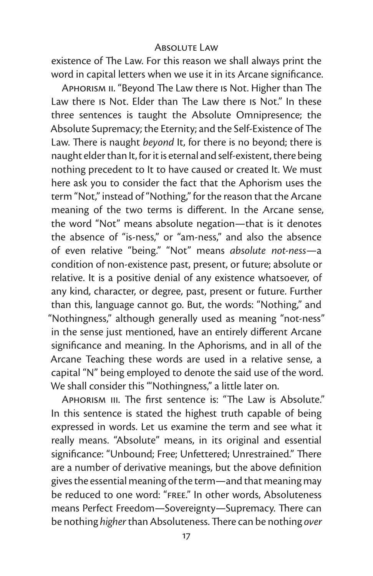#### Absolute Law

existence of The Law. For this reason we shall always print the word in capital letters when we use it in its Arcane significance.

APHORISM II. "Beyond The Law there IS Not. Higher than The Law there is Not. Elder than The Law there is Not." In these three sentences is taught the Absolute Omnipresence; the Absolute Supremacy; the Eternity; and the Self‑Existence of The Law. There is naught *beyond* It, for there is no beyond; there is naught elder than It, for it is eternal and self‑existent, there being nothing precedent to It to have caused or created It. We must here ask you to consider the fact that the Aphorism uses the term "Not," instead of "Nothing," for the reason that the Arcane meaning of the two terms is different. In the Arcane sense, the word "Not" means absolute negation—that is it denotes the absence of "is‑ness," or "am‑ness," and also the absence of even relative "being." "Not" means *absolute not‑ness*—a condition of non‑existence past, present, or future; absolute or relative. It is a positive denial of any existence whatsoever, of any kind, character, or degree, past, present or future. Further than this, language cannot go. But, the words: "Nothing," and "Nothingness," although generally used as meaning "not‑ness" in the sense just mentioned, have an entirely different Arcane significance and meaning. In the Aphorisms, and in all of the Arcane Teaching these words are used in a relative sense, a capital "N" being employed to denote the said use of the word. We shall consider this "'Nothingness," a little later on.

Aphorism iii. The first sentence is: "The Law is Absolute." In this sentence is stated the highest truth capable of being expressed in words. Let us examine the term and see what it really means. "Absolute" means, in its original and essential significance: "Unbound; Free; Unfettered; Unrestrained." There are a number of derivative meanings, but the above definition gives the essential meaning of the term—and that meaning may be reduced to one word: "free." In other words, Absoluteness means Perfect Freedom—Sovereignty—Supremacy. There can be nothing *higher* than Absoluteness. There can be nothing *over*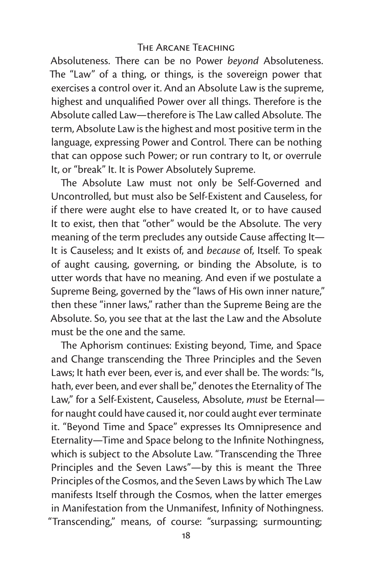Absoluteness. There can be no Power *beyond* Absoluteness. The "Law" of a thing, or things, is the sovereign power that exercises a control over it. And an Absolute Law is the supreme, highest and unqualified Power over all things. Therefore is the Absolute called Law—therefore is The Law called Absolute. The term, Absolute Law is the highest and most positive term in the language, expressing Power and Control. There can be nothing that can oppose such Power; or run contrary to It, or overrule It, or "break" It. It is Power Absolutely Supreme.

The Absolute Law must not only be Self-Governed and Uncontrolled, but must also be Self‑Existent and Causeless, for if there were aught else to have created It, or to have caused It to exist, then that "other" would be the Absolute. The very meaning of the term precludes any outside Cause affecting It— It is Causeless; and It exists of, and *because* of, Itself. To speak of aught causing, governing, or binding the Absolute, is to utter words that have no meaning. And even if we postulate a Supreme Being, governed by the "laws of His own inner nature," then these "inner laws," rather than the Supreme Being are the Absolute. So, you see that at the last the Law and the Absolute must be the one and the same.

The Aphorism continues: Existing beyond, Time, and Space and Change transcending the Three Principles and the Seven Laws; It hath ever been, ever is, and ever shall be. The words: "Is, hath, ever been, and ever shall be," denotes the Eternality of The Law," for a Self‑Existent, Causeless, Absolute, *must* be Eternal for naught could have caused it, nor could aught ever terminate it. "Beyond Time and Space" expresses Its Omnipresence and Eternality—Time and Space belong to the Infinite Nothingness, which is subject to the Absolute Law. "Transcending the Three Principles and the Seven Laws"—by this is meant the Three Principles of the Cosmos, and the Seven Laws by which The Law manifests Itself through the Cosmos, when the latter emerges in Manifestation from the Unmanifest, Infinity of Nothingness. "Transcending," means, of course: "surpassing; surmounting;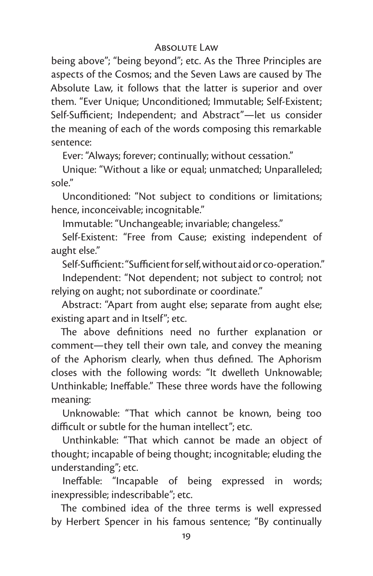### Absolute Law

being above"; "being beyond"; etc. As the Three Principles are aspects of the Cosmos; and the Seven Laws are caused by The Absolute Law, it follows that the latter is superior and over them. "Ever Unique; Unconditioned; Immutable; Self‑Existent; Self‑Sufficient; Independent; and Abstract"—let us consider the meaning of each of the words composing this remarkable sentence:

Ever: "Always; forever; continually; without cessation."

Unique: "Without a like or equal; unmatched; Unparalleled; sole."

Unconditioned: "Not subject to conditions or limitations; hence, inconceivable; incognitable."

Immutable: "Unchangeable; invariable; changeless."

Self-Existent: "Free from Cause; existing independent of aught else."

Self-Sufficient: "Sufficient for self, without aid or co-operation."

Independent: "Not dependent; not subject to control; not relying on aught; not subordinate or coordinate."

Abstract: "Apart from aught else; separate from aught else; existing apart and in Itself"; etc.

The above definitions need no further explanation or comment—they tell their own tale, and convey the meaning of the Aphorism clearly, when thus defined. The Aphorism closes with the following words: "It dwelleth Unknowable; Unthinkable; Ineffable." These three words have the following meaning:

Unknowable: "That which cannot be known, being too difficult or subtle for the human intellect"; etc.

Unthinkable: "That which cannot be made an object of thought; incapable of being thought; incognitable; eluding the understanding"; etc.

Ineffable: "Incapable of being expressed in words; inexpressible; indescribable"; etc.

The combined idea of the three terms is well expressed by Herbert Spencer in his famous sentence; "By continually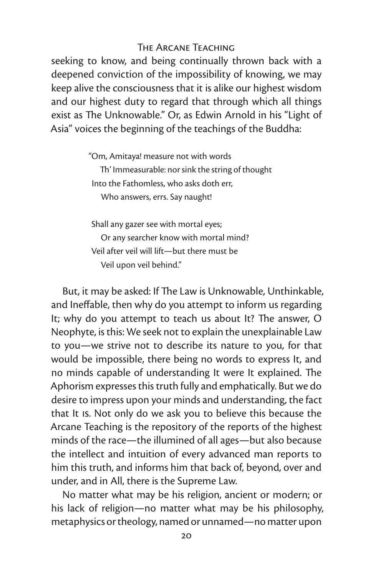seeking to know, and being continually thrown back with a deepened conviction of the impossibility of knowing, we may keep alive the consciousness that it is alike our highest wisdom and our highest duty to regard that through which all things exist as The Unknowable." Or, as Edwin Arnold in his "Light of Asia" voices the beginning of the teachings of the Buddha:

> "Om, Amitaya! measure not with words Th' Immeasurable: nor sink the string of thought Into the Fathomless, who asks doth err, Who answers, errs. Say naught!

Shall any gazer see with mortal eyes; Or any searcher know with mortal mind? Veil after veil will lift—but there must be Veil upon veil behind."

But, it may be asked: If The Law is Unknowable, Unthinkable, and Ineffable, then why do you attempt to inform us regarding It; why do you attempt to teach us about It? The answer, O Neophyte, is this: We seek not to explain the unexplainable Law to you—we strive not to describe its nature to you, for that would be impossible, there being no words to express It, and no minds capable of understanding It were It explained. The Aphorism expresses this truth fully and emphatically. But we do desire to impress upon your minds and understanding, the fact that It is. Not only do we ask you to believe this because the Arcane Teaching is the repository of the reports of the highest minds of the race—the illumined of all ages—but also because the intellect and intuition of every advanced man reports to him this truth, and informs him that back of, beyond, over and under, and in All, there is the Supreme Law.

No matter what may be his religion, ancient or modern; or his lack of religion—no matter what may be his philosophy, metaphysics or theology, named or unnamed—no matter upon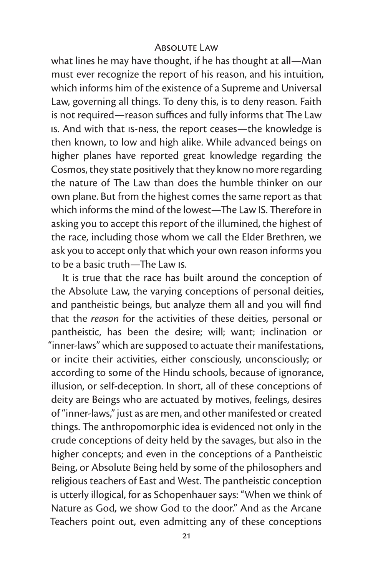#### Absolute Law

what lines he may have thought, if he has thought at all—Man must ever recognize the report of his reason, and his intuition, which informs him of the existence of a Supreme and Universal Law, governing all things. To deny this, is to deny reason. Faith is not required—reason suffices and fully informs that The Law is. And with that is‑ness, the report ceases—the knowledge is then known, to low and high alike. While advanced beings on higher planes have reported great knowledge regarding the Cosmos, they state positively that they know no more regarding the nature of The Law than does the humble thinker on our own plane. But from the highest comes the same report as that which informs the mind of the lowest—The Law IS. Therefore in asking you to accept this report of the illumined, the highest of the race, including those whom we call the Elder Brethren, we ask you to accept only that which your own reason informs you to be a basic truth—The Law is.

It is true that the race has built around the conception of the Absolute Law, the varying conceptions of personal deities, and pantheistic beings, but analyze them all and you will find that the *reason* for the activities of these deities, personal or pantheistic, has been the desire; will; want; inclination or "inner‑laws" which are supposed to actuate their manifestations, or incite their activities, either consciously, unconsciously; or according to some of the Hindu schools, because of ignorance, illusion, or self-deception. In short, all of these conceptions of deity are Beings who are actuated by motives, feelings, desires of "inner‑laws," just as are men, and other manifested or created things. The anthropomorphic idea is evidenced not only in the crude conceptions of deity held by the savages, but also in the higher concepts; and even in the conceptions of a Pantheistic Being, or Absolute Being held by some of the philosophers and religious teachers of East and West. The pantheistic conception is utterly illogical, for as Schopenhauer says: "When we think of Nature as God, we show God to the door." And as the Arcane Teachers point out, even admitting any of these conceptions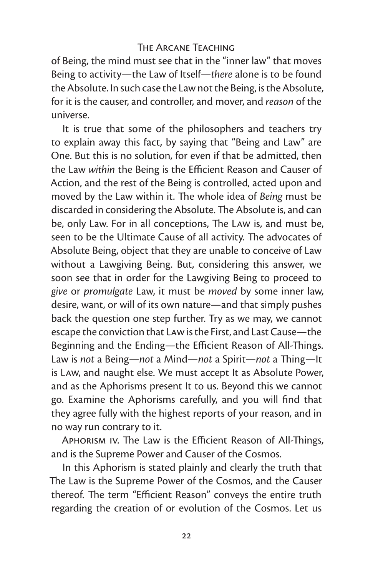of Being, the mind must see that in the "inner law" that moves Being to activity—the Law of Itself—*there* alone is to be found the Absolute. In such case the Law not the Being, is the Absolute, for it is the causer, and controller, and mover, and *reason* of the universe.

It is true that some of the philosophers and teachers try to explain away this fact, by saying that "Being and Law" are One. But this is no solution, for even if that be admitted, then the Law *within* the Being is the Efficient Reason and Causer of Action, and the rest of the Being is controlled, acted upon and moved by the Law within it. The whole idea of *Being* must be discarded in considering the Absolute. The Absolute is, and can be, only Law. For in all conceptions, The Law is, and must be, seen to be the Ultimate Cause of all activity. The advocates of Absolute Being, object that they are unable to conceive of Law without a Lawgiving Being. But, considering this answer, we soon see that in order for the Lawgiving Being to proceed to *give* or *promulgate* Law, it must be *moved* by some inner law, desire, want, or will of its own nature—and that simply pushes back the question one step further. Try as we may, we cannot escape the conviction that Law is the First, and Last Cause—the Beginning and the Ending—the Efficient Reason of All-Things. Law is *not* a Being—*not* a Mind—*not* a Spirit—*not* a Thing—It is Law, and naught else. We must accept It as Absolute Power, and as the Aphorisms present It to us. Beyond this we cannot go. Examine the Aphorisms carefully, and you will find that they agree fully with the highest reports of your reason, and in no way run contrary to it.

APHORISM IV. The Law is the Efficient Reason of All-Things, and is the Supreme Power and Causer of the Cosmos.

In this Aphorism is stated plainly and clearly the truth that The Law is the Supreme Power of the Cosmos, and the Causer thereof. The term "Efficient Reason" conveys the entire truth regarding the creation of or evolution of the Cosmos. Let us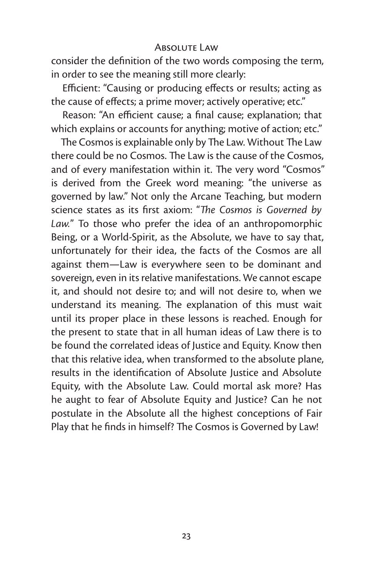### Absolute Law

consider the definition of the two words composing the term, in order to see the meaning still more clearly:

Efficient: "Causing or producing effects or results; acting as the cause of effects; a prime mover; actively operative; etc."

Reason: "An efficient cause; a final cause; explanation; that which explains or accounts for anything; motive of action; etc."

The Cosmos is explainable only by The Law. Without The Law there could be no Cosmos. The Law is the cause of the Cosmos, and of every manifestation within it. The very word "Cosmos" is derived from the Greek word meaning: "the universe as governed by law." Not only the Arcane Teaching, but modern science states as its first axiom: "*The Cosmos is Governed by Law.*" To those who prefer the idea of an anthropomorphic Being, or a World‑Spirit, as the Absolute, we have to say that, unfortunately for their idea, the facts of the Cosmos are all against them—Law is everywhere seen to be dominant and sovereign, even in its relative manifestations. We cannot escape it, and should not desire to; and will not desire to, when we understand its meaning. The explanation of this must wait until its proper place in these lessons is reached. Enough for the present to state that in all human ideas of Law there is to be found the correlated ideas of Justice and Equity. Know then that this relative idea, when transformed to the absolute plane, results in the identification of Absolute Justice and Absolute Equity, with the Absolute Law. Could mortal ask more? Has he aught to fear of Absolute Equity and Justice? Can he not postulate in the Absolute all the highest conceptions of Fair Play that he finds in himself? The Cosmos is Governed by Law!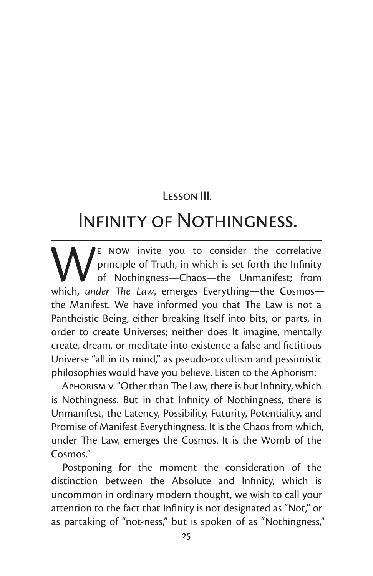## Lesson III.

# <span id="page-30-0"></span>Infinity of Nothingness.

We now invite you to consider the correlative<br>principle of Truth, in which is set forth the Infinity<br>of Nothingness—Chaos—the Unmanifest; from<br>which *under The Law* emerges Everything—the Cosmos principle of Truth, in which is set forth the Infinity of Nothingness—Chaos—the Unmanifest; from which, *under The Law*, emerges Everything—the Cosmos the Manifest. We have informed you that The Law is not a Pantheistic Being, either breaking Itself into bits, or parts, in order to create Universes; neither does It imagine, mentally create, dream, or meditate into existence a false and fictitious Universe "all in its mind," as pseudo‑occultism and pessimistic philosophies would have you believe. Listen to the Aphorism:

Aphorism v. "Other than The Law, there is but Infinity, which is Nothingness. But in that Infinity of Nothingness, there is Unmanifest, the Latency, Possibility, Futurity, Potentiality, and Promise of Manifest Everythingness. It is the Chaos from which, under The Law, emerges the Cosmos. It is the Womb of the Cosmos."

Postponing for the moment the consideration of the distinction between the Absolute and Infinity, which is uncommon in ordinary modern thought, we wish to call your attention to the fact that Infinity is not designated as "Not," or as partaking of "not-ness," but is spoken of as "Nothingness,"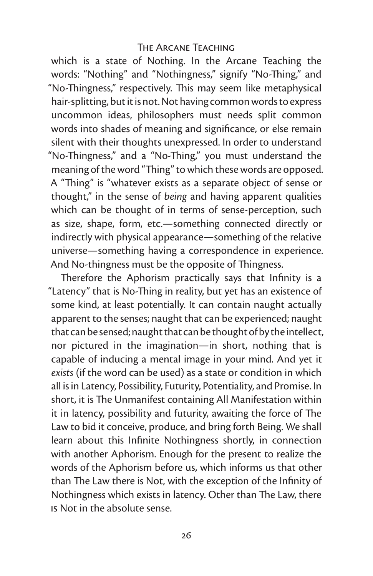which is a state of Nothing. In the Arcane Teaching the words: "Nothing" and "Nothingness," signify "No‑Thing," and "No‑Thingness," respectively. This may seem like metaphysical hair‑splitting, but it is not. Not having common words to express uncommon ideas, philosophers must needs split common words into shades of meaning and significance, or else remain silent with their thoughts unexpressed. In order to understand "No‑Thingness," and a "No‑Thing," you must understand the meaning of the word "Thing" to which these words are opposed. A "Thing" is "whatever exists as a separate object of sense or thought," in the sense of *being* and having apparent qualities which can be thought of in terms of sense-perception, such as size, shape, form, etc.—something connected directly or indirectly with physical appearance—something of the relative universe—something having a correspondence in experience. And No-thingness must be the opposite of Thingness.

Therefore the Aphorism practically says that Infinity is a "Latency" that is No‑Thing in reality, but yet has an existence of some kind, at least potentially. It can contain naught actually apparent to the senses; naught that can be experienced; naught that can be sensed; naught that can be thought of by the intellect, nor pictured in the imagination—in short, nothing that is capable of inducing a mental image in your mind. And yet it *exists* (if the word can be used) as a state or condition in which all is in Latency, Possibility, Futurity, Potentiality, and Promise. In short, it is The Unmanifest containing All Manifestation within it in latency, possibility and futurity, awaiting the force of The Law to bid it conceive, produce, and bring forth Being. We shall learn about this Infinite Nothingness shortly, in connection with another Aphorism. Enough for the present to realize the words of the Aphorism before us, which informs us that other than The Law there is Not, with the exception of the Infinity of Nothingness which exists in latency. Other than The Law, there is Not in the absolute sense.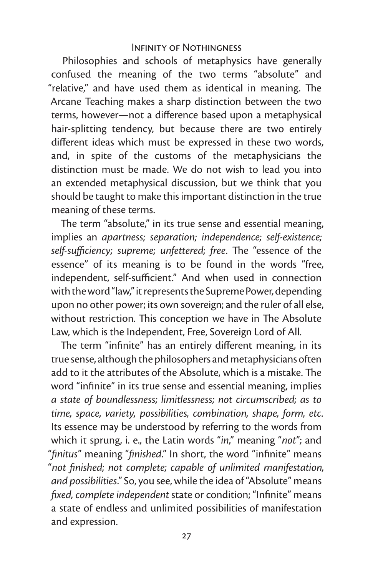#### INFINITY OF NOTHINGNESS

Philosophies and schools of metaphysics have generally confused the meaning of the two terms "absolute" and "relative," and have used them as identical in meaning. The Arcane Teaching makes a sharp distinction between the two terms, however—not a difference based upon a metaphysical hair-splitting tendency, but because there are two entirely different ideas which must be expressed in these two words, and, in spite of the customs of the metaphysicians the distinction must be made. We do not wish to lead you into an extended metaphysical discussion, but we think that you should be taught to make this important distinction in the true meaning of these terms.

The term "absolute," in its true sense and essential meaning, implies an *apartness; separation; independence; self‑existence; self‑sufficiency; supreme; unfettered; free*. The "essence of the essence" of its meaning is to be found in the words "free, independent, self‑sufficient." And when used in connection with the word "law," it represents the Supreme Power, depending upon no other power; its own sovereign; and the ruler of all else, without restriction. This conception we have in The Absolute Law, which is the Independent, Free, Sovereign Lord of All.

The term "infinite" has an entirely different meaning, in its true sense, although the philosophers and metaphysicians often add to it the attributes of the Absolute, which is a mistake. The word "infinite" in its true sense and essential meaning, implies *a state of boundlessness; limitlessness; not circumscribed; as to time, space, variety, possibilities, combination, shape, form, etc*. Its essence may be understood by referring to the words from which it sprung, i. e., the Latin words "*in*," meaning "*not*"; and "*finitus*" meaning "*finished*." In short, the word "infinite" means "*not finished; not complete; capable of unlimited manifestation, and possibilities*." So, you see, while the idea of "Absolute" means *fixed, complete independent* state or condition; "Infinite" means a state of endless and unlimited possibilities of manifestation and expression.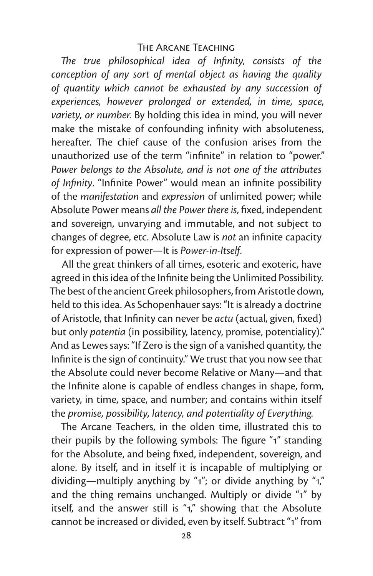*The true philosophical idea of Infinity, consists of the conception of any sort of mental object as having the quality of quantity which cannot be exhausted by any succession of experiences, however prolonged or extended, in time, space, variety, or number.* By holding this idea in mind, you will never make the mistake of confounding infinity with absoluteness, hereafter. The chief cause of the confusion arises from the unauthorized use of the term "infinite" in relation to "power." *Power belongs to the Absolute, and is not one of the attributes of Infinity*. "Infinite Power" would mean an infinite possibility of the *manifestation* and *expression* of unlimited power; while Absolute Power means *all the Power there is*, fixed, independent and sovereign, unvarying and immutable, and not subject to changes of degree, etc. Absolute Law is *not* an infinite capacity for expression of power—It is *Power‑in‑Itself*.

All the great thinkers of all times, esoteric and exoteric, have agreed in this idea of the Infinite being the Unlimited Possibility. The best of the ancient Greek philosophers, from Aristotle down, held to this idea. As Schopenhauer says: "It is already a doctrine of Aristotle, that Infinity can never be *actu* (actual, given, fixed) but only *potentia* (in possibility, latency, promise, potentiality)." And as Lewes says: "If Zero is the sign of a vanished quantity, the Infinite is the sign of continuity." We trust that you now see that the Absolute could never become Relative or Many—and that the Infinite alone is capable of endless changes in shape, form, variety, in time, space, and number; and contains within itself the *promise, possibility, latency, and potentiality of Everything.*

The Arcane Teachers, in the olden time, illustrated this to their pupils by the following symbols: The figure "1" standing for the Absolute, and being fixed, independent, sovereign, and alone. By itself, and in itself it is incapable of multiplying or dividing—multiply anything by "1"; or divide anything by "1," and the thing remains unchanged. Multiply or divide "1" by itself, and the answer still is "1," showing that the Absolute cannot be increased or divided, even by itself. Subtract "1" from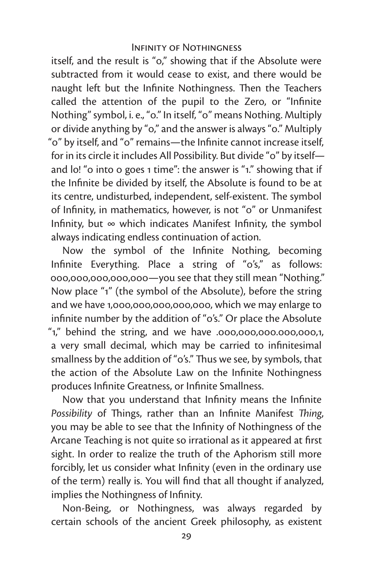itself, and the result is "0," showing that if the Absolute were subtracted from it would cease to exist, and there would be naught left but the Infinite Nothingness. Then the Teachers called the attention of the pupil to the Zero, or "Infinite Nothing" symbol, i. e., "0." In itself, "0" means Nothing. Multiply or divide anything by "0," and the answer is always "0." Multiply "0" by itself, and "0" remains—the Infinite cannot increase itself, for in its circle it includes All Possibility. But divide "0" by itself and lo! "o into o goes 1 time": the answer is "1." showing that if the Infinite be divided by itself, the Absolute is found to be at its centre, undisturbed, independent, self‑existent. The symbol of Infinity, in mathematics, however, is not "0" or Unmanifest Infinity, but  $∞$  which indicates Manifest Infinity, the symbol always indicating endless continuation of action.

Now the symbol of the Infinite Nothing, becoming Infinite Everything. Place a string of "0's," as follows: 000,000,000,000,000—you see that they still mean "Nothing." Now place "1" (the symbol of the Absolute), before the string and we have 1,000,000,000,000,000, which we may enlarge to infinite number by the addition of "0's." Or place the Absolute "1," behind the string, and we have .000,000,000.000,000,1, a very small decimal, which may be carried to infinitesimal smallness by the addition of "0's." Thus we see, by symbols, that the action of the Absolute Law on the Infinite Nothingness produces Infinite Greatness, or Infinite Smallness.

Now that you understand that Infinity means the Infinite *Possibility* of Things, rather than an Infinite Manifest *Thing*, you may be able to see that the Infinity of Nothingness of the Arcane Teaching is not quite so irrational as it appeared at first sight. In order to realize the truth of the Aphorism still more forcibly, let us consider what Infinity (even in the ordinary use of the term) really is. You will find that all thought if analyzed, implies the Nothingness of Infinity.

Non‑Being, or Nothingness, was always regarded by certain schools of the ancient Greek philosophy, as existent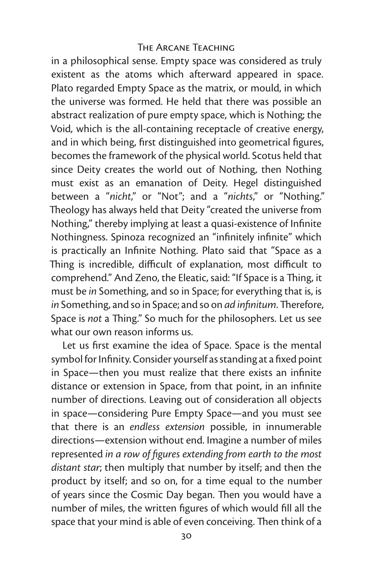in a philosophical sense. Empty space was considered as truly existent as the atoms which afterward appeared in space. Plato regarded Empty Space as the matrix, or mould, in which the universe was formed. He held that there was possible an abstract realization of pure empty space, which is Nothing; the Void, which is the all‑containing receptacle of creative energy, and in which being, first distinguished into geometrical figures, becomes the framework of the physical world. Scotus held that since Deity creates the world out of Nothing, then Nothing must exist as an emanation of Deity. Hegel distinguished between a "*nicht*," or "Not"; and a "*nichts*," or "Nothing." Theology has always held that Deity "created the universe from Nothing," thereby implying at least a quasi-existence of Infinite Nothingness. Spinoza recognized an "infinitely infinite" which is practically an Infinite Nothing. Plato said that "Space as a Thing is incredible, difficult of explanation, most difficult to comprehend." And Zeno, the Eleatic, said: "If Space is a Thing, it must be *in* Something, and so in Space; for everything that is, is *in* Something, and so in Space; and so on *ad infinitum*. Therefore, Space is *not* a Thing." So much for the philosophers. Let us see what our own reason informs us.

Let us first examine the idea of Space. Space is the mental symbol for Infinity. Consider yourself as standing at a fixed point in Space—then you must realize that there exists an infinite distance or extension in Space, from that point, in an infinite number of directions. Leaving out of consideration all objects in space—considering Pure Empty Space—and you must see that there is an *endless extension* possible, in innumerable directions—extension without end. Imagine a number of miles represented *in a row of figures extending from earth to the most distant star*; then multiply that number by itself; and then the product by itself; and so on, for a time equal to the number of years since the Cosmic Day began. Then you would have a number of miles, the written figures of which would fill all the space that your mind is able of even conceiving. Then think of a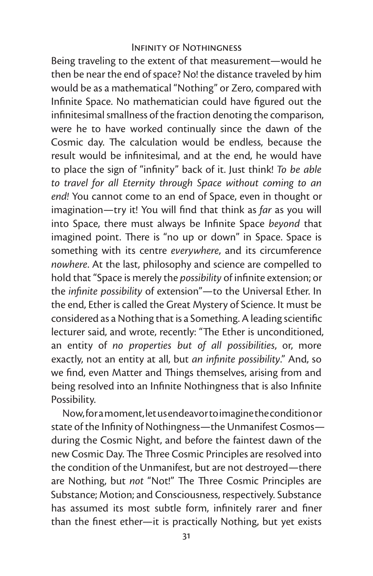#### Infinity of Nothingness

Being traveling to the extent of that measurement—would he then be near the end of space? No! the distance traveled by him would be as a mathematical "Nothing" or Zero, compared with Infinite Space. No mathematician could have figured out the infinitesimal smallness of the fraction denoting the comparison, were he to have worked continually since the dawn of the Cosmic day. The calculation would be endless, because the result would be infinitesimal, and at the end, he would have to place the sign of "infinity" back of it. Just think! *To be able to travel for all Eternity through Space without coming to an end!* You cannot come to an end of Space, even in thought or imagination—try it! You will find that think as *far* as you will into Space, there must always be Infinite Space *beyond* that imagined point. There is "no up or down" in Space. Space is something with its centre *everywhere*, and its circumference *nowhere*. At the last, philosophy and science are compelled to hold that "Space is merely the *possibility* of infinite extension; or the *infinite possibility* of extension"—to the Universal Ether. In the end, Ether is called the Great Mystery of Science. It must be considered as a Nothing that is a Something. A leading scientific lecturer said, and wrote, recently: "The Ether is unconditioned, an entity of *no properties but of all possibilities*, or, more exactly, not an entity at all, but *an infinite possibility*." And, so we find, even Matter and Things themselves, arising from and being resolved into an Infinite Nothingness that is also Infinite Possibility.

Now, for a moment, let us endeavor to imagine the condition or state of the Infinity of Nothingness—the Unmanifest Cosmos during the Cosmic Night, and before the faintest dawn of the new Cosmic Day. The Three Cosmic Principles are resolved into the condition of the Unmanifest, but are not destroyed—there are Nothing, but *not* "Not!" The Three Cosmic Principles are Substance; Motion; and Consciousness, respectively. Substance has assumed its most subtle form, infinitely rarer and finer than the finest ether—it is practically Nothing, but yet exists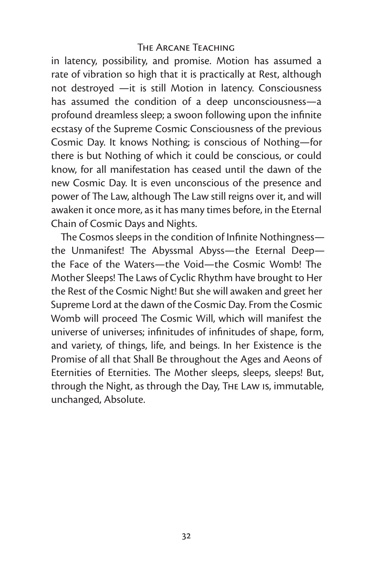in latency, possibility, and promise. Motion has assumed a rate of vibration so high that it is practically at Rest, although not destroyed —it is still Motion in latency. Consciousness has assumed the condition of a deep unconsciousness—a profound dreamless sleep; a swoon following upon the infinite ecstasy of the Supreme Cosmic Consciousness of the previous Cosmic Day. It knows Nothing; is conscious of Nothing—for there is but Nothing of which it could be conscious, or could know, for all manifestation has ceased until the dawn of the new Cosmic Day. It is even unconscious of the presence and power of The Law, although The Law still reigns over it, and will awaken it once more, as it has many times before, in the Eternal Chain of Cosmic Days and Nights.

The Cosmos sleeps in the condition of Infinite Nothingness the Unmanifest! The Abyssmal Abyss—the Eternal Deep the Face of the Waters—the Void—the Cosmic Womb! The Mother Sleeps! The Laws of Cyclic Rhythm have brought to Her the Rest of the Cosmic Night! But she will awaken and greet her Supreme Lord at the dawn of the Cosmic Day. From the Cosmic Womb will proceed The Cosmic Will, which will manifest the universe of universes; infinitudes of infinitudes of shape, form, and variety, of things, life, and beings. In her Existence is the Promise of all that Shall Be throughout the Ages and Aeons of Eternities of Eternities. The Mother sleeps, sleeps, sleeps! But, through the Night, as through the Day, The Law is, immutable, unchanged, Absolute.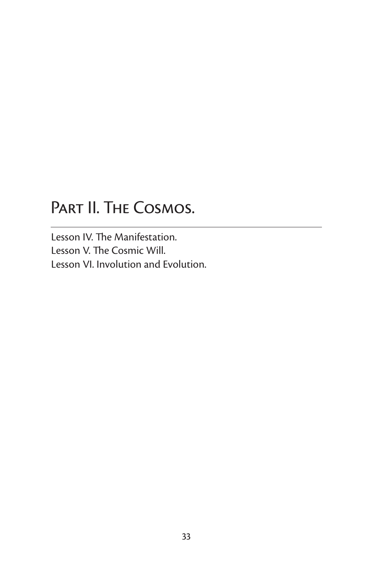# PART II. THE COSMOS.

Lesson IV. The Manifestation. Lesson V. The Cosmic Will. Lesson VI. Involution and Evolution.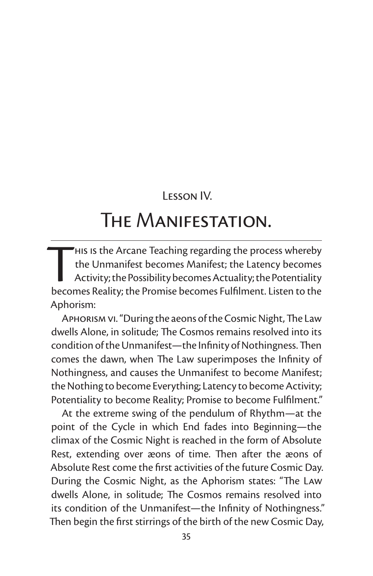### Lesson IV.

## The Manifestation.

This is the Arcane Teaching regarding the process whereby the Unmanifest becomes Manifest; the Latency becomes Activity; the Possibility becomes Actuality; the Potentiality becomes Reality; the Promise becomes Fulfilment. Listen to the Aphorism:

Aphorism vi. "During the aeons of the Cosmic Night, The Law dwells Alone, in solitude; The Cosmos remains resolved into its condition of the Unmanifest—the Infinity of Nothingness. Then comes the dawn, when The Law superimposes the Infinity of Nothingness, and causes the Unmanifest to become Manifest; the Nothing to become Everything; Latency to become Activity; Potentiality to become Reality; Promise to become Fulfilment."

At the extreme swing of the pendulum of Rhythm—at the point of the Cycle in which End fades into Beginning—the climax of the Cosmic Night is reached in the form of Absolute Rest, extending over æons of time. Then after the æons of Absolute Rest come the first activities of the future Cosmic Day. During the Cosmic Night, as the Aphorism states: "The Law dwells Alone, in solitude; The Cosmos remains resolved into its condition of the Unmanifest—the Infinity of Nothingness." Then begin the first stirrings of the birth of the new Cosmic Day,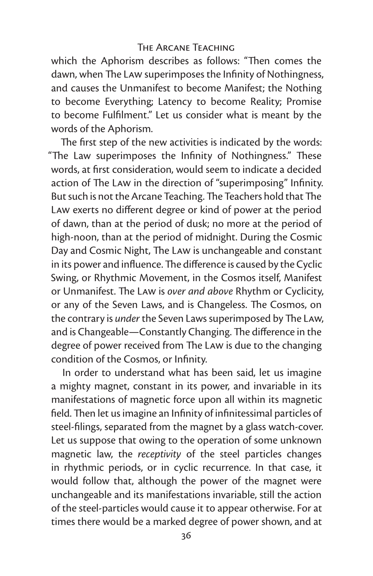which the Aphorism describes as follows: "Then comes the dawn, when The Law superimposes the Infinity of Nothingness, and causes the Unmanifest to become Manifest; the Nothing to become Everything; Latency to become Reality; Promise to become Fulfilment." Let us consider what is meant by the words of the Aphorism.

The first step of the new activities is indicated by the words: "The Law superimposes the Infinity of Nothingness." These words, at first consideration, would seem to indicate a decided action of The Law in the direction of "superimposing" Infinity. But such is not the Arcane Teaching. The Teachers hold that The Law exerts no different degree or kind of power at the period of dawn, than at the period of dusk; no more at the period of high-noon, than at the period of midnight. During the Cosmic Day and Cosmic Night, The Law is unchangeable and constant in its power and influence. The difference is caused by the Cyclic Swing, or Rhythmic Movement, in the Cosmos itself, Manifest or Unmanifest. The Law is *over and above* Rhythm or Cyclicity, or any of the Seven Laws, and is Changeless. The Cosmos, on the contrary is *under* the Seven Laws superimposed by The Law, and is Changeable—Constantly Changing. The difference in the degree of power received from The Law is due to the changing condition of the Cosmos, or Infinity.

In order to understand what has been said, let us imagine a mighty magnet, constant in its power, and invariable in its manifestations of magnetic force upon all within its magnetic field. Then let us imagine an Infinity of infinitessimal particles of steel-filings, separated from the magnet by a glass watch-cover. Let us suppose that owing to the operation of some unknown magnetic law, the *receptivity* of the steel particles changes in rhythmic periods, or in cyclic recurrence. In that case, it would follow that, although the power of the magnet were unchangeable and its manifestations invariable, still the action of the steel‑particles would cause it to appear otherwise. For at times there would be a marked degree of power shown, and at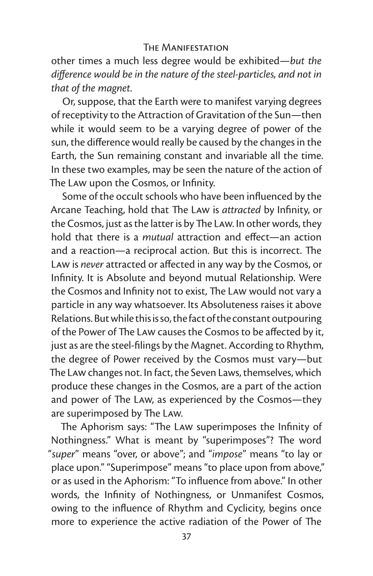#### The Manifestation

other times a much less degree would be exhibited—*but the difference would be in the nature of the steel‑particles, and not in that of the magnet*.

Or, suppose, that the Earth were to manifest varying degrees of receptivity to the Attraction of Gravitation of the Sun—then while it would seem to be a varying degree of power of the sun, the difference would really be caused by the changes in the Earth, the Sun remaining constant and invariable all the time. In these two examples, may be seen the nature of the action of The Law upon the Cosmos, or Infinity.

Some of the occult schools who have been influenced by the Arcane Teaching, hold that The Law is *attracted* by Infinity, or the Cosmos, just as the latter is by The Law. In other words, they hold that there is a *mutual* attraction and effect—an action and a reaction—a reciprocal action. But this is incorrect. The Law is *never* attracted or affected in any way by the Cosmos, or Infinity. It is Absolute and beyond mutual Relationship. Were the Cosmos and Infinity not to exist, The Law would not vary a particle in any way whatsoever. Its Absoluteness raises it above Relations. But while this is so, the fact of the constant outpouring of the Power of The Law causes the Cosmos to be affected by it, just as are the steel-filings by the Magnet. According to Rhythm, the degree of Power received by the Cosmos must vary—but The Law changes not. In fact, the Seven Laws, themselves, which produce these changes in the Cosmos, are a part of the action and power of The Law, as experienced by the Cosmos—they are superimposed by The Law.

The Aphorism says: "The Law superimposes the Infinity of Nothingness." What is meant by "superimposes"? The word "*super*" means "over, or above"; and "*impose*" means "to lay or place upon." "Superimpose" means "to place upon from above," or as used in the Aphorism: "To influence from above." In other words, the Infinity of Nothingness, or Unmanifest Cosmos, owing to the influence of Rhythm and Cyclicity, begins once more to experience the active radiation of the Power of The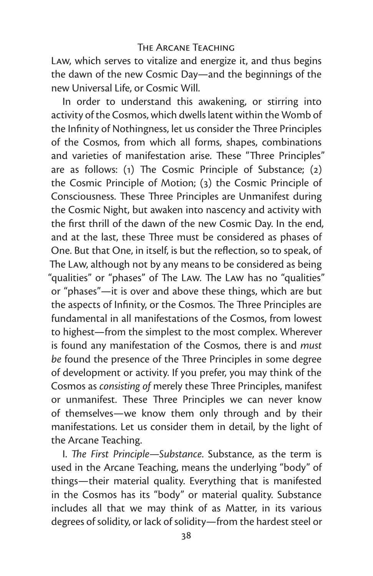Law, which serves to vitalize and energize it, and thus begins the dawn of the new Cosmic Day—and the beginnings of the new Universal Life, or Cosmic Will.

In order to understand this awakening, or stirring into activity of the Cosmos, which dwells latent within the Womb of the Infinity of Nothingness, let us consider the Three Principles of the Cosmos, from which all forms, shapes, combinations and varieties of manifestation arise. These "Three Principles" are as follows: (1) The Cosmic Principle of Substance; (2) the Cosmic Principle of Motion; (3) the Cosmic Principle of Consciousness. These Three Principles are Unmanifest during the Cosmic Night, but awaken into nascency and activity with the first thrill of the dawn of the new Cosmic Day. In the end, and at the last, these Three must be considered as phases of One. But that One, in itself, is but the reflection, so to speak, of The Law, although not by any means to be considered as being "qualities" or "phases" of The Law. The Law has no "qualities" or "phases"—it is over and above these things, which are but the aspects of Infinity, or the Cosmos. The Three Principles are fundamental in all manifestations of the Cosmos, from lowest to highest—from the simplest to the most complex. Wherever is found any manifestation of the Cosmos, there is and *must be* found the presence of the Three Principles in some degree of development or activity. If you prefer, you may think of the Cosmos as *consisting of* merely these Three Principles, manifest or unmanifest. These Three Principles we can never know of themselves—we know them only through and by their manifestations. Let us consider them in detail, by the light of the Arcane Teaching.

I. *The First Principle—Substance*. Substance, as the term is used in the Arcane Teaching, means the underlying "body" of things—their material quality. Everything that is manifested in the Cosmos has its "body" or material quality. Substance includes all that we may think of as Matter, in its various degrees of solidity, or lack of solidity—from the hardest steel or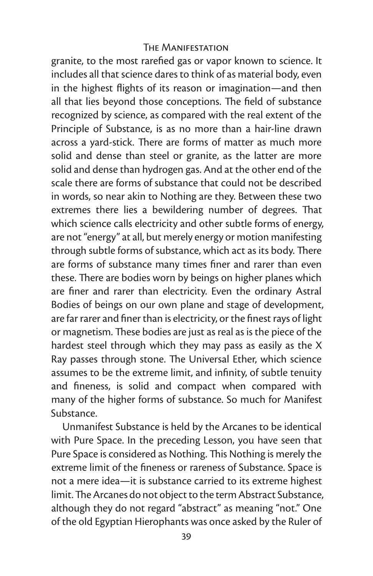#### The Manifestation

granite, to the most rarefied gas or vapor known to science. It includes all that science dares to think of as material body, even in the highest flights of its reason or imagination—and then all that lies beyond those conceptions. The field of substance recognized by science, as compared with the real extent of the Principle of Substance, is as no more than a hair-line drawn across a yard‑stick. There are forms of matter as much more solid and dense than steel or granite, as the latter are more solid and dense than hydrogen gas. And at the other end of the scale there are forms of substance that could not be described in words, so near akin to Nothing are they. Between these two extremes there lies a bewildering number of degrees. That which science calls electricity and other subtle forms of energy, are not "energy" at all, but merely energy or motion manifesting through subtle forms of substance, which act as its body. There are forms of substance many times finer and rarer than even these. There are bodies worn by beings on higher planes which are finer and rarer than electricity. Even the ordinary Astral Bodies of beings on our own plane and stage of development, are far rarer and finer than is electricity, or the finest rays of light or magnetism. These bodies are just as real as is the piece of the hardest steel through which they may pass as easily as the X Ray passes through stone. The Universal Ether, which science assumes to be the extreme limit, and infinity, of subtle tenuity and fineness, is solid and compact when compared with many of the higher forms of substance. So much for Manifest Substance.

Unmanifest Substance is held by the Arcanes to be identical with Pure Space. In the preceding Lesson, you have seen that Pure Space is considered as Nothing. This Nothing is merely the extreme limit of the fineness or rareness of Substance. Space is not a mere idea—it is substance carried to its extreme highest limit. The Arcanes do not object to the term Abstract Substance, although they do not regard "abstract" as meaning "not." One of the old Egyptian Hierophants was once asked by the Ruler of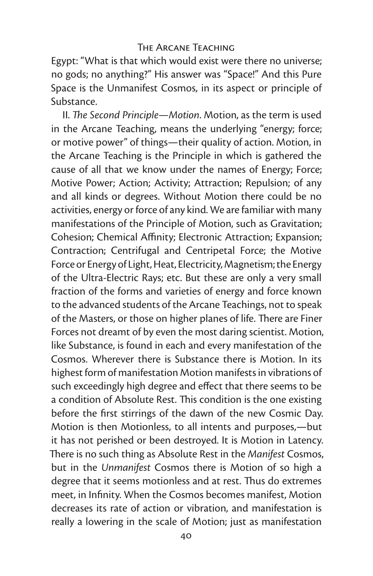Egypt: "What is that which would exist were there no universe; no gods; no anything?" His answer was "Space!" And this Pure Space is the Unmanifest Cosmos, in its aspect or principle of Substance.

II. *The Second Principle—Motion*. Motion, as the term is used in the Arcane Teaching, means the underlying "energy; force; or motive power" of things—their quality of action. Motion, in the Arcane Teaching is the Principle in which is gathered the cause of all that we know under the names of Energy; Force; Motive Power; Action; Activity; Attraction; Repulsion; of any and all kinds or degrees. Without Motion there could be no activities, energy or force of any kind. We are familiar with many manifestations of the Principle of Motion, such as Gravitation; Cohesion; Chemical Affinity; Electronic Attraction; Expansion; Contraction; Centrifugal and Centripetal Force; the Motive Force or Energy of Light, Heat, Electricity, Magnetism; the Energy of the Ultra‑Electric Rays; etc. But these are only a very small fraction of the forms and varieties of energy and force known to the advanced students of the Arcane Teachings, not to speak of the Masters, or those on higher planes of life. There are Finer Forces not dreamt of by even the most daring scientist. Motion, like Substance, is found in each and every manifestation of the Cosmos. Wherever there is Substance there is Motion. In its highest form of manifestation Motion manifests in vibrations of such exceedingly high degree and effect that there seems to be a condition of Absolute Rest. This condition is the one existing before the first stirrings of the dawn of the new Cosmic Day. Motion is then Motionless, to all intents and purposes,—but it has not perished or been destroyed. It is Motion in Latency. There is no such thing as Absolute Rest in the *Manifest* Cosmos, but in the *Unmanifest* Cosmos there is Motion of so high a degree that it seems motionless and at rest. Thus do extremes meet, in Infinity. When the Cosmos becomes manifest, Motion decreases its rate of action or vibration, and manifestation is really a lowering in the scale of Motion; just as manifestation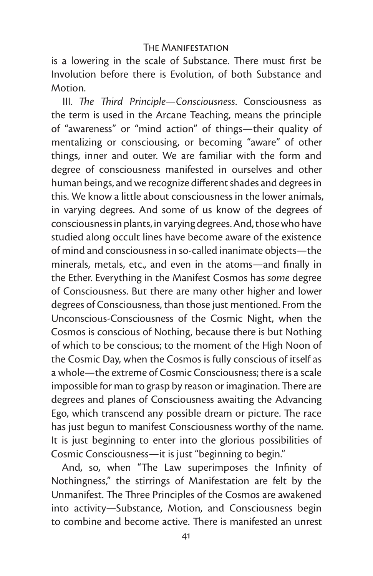#### The Manifestation

is a lowering in the scale of Substance. There must first be Involution before there is Evolution, of both Substance and Motion.

III. *The Third Principle—Consciousness*. Consciousness as the term is used in the Arcane Teaching, means the principle of "awareness" or "mind action" of things—their quality of mentalizing or consciousing, or becoming "aware" of other things, inner and outer. We are familiar with the form and degree of consciousness manifested in ourselves and other human beings, and we recognize different shades and degrees in this. We know a little about consciousness in the lower animals, in varying degrees. And some of us know of the degrees of consciousness in plants, in varying degrees. And, those who have studied along occult lines have become aware of the existence of mind and consciousness in so‑called inanimate objects—the minerals, metals, etc., and even in the atoms—and finally in the Ether. Everything in the Manifest Cosmos has *some* degree of Consciousness. But there are many other higher and lower degrees of Consciousness, than those just mentioned. From the Unconscious‑Consciousness of the Cosmic Night, when the Cosmos is conscious of Nothing, because there is but Nothing of which to be conscious; to the moment of the High Noon of the Cosmic Day, when the Cosmos is fully conscious of itself as a whole—the extreme of Cosmic Consciousness; there is a scale impossible for man to grasp by reason or imagination. There are degrees and planes of Consciousness awaiting the Advancing Ego, which transcend any possible dream or picture. The race has just begun to manifest Consciousness worthy of the name. It is just beginning to enter into the glorious possibilities of Cosmic Consciousness—it is just "beginning to begin."

And, so, when "The Law superimposes the Infinity of Nothingness," the stirrings of Manifestation are felt by the Unmanifest. The Three Principles of the Cosmos are awakened into activity—Substance, Motion, and Consciousness begin to combine and become active. There is manifested an unrest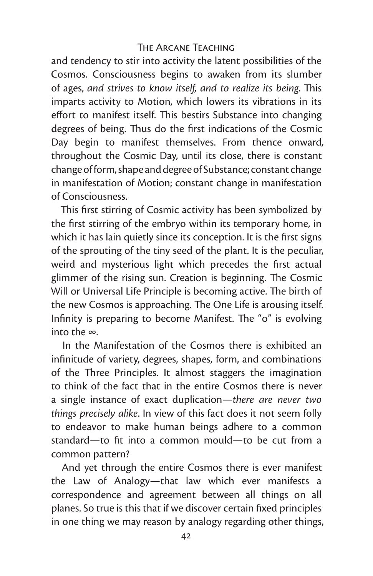and tendency to stir into activity the latent possibilities of the Cosmos. Consciousness begins to awaken from its slumber of ages, *and strives to know itself, and to realize its being*. This imparts activity to Motion, which lowers its vibrations in its effort to manifest itself. This bestirs Substance into changing degrees of being. Thus do the first indications of the Cosmic Day begin to manifest themselves. From thence onward, throughout the Cosmic Day, until its close, there is constant change of form, shape and degree of Substance; constant change in manifestation of Motion; constant change in manifestation of Consciousness.

This first stirring of Cosmic activity has been symbolized by the first stirring of the embryo within its temporary home, in which it has lain quietly since its conception. It is the first signs of the sprouting of the tiny seed of the plant. It is the peculiar, weird and mysterious light which precedes the first actual glimmer of the rising sun. Creation is beginning. The Cosmic Will or Universal Life Principle is becoming active. The birth of the new Cosmos is approaching. The One Life is arousing itself. Infinity is preparing to become Manifest. The "0" is evolving into the ∞.

In the Manifestation of the Cosmos there is exhibited an infinitude of variety, degrees, shapes, form, and combinations of the Three Principles. It almost staggers the imagination to think of the fact that in the entire Cosmos there is never a single instance of exact duplication—*there are never two things precisely alike*. In view of this fact does it not seem folly to endeavor to make human beings adhere to a common standard—to fit into a common mould—to be cut from a common pattern?

And yet through the entire Cosmos there is ever manifest the Law of Analogy—that law which ever manifests a correspondence and agreement between all things on all planes. So true is this that if we discover certain fixed principles in one thing we may reason by analogy regarding other things,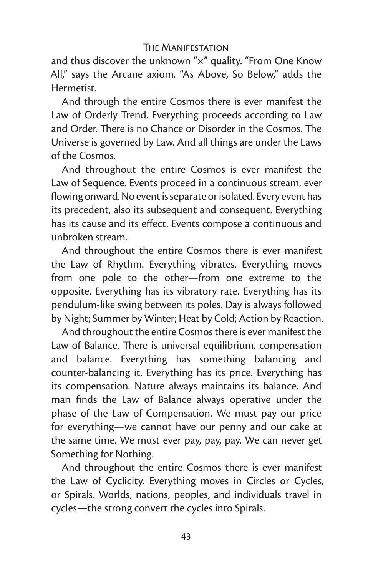#### The Manifestation

and thus discover the unknown "×" quality. "From One Know All," says the Arcane axiom. "As Above, So Below," adds the Hermetist.

And through the entire Cosmos there is ever manifest the Law of Orderly Trend. Everything proceeds according to Law and Order. There is no Chance or Disorder in the Cosmos. The Universe is governed by Law. And all things are under the Laws of the Cosmos.

And throughout the entire Cosmos is ever manifest the Law of Sequence. Events proceed in a continuous stream, ever flowing onward. No event is separate or isolated. Every event has its precedent, also its subsequent and consequent. Everything has its cause and its effect. Events compose a continuous and unbroken stream.

And throughout the entire Cosmos there is ever manifest the Law of Rhythm. Everything vibrates. Everything moves from one pole to the other—from one extreme to the opposite. Everything has its vibratory rate. Everything has its pendulum‑like swing between its poles. Day is always followed by Night; Summer by Winter; Heat by Cold; Action by Reaction.

And throughout the entire Cosmos there is ever manifest the Law of Balance. There is universal equilibrium, compensation and balance. Everything has something balancing and counter‑balancing it. Everything has its price. Everything has its compensation. Nature always maintains its balance. And man finds the Law of Balance always operative under the phase of the Law of Compensation. We must pay our price for everything—we cannot have our penny and our cake at the same time. We must ever pay, pay, pay. We can never get Something for Nothing.

And throughout the entire Cosmos there is ever manifest the Law of Cyclicity. Everything moves in Circles or Cycles, or Spirals. Worlds, nations, peoples, and individuals travel in cycles—the strong convert the cycles into Spirals.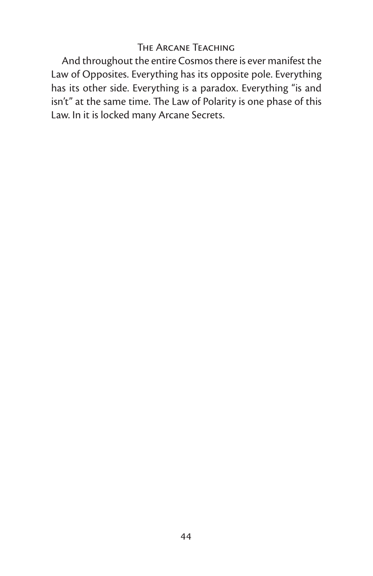And throughout the entire Cosmos there is ever manifest the Law of Opposites. Everything has its opposite pole. Everything has its other side. Everything is a paradox. Everything "is and isn't" at the same time. The Law of Polarity is one phase of this Law. In it is locked many Arcane Secrets.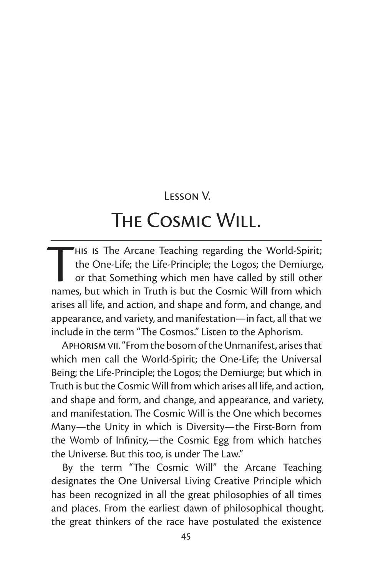## Lesson V.

# The Cosmic Will.

This is The Arcane Teaching regarding the World-Spirit; the One‑Life; the Life‑Principle; the Logos; the Demiurge, or that Something which men have called by still other names, but which in Truth is but the Cosmic Will from which arises all life, and action, and shape and form, and change, and appearance, and variety, and manifestation—in fact, all that we include in the term "The Cosmos." Listen to the Aphorism.

Aphorism vii. "From the bosom of the Unmanifest, arises that which men call the World-Spirit; the One-Life; the Universal Being; the Life‑Principle; the Logos; the Demiurge; but which in Truth is but the Cosmic Will from which arises all life, and action, and shape and form, and change, and appearance, and variety, and manifestation. The Cosmic Will is the One which becomes Many—the Unity in which is Diversity—the First‑Born from the Womb of Infinity,—the Cosmic Egg from which hatches the Universe. But this too, is under The Law."

By the term "The Cosmic Will" the Arcane Teaching designates the One Universal Living Creative Principle which has been recognized in all the great philosophies of all times and places. From the earliest dawn of philosophical thought, the great thinkers of the race have postulated the existence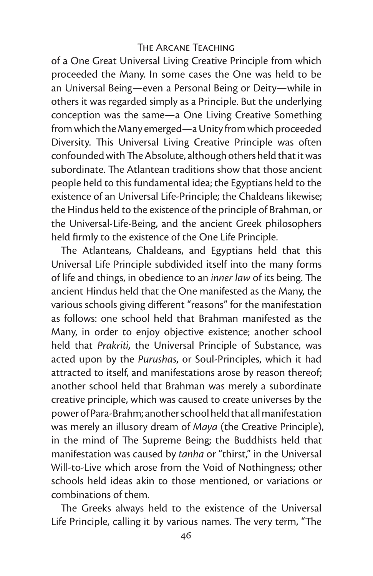of a One Great Universal Living Creative Principle from which proceeded the Many. In some cases the One was held to be an Universal Being—even a Personal Being or Deity—while in others it was regarded simply as a Principle. But the underlying conception was the same—a One Living Creative Something from which the Many emerged—a Unity from which proceeded Diversity. This Universal Living Creative Principle was often confounded with The Absolute, although others held that it was subordinate. The Atlantean traditions show that those ancient people held to this fundamental idea; the Egyptians held to the existence of an Universal Life‑Principle; the Chaldeans likewise; the Hindus held to the existence of the principle of Brahman, or the Universal-Life-Being, and the ancient Greek philosophers held firmly to the existence of the One Life Principle.

The Atlanteans, Chaldeans, and Egyptians held that this Universal Life Principle subdivided itself into the many forms of life and things, in obedience to an *inner law* of its being. The ancient Hindus held that the One manifested as the Many, the various schools giving different "reasons" for the manifestation as follows: one school held that Brahman manifested as the Many, in order to enjoy objective existence; another school held that *Prakriti*, the Universal Principle of Substance, was acted upon by the *Purushas*, or Soul‑Principles, which it had attracted to itself, and manifestations arose by reason thereof; another school held that Brahman was merely a subordinate creative principle, which was caused to create universes by the power of Para‑Brahm; another school held that all manifestation was merely an illusory dream of *Maya* (the Creative Principle), in the mind of The Supreme Being; the Buddhists held that manifestation was caused by *tanha* or "thirst," in the Universal Will-to-Live which arose from the Void of Nothingness; other schools held ideas akin to those mentioned, or variations or combinations of them.

The Greeks always held to the existence of the Universal Life Principle, calling it by various names. The very term, "The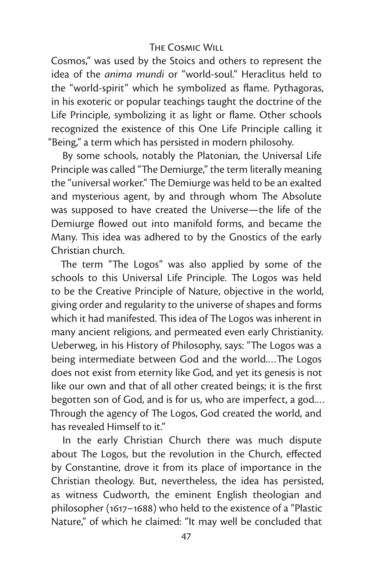#### The Cosmic Will

Cosmos," was used by the Stoics and others to represent the idea of the *anima mundi* or "world‑soul." Heraclitus held to the "world‑spirit" which he symbolized as flame. Pythagoras, in his exoteric or popular teachings taught the doctrine of the Life Principle, symbolizing it as light or flame. Other schools recognized the existence of this One Life Principle calling it "Being," a term which has persisted in modern philosohy.

By some schools, notably the Platonian, the Universal Life Principle was called "The Demiurge," the term literally meaning the "universal worker." The Demiurge was held to be an exalted and mysterious agent, by and through whom The Absolute was supposed to have created the Universe—the life of the Demiurge flowed out into manifold forms, and became the Many. This idea was adhered to by the Gnostics of the early Christian church.

The term "The Logos" was also applied by some of the schools to this Universal Life Principle. The Logos was held to be the Creative Principle of Nature, objective in the world, giving order and regularity to the universe of shapes and forms which it had manifested. This idea of The Logos was inherent in many ancient religions, and permeated even early Christianity. Ueberweg, in his History of Philosophy, says: "The Logos was a being intermediate between God and the world.…The Logos does not exist from eternity like God, and yet its genesis is not like our own and that of all other created beings; it is the first begotten son of God, and is for us, who are imperfect, a god.… Through the agency of The Logos, God created the world, and has revealed Himself to it."

In the early Christian Church there was much dispute about The Logos, but the revolution in the Church, effected by Constantine, drove it from its place of importance in the Christian theology. But, nevertheless, the idea has persisted, as witness Cudworth, the eminent English theologian and philosopher (1617–1688) who held to the existence of a "Plastic Nature," of which he claimed: "It may well be concluded that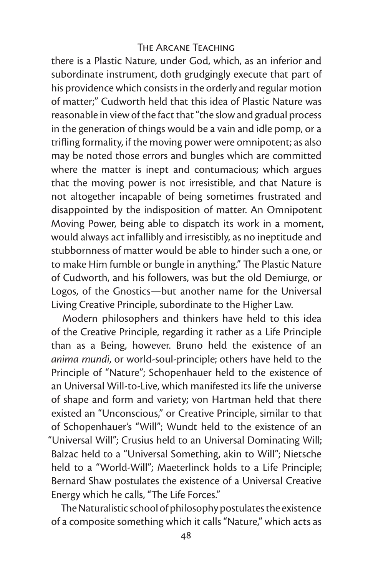there is a Plastic Nature, under God, which, as an inferior and subordinate instrument, doth grudgingly execute that part of his providence which consists in the orderly and regular motion of matter;" Cudworth held that this idea of Plastic Nature was reasonable in view of the fact that "the slow and gradual process in the generation of things would be a vain and idle pomp, or a trifling formality, if the moving power were omnipotent; as also may be noted those errors and bungles which are committed where the matter is inept and contumacious; which argues that the moving power is not irresistible, and that Nature is not altogether incapable of being sometimes frustrated and disappointed by the indisposition of matter. An Omnipotent Moving Power, being able to dispatch its work in a moment, would always act infallibly and irresistibly, as no ineptitude and stubbornness of matter would be able to hinder such a one, or to make Him fumble or bungle in anything." The Plastic Nature of Cudworth, and his followers, was but the old Demiurge, or Logos, of the Gnostics—but another name for the Universal Living Creative Principle, subordinate to the Higher Law.

Modern philosophers and thinkers have held to this idea of the Creative Principle, regarding it rather as a Life Principle than as a Being, however. Bruno held the existence of an *anima mundi*, or world‑soul‑principle; others have held to the Principle of "Nature"; Schopenhauer held to the existence of an Universal Will-to-Live, which manifested its life the universe of shape and form and variety; von Hartman held that there existed an "Unconscious," or Creative Principle, similar to that of Schopenhauer's "Will"; Wundt held to the existence of an "Universal Will"; Crusius held to an Universal Dominating Will; Balzac held to a "Universal Something, akin to Will"; Nietsche held to a "World-Will"; Maeterlinck holds to a Life Principle; Bernard Shaw postulates the existence of a Universal Creative Energy which he calls, "The Life Forces."

The Naturalistic school of philosophy postulates the existence of a composite something which it calls "Nature," which acts as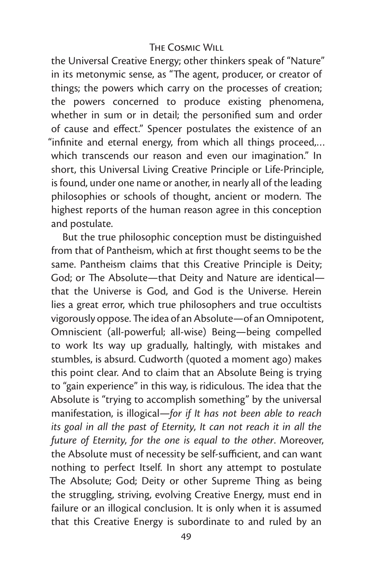#### The Cosmic Will

the Universal Creative Energy; other thinkers speak of "Nature" in its metonymic sense, as "The agent, producer, or creator of things; the powers which carry on the processes of creation; the powers concerned to produce existing phenomena, whether in sum or in detail; the personified sum and order of cause and effect." Spencer postulates the existence of an "infinite and eternal energy, from which all things proceed,… which transcends our reason and even our imagination." In short, this Universal Living Creative Principle or Life-Principle, is found, under one name or another, in nearly all of the leading philosophies or schools of thought, ancient or modern. The highest reports of the human reason agree in this conception and postulate.

But the true philosophic conception must be distinguished from that of Pantheism, which at first thought seems to be the same. Pantheism claims that this Creative Principle is Deity; God; or The Absolute—that Deity and Nature are identical that the Universe is God, and God is the Universe. Herein lies a great error, which true philosophers and true occultists vigorously oppose. The idea of an Absolute—of an Omnipotent, Omniscient (all‑powerful; all‑wise) Being—being compelled to work Its way up gradually, haltingly, with mistakes and stumbles, is absurd. Cudworth (quoted a moment ago) makes this point clear. And to claim that an Absolute Being is trying to "gain experience" in this way, is ridiculous. The idea that the Absolute is "trying to accomplish something" by the universal manifestation, is illogical—*for if It has not been able to reach its goal in all the past of Eternity, It can not reach it in all the future of Eternity, for the one is equal to the other*. Moreover, the Absolute must of necessity be self‑sufficient, and can want nothing to perfect Itself. In short any attempt to postulate The Absolute; God; Deity or other Supreme Thing as being the struggling, striving, evolving Creative Energy, must end in failure or an illogical conclusion. It is only when it is assumed that this Creative Energy is subordinate to and ruled by an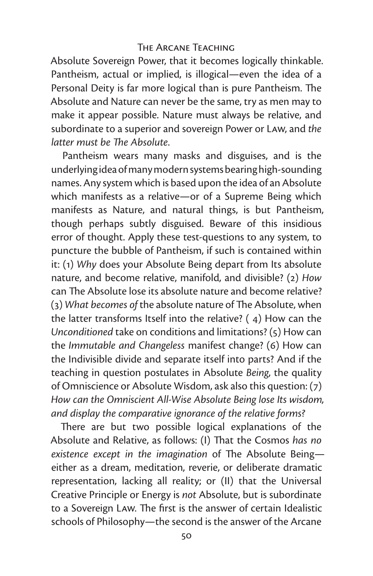Absolute Sovereign Power, that it becomes logically thinkable. Pantheism, actual or implied, is illogical—even the idea of a Personal Deity is far more logical than is pure Pantheism. The Absolute and Nature can never be the same, try as men may to make it appear possible. Nature must always be relative, and subordinate to a superior and sovereign Power or Law, and *the latter must be The Absolute*.

Pantheism wears many masks and disguises, and is the underlying idea of many modern systems bearing high‑sounding names. Any system which is based upon the idea of an Absolute which manifests as a relative—or of a Supreme Being which manifests as Nature, and natural things, is but Pantheism, though perhaps subtly disguised. Beware of this insidious error of thought. Apply these test-questions to any system, to puncture the bubble of Pantheism, if such is contained within it: (1) *Why* does your Absolute Being depart from Its absolute nature, and become relative, manifold, and divisible? (2) *How* can The Absolute lose its absolute nature and become relative? (3) *What becomes of* the absolute nature of The Absolute, when the latter transforms Itself into the relative? ( 4) How can the *Unconditioned* take on conditions and limitations? (5) How can the *Immutable and Changeless* manifest change? (6) How can the Indivisible divide and separate itself into parts? And if the teaching in question postulates in Absolute *Being*, the quality of Omniscience or Absolute Wisdom, ask also this question: (7) *How can the Omniscient All‑Wise Absolute Being lose Its wisdom, and display the comparative ignorance of the relative forms?*

There are but two possible logical explanations of the Absolute and Relative, as follows: (I) That the Cosmos *has no existence except in the imagination* of The Absolute Being either as a dream, meditation, reverie, or deliberate dramatic representation, lacking all reality; or (II) that the Universal Creative Principle or Energy is *not* Absolute, but is subordinate to a Sovereign Law. The first is the answer of certain Idealistic schools of Philosophy—the second is the answer of the Arcane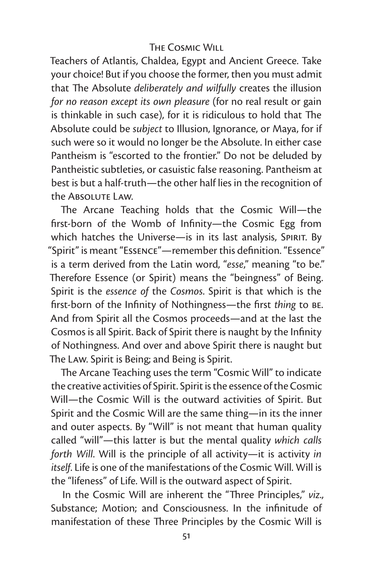#### The Cosmic Will

Teachers of Atlantis, Chaldea, Egypt and Ancient Greece. Take your choice! But if you choose the former, then you must admit that The Absolute *deliberately and wilfully* creates the illusion *for no reason except its own pleasure* (for no real result or gain is thinkable in such case), for it is ridiculous to hold that The Absolute could be *subject* to Illusion, Ignorance, or Maya, for if such were so it would no longer be the Absolute. In either case Pantheism is "escorted to the frontier." Do not be deluded by Pantheistic subtleties, or casuistic false reasoning. Pantheism at best is but a half-truth—the other half lies in the recognition of the Absolute Law.

The Arcane Teaching holds that the Cosmic Will—the first‑born of the Womb of Infinity—the Cosmic Egg from which hatches the Universe—is in its last analysis, SPIRIT. By "Spirit" is meant "Essence"—remember this definition. "Essence" is a term derived from the Latin word, "*esse*," meaning "to be." Therefore Essence (or Spirit) means the "beingness" of Being. Spirit is the *essence of* the *Cosmos*. Spirit is that which is the first‑born of the Infinity of Nothingness—the first *thing* to be. And from Spirit all the Cosmos proceeds—and at the last the Cosmos is all Spirit. Back of Spirit there is naught by the Infinity of Nothingness. And over and above Spirit there is naught but The Law. Spirit is Being; and Being is Spirit.

The Arcane Teaching uses the term "Cosmic Will" to indicate the creative activities of Spirit. Spirit is the essence of the Cosmic Will—the Cosmic Will is the outward activities of Spirit. But Spirit and the Cosmic Will are the same thing—in its the inner and outer aspects. By "Will" is not meant that human quality called "will"—this latter is but the mental quality *which calls forth Will*. Will is the principle of all activity—it is activity *in itself*. Life is one of the manifestations of the Cosmic Will. Will is the "lifeness" of Life. Will is the outward aspect of Spirit.

In the Cosmic Will are inherent the "Three Principles," *viz*., Substance; Motion; and Consciousness. In the infinitude of manifestation of these Three Principles by the Cosmic Will is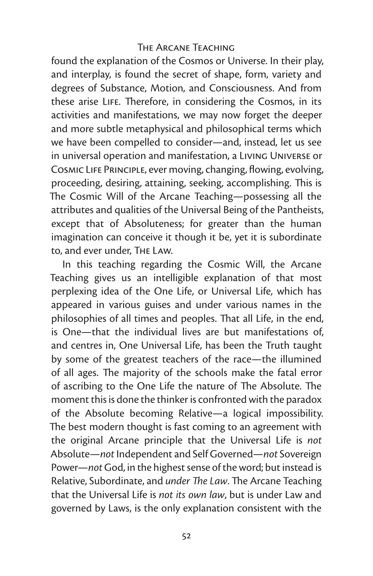found the explanation of the Cosmos or Universe. In their play, and interplay, is found the secret of shape, form, variety and degrees of Substance, Motion, and Consciousness. And from these arise Life. Therefore, in considering the Cosmos, in its activities and manifestations, we may now forget the deeper and more subtle metaphysical and philosophical terms which we have been compelled to consider—and, instead, let us see in universal operation and manifestation, a Living Universe or Cosmic Life Principle, ever moving, changing, flowing, evolving, proceeding, desiring, attaining, seeking, accomplishing. This is The Cosmic Will of the Arcane Teaching—possessing all the attributes and qualities of the Universal Being of the Pantheists, except that of Absoluteness; for greater than the human imagination can conceive it though it be, yet it is subordinate to, and ever under, The Law.

In this teaching regarding the Cosmic Will, the Arcane Teaching gives us an intelligible explanation of that most perplexing idea of the One Life, or Universal Life, which has appeared in various guises and under various names in the philosophies of all times and peoples. That all Life, in the end, is One—that the individual lives are but manifestations of, and centres in, One Universal Life, has been the Truth taught by some of the greatest teachers of the race—the illumined of all ages. The majority of the schools make the fatal error of ascribing to the One Life the nature of The Absolute. The moment this is done the thinker is confronted with the paradox of the Absolute becoming Relative—a logical impossibility. The best modern thought is fast coming to an agreement with the original Arcane principle that the Universal Life is *not* Absolute—*not* Independent and Self Governed—*not* Sovereign Power—*not* God, in the highest sense of the word; but instead is Relative, Subordinate, and *under The Law*. The Arcane Teaching that the Universal Life is *not its own law*, but is under Law and governed by Laws, is the only explanation consistent with the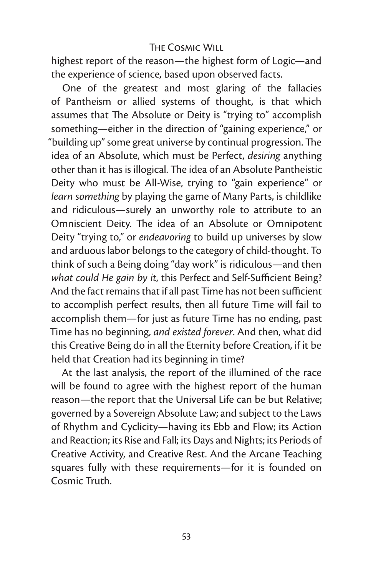#### The Cosmic Will

highest report of the reason—the highest form of Logic—and the experience of science, based upon observed facts.

One of the greatest and most glaring of the fallacies of Pantheism or allied systems of thought, is that which assumes that The Absolute or Deity is "trying to" accomplish something—either in the direction of "gaining experience," or "building up" some great universe by continual progression. The idea of an Absolute, which must be Perfect, *desiring* anything other than it has is illogical. The idea of an Absolute Pantheistic Deity who must be All‑Wise, trying to "gain experience" or *learn something* by playing the game of Many Parts, is childlike and ridiculous—surely an unworthy role to attribute to an Omniscient Deity. The idea of an Absolute or Omnipotent Deity "trying to," or *endeavoring* to build up universes by slow and arduous labor belongs to the category of child-thought. To think of such a Being doing "day work" is ridiculous—and then *what could He gain by it*, this Perfect and Self‑Sufficient Being? And the fact remains that if all past Time has not been sufficient to accomplish perfect results, then all future Time will fail to accomplish them—for just as future Time has no ending, past Time has no beginning, *and existed forever*. And then, what did this Creative Being do in all the Eternity before Creation, if it be held that Creation had its beginning in time?

At the last analysis, the report of the illumined of the race will be found to agree with the highest report of the human reason—the report that the Universal Life can be but Relative; governed by a Sovereign Absolute Law; and subject to the Laws of Rhythm and Cyclicity—having its Ebb and Flow; its Action and Reaction; its Rise and Fall; its Days and Nights; its Periods of Creative Activity, and Creative Rest. And the Arcane Teaching squares fully with these requirements—for it is founded on Cosmic Truth.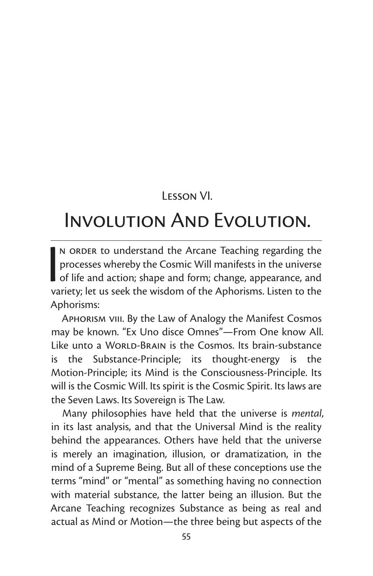## Lesson VI.

# Involution And Evolution.

 $\overline{\mathbf{I}}$ N ORDER to understand the Arcane Teaching regarding the processes whereby the Cosmic Will manifests in the universe of life and action; shape and form; change, appearance, and variety; let us seek the wisdom of the Aphorisms. Listen to the Aphorisms:

Aphorism viii. By the Law of Analogy the Manifest Cosmos may be known. "Ex Uno disce Omnes"—From One know All. Like unto a WORLD-BRAIN is the Cosmos. Its brain-substance is the Substance-Principle; its thought-energy is the Motion‑Principle; its Mind is the Consciousness‑Principle. Its will is the Cosmic Will. Its spirit is the Cosmic Spirit. Its laws are the Seven Laws. Its Sovereign is The Law.

Many philosophies have held that the universe is *mental*, in its last analysis, and that the Universal Mind is the reality behind the appearances. Others have held that the universe is merely an imagination, illusion, or dramatization, in the mind of a Supreme Being. But all of these conceptions use the terms "mind" or "mental" as something having no connection with material substance, the latter being an illusion. But the Arcane Teaching recognizes Substance as being as real and actual as Mind or Motion—the three being but aspects of the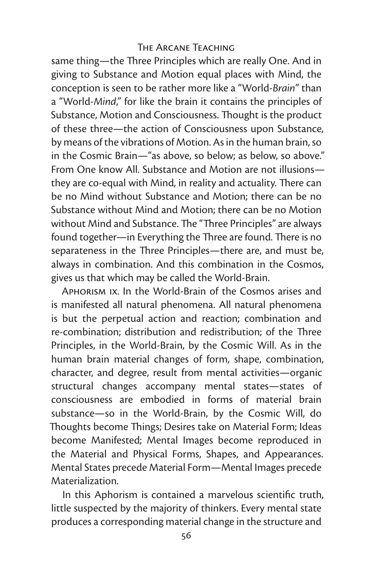same thing—the Three Principles which are really One. And in giving to Substance and Motion equal places with Mind, the conception is seen to be rather more like a "World‑*Brain*" than a "World‑*Mind*," for like the brain it contains the principles of Substance, Motion and Consciousness. Thought is the product of these three—the action of Consciousness upon Substance, by means of the vibrations of Motion. As in the human brain, so in the Cosmic Brain—"as above, so below; as below, so above." From One know All. Substance and Motion are not illusions they are co‑equal with Mind, in reality and actuality. There can be no Mind without Substance and Motion; there can be no Substance without Mind and Motion; there can be no Motion without Mind and Substance. The "Three Principles" are always found together—in Everything the Three are found. There is no separateness in the Three Principles—there are, and must be, always in combination. And this combination in the Cosmos, gives us that which may be called the World‑Brain.

Aphorism ix. In the World‑Brain of the Cosmos arises and is manifested all natural phenomena. All natural phenomena is but the perpetual action and reaction; combination and re‑combination; distribution and redistribution; of the Three Principles, in the World‑Brain, by the Cosmic Will. As in the human brain material changes of form, shape, combination, character, and degree, result from mental activities—organic structural changes accompany mental states—states of consciousness are embodied in forms of material brain substance—so in the World‑Brain, by the Cosmic Will, do Thoughts become Things; Desires take on Material Form; Ideas become Manifested; Mental Images become reproduced in the Material and Physical Forms, Shapes, and Appearances. Mental States precede Material Form—Mental Images precede Materialization.

In this Aphorism is contained a marvelous scientific truth, little suspected by the majority of thinkers. Every mental state produces a corresponding material change in the structure and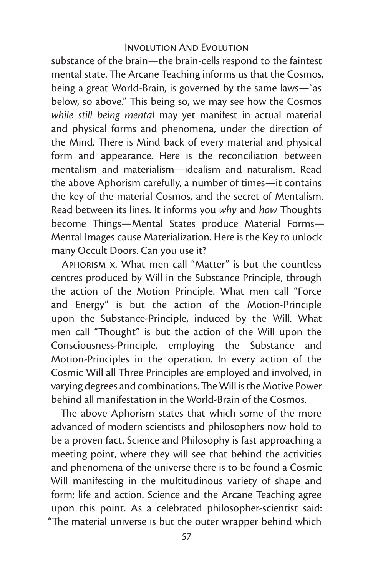#### Involution And Evolution

substance of the brain—the brain-cells respond to the faintest mental state. The Arcane Teaching informs us that the Cosmos, being a great World‑Brain, is governed by the same laws—"as below, so above." This being so, we may see how the Cosmos *while still being mental* may yet manifest in actual material and physical forms and phenomena, under the direction of the Mind. There is Mind back of every material and physical form and appearance. Here is the reconciliation between mentalism and materialism—idealism and naturalism. Read the above Aphorism carefully, a number of times—it contains the key of the material Cosmos, and the secret of Mentalism. Read between its lines. It informs you *why* and *how* Thoughts become Things—Mental States produce Material Forms— Mental Images cause Materialization. Here is the Key to unlock many Occult Doors. Can you use it?

Aphorism x. What men call "Matter" is but the countless centres produced by Will in the Substance Principle, through the action of the Motion Principle. What men call "Force and Energy" is but the action of the Motion‑Principle upon the Substance‑Principle, induced by the Will. What men call "Thought" is but the action of the Will upon the Consciousness‑Principle, employing the Substance and Motion‑Principles in the operation. In every action of the Cosmic Will all Three Principles are employed and involved, in varying degrees and combinations. The Will is the Motive Power behind all manifestation in the World‑Brain of the Cosmos.

The above Aphorism states that which some of the more advanced of modern scientists and philosophers now hold to be a proven fact. Science and Philosophy is fast approaching a meeting point, where they will see that behind the activities and phenomena of the universe there is to be found a Cosmic Will manifesting in the multitudinous variety of shape and form; life and action. Science and the Arcane Teaching agree upon this point. As a celebrated philosopher-scientist said: "The material universe is but the outer wrapper behind which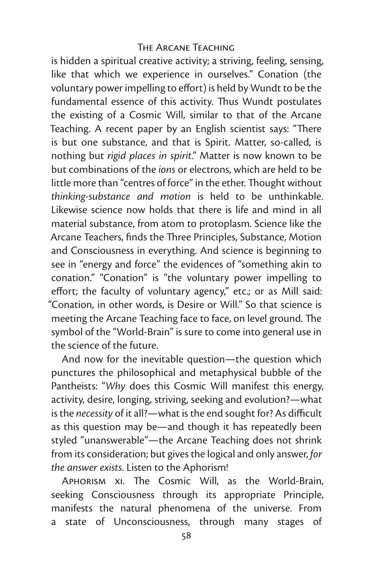is hidden a spiritual creative activity; a striving, feeling, sensing, like that which we experience in ourselves." Conation (the voluntary power impelling to effort) is held by Wundt to be the fundamental essence of this activity. Thus Wundt postulates the existing of a Cosmic Will, similar to that of the Arcane Teaching. A recent paper by an English scientist says: "There is but one substance, and that is Spirit. Matter, so-called, is nothing but *rigid places in spirit*." Matter is now known to be but combinations of the *ions* or electrons, which are held to be little more than "centres of force" in the ether. Thought without *thinking‑substance and motion* is held to be unthinkable. Likewise science now holds that there is life and mind in all material substance, from atom to protoplasm. Science like the Arcane Teachers, finds the Three Principles, Substance, Motion and Consciousness in everything. And science is beginning to see in "energy and force" the evidences of "something akin to conation." "Conation" is "the voluntary power impelling to effort; the faculty of voluntary agency," etc.; or as Mill said: "Conation, in other words, is Desire or Will." So that science is meeting the Arcane Teaching face to face, on level ground. The symbol of the "World‑Brain" is sure to come into general use in the science of the future.

And now for the inevitable question—the question which punctures the philosophical and metaphysical bubble of the Pantheists: "*Why* does this Cosmic Will manifest this energy, activity, desire, longing, striving, seeking and evolution?—what is the *necessity* of it all?—what is the end sought for? As difficult as this question may be—and though it has repeatedly been styled "unanswerable"—the Arcane Teaching does not shrink from its consideration; but gives the logical and only answer, *for the answer exists*. Listen to the Aphorism!

APHORISM XI. The Cosmic Will, as the World-Brain, seeking Consciousness through its appropriate Principle, manifests the natural phenomena of the universe. From a state of Unconsciousness, through many stages of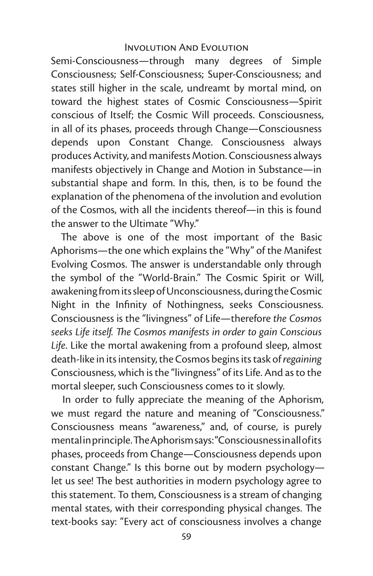#### Involution And Evolution

Semi-Consciousness—through many degrees of Simple Consciousness; Self‑Consciousness; Super‑Consciousness; and states still higher in the scale, undreamt by mortal mind, on toward the highest states of Cosmic Consciousness—Spirit conscious of Itself; the Cosmic Will proceeds. Consciousness, in all of its phases, proceeds through Change—Consciousness depends upon Constant Change. Consciousness always produces Activity, and manifests Motion. Consciousness always manifests objectively in Change and Motion in Substance—in substantial shape and form. In this, then, is to be found the explanation of the phenomena of the involution and evolution of the Cosmos, with all the incidents thereof—in this is found the answer to the Ultimate "Why."

The above is one of the most important of the Basic Aphorisms—the one which explains the "Why" of the Manifest Evolving Cosmos. The answer is understandable only through the symbol of the "World‑Brain." The Cosmic Spirit or Will, awakening from its sleep of Unconsciousness, during the Cosmic Night in the Infinity of Nothingness, seeks Consciousness. Consciousness is the "livingness" of Life—therefore *the Cosmos seeks Life itself. The Cosmos manifests in order to gain Conscious Life*. Like the mortal awakening from a profound sleep, almost death‑like in its intensity, the Cosmos begins its task of *regaining* Consciousness, which is the "livingness" of its Life. And as to the mortal sleeper, such Consciousness comes to it slowly.

In order to fully appreciate the meaning of the Aphorism, we must regard the nature and meaning of "Consciousness." Consciousness means "awareness," and, of course, is purely mental in principle. The Aphorism says: "Consciousness in all of its phases, proceeds from Change—Consciousness depends upon constant Change." Is this borne out by modern psychology let us see! The best authorities in modern psychology agree to this statement. To them, Consciousness is a stream of changing mental states, with their corresponding physical changes. The text‑books say: "Every act of consciousness involves a change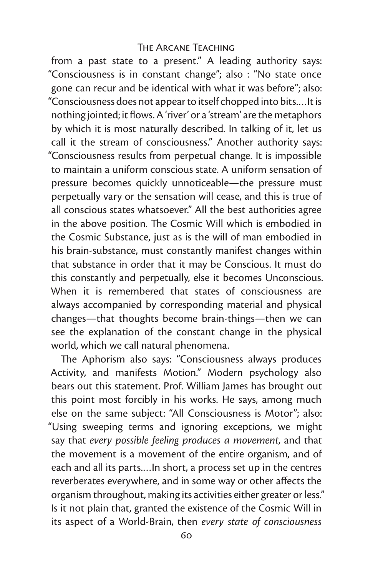from a past state to a present." A leading authority says: "Consciousness is in constant change"; also : "No state once gone can recur and be identical with what it was before"; also: "Consciousness does not appear to itself chopped into bits.…It is nothing jointed; it flows. A 'river' or a 'stream' are the metaphors by which it is most naturally described. In talking of it, let us call it the stream of consciousness." Another authority says: "Consciousness results from perpetual change. It is impossible to maintain a uniform conscious state. A uniform sensation of pressure becomes quickly unnoticeable—the pressure must perpetually vary or the sensation will cease, and this is true of all conscious states whatsoever." All the best authorities agree in the above position. The Cosmic Will which is embodied in the Cosmic Substance, just as is the will of man embodied in his brain‑substance, must constantly manifest changes within that substance in order that it may be Conscious. It must do this constantly and perpetually, else it becomes Unconscious. When it is remembered that states of consciousness are always accompanied by corresponding material and physical changes—that thoughts become brain‑things—then we can see the explanation of the constant change in the physical world, which we call natural phenomena.

The Aphorism also says: "Consciousness always produces Activity, and manifests Motion." Modern psychology also bears out this statement. Prof. William James has brought out this point most forcibly in his works. He says, among much else on the same subject: "All Consciousness is Motor"; also: "Using sweeping terms and ignoring exceptions, we might say that *every possible feeling produces a movement*, and that the movement is a movement of the entire organism, and of each and all its parts.…In short, a process set up in the centres reverberates everywhere, and in some way or other affects the organism throughout, making its activities either greater or less." Is it not plain that, granted the existence of the Cosmic Will in its aspect of a World‑Brain, then *every state of consciousness*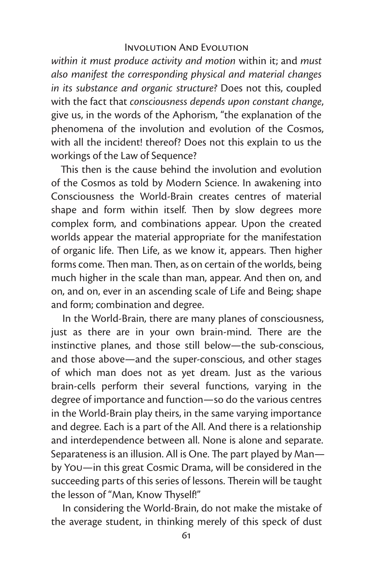#### Involution And Evolution

*within it must produce activity and motion* within it; and *must also manifest the corresponding physical and material changes in its substance and organic structure?* Does not this, coupled with the fact that *consciousness depends upon constant change*, give us, in the words of the Aphorism, "the explanation of the phenomena of the involution and evolution of the Cosmos, with all the incident! thereof? Does not this explain to us the workings of the Law of Sequence?

This then is the cause behind the involution and evolution of the Cosmos as told by Modern Science. In awakening into Consciousness the World‑Brain creates centres of material shape and form within itself. Then by slow degrees more complex form, and combinations appear. Upon the created worlds appear the material appropriate for the manifestation of organic life. Then Life, as we know it, appears. Then higher forms come. Then man. Then, as on certain of the worlds, being much higher in the scale than man, appear. And then on, and on, and on, ever in an ascending scale of Life and Being; shape and form; combination and degree.

In the World‑Brain, there are many planes of consciousness, just as there are in your own brain-mind. There are the instinctive planes, and those still below—the sub-conscious, and those above—and the super-conscious, and other stages of which man does not as yet dream. Just as the various brain‑cells perform their several functions, varying in the degree of importance and function—so do the various centres in the World‑Brain play theirs, in the same varying importance and degree. Each is a part of the All. And there is a relationship and interdependence between all. None is alone and separate. Separateness is an illusion. All is One. The part played by Man by You—in this great Cosmic Drama, will be considered in the succeeding parts of this series of lessons. Therein will be taught the lesson of "Man, Know Thyself!"

In considering the World‑Brain, do not make the mistake of the average student, in thinking merely of this speck of dust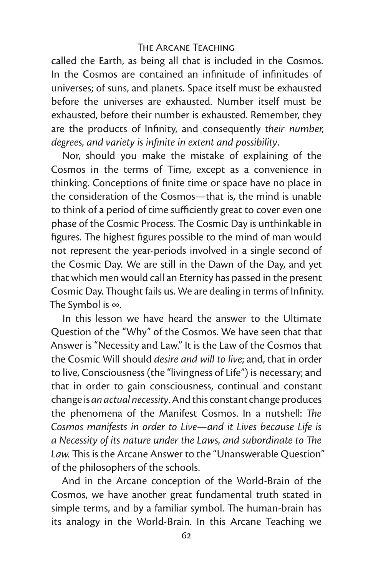called the Earth, as being all that is included in the Cosmos. In the Cosmos are contained an infinitude of infinitudes of universes; of suns, and planets. Space itself must be exhausted before the universes are exhausted. Number itself must be exhausted, before their number is exhausted. Remember, they are the products of Infinity, and consequently *their number, degrees, and variety is infinite in extent and possibility*.

Nor, should you make the mistake of explaining of the Cosmos in the terms of Time, except as a convenience in thinking. Conceptions of finite time or space have no place in the consideration of the Cosmos—that is, the mind is unable to think of a period of time sufficiently great to cover even one phase of the Cosmic Process. The Cosmic Day is unthinkable in figures. The highest figures possible to the mind of man would not represent the year‑periods involved in a single second of the Cosmic Day. We are still in the Dawn of the Day, and yet that which men would call an Eternity has passed in the present Cosmic Day. Thought fails us. We are dealing in terms of Infinity. The Symbol is ∞.

In this lesson we have heard the answer to the Ultimate Question of the "Why" of the Cosmos. We have seen that that Answer is "Necessity and Law." It is the Law of the Cosmos that the Cosmic Will should *desire and will to live*; and, that in order to live, Consciousness (the "livingness of Life") is necessary; and that in order to gain consciousness, continual and constant change is *an actual necessity*. And this constant change produces the phenomena of the Manifest Cosmos. In a nutshell: *The Cosmos manifests in order to Live—and it Lives because Life is a Necessity of its nature under the Laws, and subordinate to The Law.* This is the Arcane Answer to the "Unanswerable Question" of the philosophers of the schools.

And in the Arcane conception of the World‑Brain of the Cosmos, we have another great fundamental truth stated in simple terms, and by a familiar symbol. The human-brain has its analogy in the World‑Brain. In this Arcane Teaching we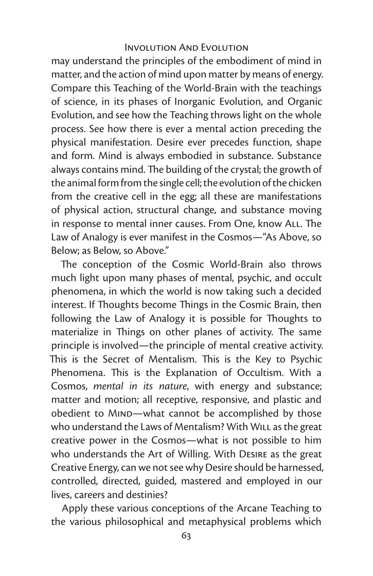#### Involution And Evolution

may understand the principles of the embodiment of mind in matter, and the action of mind upon matter by means of energy. Compare this Teaching of the World‑Brain with the teachings of science, in its phases of Inorganic Evolution, and Organic Evolution, and see how the Teaching throws light on the whole process. See how there is ever a mental action preceding the physical manifestation. Desire ever precedes function, shape and form. Mind is always embodied in substance. Substance always contains mind. The building of the crystal; the growth of the animal form from the single cell; the evolution of the chicken from the creative cell in the egg; all these are manifestations of physical action, structural change, and substance moving in response to mental inner causes. From One, know All. The Law of Analogy is ever manifest in the Cosmos—"As Above, so Below; as Below, so Above."

The conception of the Cosmic World-Brain also throws much light upon many phases of mental, psychic, and occult phenomena, in which the world is now taking such a decided interest. If Thoughts become Things in the Cosmic Brain, then following the Law of Analogy it is possible for Thoughts to materialize in Things on other planes of activity. The same principle is involved—the principle of mental creative activity. This is the Secret of Mentalism. This is the Key to Psychic Phenomena. This is the Explanation of Occultism. With a Cosmos, *mental in its nature*, with energy and substance; matter and motion; all receptive, responsive, and plastic and obedient to MIND—what cannot be accomplished by those who understand the Laws of Mentalism? With WILL as the great creative power in the Cosmos—what is not possible to him who understands the Art of Willing. With Desire as the great Creative Energy, can we not see why Desire should be harnessed, controlled, directed, guided, mastered and employed in our lives, careers and destinies?

Apply these various conceptions of the Arcane Teaching to the various philosophical and metaphysical problems which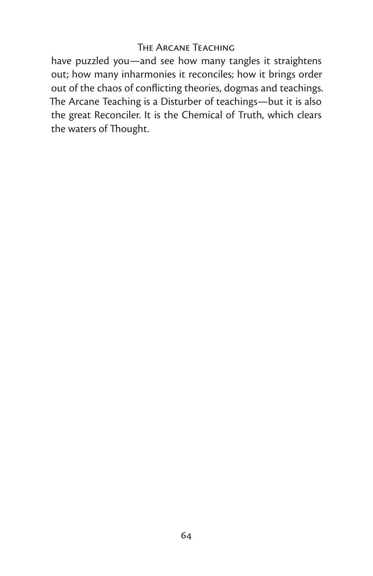have puzzled you—and see how many tangles it straightens out; how many inharmonies it reconciles; how it brings order out of the chaos of conflicting theories, dogmas and teachings. The Arcane Teaching is a Disturber of teachings—but it is also the great Reconciler. It is the Chemical of Truth, which clears the waters of Thought.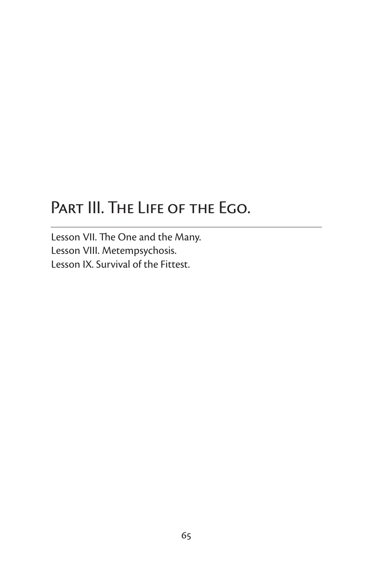# PART III. THE LIFE OF THE EGO.

Lesson VII. The One and the Many. Lesson VIII. Metempsychosis. Lesson IX. Survival of the Fittest.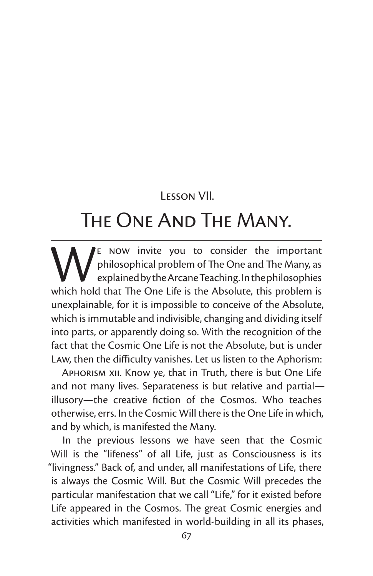## Lesson VII.

# The One And The Many.

We now invite you to consider the important<br>philosophical problem of The One and The Many, as<br>explained by the Arcane Teaching. In the philosophies<br>which hold that The One Life is the Absolute this problem is philosophical problem of The One and The Many, as explained by the Arcane Teaching. In the philosophies which hold that The One Life is the Absolute, this problem is unexplainable, for it is impossible to conceive of the Absolute, which is immutable and indivisible, changing and dividing itself into parts, or apparently doing so. With the recognition of the fact that the Cosmic One Life is not the Absolute, but is under Law, then the difficulty vanishes. Let us listen to the Aphorism:

Aphorism xii. Know ye, that in Truth, there is but One Life and not many lives. Separateness is but relative and partial illusory—the creative fiction of the Cosmos. Who teaches otherwise, errs. In the Cosmic Will there is the One Life in which, and by which, is manifested the Many.

In the previous lessons we have seen that the Cosmic Will is the "lifeness" of all Life, just as Consciousness is its "livingness." Back of, and under, all manifestations of Life, there is always the Cosmic Will. But the Cosmic Will precedes the particular manifestation that we call "Life," for it existed before Life appeared in the Cosmos. The great Cosmic energies and activities which manifested in world‑building in all its phases,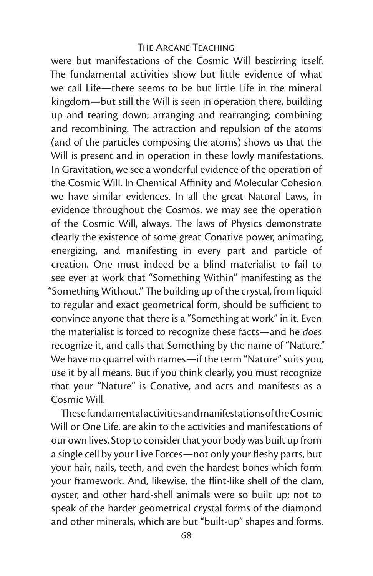were but manifestations of the Cosmic Will bestirring itself. The fundamental activities show but little evidence of what we call Life—there seems to be but little Life in the mineral kingdom—but still the Will is seen in operation there, building up and tearing down; arranging and rearranging; combining and recombining. The attraction and repulsion of the atoms (and of the particles composing the atoms) shows us that the Will is present and in operation in these lowly manifestations. In Gravitation, we see a wonderful evidence of the operation of the Cosmic Will. In Chemical Affinity and Molecular Cohesion we have similar evidences. In all the great Natural Laws, in evidence throughout the Cosmos, we may see the operation of the Cosmic Will, always. The laws of Physics demonstrate clearly the existence of some great Conative power, animating, energizing, and manifesting in every part and particle of creation. One must indeed be a blind materialist to fail to see ever at work that "Something Within" manifesting as the "Something Without." The building up of the crystal, from liquid to regular and exact geometrical form, should be sufficient to convince anyone that there is a "Something at work" in it. Even the materialist is forced to recognize these facts—and he *does* recognize it, and calls that Something by the name of "Nature." We have no quarrel with names—if the term "Nature" suits you, use it by all means. But if you think clearly, you must recognize that your "Nature" is Conative, and acts and manifests as a Cosmic Will.

These fundamental activities and manifestations of the Cosmic Will or One Life, are akin to the activities and manifestations of our own lives. Stop to consider that your body was built up from a single cell by your Live Forces—not only your fleshy parts, but your hair, nails, teeth, and even the hardest bones which form your framework. And, likewise, the flint-like shell of the clam. oyster, and other hard‑shell animals were so built up; not to speak of the harder geometrical crystal forms of the diamond and other minerals, which are but "built‑up" shapes and forms.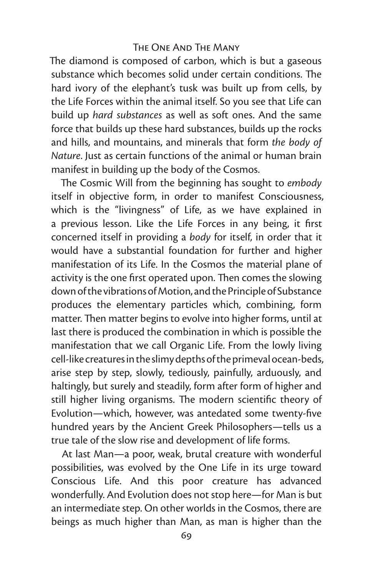## The One And The Many

The diamond is composed of carbon, which is but a gaseous substance which becomes solid under certain conditions. The hard ivory of the elephant's tusk was built up from cells, by the Life Forces within the animal itself. So you see that Life can build up *hard substances* as well as soft ones. And the same force that builds up these hard substances, builds up the rocks and hills, and mountains, and minerals that form *the body of Nature*. Just as certain functions of the animal or human brain manifest in building up the body of the Cosmos.

The Cosmic Will from the beginning has sought to *embody* itself in objective form, in order to manifest Consciousness, which is the "livingness" of Life, as we have explained in a previous lesson. Like the Life Forces in any being, it first concerned itself in providing a *body* for itself, in order that it would have a substantial foundation for further and higher manifestation of its Life. In the Cosmos the material plane of activity is the one first operated upon. Then comes the slowing down of the vibrations of Motion, and the Principle of Substance produces the elementary particles which, combining, form matter. Then matter begins to evolve into higher forms, until at last there is produced the combination in which is possible the manifestation that we call Organic Life. From the lowly living cell‑like creatures in the slimy depths of the primeval ocean‑beds, arise step by step, slowly, tediously, painfully, arduously, and haltingly, but surely and steadily, form after form of higher and still higher living organisms. The modern scientific theory of Evolution—which, however, was antedated some twenty‑five hundred years by the Ancient Greek Philosophers—tells us a true tale of the slow rise and development of life forms.

At last Man—a poor, weak, brutal creature with wonderful possibilities, was evolved by the One Life in its urge toward Conscious Life. And this poor creature has advanced wonderfully. And Evolution does not stop here—for Man is but an intermediate step. On other worlds in the Cosmos, there are beings as much higher than Man, as man is higher than the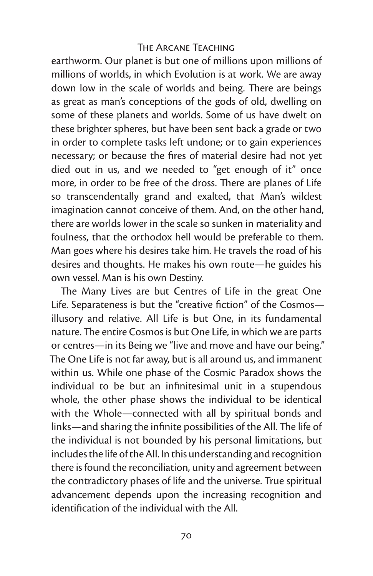earthworm. Our planet is but one of millions upon millions of millions of worlds, in which Evolution is at work. We are away down low in the scale of worlds and being. There are beings as great as man's conceptions of the gods of old, dwelling on some of these planets and worlds. Some of us have dwelt on these brighter spheres, but have been sent back a grade or two in order to complete tasks left undone; or to gain experiences necessary; or because the fires of material desire had not yet died out in us, and we needed to "get enough of it" once more, in order to be free of the dross. There are planes of Life so transcendentally grand and exalted, that Man's wildest imagination cannot conceive of them. And, on the other hand, there are worlds lower in the scale so sunken in materiality and foulness, that the orthodox hell would be preferable to them. Man goes where his desires take him. He travels the road of his desires and thoughts. He makes his own route—he guides his own vessel. Man is his own Destiny.

The Many Lives are but Centres of Life in the great One Life. Separateness is but the "creative fiction" of the Cosmos illusory and relative. All Life is but One, in its fundamental nature. The entire Cosmos is but One Life, in which we are parts or centres—in its Being we "live and move and have our being." The One Life is not far away, but is all around us, and immanent within us. While one phase of the Cosmic Paradox shows the individual to be but an infinitesimal unit in a stupendous whole, the other phase shows the individual to be identical with the Whole—connected with all by spiritual bonds and links—and sharing the infinite possibilities of the All. The life of the individual is not bounded by his personal limitations, but includes the life of the All. In this understanding and recognition there is found the reconciliation, unity and agreement between the contradictory phases of life and the universe. True spiritual advancement depends upon the increasing recognition and identification of the individual with the All.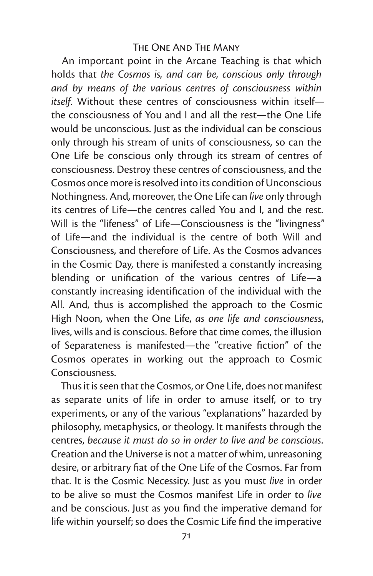## The One And The Many

An important point in the Arcane Teaching is that which holds that *the Cosmos is, and can be, conscious only through and by means of the various centres of consciousness within itself*. Without these centres of consciousness within itself the consciousness of You and I and all the rest—the One Life would be unconscious. Just as the individual can be conscious only through his stream of units of consciousness, so can the One Life be conscious only through its stream of centres of consciousness. Destroy these centres of consciousness, and the Cosmos once more is resolved into its condition of Unconscious Nothingness. And, moreover, the One Life can *live* only through its centres of Life—the centres called You and I, and the rest. Will is the "lifeness" of Life—Consciousness is the "livingness" of Life—and the individual is the centre of both Will and Consciousness, and therefore of Life. As the Cosmos advances in the Cosmic Day, there is manifested a constantly increasing blending or unification of the various centres of Life—a constantly increasing identification of the individual with the All. And, thus is accomplished the approach to the Cosmic High Noon, when the One Life, *as one life and consciousness*, lives, wills and is conscious. Before that time comes, the illusion of Separateness is manifested—the "creative fiction" of the Cosmos operates in working out the approach to Cosmic Consciousness.

Thus it is seen that the Cosmos, or One Life, does not manifest as separate units of life in order to amuse itself, or to try experiments, or any of the various "explanations" hazarded by philosophy, metaphysics, or theology. It manifests through the centres, *because it must do so in order to live and be conscious*. Creation and the Universe is not a matter of whim, unreasoning desire, or arbitrary fiat of the One Life of the Cosmos. Far from that. It is the Cosmic Necessity. Just as you must *live* in order to be alive so must the Cosmos manifest Life in order to *live* and be conscious. Just as you find the imperative demand for life within yourself; so does the Cosmic Life find the imperative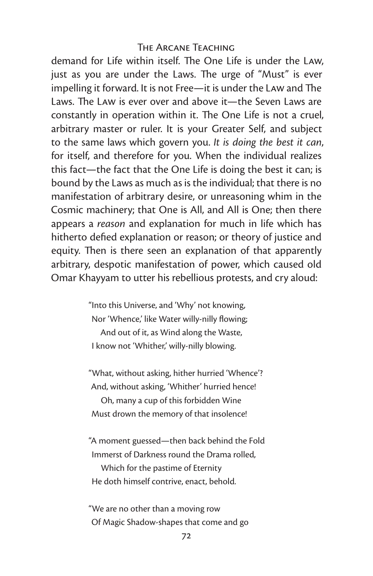demand for Life within itself. The One Life is under the Law, just as you are under the Laws. The urge of "Must" is ever impelling it forward. It is not Free—it is under the Law and The Laws. The Law is ever over and above it—the Seven Laws are constantly in operation within it. The One Life is not a cruel, arbitrary master or ruler. It is your Greater Self, and subject to the same laws which govern you. *It is doing the best it can*, for itself, and therefore for you. When the individual realizes this fact—the fact that the One Life is doing the best it can; is bound by the Laws as much as is the individual; that there is no manifestation of arbitrary desire, or unreasoning whim in the Cosmic machinery; that One is All, and All is One; then there appears a *reason* and explanation for much in life which has hitherto defied explanation or reason; or theory of justice and equity. Then is there seen an explanation of that apparently arbitrary, despotic manifestation of power, which caused old Omar Khayyam to utter his rebellious protests, and cry aloud:

> "Into this Universe, and 'Why' not knowing, Nor 'Whence,' like Water willy-nilly flowing; And out of it, as Wind along the Waste, I know not 'Whither,' willy‑nilly blowing.

"What, without asking, hither hurried 'Whence'? And, without asking, 'Whither' hurried hence! Oh, many a cup of this forbidden Wine Must drown the memory of that insolence!

"A moment guessed—then back behind the Fold Immerst of Darkness round the Drama rolled, Which for the pastime of Eternity He doth himself contrive, enact, behold.

"We are no other than a moving row Of Magic Shadow‑shapes that come and go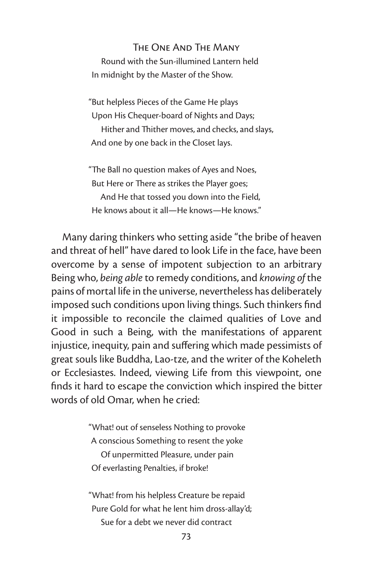The One And The Many Round with the Sun‑illumined Lantern held In midnight by the Master of the Show.

"But helpless Pieces of the Game He plays Upon His Chequer‑board of Nights and Days; Hither and Thither moves, and checks, and slays, And one by one back in the Closet lays.

"The Ball no question makes of Ayes and Noes, But Here or There as strikes the Player goes; And He that tossed you down into the Field, He knows about it all—He knows—He knows."

Many daring thinkers who setting aside "the bribe of heaven and threat of hell" have dared to look Life in the face, have been overcome by a sense of impotent subjection to an arbitrary Being who, *being able* to remedy conditions, and *knowing of* the pains of mortal life in the universe, nevertheless has deliberately imposed such conditions upon living things. Such thinkers find it impossible to reconcile the claimed qualities of Love and Good in such a Being, with the manifestations of apparent injustice, inequity, pain and suffering which made pessimists of great souls like Buddha, Lao‑tze, and the writer of the Koheleth or Ecclesiastes. Indeed, viewing Life from this viewpoint, one finds it hard to escape the conviction which inspired the bitter words of old Omar, when he cried:

> "What! out of senseless Nothing to provoke A conscious Something to resent the yoke Of unpermitted Pleasure, under pain Of everlasting Penalties, if broke!

"What! from his helpless Creature be repaid Pure Gold for what he lent him dross-allay'd; Sue for a debt we never did contract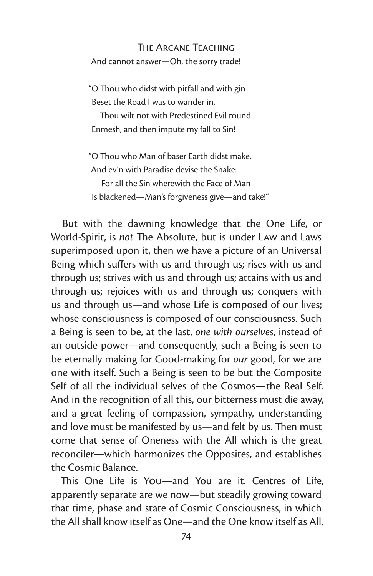## The Arcane Teaching And cannot answer—Oh, the sorry trade!

"O Thou who didst with pitfall and with gin Beset the Road I was to wander in,

Thou wilt not with Predestined Evil round Enmesh, and then impute my fall to Sin!

"O Thou who Man of baser Earth didst make, And ev'n with Paradise devise the Snake: For all the Sin wherewith the Face of Man Is blackened—Man's forgiveness give—and take!"

But with the dawning knowledge that the One Life, or World‑Spirit, is *not* The Absolute, but is under Law and Laws superimposed upon it, then we have a picture of an Universal Being which suffers with us and through us; rises with us and through us; strives with us and through us; attains with us and through us; rejoices with us and through us; conquers with us and through us—and whose Life is composed of our lives; whose consciousness is composed of our consciousness. Such a Being is seen to be, at the last, *one with ourselves*, instead of an outside power—and consequently, such a Being is seen to be eternally making for Good‑making for *our* good, for we are one with itself. Such a Being is seen to be but the Composite Self of all the individual selves of the Cosmos—the Real Self. And in the recognition of all this, our bitterness must die away, and a great feeling of compassion, sympathy, understanding and love must be manifested by us—and felt by us. Then must come that sense of Oneness with the All which is the great reconciler—which harmonizes the Opposites, and establishes the Cosmic Balance.

This One Life is You—and You are it. Centres of Life, apparently separate are we now—but steadily growing toward that time, phase and state of Cosmic Consciousness, in which the All shall know itself as One—and the One know itself as All.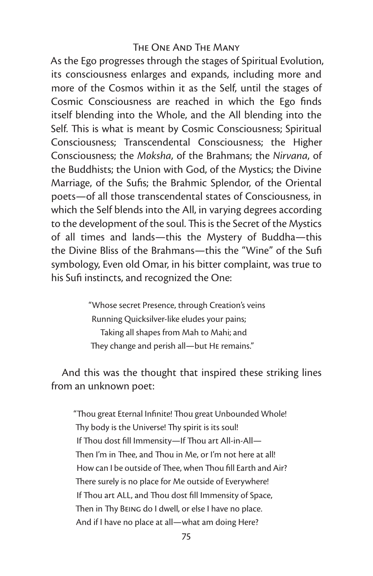## The One And The Many

As the Ego progresses through the stages of Spiritual Evolution, its consciousness enlarges and expands, including more and more of the Cosmos within it as the Self, until the stages of Cosmic Consciousness are reached in which the Ego finds itself blending into the Whole, and the All blending into the Self. This is what is meant by Cosmic Consciousness; Spiritual Consciousness; Transcendental Consciousness; the Higher Consciousness; the *Moksha*, of the Brahmans; the *Nirvana*, of the Buddhists; the Union with God, of the Mystics; the Divine Marriage, of the Sufis; the Brahmic Splendor, of the Oriental poets—of all those transcendental states of Consciousness, in which the Self blends into the All, in varying degrees according to the development of the soul. This is the Secret of the Mystics of all times and lands—this the Mystery of Buddha—this the Divine Bliss of the Brahmans—this the "Wine" of the Sufi symbology, Even old Omar, in his bitter complaint, was true to his Sufi instincts, and recognized the One:

> "Whose secret Presence, through Creation's veins Running Quicksilver‑like eludes your pains; Taking all shapes from Mah to Mahi; and They change and perish all—but He remains."

And this was the thought that inspired these striking lines from an unknown poet:

"Thou great Eternal Infinite! Thou great Unbounded Whole! Thy body is the Universe! Thy spirit is its soul! If Thou dost fill Immensity-If Thou art All-in-All-Then I'm in Thee, and Thou in Me, or I'm not here at all! How can I be outside of Thee, when Thou fill Earth and Air? There surely is no place for Me outside of Everywhere! If Thou art ALL, and Thou dost fill Immensity of Space, Then in Thy Being do I dwell, or else I have no place. And if I have no place at all—what am doing Here?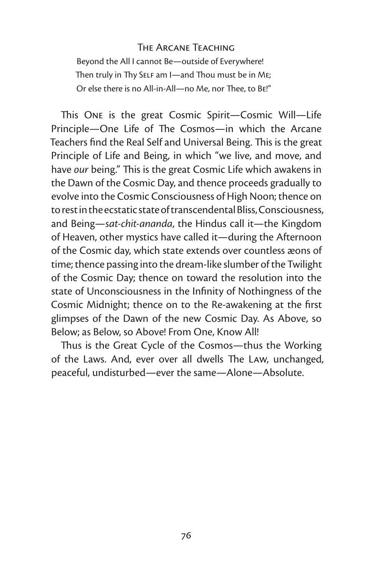The Arcane Teaching Beyond the All I cannot Be—outside of Everywhere! Then truly in Thy SELF am I-and Thou must be in ME; Or else there is no All‑in‑All—no Me, nor Thee, to Be!"

This One is the great Cosmic Spirit—Cosmic Will—Life Principle—One Life of The Cosmos—in which the Arcane Teachers find the Real Self and Universal Being. This is the great Principle of Life and Being, in which "we live, and move, and have *our* being." This is the great Cosmic Life which awakens in the Dawn of the Cosmic Day, and thence proceeds gradually to evolve into the Cosmic Consciousness of High Noon; thence on to rest in the ecstatic state of transcendental Bliss, Consciousness, and Being—*sat‑chit‑ananda*, the Hindus call it—the Kingdom of Heaven, other mystics have called it—during the Afternoon of the Cosmic day, which state extends over countless æons of time; thence passing into the dream‑like slumber of the Twilight of the Cosmic Day; thence on toward the resolution into the state of Unconsciousness in the Infinity of Nothingness of the Cosmic Midnight; thence on to the Re‑awakening at the first glimpses of the Dawn of the new Cosmic Day. As Above, so Below; as Below, so Above! From One, Know All!

Thus is the Great Cycle of the Cosmos—thus the Working of the Laws. And, ever over all dwells The Law, unchanged, peaceful, undisturbed—ever the same—Alone—Absolute.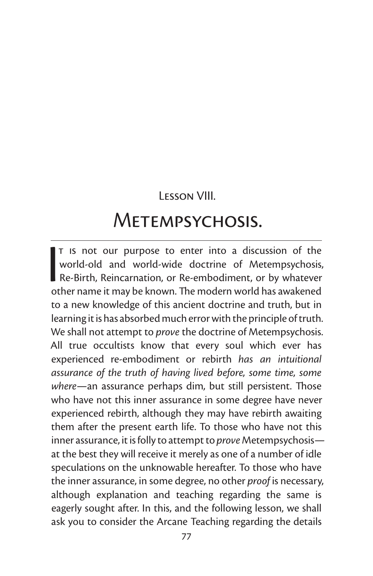## Lesson VIII.

## Metempsychosis.

|<br>|<br>| T is not our purpose to enter into a discussion of the world‑old and world‑wide doctrine of Metempsychosis, Re-Birth, Reincarnation, or Re-embodiment, or by whatever other name it may be known. The modern world has awakened to a new knowledge of this ancient doctrine and truth, but in learning it is has absorbed much error with the principle of truth. We shall not attempt to *prove* the doctrine of Metempsychosis. All true occultists know that every soul which ever has experienced re‑embodiment or rebirth *has an intuitional assurance of the truth of having lived before, some time, some where*—an assurance perhaps dim, but still persistent. Those who have not this inner assurance in some degree have never experienced rebirth, although they may have rebirth awaiting them after the present earth life. To those who have not this inner assurance, it is folly to attempt to *prove* Metempsychosis at the best they will receive it merely as one of a number of idle speculations on the unknowable hereafter. To those who have the inner assurance, in some degree, no other *proof* is necessary, although explanation and teaching regarding the same is eagerly sought after. In this, and the following lesson, we shall ask you to consider the Arcane Teaching regarding the details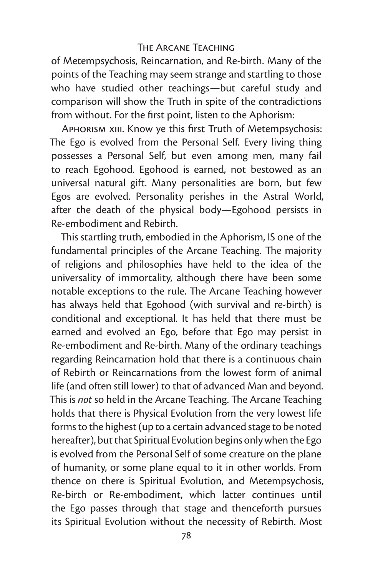of Metempsychosis, Reincarnation, and Re‑birth. Many of the points of the Teaching may seem strange and startling to those who have studied other teachings—but careful study and comparison will show the Truth in spite of the contradictions from without. For the first point, listen to the Aphorism:

Aphorism xiii. Know ye this first Truth of Metempsychosis: The Ego is evolved from the Personal Self. Every living thing possesses a Personal Self, but even among men, many fail to reach Egohood. Egohood is earned, not bestowed as an universal natural gift. Many personalities are born, but few Egos are evolved. Personality perishes in the Astral World, after the death of the physical body—Egohood persists in Re‑embodiment and Rebirth.

This startling truth, embodied in the Aphorism, IS one of the fundamental principles of the Arcane Teaching. The majority of religions and philosophies have held to the idea of the universality of immortality, although there have been some notable exceptions to the rule. The Arcane Teaching however has always held that Egohood (with survival and re-birth) is conditional and exceptional. It has held that there must be earned and evolved an Ego, before that Ego may persist in Re‑embodiment and Re‑birth. Many of the ordinary teachings regarding Reincarnation hold that there is a continuous chain of Rebirth or Reincarnations from the lowest form of animal life (and often still lower) to that of advanced Man and beyond. This is *not* so held in the Arcane Teaching. The Arcane Teaching holds that there is Physical Evolution from the very lowest life forms to the highest (up to a certain advanced stage to be noted hereafter), but that Spiritual Evolution begins only when the Ego is evolved from the Personal Self of some creature on the plane of humanity, or some plane equal to it in other worlds. From thence on there is Spiritual Evolution, and Metempsychosis, Re‑birth or Re‑embodiment, which latter continues until the Ego passes through that stage and thenceforth pursues its Spiritual Evolution without the necessity of Rebirth. Most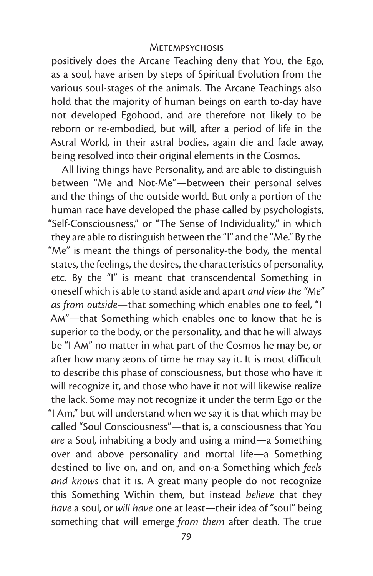#### **METEMPSYCHOSIS**

positively does the Arcane Teaching deny that You, the Ego, as a soul, have arisen by steps of Spiritual Evolution from the various soul-stages of the animals. The Arcane Teachings also hold that the majority of human beings on earth to-day have not developed Egohood, and are therefore not likely to be reborn or re‑embodied, but will, after a period of life in the Astral World, in their astral bodies, again die and fade away, being resolved into their original elements in the Cosmos.

All living things have Personality, and are able to distinguish between "Me and Not‑Me"—between their personal selves and the things of the outside world. But only a portion of the human race have developed the phase called by psychologists, "Self‑Consciousness," or "The Sense of Individuality," in which they are able to distinguish between the "I" and the "Me." By the "Me" is meant the things of personality-the body, the mental states, the feelings, the desires, the characteristics of personality, etc. By the "I" is meant that transcendental Something in oneself which is able to stand aside and apart *and view the "Me" as from outside*—that something which enables one to feel, "I Am"—that Something which enables one to know that he is superior to the body, or the personality, and that he will always be "I Am" no matter in what part of the Cosmos he may be, or after how many æons of time he may say it. It is most difficult to describe this phase of consciousness, but those who have it will recognize it, and those who have it not will likewise realize the lack. Some may not recognize it under the term Ego or the "I Am," but will understand when we say it is that which may be called "Soul Consciousness"—that is, a consciousness that You *are* a Soul, inhabiting a body and using a mind—a Something over and above personality and mortal life—a Something destined to live on, and on, and on‑a Something which *feels and knows* that it is. A great many people do not recognize this Something Within them, but instead *believe* that they *have* a soul, or *will have* one at least—their idea of "soul" being something that will emerge *from them* after death. The true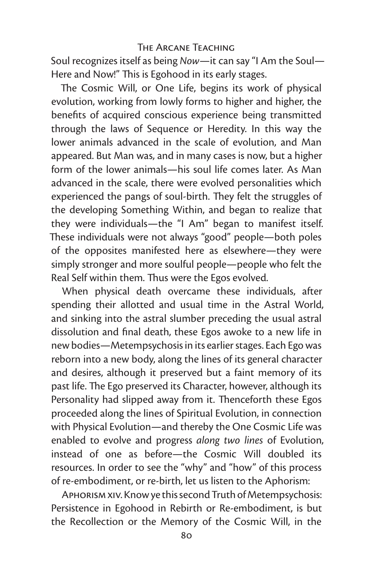Soul recognizes itself as being *Now*—it can say "I Am the Soul— Here and Now!" This is Egohood in its early stages.

The Cosmic Will, or One Life, begins its work of physical evolution, working from lowly forms to higher and higher, the benefits of acquired conscious experience being transmitted through the laws of Sequence or Heredity. In this way the lower animals advanced in the scale of evolution, and Man appeared. But Man was, and in many cases is now, but a higher form of the lower animals—his soul life comes later. As Man advanced in the scale, there were evolved personalities which experienced the pangs of soul-birth. They felt the struggles of the developing Something Within, and began to realize that they were individuals—the "I Am" began to manifest itself. These individuals were not always "good" people—both poles of the opposites manifested here as elsewhere—they were simply stronger and more soulful people—people who felt the Real Self within them. Thus were the Egos evolved.

When physical death overcame these individuals, after spending their allotted and usual time in the Astral World, and sinking into the astral slumber preceding the usual astral dissolution and final death, these Egos awoke to a new life in new bodies—Metempsychosis in its earlier stages. Each Ego was reborn into a new body, along the lines of its general character and desires, although it preserved but a faint memory of its past life. The Ego preserved its Character, however, although its Personality had slipped away from it. Thenceforth these Egos proceeded along the lines of Spiritual Evolution, in connection with Physical Evolution—and thereby the One Cosmic Life was enabled to evolve and progress *along two lines* of Evolution, instead of one as before—the Cosmic Will doubled its resources. In order to see the "why" and "how" of this process of re‑embodiment, or re‑birth, let us listen to the Aphorism:

Aphorism xiv. Know ye this second Truth of Metempsychosis: Persistence in Egohood in Rebirth or Re‑embodiment, is but the Recollection or the Memory of the Cosmic Will, in the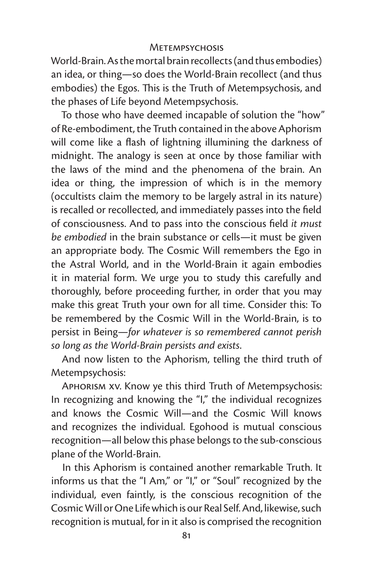## **METEMPSYCHOSIS**

World‑Brain. As the mortal brain recollects (and thus embodies) an idea, or thing—so does the World‑Brain recollect (and thus embodies) the Egos. This is the Truth of Metempsychosis, and the phases of Life beyond Metempsychosis.

To those who have deemed incapable of solution the "how" of Re‑embodiment, the Truth contained in the above Aphorism will come like a flash of lightning illumining the darkness of midnight. The analogy is seen at once by those familiar with the laws of the mind and the phenomena of the brain. An idea or thing, the impression of which is in the memory (occultists claim the memory to be largely astral in its nature) is recalled or recollected, and immediately passes into the field of consciousness. And to pass into the conscious field *it must be embodied* in the brain substance or cells—it must be given an appropriate body. The Cosmic Will remembers the Ego in the Astral World, and in the World‑Brain it again embodies it in material form. We urge you to study this carefully and thoroughly, before proceeding further, in order that you may make this great Truth your own for all time. Consider this: To be remembered by the Cosmic Will in the World‑Brain, is to persist in Being—*for whatever is so remembered cannot perish so long as the World‑Brain persists and exists*.

And now listen to the Aphorism, telling the third truth of Metempsychosis:

Aphorism xv. Know ye this third Truth of Metempsychosis: In recognizing and knowing the "I," the individual recognizes and knows the Cosmic Will—and the Cosmic Will knows and recognizes the individual. Egohood is mutual conscious recognition—all below this phase belongs to the sub‑conscious plane of the World‑Brain.

In this Aphorism is contained another remarkable Truth. It informs us that the "I Am," or "I," or "Soul" recognized by the individual, even faintly, is the conscious recognition of the Cosmic Will or One Life which is our Real Self. And, likewise, such recognition is mutual, for in it also is comprised the recognition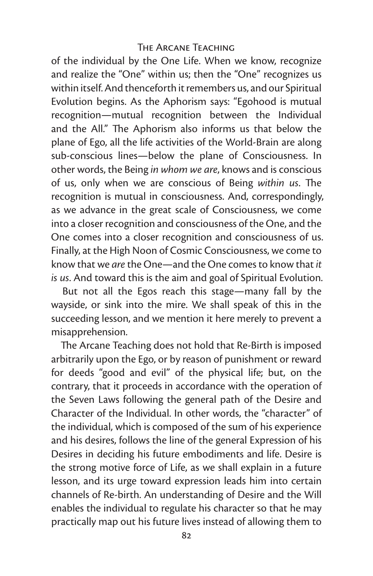of the individual by the One Life. When we know, recognize and realize the "One" within us; then the "One" recognizes us within itself. And thenceforth it remembers us, and our Spiritual Evolution begins. As the Aphorism says: "Egohood is mutual recognition—mutual recognition between the Individual and the All." The Aphorism also informs us that below the plane of Ego, all the life activities of the World‑Brain are along sub-conscious lines-below the plane of Consciousness. In other words, the Being *in whom we are*, knows and is conscious of us, only when we are conscious of Being *within us*. The recognition is mutual in consciousness. And, correspondingly, as we advance in the great scale of Consciousness, we come into a closer recognition and consciousness of the One, and the One comes into a closer recognition and consciousness of us. Finally, at the High Noon of Cosmic Consciousness, we come to know that we *are* the One—and the One comes to know that *it is us*. And toward this is the aim and goal of Spiritual Evolution.

But not all the Egos reach this stage—many fall by the wayside, or sink into the mire. We shall speak of this in the succeeding lesson, and we mention it here merely to prevent a misapprehension.

The Arcane Teaching does not hold that Re‑Birth is imposed arbitrarily upon the Ego, or by reason of punishment or reward for deeds "good and evil" of the physical life; but, on the contrary, that it proceeds in accordance with the operation of the Seven Laws following the general path of the Desire and Character of the Individual. In other words, the "character" of the individual, which is composed of the sum of his experience and his desires, follows the line of the general Expression of his Desires in deciding his future embodiments and life. Desire is the strong motive force of Life, as we shall explain in a future lesson, and its urge toward expression leads him into certain channels of Re‑birth. An understanding of Desire and the Will enables the individual to regulate his character so that he may practically map out his future lives instead of allowing them to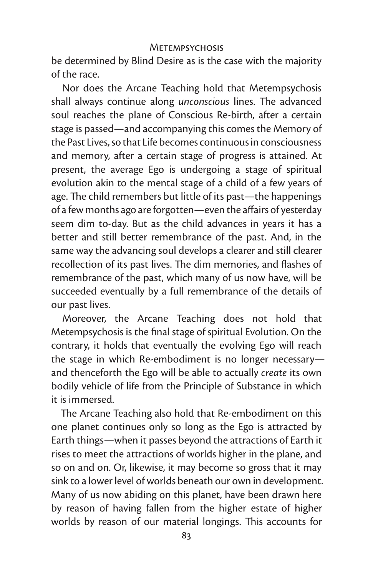## **METEMPSYCHOSIS**

be determined by Blind Desire as is the case with the majority of the race.

Nor does the Arcane Teaching hold that Metempsychosis shall always continue along *unconscious* lines. The advanced soul reaches the plane of Conscious Re-birth, after a certain stage is passed—and accompanying this comes the Memory of the Past Lives, so that Life becomes continuous in consciousness and memory, after a certain stage of progress is attained. At present, the average Ego is undergoing a stage of spiritual evolution akin to the mental stage of a child of a few years of age. The child remembers but little of its past—the happenings of a few months ago are forgotten—even the affairs of yesterday seem dim to-day. But as the child advances in years it has a better and still better remembrance of the past. And, in the same way the advancing soul develops a clearer and still clearer recollection of its past lives. The dim memories, and flashes of remembrance of the past, which many of us now have, will be succeeded eventually by a full remembrance of the details of our past lives.

Moreover, the Arcane Teaching does not hold that Metempsychosis is the final stage of spiritual Evolution. On the contrary, it holds that eventually the evolving Ego will reach the stage in which Re‑embodiment is no longer necessary and thenceforth the Ego will be able to actually *create* its own bodily vehicle of life from the Principle of Substance in which it is immersed.

The Arcane Teaching also hold that Re-embodiment on this one planet continues only so long as the Ego is attracted by Earth things—when it passes beyond the attractions of Earth it rises to meet the attractions of worlds higher in the plane, and so on and on. Or, likewise, it may become so gross that it may sink to a lower level of worlds beneath our own in development. Many of us now abiding on this planet, have been drawn here by reason of having fallen from the higher estate of higher worlds by reason of our material longings. This accounts for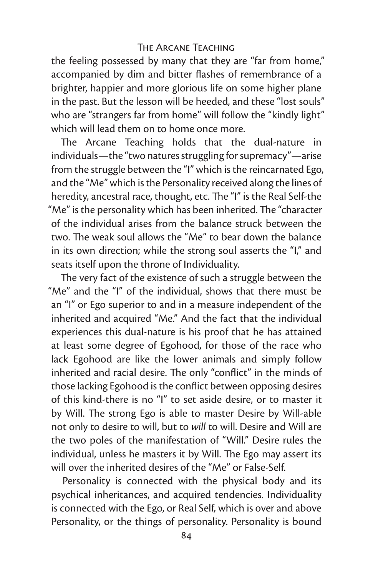the feeling possessed by many that they are "far from home," accompanied by dim and bitter flashes of remembrance of a brighter, happier and more glorious life on some higher plane in the past. But the lesson will be heeded, and these "lost souls" who are "strangers far from home" will follow the "kindly light" which will lead them on to home once more.

The Arcane Teaching holds that the dual-nature in individuals—the "two natures struggling for supremacy"—arise from the struggle between the "I" which is the reincarnated Ego, and the "Me" which is the Personality received along the lines of heredity, ancestral race, thought, etc. The "I" is the Real Self-the "Me" is the personality which has been inherited. The "character of the individual arises from the balance struck between the two. The weak soul allows the "Me" to bear down the balance in its own direction; while the strong soul asserts the "I," and seats itself upon the throne of Individuality.

The very fact of the existence of such a struggle between the "Me" and the "I" of the individual, shows that there must be an "I" or Ego superior to and in a measure independent of the inherited and acquired "Me." And the fact that the individual experiences this dual-nature is his proof that he has attained at least some degree of Egohood, for those of the race who lack Egohood are like the lower animals and simply follow inherited and racial desire. The only "conflict" in the minds of those lacking Egohood is the conflict between opposing desires of this kind-there is no "I" to set aside desire, or to master it by Will. The strong Ego is able to master Desire by Will-able not only to desire to will, but to *will* to will. Desire and Will are the two poles of the manifestation of "Will." Desire rules the individual, unless he masters it by Will. The Ego may assert its will over the inherited desires of the "Me" or False-Self.

Personality is connected with the physical body and its psychical inheritances, and acquired tendencies. Individuality is connected with the Ego, or Real Self, which is over and above Personality, or the things of personality. Personality is bound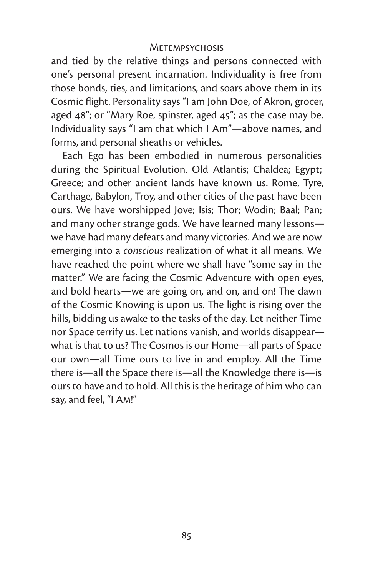and tied by the relative things and persons connected with one's personal present incarnation. Individuality is free from those bonds, ties, and limitations, and soars above them in its Cosmic flight. Personality says "I am John Doe, of Akron, grocer, aged 48"; or "Mary Roe, spinster, aged 45"; as the case may be. Individuality says "I am that which I Am"—above names, and forms, and personal sheaths or vehicles.

Each Ego has been embodied in numerous personalities during the Spiritual Evolution. Old Atlantis; Chaldea; Egypt; Greece; and other ancient lands have known us. Rome, Tyre, Carthage, Babylon, Troy, and other cities of the past have been ours. We have worshipped Jove; Isis; Thor; Wodin; Baal; Pan; and many other strange gods. We have learned many lessons we have had many defeats and many victories. And we are now emerging into a *conscious* realization of what it all means. We have reached the point where we shall have "some say in the matter." We are facing the Cosmic Adventure with open eyes, and bold hearts—we are going on, and on, and on! The dawn of the Cosmic Knowing is upon us. The light is rising over the hills, bidding us awake to the tasks of the day. Let neither Time nor Space terrify us. Let nations vanish, and worlds disappear what is that to us? The Cosmos is our Home—all parts of Space our own—all Time ours to live in and employ. All the Time there is—all the Space there is—all the Knowledge there is—is ours to have and to hold. All this is the heritage of him who can say, and feel, "I Am!"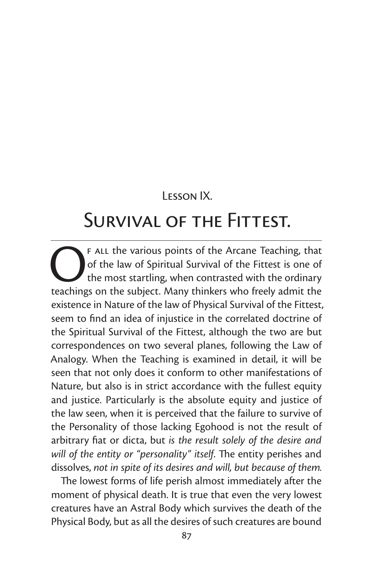## Lesson IX.

## Survival of the Fittest.

THE ALL the various points of the Arcane Teaching, that<br>
of the law of Spiritual Survival of the Fittest is one of<br>
the most startling, when contrasted with the ordinary<br>
teachings on the subject Many thinkers who freely a of the law of Spiritual Survival of the Fittest is one of the most startling, when contrasted with the ordinary teachings on the subject. Many thinkers who freely admit the existence in Nature of the law of Physical Survival of the Fittest, seem to find an idea of injustice in the correlated doctrine of the Spiritual Survival of the Fittest, although the two are but correspondences on two several planes, following the Law of Analogy. When the Teaching is examined in detail, it will be seen that not only does it conform to other manifestations of Nature, but also is in strict accordance with the fullest equity and justice. Particularly is the absolute equity and justice of the law seen, when it is perceived that the failure to survive of the Personality of those lacking Egohood is not the result of arbitrary fiat or dicta, but *is the result solely of the desire and will of the entity or "personality" itself*. The entity perishes and dissolves, *not in spite of its desires and will, but because of them.*

The lowest forms of life perish almost immediately after the moment of physical death. It is true that even the very lowest creatures have an Astral Body which survives the death of the Physical Body, but as all the desires of such creatures are bound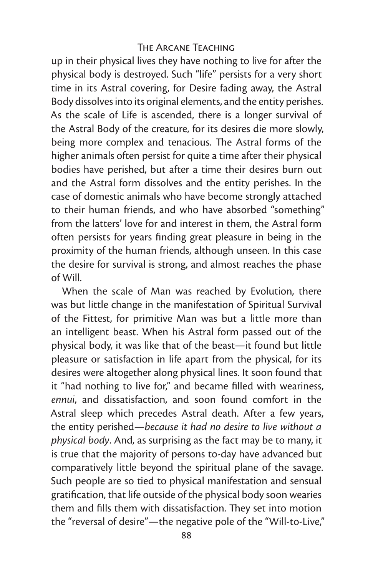up in their physical lives they have nothing to live for after the physical body is destroyed. Such "life" persists for a very short time in its Astral covering, for Desire fading away, the Astral Body dissolves into its original elements, and the entity perishes. As the scale of Life is ascended, there is a longer survival of the Astral Body of the creature, for its desires die more slowly, being more complex and tenacious. The Astral forms of the higher animals often persist for quite a time after their physical bodies have perished, but after a time their desires burn out and the Astral form dissolves and the entity perishes. In the case of domestic animals who have become strongly attached to their human friends, and who have absorbed "something" from the latters' love for and interest in them, the Astral form often persists for years finding great pleasure in being in the proximity of the human friends, although unseen. In this case the desire for survival is strong, and almost reaches the phase of Will.

When the scale of Man was reached by Evolution, there was but little change in the manifestation of Spiritual Survival of the Fittest, for primitive Man was but a little more than an intelligent beast. When his Astral form passed out of the physical body, it was like that of the beast—it found but little pleasure or satisfaction in life apart from the physical, for its desires were altogether along physical lines. It soon found that it "had nothing to live for," and became filled with weariness, *ennui*, and dissatisfaction, and soon found comfort in the Astral sleep which precedes Astral death. After a few years, the entity perished—*because it had no desire to live without a physical body*. And, as surprising as the fact may be to many, it is true that the majority of persons to-day have advanced but comparatively little beyond the spiritual plane of the savage. Such people are so tied to physical manifestation and sensual gratification, that life outside of the physical body soon wearies them and fills them with dissatisfaction. They set into motion the "reversal of desire"—the negative pole of the "Will-to-Live,"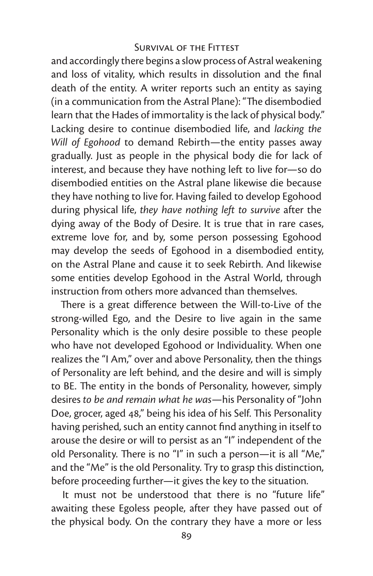### Survival of the Fittest

and accordingly there begins a slow process of Astral weakening and loss of vitality, which results in dissolution and the final death of the entity. A writer reports such an entity as saying (in a communication from the Astral Plane): "The disembodied learn that the Hades of immortality is the lack of physical body." Lacking desire to continue disembodied life, and *lacking the Will of Egohood* to demand Rebirth—the entity passes away gradually. Just as people in the physical body die for lack of interest, and because they have nothing left to live for—so do disembodied entities on the Astral plane likewise die because they have nothing to live for. Having failed to develop Egohood during physical life, *they have nothing left to survive* after the dying away of the Body of Desire. It is true that in rare cases, extreme love for, and by, some person possessing Egohood may develop the seeds of Egohood in a disembodied entity, on the Astral Plane and cause it to seek Rebirth. And likewise some entities develop Egohood in the Astral World, through instruction from others more advanced than themselves.

There is a great difference between the Will-to-Live of the strong‑willed Ego, and the Desire to live again in the same Personality which is the only desire possible to these people who have not developed Egohood or Individuality. When one realizes the "I Am," over and above Personality, then the things of Personality are left behind, and the desire and will is simply to BE. The entity in the bonds of Personality, however, simply desires *to be and remain what he was*—his Personality of "John Doe, grocer, aged 48," being his idea of his Self. This Personality having perished, such an entity cannot find anything in itself to arouse the desire or will to persist as an "I" independent of the old Personality. There is no "I" in such a person—it is all "Me," and the "Me" is the old Personality. Try to grasp this distinction, before proceeding further—it gives the key to the situation.

It must not be understood that there is no "future life" awaiting these Egoless people, after they have passed out of the physical body. On the contrary they have a more or less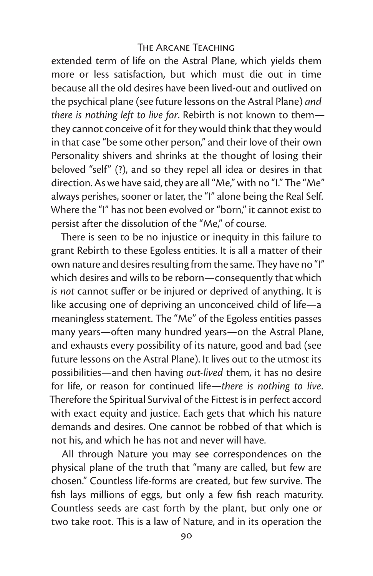extended term of life on the Astral Plane, which yields them more or less satisfaction, but which must die out in time because all the old desires have been lived‑out and outlived on the psychical plane (see future lessons on the Astral Plane) *and there is nothing left to live for*. Rebirth is not known to them they cannot conceive of it for they would think that they would in that case "be some other person," and their love of their own Personality shivers and shrinks at the thought of losing their beloved "self" (?), and so they repel all idea or desires in that direction. As we have said, they are all "Me," with no "I." The "Me" always perishes, sooner or later, the "I" alone being the Real Self. Where the "I" has not been evolved or "born," it cannot exist to persist after the dissolution of the "Me," of course.

There is seen to be no injustice or inequity in this failure to grant Rebirth to these Egoless entities. It is all a matter of their own nature and desires resulting from the same. They have no "I" which desires and wills to be reborn—consequently that which *is not* cannot suffer or be injured or deprived of anything. It is like accusing one of depriving an unconceived child of life—a meaningless statement. The "Me" of the Egoless entities passes many years—often many hundred years—on the Astral Plane, and exhausts every possibility of its nature, good and bad (see future lessons on the Astral Plane). It lives out to the utmost its possibilities—and then having *out‑lived* them, it has no desire for life, or reason for continued life—*there is nothing to live*. Therefore the Spiritual Survival of the Fittest is in perfect accord with exact equity and justice. Each gets that which his nature demands and desires. One cannot be robbed of that which is not his, and which he has not and never will have.

All through Nature you may see correspondences on the physical plane of the truth that "many are called, but few are chosen." Countless life‑forms are created, but few survive. The fish lays millions of eggs, but only a few fish reach maturity. Countless seeds are cast forth by the plant, but only one or two take root. This is a law of Nature, and in its operation the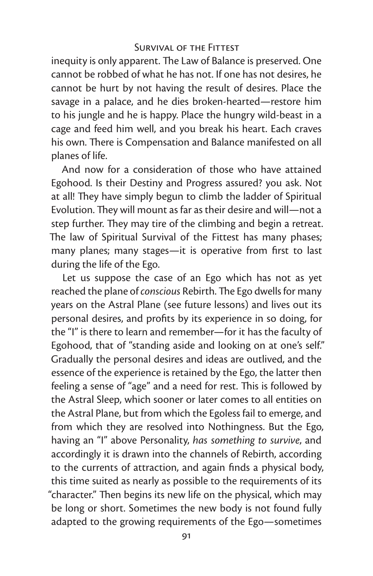## Survival of the Fittest

inequity is only apparent. The Law of Balance is preserved. One cannot be robbed of what he has not. If one has not desires, he cannot be hurt by not having the result of desires. Place the savage in a palace, and he dies broken-hearted—restore him to his jungle and he is happy. Place the hungry wild‑beast in a cage and feed him well, and you break his heart. Each craves his own. There is Compensation and Balance manifested on all planes of life.

And now for a consideration of those who have attained Egohood. Is their Destiny and Progress assured? you ask. Not at all! They have simply begun to climb the ladder of Spiritual Evolution. They will mount as far as their desire and will—not a step further. They may tire of the climbing and begin a retreat. The law of Spiritual Survival of the Fittest has many phases; many planes; many stages—it is operative from first to last during the life of the Ego.

Let us suppose the case of an Ego which has not as yet reached the plane of *conscious* Rebirth. The Ego dwells for many years on the Astral Plane (see future lessons) and lives out its personal desires, and profits by its experience in so doing, for the "I" is there to learn and remember—for it has the faculty of Egohood, that of "standing aside and looking on at one's self." Gradually the personal desires and ideas are outlived, and the essence of the experience is retained by the Ego, the latter then feeling a sense of "age" and a need for rest. This is followed by the Astral Sleep, which sooner or later comes to all entities on the Astral Plane, but from which the Egoless fail to emerge, and from which they are resolved into Nothingness. But the Ego, having an "I" above Personality, *has something to survive*, and accordingly it is drawn into the channels of Rebirth, according to the currents of attraction, and again finds a physical body, this time suited as nearly as possible to the requirements of its "character." Then begins its new life on the physical, which may be long or short. Sometimes the new body is not found fully adapted to the growing requirements of the Ego—sometimes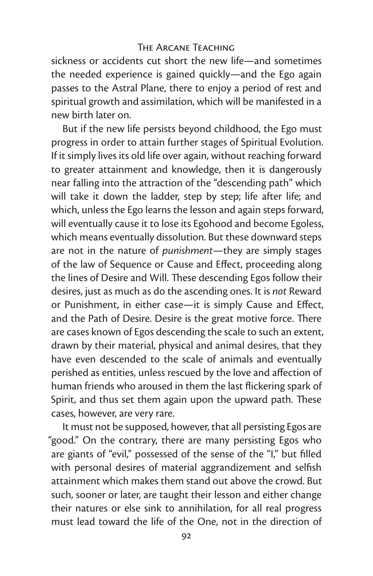sickness or accidents cut short the new life—and sometimes the needed experience is gained quickly—and the Ego again passes to the Astral Plane, there to enjoy a period of rest and spiritual growth and assimilation, which will be manifested in a new birth later on.

But if the new life persists beyond childhood, the Ego must progress in order to attain further stages of Spiritual Evolution. If it simply lives its old life over again, without reaching forward to greater attainment and knowledge, then it is dangerously near falling into the attraction of the "descending path" which will take it down the ladder, step by step; life after life; and which, unless the Ego learns the lesson and again steps forward, will eventually cause it to lose its Egohood and become Egoless, which means eventually dissolution. But these downward steps are not in the nature of *punishment*—they are simply stages of the law of Sequence or Cause and Effect, proceeding along the lines of Desire and Will. These descending Egos follow their desires, just as much as do the ascending ones. It is *not* Reward or Punishment, in either case—it is simply Cause and Effect, and the Path of Desire. Desire is the great motive force. There are cases known of Egos descending the scale to such an extent, drawn by their material, physical and animal desires, that they have even descended to the scale of animals and eventually perished as entities, unless rescued by the love and affection of human friends who aroused in them the last flickering spark of Spirit, and thus set them again upon the upward path. These cases, however, are very rare.

It must not be supposed, however, that all persisting Egos are "good." On the contrary, there are many persisting Egos who are giants of "evil," possessed of the sense of the "I," but filled with personal desires of material aggrandizement and selfish attainment which makes them stand out above the crowd. But such, sooner or later, are taught their lesson and either change their natures or else sink to annihilation, for all real progress must lead toward the life of the One, not in the direction of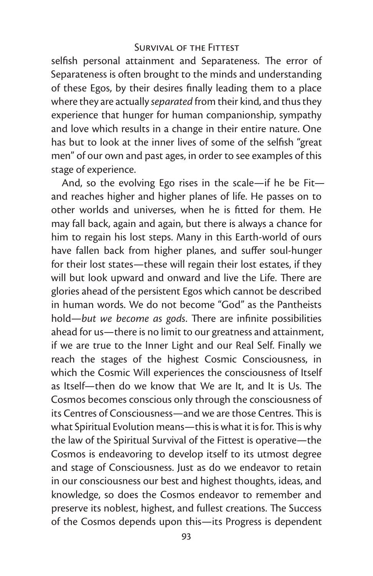selfish personal attainment and Separateness. The error of Separateness is often brought to the minds and understanding of these Egos, by their desires finally leading them to a place where they are actually *separated* from their kind, and thus they experience that hunger for human companionship, sympathy and love which results in a change in their entire nature. One has but to look at the inner lives of some of the selfish "great men" of our own and past ages, in order to see examples of this stage of experience.

And, so the evolving Ego rises in the scale—if he be Fit and reaches higher and higher planes of life. He passes on to other worlds and universes, when he is fitted for them. He may fall back, again and again, but there is always a chance for him to regain his lost steps. Many in this Earth-world of ours have fallen back from higher planes, and suffer soul-hunger for their lost states—these will regain their lost estates, if they will but look upward and onward and live the Life. There are glories ahead of the persistent Egos which cannot be described in human words. We do not become "God" as the Pantheists hold—*but we become as gods*. There are infinite possibilities ahead for us—there is no limit to our greatness and attainment, if we are true to the Inner Light and our Real Self. Finally we reach the stages of the highest Cosmic Consciousness, in which the Cosmic Will experiences the consciousness of Itself as Itself—then do we know that We are It, and It is Us. The Cosmos becomes conscious only through the consciousness of its Centres of Consciousness—and we are those Centres. This is what Spiritual Evolution means—this is what it is for. This is why the law of the Spiritual Survival of the Fittest is operative—the Cosmos is endeavoring to develop itself to its utmost degree and stage of Consciousness. Just as do we endeavor to retain in our consciousness our best and highest thoughts, ideas, and knowledge, so does the Cosmos endeavor to remember and preserve its noblest, highest, and fullest creations. The Success of the Cosmos depends upon this—its Progress is dependent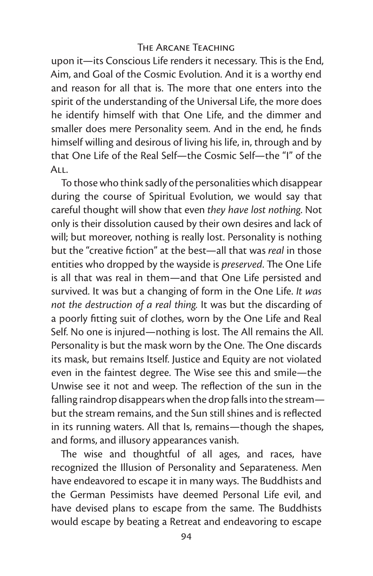upon it—its Conscious Life renders it necessary. This is the End, Aim, and Goal of the Cosmic Evolution. And it is a worthy end and reason for all that is. The more that one enters into the spirit of the understanding of the Universal Life, the more does he identify himself with that One Life, and the dimmer and smaller does mere Personality seem. And in the end, he finds himself willing and desirous of living his life, in, through and by that One Life of the Real Self—the Cosmic Self—the "I" of the All.

To those who think sadly of the personalities which disappear during the course of Spiritual Evolution, we would say that careful thought will show that even *they have lost nothing*. Not only is their dissolution caused by their own desires and lack of will; but moreover, nothing is really lost. Personality is nothing but the "creative fiction" at the best—all that was *real* in those entities who dropped by the wayside is *preserved*. The One Life is all that was real in them—and that One Life persisted and survived. It was but a changing of form in the One Life. *It was not the destruction of a real thing.* It was but the discarding of a poorly fitting suit of clothes, worn by the One Life and Real Self. No one is injured—nothing is lost. The All remains the All. Personality is but the mask worn by the One. The One discards its mask, but remains Itself. Justice and Equity are not violated even in the faintest degree. The Wise see this and smile—the Unwise see it not and weep. The reflection of the sun in the falling raindrop disappears when the drop falls into the stream but the stream remains, and the Sun still shines and is reflected in its running waters. All that Is, remains—though the shapes, and forms, and illusory appearances vanish.

The wise and thoughtful of all ages, and races, have recognized the Illusion of Personality and Separateness. Men have endeavored to escape it in many ways. The Buddhists and the German Pessimists have deemed Personal Life evil, and have devised plans to escape from the same. The Buddhists would escape by beating a Retreat and endeavoring to escape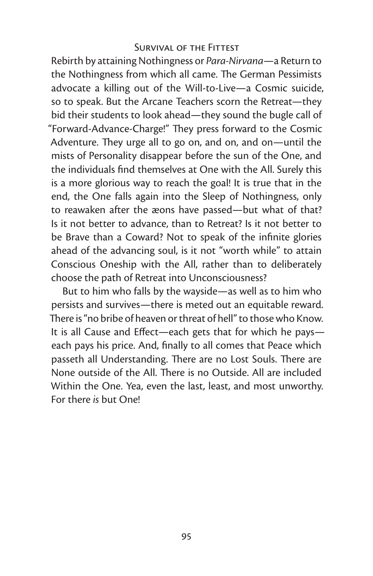## Survival of the Fittest

Rebirth by attaining Nothingness or *Para‑Nirvana*—a Return to the Nothingness from which all came. The German Pessimists advocate a killing out of the Will-to-Live—a Cosmic suicide, so to speak. But the Arcane Teachers scorn the Retreat—they bid their students to look ahead—they sound the bugle call of "Forward‑Advance‑Charge!" They press forward to the Cosmic Adventure. They urge all to go on, and on, and on—until the mists of Personality disappear before the sun of the One, and the individuals find themselves at One with the All. Surely this is a more glorious way to reach the goal! It is true that in the end, the One falls again into the Sleep of Nothingness, only to reawaken after the æons have passed—but what of that? Is it not better to advance, than to Retreat? Is it not better to be Brave than a Coward? Not to speak of the infinite glories ahead of the advancing soul, is it not "worth while" to attain Conscious Oneship with the All, rather than to deliberately choose the path of Retreat into Unconsciousness?

But to him who falls by the wayside—as well as to him who persists and survives—there is meted out an equitable reward. There is "no bribe of heaven or threat of hell" to those who Know. It is all Cause and Effect—each gets that for which he pays each pays his price. And, finally to all comes that Peace which passeth all Understanding. There are no Lost Souls. There are None outside of the All. There is no Outside. All are included Within the One. Yea, even the last, least, and most unworthy. For there *is* but One!

95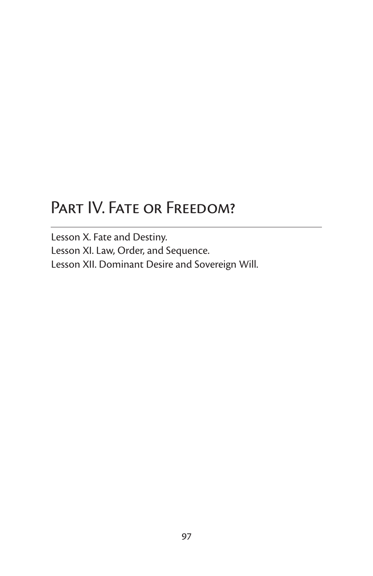## PART IV. FATE OR FREEDOM?

Lesson X. Fate and Destiny. Lesson XI. Law, Order, and Sequence. Lesson XII. Dominant Desire and Sovereign Will.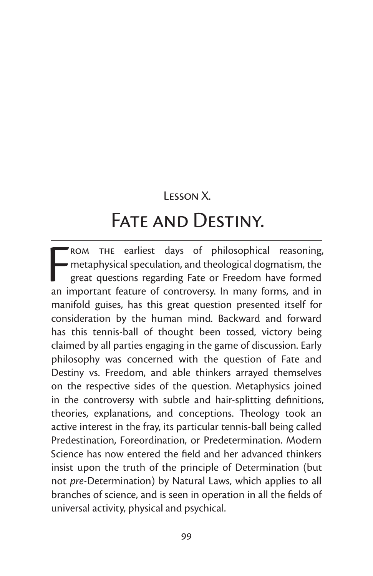## Lesson X.

## Fate and Destiny.

FROM THE earliest days of philosophical reasoning,<br>metaphysical speculation, and theological dogmatism, the<br>great questions regarding Fate or Freedom have formed<br>an important feature of controversy. In many forms, and in rom the earliest days of philosophical reasoning, metaphysical speculation, and theological dogmatism, the great questions regarding Fate or Freedom have formed manifold guises, has this great question presented itself for consideration by the human mind. Backward and forward has this tennis-ball of thought been tossed, victory being claimed by all parties engaging in the game of discussion. Early philosophy was concerned with the question of Fate and Destiny vs. Freedom, and able thinkers arrayed themselves on the respective sides of the question. Metaphysics joined in the controversy with subtle and hair‑splitting definitions, theories, explanations, and conceptions. Theology took an active interest in the fray, its particular tennis‑ball being called Predestination, Foreordination, or Predetermination. Modern Science has now entered the field and her advanced thinkers insist upon the truth of the principle of Determination (but not *pre*‑Determination) by Natural Laws, which applies to all branches of science, and is seen in operation in all the fields of universal activity, physical and psychical.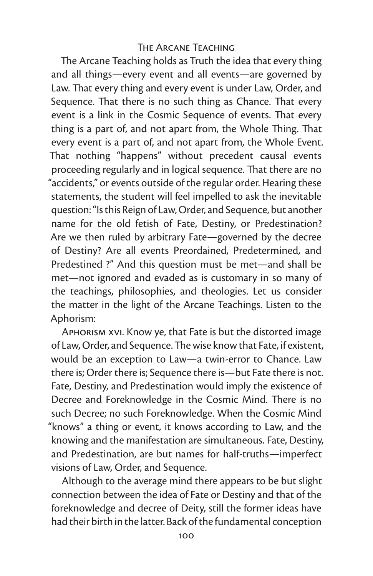The Arcane Teaching holds as Truth the idea that every thing and all things—every event and all events—are governed by Law. That every thing and every event is under Law, Order, and Sequence. That there is no such thing as Chance. That every event is a link in the Cosmic Sequence of events. That every thing is a part of, and not apart from, the Whole Thing. That every event is a part of, and not apart from, the Whole Event. That nothing "happens" without precedent causal events proceeding regularly and in logical sequence. That there are no "accidents," or events outside of the regular order. Hearing these statements, the student will feel impelled to ask the inevitable question: "Is this Reign of Law, Order, and Sequence, but another name for the old fetish of Fate, Destiny, or Predestination? Are we then ruled by arbitrary Fate—governed by the decree of Destiny? Are all events Preordained, Predetermined, and Predestined ?" And this question must be met—and shall be met—not ignored and evaded as is customary in so many of the teachings, philosophies, and theologies. Let us consider the matter in the light of the Arcane Teachings. Listen to the Aphorism:

Aphorism xvi. Know ye, that Fate is but the distorted image of Law, Order, and Sequence. The wise know that Fate, if existent, would be an exception to Law—a twin‑error to Chance. Law there is; Order there is; Sequence there is—but Fate there is not. Fate, Destiny, and Predestination would imply the existence of Decree and Foreknowledge in the Cosmic Mind. There is no such Decree; no such Foreknowledge. When the Cosmic Mind "knows" a thing or event, it knows according to Law, and the knowing and the manifestation are simultaneous. Fate, Destiny, and Predestination, are but names for half-truths—imperfect visions of Law, Order, and Sequence.

Although to the average mind there appears to be but slight connection between the idea of Fate or Destiny and that of the foreknowledge and decree of Deity, still the former ideas have had their birth in the latter. Back of the fundamental conception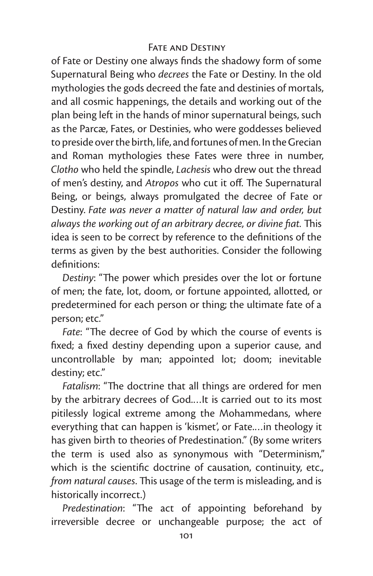## Fate and Destiny

of Fate or Destiny one always finds the shadowy form of some Supernatural Being who *decrees* the Fate or Destiny. In the old mythologies the gods decreed the fate and destinies of mortals, and all cosmic happenings, the details and working out of the plan being left in the hands of minor supernatural beings, such as the Parcæ, Fates, or Destinies, who were goddesses believed to preside over the birth, life, and fortunes of men. In the Grecian and Roman mythologies these Fates were three in number, *Clotho* who held the spindle, *Lachesis* who drew out the thread of men's destiny, and *Atropos* who cut it off. The Supernatural Being, or beings, always promulgated the decree of Fate or Destiny. *Fate was never a matter of natural law and order, but always the working out of an arbitrary decree, or divine fiat.* This idea is seen to be correct by reference to the definitions of the terms as given by the best authorities. Consider the following definitions:

*Destiny*: "The power which presides over the lot or fortune of men; the fate, lot, doom, or fortune appointed, allotted, or predetermined for each person or thing; the ultimate fate of a person; etc."

*Fate*: "The decree of God by which the course of events is fixed; a fixed destiny depending upon a superior cause, and uncontrollable by man; appointed lot; doom; inevitable destiny; etc."

*Fatalism*: "The doctrine that all things are ordered for men by the arbitrary decrees of God.…It is carried out to its most pitilessly logical extreme among the Mohammedans, where everything that can happen is 'kismet', or Fate.…in theology it has given birth to theories of Predestination." (By some writers the term is used also as synonymous with "Determinism," which is the scientific doctrine of causation, continuity, etc., *from natural causes*. This usage of the term is misleading, and is historically incorrect.)

*Predestination*: "The act of appointing beforehand by irreversible decree or unchangeable purpose; the act of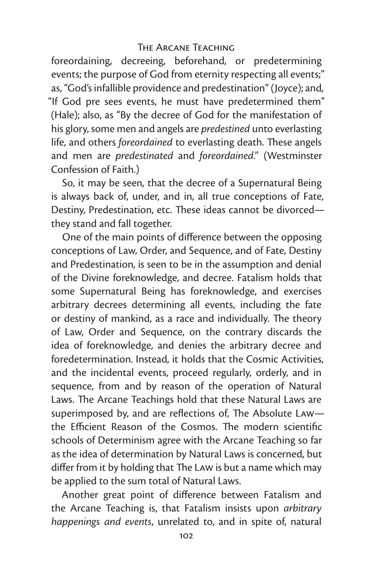foreordaining, decreeing, beforehand, or predetermining events; the purpose of God from eternity respecting all events;" as, "God's infallible providence and predestination" (Joyce); and, "If God pre sees events, he must have predetermined them" (Hale); also, as "By the decree of God for the manifestation of his glory, some men and angels are *predestined* unto everlasting life, and others *foreordained* to everlasting death. These angels and men are *predestinated* and *foreordained*." (Westminster Confession of Faith.)

So, it may be seen, that the decree of a Supernatural Being is always back of, under, and in, all true conceptions of Fate, Destiny, Predestination, etc. These ideas cannot be divorced they stand and fall together.

One of the main points of difference between the opposing conceptions of Law, Order, and Sequence, and of Fate, Destiny and Predestination, is seen to be in the assumption and denial of the Divine foreknowledge, and decree. Fatalism holds that some Supernatural Being has foreknowledge, and exercises arbitrary decrees determining all events, including the fate or destiny of mankind, as a race and individually. The theory of Law, Order and Sequence, on the contrary discards the idea of foreknowledge, and denies the arbitrary decree and foredetermination. Instead, it holds that the Cosmic Activities, and the incidental events, proceed regularly, orderly, and in sequence, from and by reason of the operation of Natural Laws. The Arcane Teachings hold that these Natural Laws are superimposed by, and are reflections of, The Absolute Law the Efficient Reason of the Cosmos. The modern scientific schools of Determinism agree with the Arcane Teaching so far as the idea of determination by Natural Laws is concerned, but differ from it by holding that The Law is but a name which may be applied to the sum total of Natural Laws.

Another great point of difference between Fatalism and the Arcane Teaching is, that Fatalism insists upon *arbitrary happenings and events*, unrelated to, and in spite of, natural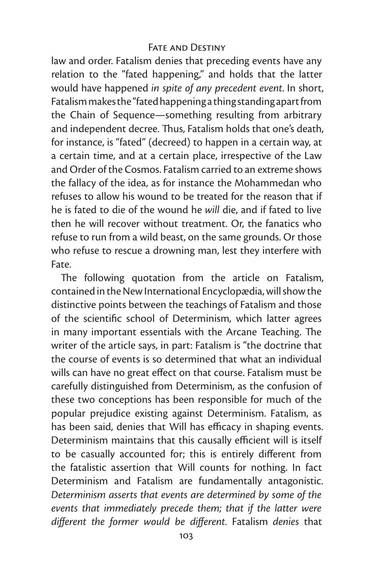#### Fate and Destiny

law and order. Fatalism denies that preceding events have any relation to the "fated happening," and holds that the latter would have happened *in spite of any precedent event*. In short, Fatalism makes the "fated happening a thing standing apart from the Chain of Sequence—something resulting from arbitrary and independent decree. Thus, Fatalism holds that one's death, for instance, is "fated" (decreed) to happen in a certain way, at a certain time, and at a certain place, irrespective of the Law and Order of the Cosmos. Fatalism carried to an extreme shows the fallacy of the idea, as for instance the Mohammedan who refuses to allow his wound to be treated for the reason that if he is fated to die of the wound he *will* die, and if fated to live then he will recover without treatment. Or, the fanatics who refuse to run from a wild beast, on the same grounds. Or those who refuse to rescue a drowning man, lest they interfere with Fate.

The following quotation from the article on Fatalism, contained in the New International Encyclopædia, will show the distinctive points between the teachings of Fatalism and those of the scientific school of Determinism, which latter agrees in many important essentials with the Arcane Teaching. The writer of the article says, in part: Fatalism is "the doctrine that the course of events is so determined that what an individual wills can have no great effect on that course. Fatalism must be carefully distinguished from Determinism, as the confusion of these two conceptions has been responsible for much of the popular prejudice existing against Determinism. Fatalism, as has been said, denies that Will has efficacy in shaping events. Determinism maintains that this causally efficient will is itself to be casually accounted for; this is entirely different from the fatalistic assertion that Will counts for nothing. In fact Determinism and Fatalism are fundamentally antagonistic. *Determinism asserts that events are determined by some of the events that immediately precede them; that if the latter were different the former would be different.* Fatalism *denies* that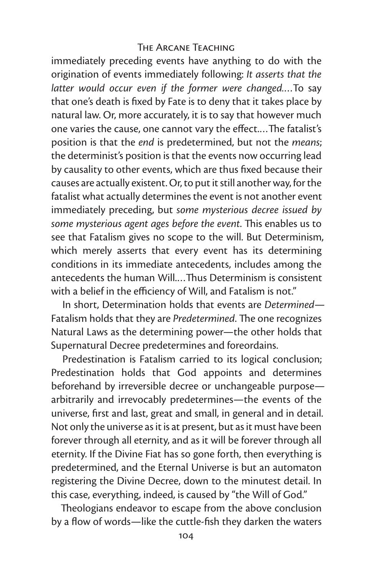immediately preceding events have anything to do with the origination of events immediately following: *It asserts that the latter would occur even if the former were changed.*…To say that one's death is fixed by Fate is to deny that it takes place by natural law. Or, more accurately, it is to say that however much one varies the cause, one cannot vary the effect.…The fatalist's position is that the *end* is predetermined, but not the *means*; the determinist's position is that the events now occurring lead by causality to other events, which are thus fixed because their causes are actually existent. Or, to put it still another way, for the fatalist what actually determines the event is not another event immediately preceding, but *some mysterious decree issued by some mysterious agent ages before the event*. This enables us to see that Fatalism gives no scope to the will. But Determinism, which merely asserts that every event has its determining conditions in its immediate antecedents, includes among the antecedents the human Will.…Thus Determinism is consistent with a belief in the efficiency of Will, and Fatalism is not."

In short, Determination holds that events are *Determined*— Fatalism holds that they are *Predetermined*. The one recognizes Natural Laws as the determining power—the other holds that Supernatural Decree predetermines and foreordains.

Predestination is Fatalism carried to its logical conclusion; Predestination holds that God appoints and determines beforehand by irreversible decree or unchangeable purpose arbitrarily and irrevocably predetermines—the events of the universe, first and last, great and small, in general and in detail. Not only the universe as it is at present, but as it must have been forever through all eternity, and as it will be forever through all eternity. If the Divine Fiat has so gone forth, then everything is predetermined, and the Eternal Universe is but an automaton registering the Divine Decree, down to the minutest detail. In this case, everything, indeed, is caused by "the Will of God."

Theologians endeavor to escape from the above conclusion by a flow of words—like the cuttle-fish they darken the waters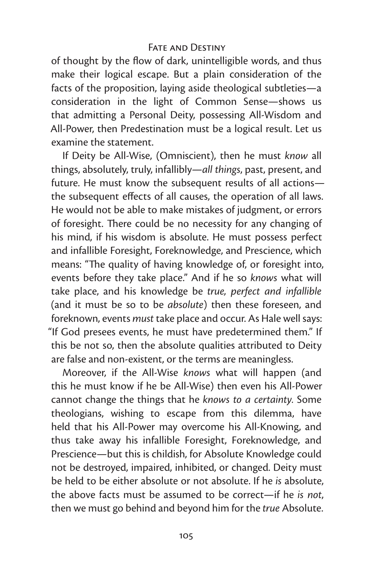#### Fate and Destiny

of thought by the flow of dark, unintelligible words, and thus make their logical escape. But a plain consideration of the facts of the proposition, laying aside theological subtleties—a consideration in the light of Common Sense—shows us that admitting a Personal Deity, possessing All‑Wisdom and All-Power, then Predestination must be a logical result. Let us examine the statement.

If Deity be All‑Wise, (Omniscient), then he must *know* all things, absolutely, truly, infallibly—*all things*, past, present, and future. He must know the subsequent results of all actions the subsequent effects of all causes, the operation of all laws. He would not be able to make mistakes of judgment, or errors of foresight. There could be no necessity for any changing of his mind, if his wisdom is absolute. He must possess perfect and infallible Foresight, Foreknowledge, and Prescience, which means: "The quality of having knowledge of, or foresight into, events before they take place." And if he so *knows* what will take place, and his knowledge be *true, perfect and infallible* (and it must be so to be *absolute*) then these foreseen, and foreknown, events *must* take place and occur. As Hale well says: "If God presees events, he must have predetermined them." If this be not so, then the absolute qualities attributed to Deity are false and non‑existent, or the terms are meaningless.

Moreover, if the All‑Wise *knows* what will happen (and this he must know if he be All‑Wise) then even his All‑Power cannot change the things that he *knows to a certainty.* Some theologians, wishing to escape from this dilemma, have held that his All-Power may overcome his All-Knowing, and thus take away his infallible Foresight, Foreknowledge, and Prescience—but this is childish, for Absolute Knowledge could not be destroyed, impaired, inhibited, or changed. Deity must be held to be either absolute or not absolute. If he *is* absolute, the above facts must be assumed to be correct—if he *is not*, then we must go behind and beyond him for the *true* Absolute.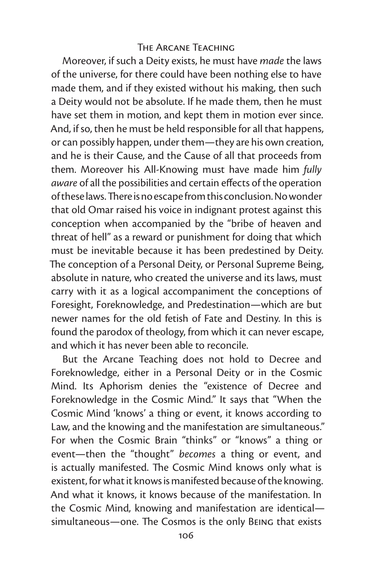Moreover, if such a Deity exists, he must have *made* the laws of the universe, for there could have been nothing else to have made them, and if they existed without his making, then such a Deity would not be absolute. If he made them, then he must have set them in motion, and kept them in motion ever since. And, if so, then he must be held responsible for all that happens, or can possibly happen, under them—they are his own creation, and he is their Cause, and the Cause of all that proceeds from them. Moreover his All‑Knowing must have made him *fully aware* of all the possibilities and certain effects of the operation of these laws. There is no escape from this conclusion. No wonder that old Omar raised his voice in indignant protest against this conception when accompanied by the "bribe of heaven and threat of hell" as a reward or punishment for doing that which must be inevitable because it has been predestined by Deity. The conception of a Personal Deity, or Personal Supreme Being, absolute in nature, who created the universe and its laws, must carry with it as a logical accompaniment the conceptions of Foresight, Foreknowledge, and Predestination—which are but newer names for the old fetish of Fate and Destiny. In this is found the parodox of theology, from which it can never escape, and which it has never been able to reconcile.

But the Arcane Teaching does not hold to Decree and Foreknowledge, either in a Personal Deity or in the Cosmic Mind. Its Aphorism denies the "existence of Decree and Foreknowledge in the Cosmic Mind." It says that "When the Cosmic Mind 'knows' a thing or event, it knows according to Law, and the knowing and the manifestation are simultaneous." For when the Cosmic Brain "thinks" or "knows" a thing or event—then the "thought" *becomes* a thing or event, and is actually manifested. The Cosmic Mind knows only what is existent, for what it knows is manifested because of the knowing. And what it knows, it knows because of the manifestation. In the Cosmic Mind, knowing and manifestation are identical simultaneous—one. The Cosmos is the only Being that exists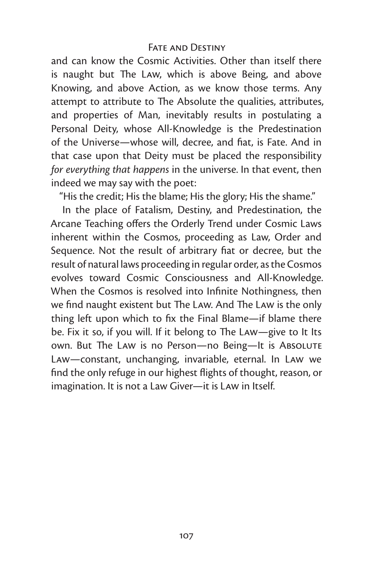#### Fate and Destiny

and can know the Cosmic Activities. Other than itself there is naught but The Law, which is above Being, and above Knowing, and above Action, as we know those terms. Any attempt to attribute to The Absolute the qualities, attributes, and properties of Man, inevitably results in postulating a Personal Deity, whose All-Knowledge is the Predestination of the Universe—whose will, decree, and fiat, is Fate. And in that case upon that Deity must be placed the responsibility *for everything that happens* in the universe. In that event, then indeed we may say with the poet:

"His the credit; His the blame; His the glory; His the shame."

In the place of Fatalism, Destiny, and Predestination, the Arcane Teaching offers the Orderly Trend under Cosmic Laws inherent within the Cosmos, proceeding as Law, Order and Sequence. Not the result of arbitrary fiat or decree, but the result of natural laws proceeding in regular order, as the Cosmos evolves toward Cosmic Consciousness and All‑Knowledge. When the Cosmos is resolved into Infinite Nothingness, then we find naught existent but The Law. And The Law is the only thing left upon which to fix the Final Blame—if blame there be. Fix it so, if you will. If it belong to The Law—give to It Its own. But The Law is no Person—no Being—It is Absolute Law—constant, unchanging, invariable, eternal. In Law we find the only refuge in our highest flights of thought, reason, or imagination. It is not a Law Giver—it is Law in Itself.

107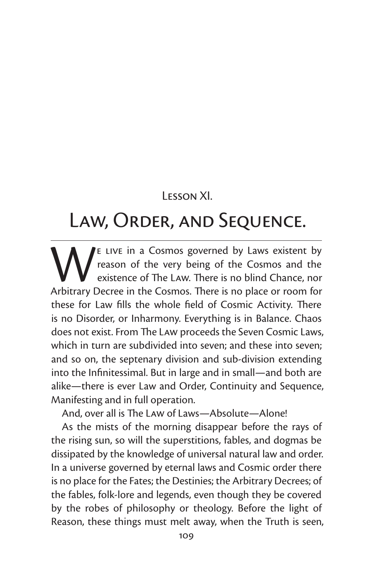### Lesson XI.

## Law, Order, and Sequence.

WE LIVE in a Cosmos governed by Laws existent by<br>reason of the very being of the Cosmos and the<br>existence of The Law. There is no blind Chance, nor<br>Arbitrary Decree in the Cosmos There is no place or room for reason of the very being of the Cosmos and the existence of The Law. There is no blind Chance, nor Arbitrary Decree in the Cosmos. There is no place or room for these for Law fills the whole field of Cosmic Activity. There is no Disorder, or Inharmony. Everything is in Balance. Chaos does not exist. From The Law proceeds the Seven Cosmic Laws, which in turn are subdivided into seven; and these into seven; and so on, the septenary division and sub‑division extending into the Infinitessimal. But in large and in small—and both are alike—there is ever Law and Order, Continuity and Sequence, Manifesting and in full operation.

And, over all is The Law of Laws—Absolute—Alone!

As the mists of the morning disappear before the rays of the rising sun, so will the superstitions, fables, and dogmas be dissipated by the knowledge of universal natural law and order. In a universe governed by eternal laws and Cosmic order there is no place for the Fates; the Destinies; the Arbitrary Decrees; of the fables, folk‑lore and legends, even though they be covered by the robes of philosophy or theology. Before the light of Reason, these things must melt away, when the Truth is seen,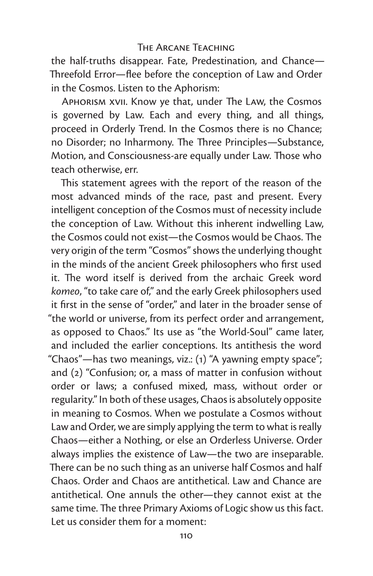the half-truths disappear. Fate, Predestination, and Chance-Threefold Error—flee before the conception of Law and Order in the Cosmos. Listen to the Aphorism:

Aphorism xvii. Know ye that, under The Law, the Cosmos is governed by Law. Each and every thing, and all things, proceed in Orderly Trend. In the Cosmos there is no Chance; no Disorder; no Inharmony. The Three Principles—Substance, Motion, and Consciousness‑are equally under Law. Those who teach otherwise, err.

This statement agrees with the report of the reason of the most advanced minds of the race, past and present. Every intelligent conception of the Cosmos must of necessity include the conception of Law. Without this inherent indwelling Law, the Cosmos could not exist—the Cosmos would be Chaos. The very origin of the term "Cosmos" shows the underlying thought in the minds of the ancient Greek philosophers who first used it. The word itself is derived from the archaic Greek word *komeo*, "to take care of," and the early Greek philosophers used it first in the sense of "order," and later in the broader sense of "the world or universe, from its perfect order and arrangement, as opposed to Chaos." Its use as "the World-Soul" came later, and included the earlier conceptions. Its antithesis the word "Chaos"—has two meanings, viz.: (1) "A yawning empty space"; and (2) "Confusion; or, a mass of matter in confusion without order or laws; a confused mixed, mass, without order or regularity." In both of these usages, Chaos is absolutely opposite in meaning to Cosmos. When we postulate a Cosmos without Law and Order, we are simply applying the term to what is really Chaos—either a Nothing, or else an Orderless Universe. Order always implies the existence of Law—the two are inseparable. There can be no such thing as an universe half Cosmos and half Chaos. Order and Chaos are antithetical. Law and Chance are antithetical. One annuls the other—they cannot exist at the same time. The three Primary Axioms of Logic show us this fact. Let us consider them for a moment: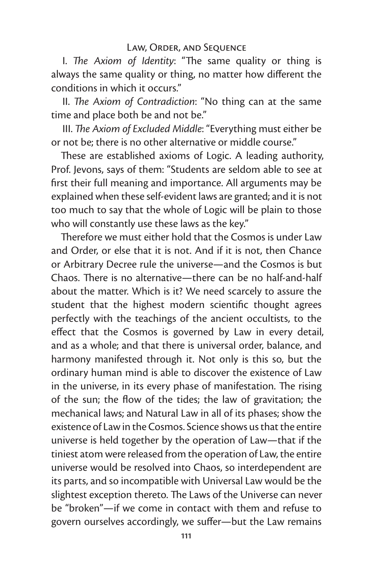#### Law, Order, and Sequence

I. *The Axiom of Identity*: "The same quality or thing is always the same quality or thing, no matter how different the conditions in which it occurs."

II. *The Axiom of Contradiction*: "No thing can at the same time and place both be and not be."

III. *The Axiom of Excluded Middle*: "Everything must either be or not be; there is no other alternative or middle course."

These are established axioms of Logic. A leading authority, Prof. Jevons, says of them: "Students are seldom able to see at first their full meaning and importance. All arguments may be explained when these self‑evident laws are granted; and it is not too much to say that the whole of Logic will be plain to those who will constantly use these laws as the key."

Therefore we must either hold that the Cosmos is under Law and Order, or else that it is not. And if it is not, then Chance or Arbitrary Decree rule the universe—and the Cosmos is but Chaos. There is no alternative—there can be no half‑and‑half about the matter. Which is it? We need scarcely to assure the student that the highest modern scientific thought agrees perfectly with the teachings of the ancient occultists, to the effect that the Cosmos is governed by Law in every detail, and as a whole; and that there is universal order, balance, and harmony manifested through it. Not only is this so, but the ordinary human mind is able to discover the existence of Law in the universe, in its every phase of manifestation. The rising of the sun; the flow of the tides; the law of gravitation; the mechanical laws; and Natural Law in all of its phases; show the existence of Law in the Cosmos. Science shows us that the entire universe is held together by the operation of Law—that if the tiniest atom were released from the operation of Law, the entire universe would be resolved into Chaos, so interdependent are its parts, and so incompatible with Universal Law would be the slightest exception thereto. The Laws of the Universe can never be "broken"—if we come in contact with them and refuse to govern ourselves accordingly, we suffer—but the Law remains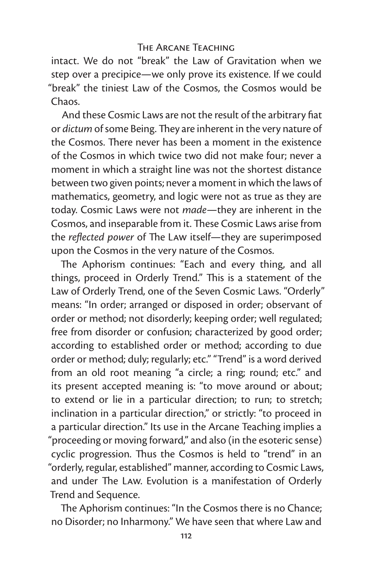intact. We do not "break" the Law of Gravitation when we step over a precipice—we only prove its existence. If we could "break" the tiniest Law of the Cosmos, the Cosmos would be Chaos.

And these Cosmic Laws are not the result of the arbitrary fiat or *dictum* of some Being. They are inherent in the very nature of the Cosmos. There never has been a moment in the existence of the Cosmos in which twice two did not make four; never a moment in which a straight line was not the shortest distance between two given points; never a moment in which the laws of mathematics, geometry, and logic were not as true as they are today. Cosmic Laws were not *made*—they are inherent in the Cosmos, and inseparable from it. These Cosmic Laws arise from the *reflected power* of The Law itself—they are superimposed upon the Cosmos in the very nature of the Cosmos.

The Aphorism continues: "Each and every thing, and all things, proceed in Orderly Trend." This is a statement of the Law of Orderly Trend, one of the Seven Cosmic Laws. "Orderly" means: "In order; arranged or disposed in order; observant of order or method; not disorderly; keeping order; well regulated; free from disorder or confusion; characterized by good order; according to established order or method; according to due order or method; duly; regularly; etc." "Trend" is a word derived from an old root meaning "a circle; a ring; round; etc." and its present accepted meaning is: "to move around or about; to extend or lie in a particular direction; to run; to stretch; inclination in a particular direction," or strictly: "to proceed in a particular direction." Its use in the Arcane Teaching implies a "proceeding or moving forward," and also (in the esoteric sense) cyclic progression. Thus the Cosmos is held to "trend" in an "orderly, regular, established" manner, according to Cosmic Laws, and under The Law. Evolution is a manifestation of Orderly Trend and Sequence.

The Aphorism continues: "In the Cosmos there is no Chance; no Disorder; no Inharmony." We have seen that where Law and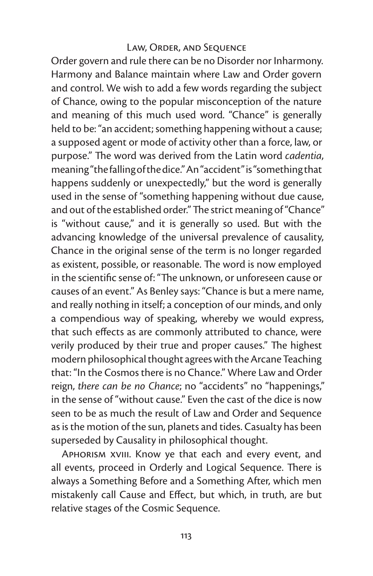#### Law, Order, and Sequence

Order govern and rule there can be no Disorder nor Inharmony. Harmony and Balance maintain where Law and Order govern and control. We wish to add a few words regarding the subject of Chance, owing to the popular misconception of the nature and meaning of this much used word. "Chance" is generally held to be: "an accident; something happening without a cause; a supposed agent or mode of activity other than a force, law, or purpose." The word was derived from the Latin word *cadentia*, meaning "the falling of the dice." An "accident" is "something that happens suddenly or unexpectedly," but the word is generally used in the sense of "something happening without due cause, and out of the established order." The strict meaning of "Chance" is "without cause," and it is generally so used. But with the advancing knowledge of the universal prevalence of causality, Chance in the original sense of the term is no longer regarded as existent, possible, or reasonable. The word is now employed in the scientific sense of: "The unknown, or unforeseen cause or causes of an event." As Benley says: "Chance is but a mere name, and really nothing in itself; a conception of our minds, and only a compendious way of speaking, whereby we would express, that such effects as are commonly attributed to chance, were verily produced by their true and proper causes." The highest modern philosophical thought agrees with the Arcane Teaching that: "In the Cosmos there is no Chance." Where Law and Order reign, *there can be no Chance*; no "accidents" no "happenings," in the sense of "without cause." Even the cast of the dice is now seen to be as much the result of Law and Order and Sequence as is the motion of the sun, planets and tides. Casualty has been superseded by Causality in philosophical thought.

Aphorism xviii. Know ye that each and every event, and all events, proceed in Orderly and Logical Sequence. There is always a Something Before and a Something After, which men mistakenly call Cause and Effect, but which, in truth, are but relative stages of the Cosmic Sequence.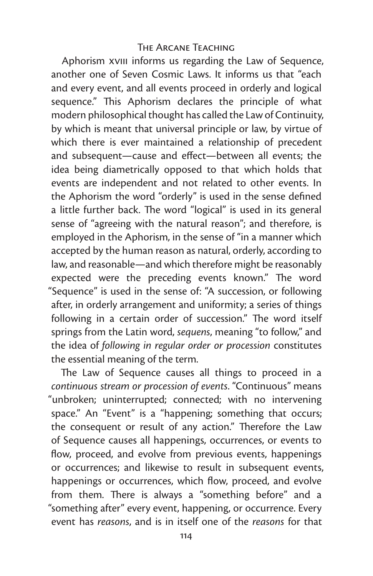Aphorism xviii informs us regarding the Law of Sequence, another one of Seven Cosmic Laws. It informs us that "each and every event, and all events proceed in orderly and logical sequence." This Aphorism declares the principle of what modern philosophical thought has called the Law of Continuity, by which is meant that universal principle or law, by virtue of which there is ever maintained a relationship of precedent and subsequent—cause and effect—between all events; the idea being diametrically opposed to that which holds that events are independent and not related to other events. In the Aphorism the word "orderly" is used in the sense defined a little further back. The word "logical" is used in its general sense of "agreeing with the natural reason"; and therefore, is employed in the Aphorism, in the sense of "in a manner which accepted by the human reason as natural, orderly, according to law, and reasonable—and which therefore might be reasonably expected were the preceding events known." The word "Sequence" is used in the sense of: "A succession, or following after, in orderly arrangement and uniformity; a series of things following in a certain order of succession." The word itself springs from the Latin word, *sequens*, meaning "to follow," and the idea of *following in regular order or procession* constitutes the essential meaning of the term.

The Law of Sequence causes all things to proceed in a *continuous stream or procession of events*. "Continuous" means "unbroken; uninterrupted; connected; with no intervening space." An "Event" is a "happening; something that occurs; the consequent or result of any action." Therefore the Law of Sequence causes all happenings, occurrences, or events to flow, proceed, and evolve from previous events, happenings or occurrences; and likewise to result in subsequent events, happenings or occurrences, which flow, proceed, and evolve from them. There is always a "something before" and a "something after" every event, happening, or occurrence. Every event has *reasons*, and is in itself one of the *reasons* for that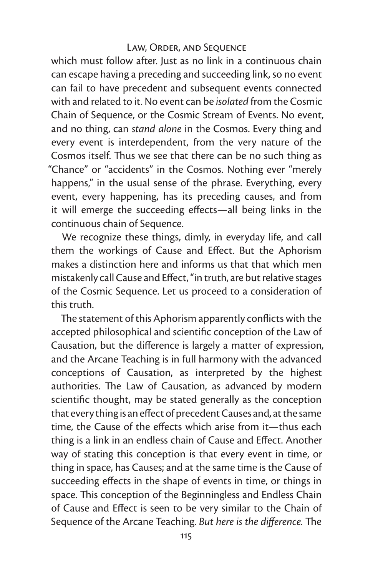#### Law, Order, and Sequence

which must follow after. Just as no link in a continuous chain can escape having a preceding and succeeding link, so no event can fail to have precedent and subsequent events connected with and related to it. No event can be *isolated* from the Cosmic Chain of Sequence, or the Cosmic Stream of Events. No event, and no thing, can *stand alone* in the Cosmos. Every thing and every event is interdependent, from the very nature of the Cosmos itself. Thus we see that there can be no such thing as "Chance" or "accidents" in the Cosmos. Nothing ever "merely happens," in the usual sense of the phrase. Everything, every event, every happening, has its preceding causes, and from it will emerge the succeeding effects—all being links in the continuous chain of Sequence.

We recognize these things, dimly, in everyday life, and call them the workings of Cause and Effect. But the Aphorism makes a distinction here and informs us that that which men mistakenly call Cause and Effect, "in truth, are but relative stages of the Cosmic Sequence. Let us proceed to a consideration of this truth.

The statement of this Aphorism apparently conflicts with the accepted philosophical and scientific conception of the Law of Causation, but the difference is largely a matter of expression, and the Arcane Teaching is in full harmony with the advanced conceptions of Causation, as interpreted by the highest authorities. The Law of Causation, as advanced by modern scientific thought, may be stated generally as the conception that every thing is an effect of precedent Causes and, at the same time, the Cause of the effects which arise from it—thus each thing is a link in an endless chain of Cause and Effect. Another way of stating this conception is that every event in time, or thing in space, has Causes; and at the same time is the Cause of succeeding effects in the shape of events in time, or things in space. This conception of the Beginningless and Endless Chain of Cause and Effect is seen to be very similar to the Chain of Sequence of the Arcane Teaching. *But here is the difference.* The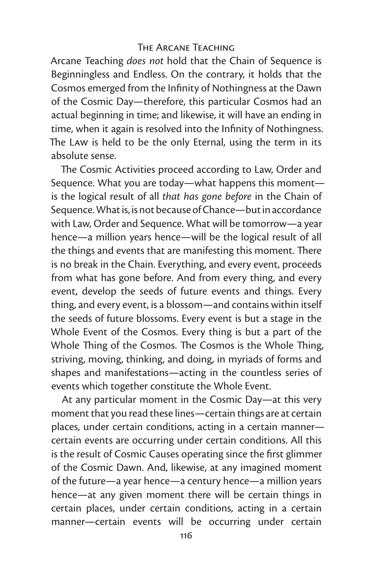Arcane Teaching *does not* hold that the Chain of Sequence is Beginningless and Endless. On the contrary, it holds that the Cosmos emerged from the Infinity of Nothingness at the Dawn of the Cosmic Day—therefore, this particular Cosmos had an actual beginning in time; and likewise, it will have an ending in time, when it again is resolved into the Infinity of Nothingness. The Law is held to be the only Eternal, using the term in its absolute sense.

The Cosmic Activities proceed according to Law, Order and Sequence. What you are today—what happens this moment is the logical result of all *that has gone before* in the Chain of Sequence. What is, is not because of Chance—but in accordance with Law, Order and Sequence. What will be tomorrow—a year hence—a million years hence—will be the logical result of all the things and events that are manifesting this moment. There is no break in the Chain. Everything, and every event, proceeds from what has gone before. And from every thing, and every event, develop the seeds of future events and things. Every thing, and every event, is a blossom—and contains within itself the seeds of future blossoms. Every event is but a stage in the Whole Event of the Cosmos. Every thing is but a part of the Whole Thing of the Cosmos. The Cosmos is the Whole Thing, striving, moving, thinking, and doing, in myriads of forms and shapes and manifestations—acting in the countless series of events which together constitute the Whole Event.

At any particular moment in the Cosmic Day—at this very moment that you read these lines—certain things are at certain places, under certain conditions, acting in a certain manner certain events are occurring under certain conditions. All this is the result of Cosmic Causes operating since the first glimmer of the Cosmic Dawn. And, likewise, at any imagined moment of the future—a year hence—a century hence—a million years hence—at any given moment there will be certain things in certain places, under certain conditions, acting in a certain manner—certain events will be occurring under certain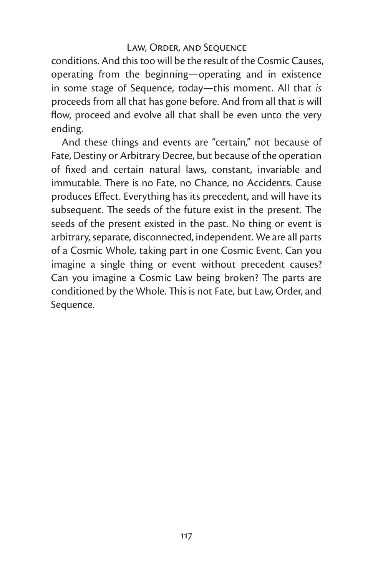#### Law, Order, and Sequence

conditions. And this too will be the result of the Cosmic Causes, operating from the beginning—operating and in existence in some stage of Sequence, today—this moment. All that *is* proceeds from all that has gone before. And from all that *is* will flow, proceed and evolve all that shall be even unto the very ending.

And these things and events are "certain," not because of Fate, Destiny or Arbitrary Decree, but because of the operation of fixed and certain natural laws, constant, invariable and immutable. There is no Fate, no Chance, no Accidents. Cause produces Effect. Everything has its precedent, and will have its subsequent. The seeds of the future exist in the present. The seeds of the present existed in the past. No thing or event is arbitrary, separate, disconnected, independent. We are all parts of a Cosmic Whole, taking part in one Cosmic Event. Can you imagine a single thing or event without precedent causes? Can you imagine a Cosmic Law being broken? The parts are conditioned by the Whole. This is not Fate, but Law, Order, and Sequence.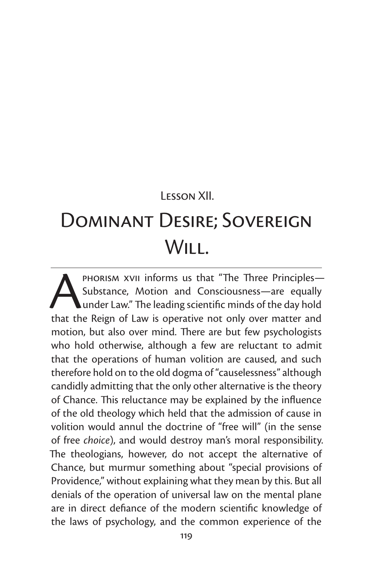### Lesson XII.

# DOMINANT DESIRE; SOVEREIGN WILL.

PHORISM XVII informs us that "The Three Principles—<br>Substance, Motion and Consciousness—are equally<br>under Law." The leading scientific minds of the day hold<br>that the Reign of Law is operative not only over matter and Substance, Motion and Consciousness—are equally under Law." The leading scientific minds of the day hold that the Reign of Law is operative not only over matter and motion, but also over mind. There are but few psychologists who hold otherwise, although a few are reluctant to admit that the operations of human volition are caused, and such therefore hold on to the old dogma of "causelessness" although candidly admitting that the only other alternative is the theory of Chance. This reluctance may be explained by the influence of the old theology which held that the admission of cause in volition would annul the doctrine of "free will" (in the sense of free *choice*), and would destroy man's moral responsibility. The theologians, however, do not accept the alternative of Chance, but murmur something about "special provisions of Providence," without explaining what they mean by this. But all denials of the operation of universal law on the mental plane are in direct defiance of the modern scientific knowledge of the laws of psychology, and the common experience of the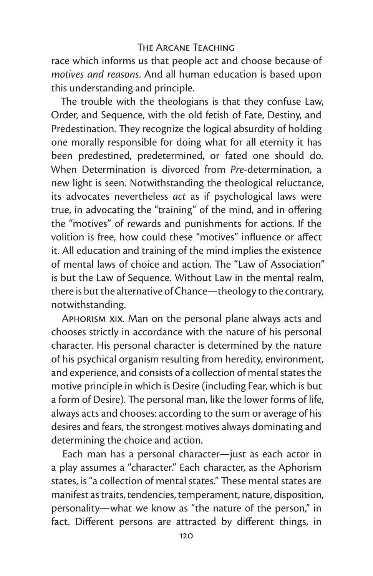race which informs us that people act and choose because of *motives and reasons*. And all human education is based upon this understanding and principle.

The trouble with the theologians is that they confuse Law, Order, and Sequence, with the old fetish of Fate, Destiny, and Predestination. They recognize the logical absurdity of holding one morally responsible for doing what for all eternity it has been predestined, predetermined, or fated one should do. When Determination is divorced from *Pre*‑determination, a new light is seen. Notwithstanding the theological reluctance, its advocates nevertheless *act* as if psychological laws were true, in advocating the "training" of the mind, and in offering the "motives" of rewards and punishments for actions. If the volition is free, how could these "motives" influence or affect it. All education and training of the mind implies the existence of mental laws of choice and action. The "Law of Association" is but the Law of Sequence. Without Law in the mental realm, there is but the alternative of Chance—theology to the contrary, notwithstanding.

Aphorism xix. Man on the personal plane always acts and chooses strictly in accordance with the nature of his personal character. His personal character is determined by the nature of his psychical organism resulting from heredity, environment, and experience, and consists of a collection of mental states the motive principle in which is Desire (including Fear, which is but a form of Desire). The personal man, like the lower forms of life, always acts and chooses: according to the sum or average of his desires and fears, the strongest motives always dominating and determining the choice and action.

Each man has a personal character—just as each actor in a play assumes a "character." Each character, as the Aphorism states, is "a collection of mental states." These mental states are manifest as traits, tendencies, temperament, nature, disposition, personality—what we know as "the nature of the person," in fact. Different persons are attracted by different things, in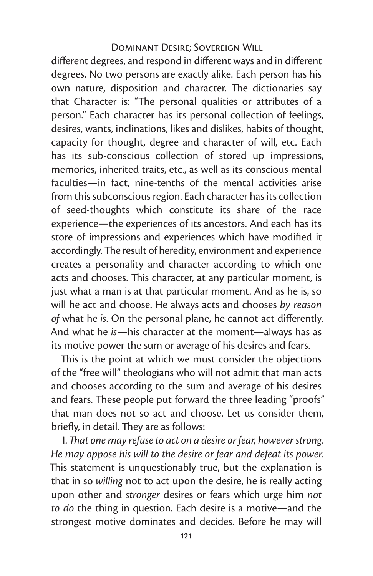#### Dominant Desire; Sovereign Will

different degrees, and respond in different ways and in different degrees. No two persons are exactly alike. Each person has his own nature, disposition and character. The dictionaries say that Character is: "The personal qualities or attributes of a person." Each character has its personal collection of feelings, desires, wants, inclinations, likes and dislikes, habits of thought, capacity for thought, degree and character of will, etc. Each has its sub-conscious collection of stored up impressions, memories, inherited traits, etc., as well as its conscious mental faculties—in fact, nine-tenths of the mental activities arise from this subconscious region. Each character has its collection of seed-thoughts which constitute its share of the race experience—the experiences of its ancestors. And each has its store of impressions and experiences which have modified it accordingly. The result of heredity, environment and experience creates a personality and character according to which one acts and chooses. This character, at any particular moment, is just what a man is at that particular moment. And as he is, so will he act and choose. He always acts and chooses *by reason of* what he *is*. On the personal plane, he cannot act differently. And what he *is*—his character at the moment—always has as its motive power the sum or average of his desires and fears.

This is the point at which we must consider the objections of the "free will" theologians who will not admit that man acts and chooses according to the sum and average of his desires and fears. These people put forward the three leading "proofs" that man does not so act and choose. Let us consider them, briefly, in detail. They are as follows:

I. *That one may refuse to act on a desire or fear, however strong. He may oppose his will to the desire or fear and defeat its power.* This statement is unquestionably true, but the explanation is that in so *willing* not to act upon the desire, he is really acting upon other and *stronger* desires or fears which urge him *not to do* the thing in question. Each desire is a motive—and the strongest motive dominates and decides. Before he may will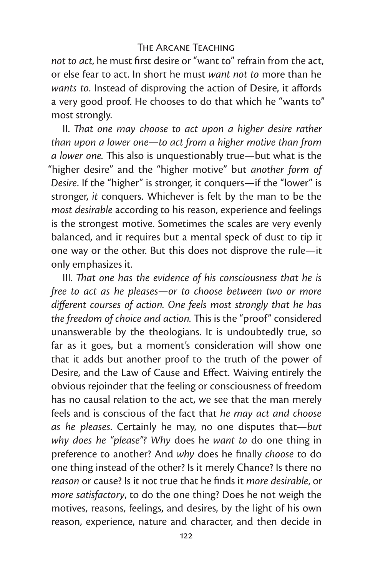*not to act*, he must first desire or "want to" refrain from the act, or else fear to act. In short he must *want not to* more than he *wants to*. Instead of disproving the action of Desire, it affords a very good proof. He chooses to do that which he "wants to" most strongly.

II. *That one may choose to act upon a higher desire rather than upon a lower one—to act from a higher motive than from a lower one.* This also is unquestionably true—but what is the "higher desire" and the "higher motive" but *another form of Desire*. If the "higher" is stronger, it conquers—if the "lower" is stronger, *it* conquers. Whichever is felt by the man to be the *most desirable* according to his reason, experience and feelings is the strongest motive. Sometimes the scales are very evenly balanced, and it requires but a mental speck of dust to tip it one way or the other. But this does not disprove the rule—it only emphasizes it.

III. *That one has the evidence of his consciousness that he is free to act as he pleases—or to choose between two or more different courses of action. One feels most strongly that he has the freedom of choice and action.* This is the "proof" considered unanswerable by the theologians. It is undoubtedly true, so far as it goes, but a moment's consideration will show one that it adds but another proof to the truth of the power of Desire, and the Law of Cause and Effect. Waiving entirely the obvious rejoinder that the feeling or consciousness of freedom has no causal relation to the act, we see that the man merely feels and is conscious of the fact that *he may act and choose as he pleases*. Certainly he may, no one disputes that—*but why does he "please"? Why* does he *want to* do one thing in preference to another? And *why* does he finally *choose* to do one thing instead of the other? Is it merely Chance? Is there no *reason* or cause? Is it not true that he finds it *more desirable*, or *more satisfactory*, to do the one thing? Does he not weigh the motives, reasons, feelings, and desires, by the light of his own reason, experience, nature and character, and then decide in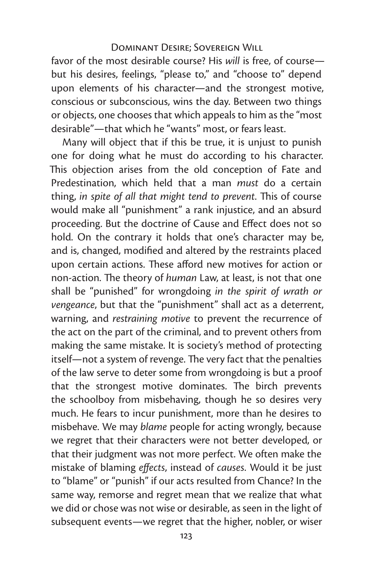#### Dominant Desire; Sovereign Will

favor of the most desirable course? His *will* is free, of course but his desires, feelings, "please to," and "choose to" depend upon elements of his character—and the strongest motive, conscious or subconscious, wins the day. Between two things or objects, one chooses that which appeals to him as the "most desirable"—that which he "wants" most, or fears least.

Many will object that if this be true, it is unjust to punish one for doing what he must do according to his character. This objection arises from the old conception of Fate and Predestination, which held that a man *must* do a certain thing, *in spite of all that might tend to prevent*. This of course would make all "punishment" a rank injustice, and an absurd proceeding. But the doctrine of Cause and Effect does not so hold. On the contrary it holds that one's character may be, and is, changed, modified and altered by the restraints placed upon certain actions. These afford new motives for action or non‑action. The theory of *human* Law, at least, is not that one shall be "punished" for wrongdoing *in the spirit of wrath or vengeance*, but that the "punishment" shall act as a deterrent, warning, and *restraining motive* to prevent the recurrence of the act on the part of the criminal, and to prevent others from making the same mistake. It is society's method of protecting itself—not a system of revenge. The very fact that the penalties of the law serve to deter some from wrongdoing is but a proof that the strongest motive dominates. The birch prevents the schoolboy from misbehaving, though he so desires very much. He fears to incur punishment, more than he desires to misbehave. We may *blame* people for acting wrongly, because we regret that their characters were not better developed, or that their judgment was not more perfect. We often make the mistake of blaming *effects*, instead of *causes*. Would it be just to "blame" or "punish" if our acts resulted from Chance? In the same way, remorse and regret mean that we realize that what we did or chose was not wise or desirable, as seen in the light of subsequent events—we regret that the higher, nobler, or wiser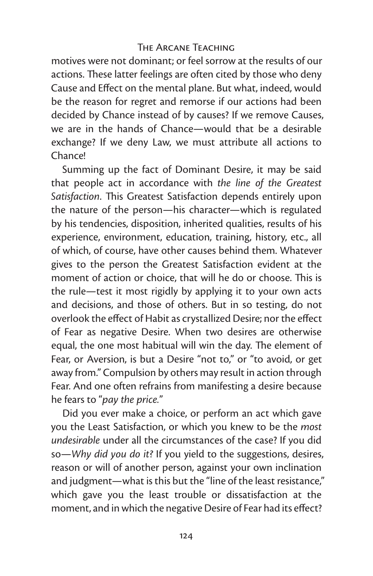motives were not dominant; or feel sorrow at the results of our actions. These latter feelings are often cited by those who deny Cause and Effect on the mental plane. But what, indeed, would be the reason for regret and remorse if our actions had been decided by Chance instead of by causes? If we remove Causes, we are in the hands of Chance—would that be a desirable exchange? If we deny Law, we must attribute all actions to Chance!

Summing up the fact of Dominant Desire, it may be said that people act in accordance with *the line of the Greatest Satisfaction*. This Greatest Satisfaction depends entirely upon the nature of the person—his character—which is regulated by his tendencies, disposition, inherited qualities, results of his experience, environment, education, training, history, etc., all of which, of course, have other causes behind them. Whatever gives to the person the Greatest Satisfaction evident at the moment of action or choice, that will he do or choose. This is the rule—test it most rigidly by applying it to your own acts and decisions, and those of others. But in so testing, do not overlook the effect of Habit as crystallized Desire; nor the effect of Fear as negative Desire. When two desires are otherwise equal, the one most habitual will win the day. The element of Fear, or Aversion, is but a Desire "not to," or "to avoid, or get away from." Compulsion by others may result in action through Fear. And one often refrains from manifesting a desire because he fears to "*pay the price.*"

Did you ever make a choice, or perform an act which gave you the Least Satisfaction, or which you knew to be the *most undesirable* under all the circumstances of the case? If you did so—*Why did you do it?* If you yield to the suggestions, desires, reason or will of another person, against your own inclination and judgment—what is this but the "line of the least resistance," which gave you the least trouble or dissatisfaction at the moment, and in which the negative Desire of Fear had its effect?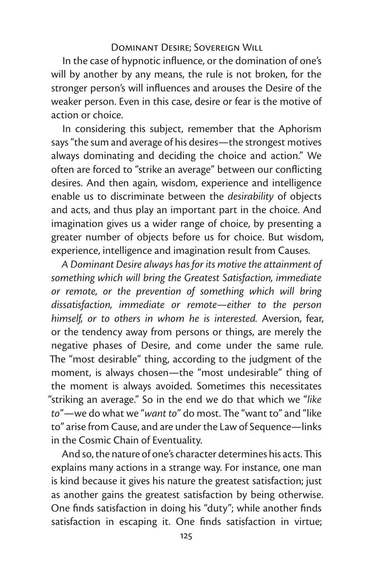#### Dominant Desire; Sovereign Will

In the case of hypnotic influence, or the domination of one's will by another by any means, the rule is not broken, for the stronger person's will influences and arouses the Desire of the weaker person. Even in this case, desire or fear is the motive of action or choice.

In considering this subject, remember that the Aphorism says "the sum and average of his desires—the strongest motives always dominating and deciding the choice and action." We often are forced to "strike an average" between our conflicting desires. And then again, wisdom, experience and intelligence enable us to discriminate between the *desirability* of objects and acts, and thus play an important part in the choice. And imagination gives us a wider range of choice, by presenting a greater number of objects before us for choice. But wisdom, experience, intelligence and imagination result from Causes.

*A Dominant Desire always has for its motive the attainment of something which will bring the Greatest Satisfaction, immediate or remote, or the prevention of something which will bring dissatisfaction, immediate or remote—either to the person himself, or to others in whom he is interested.* Aversion, fear, or the tendency away from persons or things, are merely the negative phases of Desire, and come under the same rule. The "most desirable" thing, according to the judgment of the moment, is always chosen—the "most undesirable" thing of the moment is always avoided. Sometimes this necessitates "striking an average." So in the end we do that which we "*like to*"—we do what we "*want to*" do most. The "want to" and "like to" arise from Cause, and are under the Law of Sequence—links in the Cosmic Chain of Eventuality.

And so, the nature of one's character determines his acts. This explains many actions in a strange way. For instance, one man is kind because it gives his nature the greatest satisfaction; just as another gains the greatest satisfaction by being otherwise. One finds satisfaction in doing his "duty"; while another finds satisfaction in escaping it. One finds satisfaction in virtue;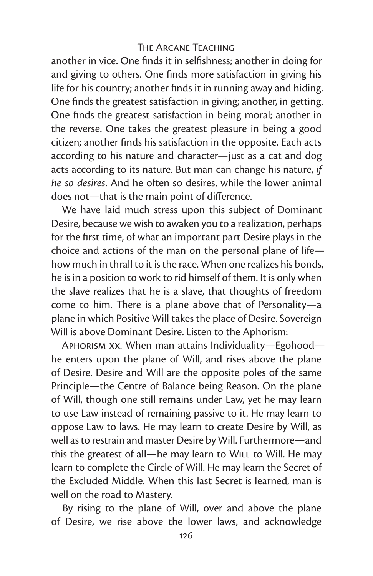another in vice. One finds it in selfishness; another in doing for and giving to others. One finds more satisfaction in giving his life for his country; another finds it in running away and hiding. One finds the greatest satisfaction in giving; another, in getting. One finds the greatest satisfaction in being moral; another in the reverse. One takes the greatest pleasure in being a good citizen; another finds his satisfaction in the opposite. Each acts according to his nature and character—just as a cat and dog acts according to its nature. But man can change his nature, *if he so desires*. And he often so desires, while the lower animal does not—that is the main point of difference.

We have laid much stress upon this subject of Dominant Desire, because we wish to awaken you to a realization, perhaps for the first time, of what an important part Desire plays in the choice and actions of the man on the personal plane of life how much in thrall to it is the race. When one realizes his bonds, he is in a position to work to rid himself of them. It is only when the slave realizes that he is a slave, that thoughts of freedom come to him. There is a plane above that of Personality—a plane in which Positive Will takes the place of Desire. Sovereign Will is above Dominant Desire. Listen to the Aphorism:

Aphorism xx. When man attains Individuality—Egohood he enters upon the plane of Will, and rises above the plane of Desire. Desire and Will are the opposite poles of the same Principle—the Centre of Balance being Reason. On the plane of Will, though one still remains under Law, yet he may learn to use Law instead of remaining passive to it. He may learn to oppose Law to laws. He may learn to create Desire by Will, as well as to restrain and master Desire by Will. Furthermore—and this the greatest of all—he may learn to WILL to Will. He may learn to complete the Circle of Will. He may learn the Secret of the Excluded Middle. When this last Secret is learned, man is well on the road to Mastery.

By rising to the plane of Will, over and above the plane of Desire, we rise above the lower laws, and acknowledge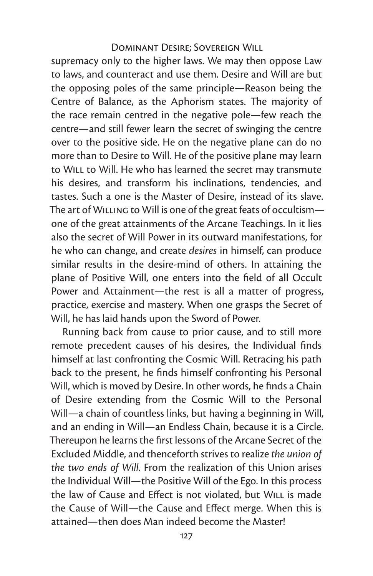#### Dominant Desire; Sovereign Will

supremacy only to the higher laws. We may then oppose Law to laws, and counteract and use them. Desire and Will are but the opposing poles of the same principle—Reason being the Centre of Balance, as the Aphorism states. The majority of the race remain centred in the negative pole—few reach the centre—and still fewer learn the secret of swinging the centre over to the positive side. He on the negative plane can do no more than to Desire to Will. He of the positive plane may learn to WILL to Will. He who has learned the secret may transmute his desires, and transform his inclinations, tendencies, and tastes. Such a one is the Master of Desire, instead of its slave. The art of WILLING to Will is one of the great feats of occultism one of the great attainments of the Arcane Teachings. In it lies also the secret of Will Power in its outward manifestations, for he who can change, and create *desires* in himself, can produce similar results in the desire-mind of others. In attaining the plane of Positive Will, one enters into the field of all Occult Power and Attainment—the rest is all a matter of progress, practice, exercise and mastery. When one grasps the Secret of Will, he has laid hands upon the Sword of Power.

Running back from cause to prior cause, and to still more remote precedent causes of his desires, the Individual finds himself at last confronting the Cosmic Will. Retracing his path back to the present, he finds himself confronting his Personal Will, which is moved by Desire. In other words, he finds a Chain of Desire extending from the Cosmic Will to the Personal Will—a chain of countless links, but having a beginning in Will, and an ending in Will—an Endless Chain, because it is a Circle. Thereupon he learns the first lessons of the Arcane Secret of the Excluded Middle, and thenceforth strives to realize *the union of the two ends of Will*. From the realization of this Union arises the Individual Will—the Positive Will of the Ego. In this process the law of Cause and Effect is not violated, but Will is made the Cause of Will—the Cause and Effect merge. When this is attained—then does Man indeed become the Master!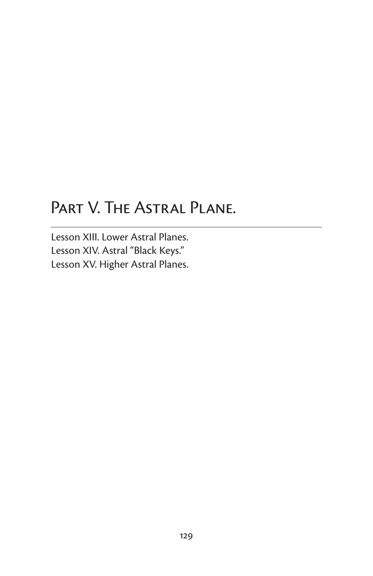## Part V. The Astral Plane.

Lesson XIII. Lower Astral Planes. Lesson XIV. Astral "Black Keys." Lesson XV. Higher Astral Planes.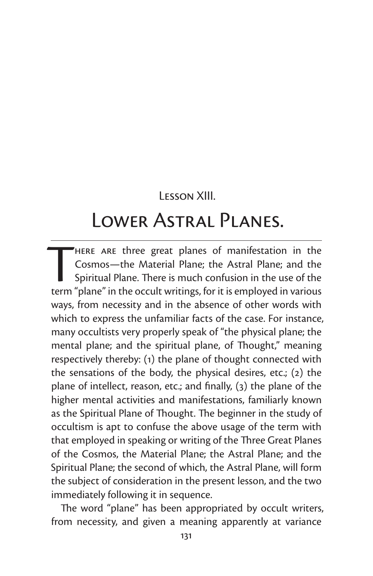### Lesson XIII.

## Lower Astral Planes.

There are three great planes of manifestation in the Cosmos—the Material Plane; the Astral Plane; and the Spiritual Plane. There is much confusion in the use of the term "plane" in the occult writings, for it is employed in various ways, from necessity and in the absence of other words with which to express the unfamiliar facts of the case. For instance, many occultists very properly speak of "the physical plane; the mental plane; and the spiritual plane, of Thought," meaning respectively thereby: (1) the plane of thought connected with the sensations of the body, the physical desires, etc.; (2) the plane of intellect, reason, etc.; and finally, (3) the plane of the higher mental activities and manifestations, familiarly known as the Spiritual Plane of Thought. The beginner in the study of occultism is apt to confuse the above usage of the term with that employed in speaking or writing of the Three Great Planes of the Cosmos, the Material Plane; the Astral Plane; and the Spiritual Plane; the second of which, the Astral Plane, will form the subject of consideration in the present lesson, and the two immediately following it in sequence.

The word "plane" has been appropriated by occult writers, from necessity, and given a meaning apparently at variance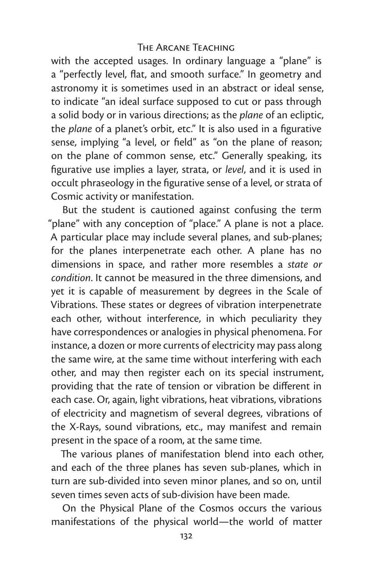with the accepted usages. In ordinary language a "plane" is a "perfectly level, flat, and smooth surface." In geometry and astronomy it is sometimes used in an abstract or ideal sense, to indicate "an ideal surface supposed to cut or pass through a solid body or in various directions; as the *plane* of an ecliptic, the *plane* of a planet's orbit, etc." It is also used in a figurative sense, implying "a level, or field" as "on the plane of reason; on the plane of common sense, etc." Generally speaking, its figurative use implies a layer, strata, or *level*, and it is used in occult phraseology in the figurative sense of a level, or strata of Cosmic activity or manifestation.

But the student is cautioned against confusing the term "plane" with any conception of "place." A plane is not a place. A particular place may include several planes, and sub-planes; for the planes interpenetrate each other. A plane has no dimensions in space, and rather more resembles a *state or condition*. It cannot be measured in the three dimensions, and yet it is capable of measurement by degrees in the Scale of Vibrations. These states or degrees of vibration interpenetrate each other, without interference, in which peculiarity they have correspondences or analogies in physical phenomena. For instance, a dozen or more currents of electricity may pass along the same wire, at the same time without interfering with each other, and may then register each on its special instrument, providing that the rate of tension or vibration be different in each case. Or, again, light vibrations, heat vibrations, vibrations of electricity and magnetism of several degrees, vibrations of the X‑Rays, sound vibrations, etc., may manifest and remain present in the space of a room, at the same time.

The various planes of manifestation blend into each other, and each of the three planes has seven sub-planes, which in turn are sub‑divided into seven minor planes, and so on, until seven times seven acts of sub‑division have been made.

On the Physical Plane of the Cosmos occurs the various manifestations of the physical world—the world of matter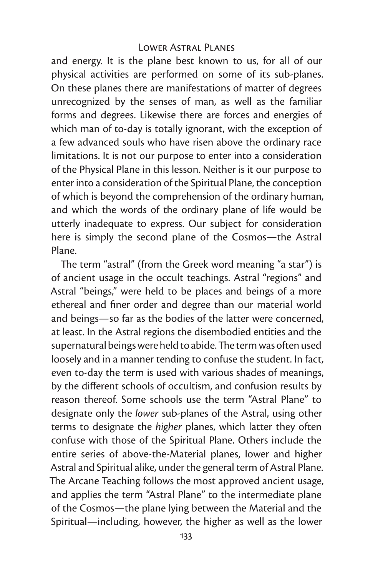and energy. It is the plane best known to us, for all of our physical activities are performed on some of its sub-planes. On these planes there are manifestations of matter of degrees unrecognized by the senses of man, as well as the familiar forms and degrees. Likewise there are forces and energies of which man of to-day is totally ignorant, with the exception of a few advanced souls who have risen above the ordinary race limitations. It is not our purpose to enter into a consideration of the Physical Plane in this lesson. Neither is it our purpose to enter into a consideration of the Spiritual Plane, the conception of which is beyond the comprehension of the ordinary human, and which the words of the ordinary plane of life would be utterly inadequate to express. Our subject for consideration here is simply the second plane of the Cosmos—the Astral Plane.

The term "astral" (from the Greek word meaning "a star") is of ancient usage in the occult teachings. Astral "regions" and Astral "beings," were held to be places and beings of a more ethereal and finer order and degree than our material world and beings—so far as the bodies of the latter were concerned, at least. In the Astral regions the disembodied entities and the supernatural beings were held to abide. The term was often used loosely and in a manner tending to confuse the student. In fact, even to-day the term is used with various shades of meanings, by the different schools of occultism, and confusion results by reason thereof. Some schools use the term "Astral Plane" to designate only the *lower* sub‑planes of the Astral, using other terms to designate the *higher* planes, which latter they often confuse with those of the Spiritual Plane. Others include the entire series of above-the-Material planes, lower and higher Astral and Spiritual alike, under the general term of Astral Plane. The Arcane Teaching follows the most approved ancient usage, and applies the term "Astral Plane" to the intermediate plane of the Cosmos—the plane lying between the Material and the Spiritual—including, however, the higher as well as the lower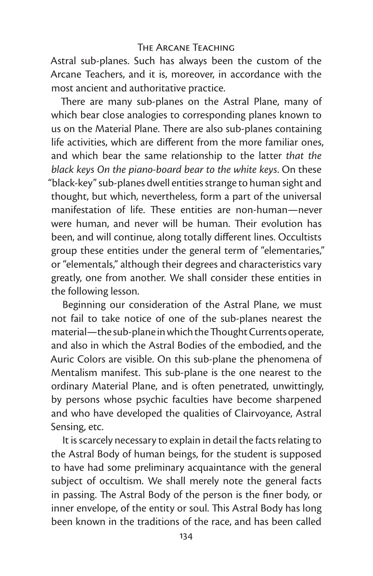Astral sub‑planes. Such has always been the custom of the Arcane Teachers, and it is, moreover, in accordance with the most ancient and authoritative practice.

There are many sub-planes on the Astral Plane, many of which bear close analogies to corresponding planes known to us on the Material Plane. There are also sub-planes containing life activities, which are different from the more familiar ones, and which bear the same relationship to the latter *that the black keys On the piano‑board bear to the white keys*. On these "black‑key" sub‑planes dwell entities strange to human sight and thought, but which, nevertheless, form a part of the universal manifestation of life. These entities are non‑human—never were human, and never will be human. Their evolution has been, and will continue, along totally different lines. Occultists group these entities under the general term of "elementaries," or "elementals," although their degrees and characteristics vary greatly, one from another. We shall consider these entities in the following lesson.

Beginning our consideration of the Astral Plane, we must not fail to take notice of one of the sub‑planes nearest the material—the sub-plane in which the Thought Currents operate, and also in which the Astral Bodies of the embodied, and the Auric Colors are visible. On this sub‑plane the phenomena of Mentalism manifest. This sub‑plane is the one nearest to the ordinary Material Plane, and is often penetrated, unwittingly, by persons whose psychic faculties have become sharpened and who have developed the qualities of Clairvoyance, Astral Sensing, etc.

It is scarcely necessary to explain in detail the facts relating to the Astral Body of human beings, for the student is supposed to have had some preliminary acquaintance with the general subject of occultism. We shall merely note the general facts in passing. The Astral Body of the person is the finer body, or inner envelope, of the entity or soul. This Astral Body has long been known in the traditions of the race, and has been called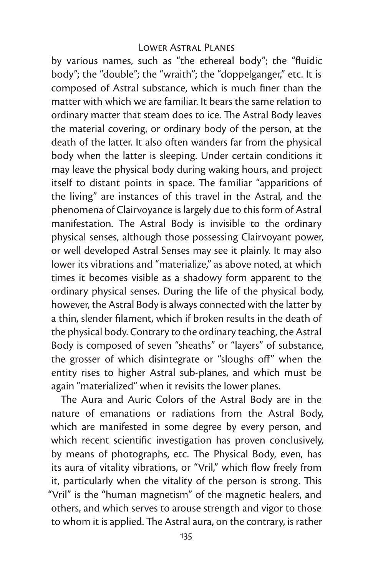by various names, such as "the ethereal body"; the "fluidic body"; the "double"; the "wraith"; the "doppelganger," etc. It is composed of Astral substance, which is much finer than the matter with which we are familiar. It bears the same relation to ordinary matter that steam does to ice. The Astral Body leaves the material covering, or ordinary body of the person, at the death of the latter. It also often wanders far from the physical body when the latter is sleeping. Under certain conditions it may leave the physical body during waking hours, and project itself to distant points in space. The familiar "apparitions of the living" are instances of this travel in the Astral, and the phenomena of Clairvoyance is largely due to this form of Astral manifestation. The Astral Body is invisible to the ordinary physical senses, although those possessing Clairvoyant power, or well developed Astral Senses may see it plainly. It may also lower its vibrations and "materialize," as above noted, at which times it becomes visible as a shadowy form apparent to the ordinary physical senses. During the life of the physical body, however, the Astral Body is always connected with the latter by a thin, slender filament, which if broken results in the death of the physical body. Contrary to the ordinary teaching, the Astral Body is composed of seven "sheaths" or "layers" of substance, the grosser of which disintegrate or "sloughs off" when the entity rises to higher Astral sub‑planes, and which must be again "materialized" when it revisits the lower planes.

The Aura and Auric Colors of the Astral Body are in the nature of emanations or radiations from the Astral Body, which are manifested in some degree by every person, and which recent scientific investigation has proven conclusively, by means of photographs, etc. The Physical Body, even, has its aura of vitality vibrations, or "Vril," which flow freely from it, particularly when the vitality of the person is strong. This "Vril" is the "human magnetism" of the magnetic healers, and others, and which serves to arouse strength and vigor to those to whom it is applied. The Astral aura, on the contrary, is rather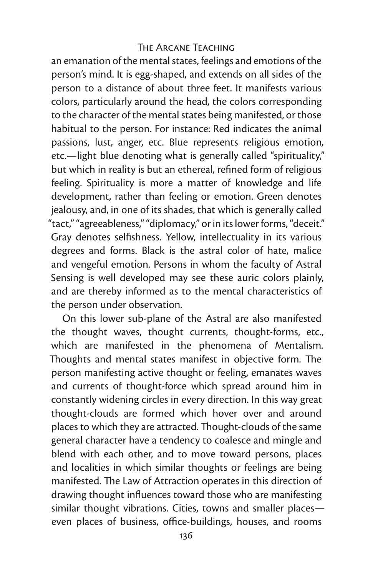an emanation of the mental states, feelings and emotions of the person's mind. It is egg‑shaped, and extends on all sides of the person to a distance of about three feet. It manifests various colors, particularly around the head, the colors corresponding to the character of the mental states being manifested, or those habitual to the person. For instance: Red indicates the animal passions, lust, anger, etc. Blue represents religious emotion, etc.—light blue denoting what is generally called "spirituality," but which in reality is but an ethereal, refined form of religious feeling. Spirituality is more a matter of knowledge and life development, rather than feeling or emotion. Green denotes jealousy, and, in one of its shades, that which is generally called "tact," "agreeableness," "diplomacy," or in its lower forms, "deceit." Gray denotes selfishness. Yellow, intellectuality in its various degrees and forms. Black is the astral color of hate, malice and vengeful emotion. Persons in whom the faculty of Astral Sensing is well developed may see these auric colors plainly, and are thereby informed as to the mental characteristics of the person under observation.

On this lower sub‑plane of the Astral are also manifested the thought waves, thought currents, thought-forms, etc., which are manifested in the phenomena of Mentalism. Thoughts and mental states manifest in objective form. The person manifesting active thought or feeling, emanates waves and currents of thought-force which spread around him in constantly widening circles in every direction. In this way great thought‑clouds are formed which hover over and around places to which they are attracted. Thought‑clouds of the same general character have a tendency to coalesce and mingle and blend with each other, and to move toward persons, places and localities in which similar thoughts or feelings are being manifested. The Law of Attraction operates in this direction of drawing thought influences toward those who are manifesting similar thought vibrations. Cities, towns and smaller places even places of business, office‑buildings, houses, and rooms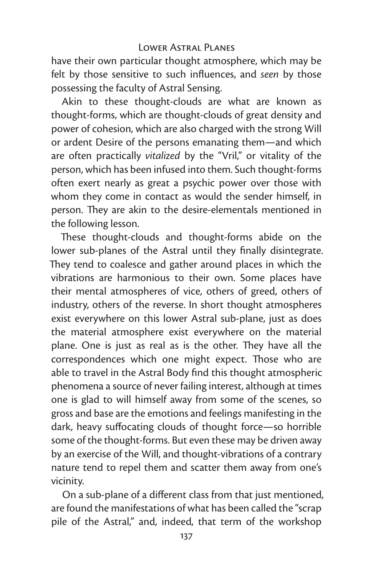#### Lower Astral Planes

have their own particular thought atmosphere, which may be felt by those sensitive to such influences, and *seen* by those possessing the faculty of Astral Sensing.

Akin to these thought-clouds are what are known as thought‑forms, which are thought‑clouds of great density and power of cohesion, which are also charged with the strong Will or ardent Desire of the persons emanating them—and which are often practically *vitalized* by the "Vril," or vitality of the person, which has been infused into them. Such thought-forms often exert nearly as great a psychic power over those with whom they come in contact as would the sender himself, in person. They are akin to the desire‑elementals mentioned in the following lesson.

These thought-clouds and thought-forms abide on the lower sub-planes of the Astral until they finally disintegrate. They tend to coalesce and gather around places in which the vibrations are harmonious to their own. Some places have their mental atmospheres of vice, others of greed, others of industry, others of the reverse. In short thought atmospheres exist everywhere on this lower Astral sub‑plane, just as does the material atmosphere exist everywhere on the material plane. One is just as real as is the other. They have all the correspondences which one might expect. Those who are able to travel in the Astral Body find this thought atmospheric phenomena a source of never failing interest, although at times one is glad to will himself away from some of the scenes, so gross and base are the emotions and feelings manifesting in the dark, heavy suffocating clouds of thought force—so horrible some of the thought-forms. But even these may be driven away by an exercise of the Will, and thought-vibrations of a contrary nature tend to repel them and scatter them away from one's vicinity.

On a sub‑plane of a different class from that just mentioned, are found the manifestations of what has been called the "scrap pile of the Astral," and, indeed, that term of the workshop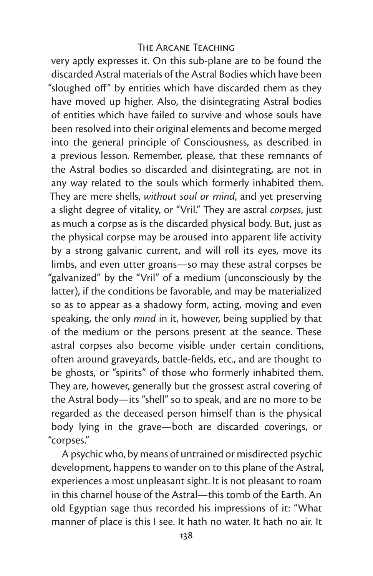very aptly expresses it. On this sub‑plane are to be found the discarded Astral materials of the Astral Bodies which have been "sloughed off" by entities which have discarded them as they have moved up higher. Also, the disintegrating Astral bodies of entities which have failed to survive and whose souls have been resolved into their original elements and become merged into the general principle of Consciousness, as described in a previous lesson. Remember, please, that these remnants of the Astral bodies so discarded and disintegrating, are not in any way related to the souls which formerly inhabited them. They are mere shells, *without soul or mind*, and yet preserving a slight degree of vitality, or "Vril." They are astral *corpses*, just as much a corpse as is the discarded physical body. But, just as the physical corpse may be aroused into apparent life activity by a strong galvanic current, and will roll its eyes, move its limbs, and even utter groans—so may these astral corpses be "galvanized" by the "Vril" of a medium (unconsciously by the latter), if the conditions be favorable, and may be materialized so as to appear as a shadowy form, acting, moving and even speaking, the only *mind* in it, however, being supplied by that of the medium or the persons present at the seance. These astral corpses also become visible under certain conditions, often around graveyards, battle‑fields, etc., and are thought to be ghosts, or "spirits" of those who formerly inhabited them. They are, however, generally but the grossest astral covering of the Astral body—its "shell" so to speak, and are no more to be regarded as the deceased person himself than is the physical body lying in the grave—both are discarded coverings, or "corpses."

A psychic who, by means of untrained or misdirected psychic development, happens to wander on to this plane of the Astral, experiences a most unpleasant sight. It is not pleasant to roam in this charnel house of the Astral—this tomb of the Earth. An old Egyptian sage thus recorded his impressions of it: "What manner of place is this I see. It hath no water. It hath no air. It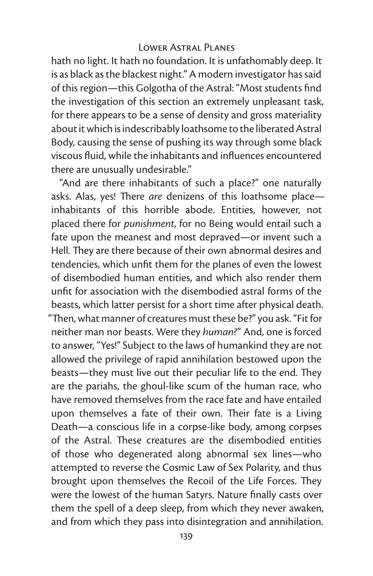hath no light. It hath no foundation. It is unfathomably deep. It is as black as the blackest night." A modern investigator has said of this region—this Golgotha of the Astral: "Most students find the investigation of this section an extremely unpleasant task, for there appears to be a sense of density and gross materiality about it which is indescribably loathsome to the liberated Astral Body, causing the sense of pushing its way through some black viscous fluid, while the inhabitants and influences encountered there are unusually undesirable."

"And are there inhabitants of such a place?" one naturally asks. Alas, yes! There *are* denizens of this loathsome place inhabitants of this horrible abode. Entities, however, not placed there for *punishment*, for no Being would entail such a fate upon the meanest and most depraved—or invent such a Hell. They are there because of their own abnormal desires and tendencies, which unfit them for the planes of even the lowest of disembodied human entities, and which also render them unfit for association with the disembodied astral forms of the beasts, which latter persist for a short time after physical death. "Then, what manner of creatures must these be?" you ask. "Fit for neither man nor beasts. Were they *human?*" And, one is forced to answer, "Yes!" Subject to the laws of humankind they are not allowed the privilege of rapid annihilation bestowed upon the beasts—they must live out their peculiar life to the end. They are the pariahs, the ghoul-like scum of the human race, who have removed themselves from the race fate and have entailed upon themselves a fate of their own. Their fate is a Living Death—a conscious life in a corpse-like body, among corpses of the Astral. These creatures are the disembodied entities of those who degenerated along abnormal sex lines—who attempted to reverse the Cosmic Law of Sex Polarity, and thus brought upon themselves the Recoil of the Life Forces. They were the lowest of the human Satyrs. Nature finally casts over them the spell of a deep sleep, from which they never awaken, and from which they pass into disintegration and annihilation.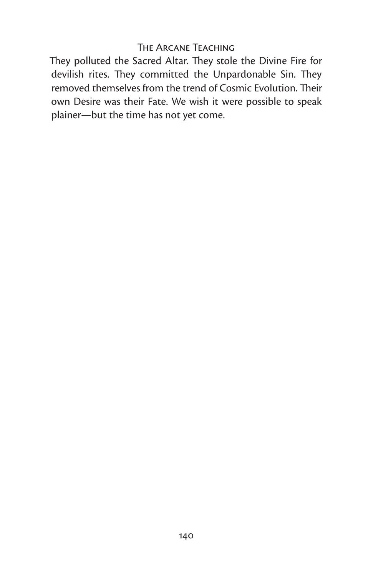They polluted the Sacred Altar. They stole the Divine Fire for devilish rites. They committed the Unpardonable Sin. They removed themselves from the trend of Cosmic Evolution. Their own Desire was their Fate. We wish it were possible to speak plainer—but the time has not yet come.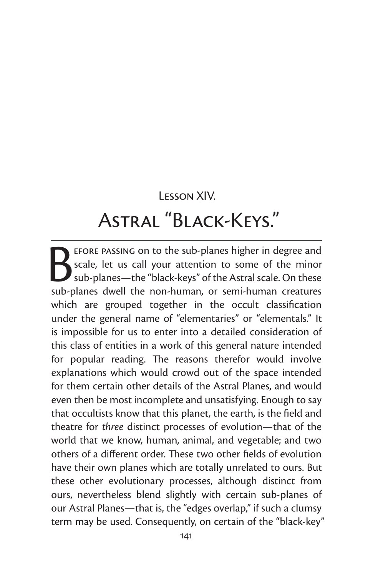### Lesson XIV.

# Astral "Black‑Keys."

EFORE PASSING on to the sub-planes higher in degree and scale, let us call your attention to some of the minor sub-planes—the "black-keys" of the Astral scale. On these sub-planes dwell the non-human, or semi-human creatur efore passing on to the sub‑planes higher in degree and scale, let us call your attention to some of the minor sub-planes—the "black-keys" of the Astral scale. On these which are grouped together in the occult classification under the general name of "elementaries" or "elementals." It is impossible for us to enter into a detailed consideration of this class of entities in a work of this general nature intended for popular reading. The reasons therefor would involve explanations which would crowd out of the space intended for them certain other details of the Astral Planes, and would even then be most incomplete and unsatisfying. Enough to say that occultists know that this planet, the earth, is the field and theatre for *three* distinct processes of evolution—that of the world that we know, human, animal, and vegetable; and two others of a different order. These two other fields of evolution have their own planes which are totally unrelated to ours. But these other evolutionary processes, although distinct from ours, nevertheless blend slightly with certain sub-planes of our Astral Planes—that is, the "edges overlap," if such a clumsy term may be used. Consequently, on certain of the "black-key"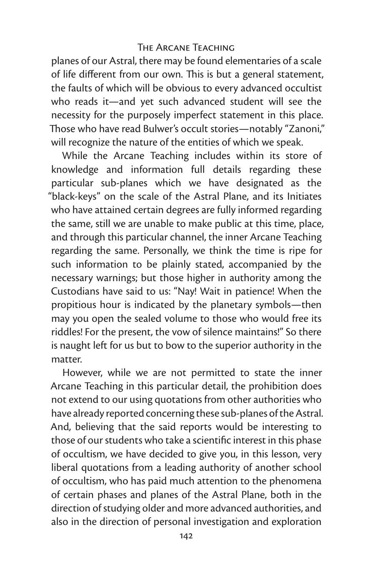planes of our Astral, there may be found elementaries of a scale of life different from our own. This is but a general statement, the faults of which will be obvious to every advanced occultist who reads it—and yet such advanced student will see the necessity for the purposely imperfect statement in this place. Those who have read Bulwer's occult stories—notably "Zanoni," will recognize the nature of the entities of which we speak.

While the Arcane Teaching includes within its store of knowledge and information full details regarding these particular sub‑planes which we have designated as the "black‑keys" on the scale of the Astral Plane, and its Initiates who have attained certain degrees are fully informed regarding the same, still we are unable to make public at this time, place, and through this particular channel, the inner Arcane Teaching regarding the same. Personally, we think the time is ripe for such information to be plainly stated, accompanied by the necessary warnings; but those higher in authority among the Custodians have said to us: "Nay! Wait in patience! When the propitious hour is indicated by the planetary symbols—then may you open the sealed volume to those who would free its riddles! For the present, the vow of silence maintains!" So there is naught left for us but to bow to the superior authority in the matter.

However, while we are not permitted to state the inner Arcane Teaching in this particular detail, the prohibition does not extend to our using quotations from other authorities who have already reported concerning these sub‑planes of the Astral. And, believing that the said reports would be interesting to those of our students who take a scientific interest in this phase of occultism, we have decided to give you, in this lesson, very liberal quotations from a leading authority of another school of occultism, who has paid much attention to the phenomena of certain phases and planes of the Astral Plane, both in the direction of studying older and more advanced authorities, and also in the direction of personal investigation and exploration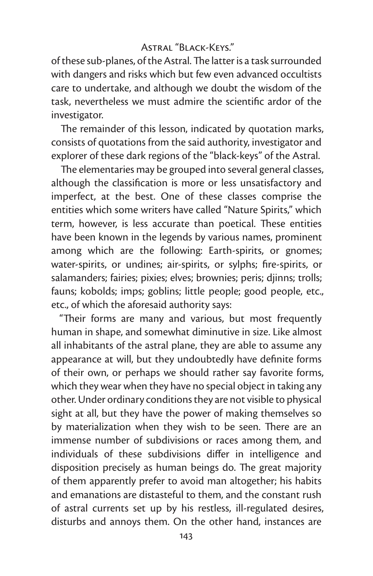### Astral "Black‑Keys."

of these sub‑planes, of the Astral. The latter is a task surrounded with dangers and risks which but few even advanced occultists care to undertake, and although we doubt the wisdom of the task, nevertheless we must admire the scientific ardor of the investigator.

The remainder of this lesson, indicated by quotation marks, consists of quotations from the said authority, investigator and explorer of these dark regions of the "black-keys" of the Astral.

The elementaries may be grouped into several general classes, although the classification is more or less unsatisfactory and imperfect, at the best. One of these classes comprise the entities which some writers have called "Nature Spirits," which term, however, is less accurate than poetical. These entities have been known in the legends by various names, prominent among which are the following: Earth-spirits, or gnomes; water-spirits, or undines; air-spirits, or sylphs; fire-spirits, or salamanders; fairies; pixies; elves; brownies; peris; djinns; trolls; fauns; kobolds; imps; goblins; little people; good people, etc., etc., of which the aforesaid authority says:

"Their forms are many and various, but most frequently human in shape, and somewhat diminutive in size. Like almost all inhabitants of the astral plane, they are able to assume any appearance at will, but they undoubtedly have definite forms of their own, or perhaps we should rather say favorite forms, which they wear when they have no special object in taking any other. Under ordinary conditions they are not visible to physical sight at all, but they have the power of making themselves so by materialization when they wish to be seen. There are an immense number of subdivisions or races among them, and individuals of these subdivisions differ in intelligence and disposition precisely as human beings do. The great majority of them apparently prefer to avoid man altogether; his habits and emanations are distasteful to them, and the constant rush of astral currents set up by his restless, ill‑regulated desires, disturbs and annoys them. On the other hand, instances are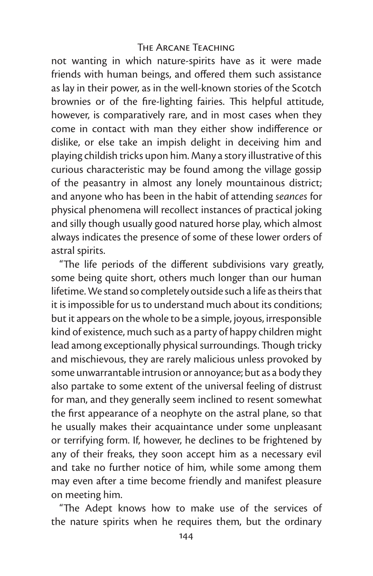not wanting in which nature‑spirits have as it were made friends with human beings, and offered them such assistance as lay in their power, as in the well-known stories of the Scotch brownies or of the fire‑lighting fairies. This helpful attitude, however, is comparatively rare, and in most cases when they come in contact with man they either show indifference or dislike, or else take an impish delight in deceiving him and playing childish tricks upon him. Many a story illustrative of this curious characteristic may be found among the village gossip of the peasantry in almost any lonely mountainous district; and anyone who has been in the habit of attending *seances* for physical phenomena will recollect instances of practical joking and silly though usually good natured horse play, which almost always indicates the presence of some of these lower orders of astral spirits.

"The life periods of the different subdivisions vary greatly, some being quite short, others much longer than our human lifetime. We stand so completely outside such a life as theirs that it is impossible for us to understand much about its conditions; but it appears on the whole to be a simple, joyous, irresponsible kind of existence, much such as a party of happy children might lead among exceptionally physical surroundings. Though tricky and mischievous, they are rarely malicious unless provoked by some unwarrantable intrusion or annoyance; but as a body they also partake to some extent of the universal feeling of distrust for man, and they generally seem inclined to resent somewhat the first appearance of a neophyte on the astral plane, so that he usually makes their acquaintance under some unpleasant or terrifying form. If, however, he declines to be frightened by any of their freaks, they soon accept him as a necessary evil and take no further notice of him, while some among them may even after a time become friendly and manifest pleasure on meeting him.

"The Adept knows how to make use of the services of the nature spirits when he requires them, but the ordinary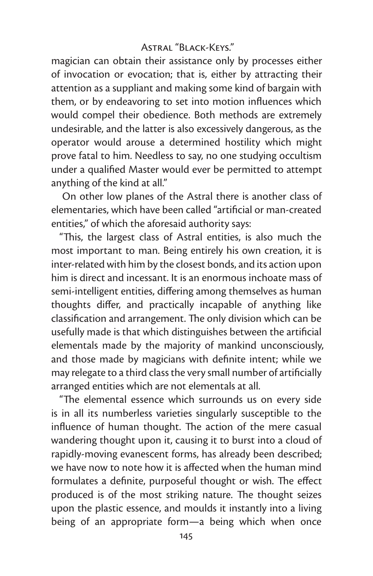magician can obtain their assistance only by processes either of invocation or evocation; that is, either by attracting their attention as a suppliant and making some kind of bargain with them, or by endeavoring to set into motion influences which would compel their obedience. Both methods are extremely undesirable, and the latter is also excessively dangerous, as the operator would arouse a determined hostility which might prove fatal to him. Needless to say, no one studying occultism under a qualified Master would ever be permitted to attempt anything of the kind at all."

On other low planes of the Astral there is another class of elementaries, which have been called "artificial or man‑created entities," of which the aforesaid authority says:

"This, the largest class of Astral entities, is also much the most important to man. Being entirely his own creation, it is inter-related with him by the closest bonds, and its action upon him is direct and incessant. It is an enormous inchoate mass of semi-intelligent entities, differing among themselves as human thoughts differ, and practically incapable of anything like classification and arrangement. The only division which can be usefully made is that which distinguishes between the artificial elementals made by the majority of mankind unconsciously, and those made by magicians with definite intent; while we may relegate to a third class the very small number of artificially arranged entities which are not elementals at all.

"The elemental essence which surrounds us on every side is in all its numberless varieties singularly susceptible to the influence of human thought. The action of the mere casual wandering thought upon it, causing it to burst into a cloud of rapidly-moving evanescent forms, has already been described; we have now to note how it is affected when the human mind formulates a definite, purposeful thought or wish. The effect produced is of the most striking nature. The thought seizes upon the plastic essence, and moulds it instantly into a living being of an appropriate form—a being which when once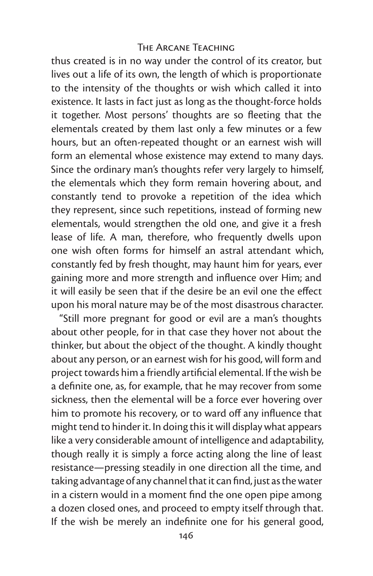thus created is in no way under the control of its creator, but lives out a life of its own, the length of which is proportionate to the intensity of the thoughts or wish which called it into existence. It lasts in fact just as long as the thought-force holds it together. Most persons' thoughts are so fleeting that the elementals created by them last only a few minutes or a few hours, but an often-repeated thought or an earnest wish will form an elemental whose existence may extend to many days. Since the ordinary man's thoughts refer very largely to himself, the elementals which they form remain hovering about, and constantly tend to provoke a repetition of the idea which they represent, since such repetitions, instead of forming new elementals, would strengthen the old one, and give it a fresh lease of life. A man, therefore, who frequently dwells upon one wish often forms for himself an astral attendant which, constantly fed by fresh thought, may haunt him for years, ever gaining more and more strength and influence over Him; and it will easily be seen that if the desire be an evil one the effect upon his moral nature may be of the most disastrous character.

"Still more pregnant for good or evil are a man's thoughts about other people, for in that case they hover not about the thinker, but about the object of the thought. A kindly thought about any person, or an earnest wish for his good, will form and project towards him a friendly artificial elemental. If the wish be a definite one, as, for example, that he may recover from some sickness, then the elemental will be a force ever hovering over him to promote his recovery, or to ward off any influence that might tend to hinder it. In doing this it will display what appears like a very considerable amount of intelligence and adaptability, though really it is simply a force acting along the line of least resistance—pressing steadily in one direction all the time, and taking advantage of any channel that it can find, just as the water in a cistern would in a moment find the one open pipe among a dozen closed ones, and proceed to empty itself through that. If the wish be merely an indefinite one for his general good,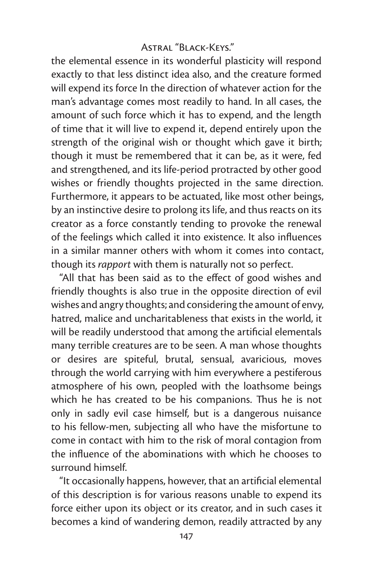### Astral "Black‑Keys."

the elemental essence in its wonderful plasticity will respond exactly to that less distinct idea also, and the creature formed will expend its force In the direction of whatever action for the man's advantage comes most readily to hand. In all cases, the amount of such force which it has to expend, and the length of time that it will live to expend it, depend entirely upon the strength of the original wish or thought which gave it birth; though it must be remembered that it can be, as it were, fed and strengthened, and its life‑period protracted by other good wishes or friendly thoughts projected in the same direction. Furthermore, it appears to be actuated, like most other beings, by an instinctive desire to prolong its life, and thus reacts on its creator as a force constantly tending to provoke the renewal of the feelings which called it into existence. It also influences in a similar manner others with whom it comes into contact, though its *rapport* with them is naturally not so perfect.

"All that has been said as to the effect of good wishes and friendly thoughts is also true in the opposite direction of evil wishes and angry thoughts; and considering the amount of envy, hatred, malice and uncharitableness that exists in the world, it will be readily understood that among the artificial elementals many terrible creatures are to be seen. A man whose thoughts or desires are spiteful, brutal, sensual, avaricious, moves through the world carrying with him everywhere a pestiferous atmosphere of his own, peopled with the loathsome beings which he has created to be his companions. Thus he is not only in sadly evil case himself, but is a dangerous nuisance to his fellow‑men, subjecting all who have the misfortune to come in contact with him to the risk of moral contagion from the influence of the abominations with which he chooses to surround himself.

"It occasionally happens, however, that an artificial elemental of this description is for various reasons unable to expend its force either upon its object or its creator, and in such cases it becomes a kind of wandering demon, readily attracted by any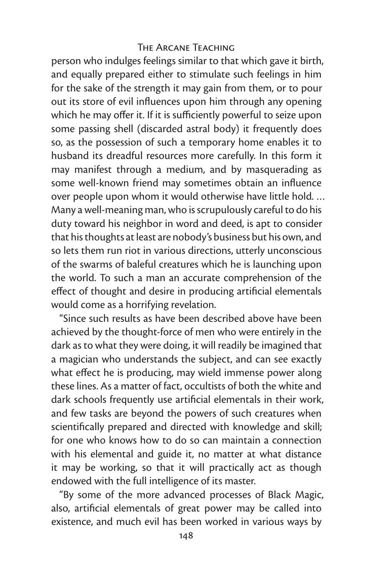person who indulges feelings similar to that which gave it birth, and equally prepared either to stimulate such feelings in him for the sake of the strength it may gain from them, or to pour out its store of evil influences upon him through any opening which he may offer it. If it is sufficiently powerful to seize upon some passing shell (discarded astral body) it frequently does so, as the possession of such a temporary home enables it to husband its dreadful resources more carefully. In this form it may manifest through a medium, and by masquerading as some well-known friend may sometimes obtain an influence over people upon whom it would otherwise have little hold. … Many a well-meaning man, who is scrupulously careful to do his duty toward his neighbor in word and deed, is apt to consider that his thoughts at least are nobody's business but his own, and so lets them run riot in various directions, utterly unconscious of the swarms of baleful creatures which he is launching upon the world. To such a man an accurate comprehension of the effect of thought and desire in producing artificial elementals would come as a horrifying revelation.

"Since such results as have been described above have been achieved by the thought-force of men who were entirely in the dark as to what they were doing, it will readily be imagined that a magician who understands the subject, and can see exactly what effect he is producing, may wield immense power along these lines. As a matter of fact, occultists of both the white and dark schools frequently use artificial elementals in their work, and few tasks are beyond the powers of such creatures when scientifically prepared and directed with knowledge and skill; for one who knows how to do so can maintain a connection with his elemental and guide it, no matter at what distance it may be working, so that it will practically act as though endowed with the full intelligence of its master.

"By some of the more advanced processes of Black Magic, also, artificial elementals of great power may be called into existence, and much evil has been worked in various ways by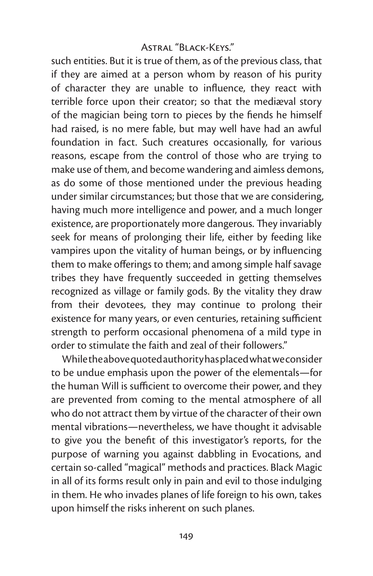Astral "Black‑Keys."

such entities. But it is true of them, as of the previous class, that if they are aimed at a person whom by reason of his purity of character they are unable to influence, they react with terrible force upon their creator; so that the mediæval story of the magician being torn to pieces by the fiends he himself had raised, is no mere fable, but may well have had an awful foundation in fact. Such creatures occasionally, for various reasons, escape from the control of those who are trying to make use of them, and become wandering and aimless demons, as do some of those mentioned under the previous heading under similar circumstances; but those that we are considering, having much more intelligence and power, and a much longer existence, are proportionately more dangerous. They invariably seek for means of prolonging their life, either by feeding like vampires upon the vitality of human beings, or by influencing them to make offerings to them; and among simple half savage tribes they have frequently succeeded in getting themselves recognized as village or family gods. By the vitality they draw from their devotees, they may continue to prolong their existence for many years, or even centuries, retaining sufficient strength to perform occasional phenomena of a mild type in order to stimulate the faith and zeal of their followers."

While the above quoted authority has placed what we consider to be undue emphasis upon the power of the elementals—for the human Will is sufficient to overcome their power, and they are prevented from coming to the mental atmosphere of all who do not attract them by virtue of the character of their own mental vibrations—nevertheless, we have thought it advisable to give you the benefit of this investigator's reports, for the purpose of warning you against dabbling in Evocations, and certain so-called "magical" methods and practices. Black Magic in all of its forms result only in pain and evil to those indulging in them. He who invades planes of life foreign to his own, takes upon himself the risks inherent on such planes.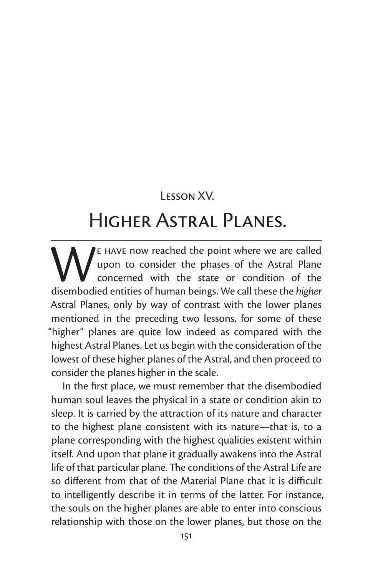## Lesson XV.

## Higher Astral Planes.

WE HAVE now reached the point where we are called<br>upon to consider the phases of the Astral Plane<br>concerned with the state or condition of the<br>disembodied entities of human beings. We call these the higher upon to consider the phases of the Astral Plane concerned with the state or condition of the disembodied entities of human beings. We call these the *higher* Astral Planes, only by way of contrast with the lower planes mentioned in the preceding two lessons, for some of these "higher" planes are quite low indeed as compared with the highest Astral Planes. Let us begin with the consideration of the lowest of these higher planes of the Astral, and then proceed to consider the planes higher in the scale.

In the first place, we must remember that the disembodied human soul leaves the physical in a state or condition akin to sleep. It is carried by the attraction of its nature and character to the highest plane consistent with its nature—that is, to a plane corresponding with the highest qualities existent within itself. And upon that plane it gradually awakens into the Astral life of that particular plane. The conditions of the Astral Life are so different from that of the Material Plane that it is difficult to intelligently describe it in terms of the latter. For instance, the souls on the higher planes are able to enter into conscious relationship with those on the lower planes, but those on the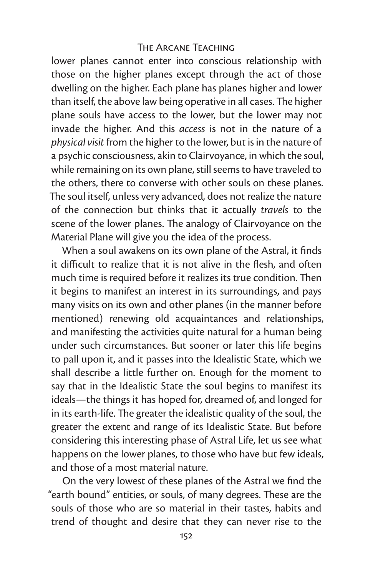lower planes cannot enter into conscious relationship with those on the higher planes except through the act of those dwelling on the higher. Each plane has planes higher and lower than itself, the above law being operative in all cases. The higher plane souls have access to the lower, but the lower may not invade the higher. And this *access* is not in the nature of a *physical visit* from the higher to the lower, but is in the nature of a psychic consciousness, akin to Clairvoyance, in which the soul, while remaining on its own plane, still seems to have traveled to the others, there to converse with other souls on these planes. The soul itself, unless very advanced, does not realize the nature of the connection but thinks that it actually *travels* to the scene of the lower planes. The analogy of Clairvoyance on the Material Plane will give you the idea of the process.

When a soul awakens on its own plane of the Astral, it finds it difficult to realize that it is not alive in the flesh, and often much time is required before it realizes its true condition. Then it begins to manifest an interest in its surroundings, and pays many visits on its own and other planes (in the manner before mentioned) renewing old acquaintances and relationships, and manifesting the activities quite natural for a human being under such circumstances. But sooner or later this life begins to pall upon it, and it passes into the Idealistic State, which we shall describe a little further on. Enough for the moment to say that in the Idealistic State the soul begins to manifest its ideals—the things it has hoped for, dreamed of, and longed for in its earth‑life. The greater the idealistic quality of the soul, the greater the extent and range of its Idealistic State. But before considering this interesting phase of Astral Life, let us see what happens on the lower planes, to those who have but few ideals, and those of a most material nature.

On the very lowest of these planes of the Astral we find the "earth bound" entities, or souls, of many degrees. These are the souls of those who are so material in their tastes, habits and trend of thought and desire that they can never rise to the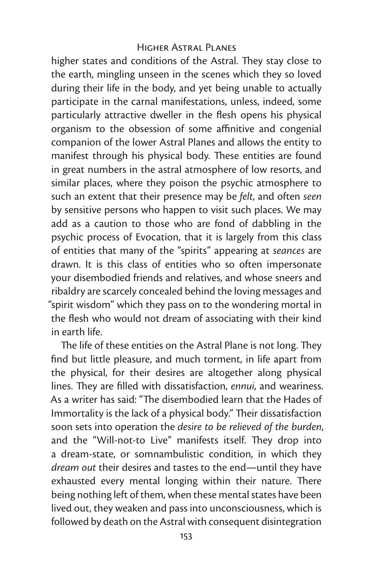higher states and conditions of the Astral. They stay close to the earth, mingling unseen in the scenes which they so loved during their life in the body, and yet being unable to actually participate in the carnal manifestations, unless, indeed, some particularly attractive dweller in the flesh opens his physical organism to the obsession of some affinitive and congenial companion of the lower Astral Planes and allows the entity to manifest through his physical body. These entities are found in great numbers in the astral atmosphere of low resorts, and similar places, where they poison the psychic atmosphere to such an extent that their presence may be *felt*, and often *seen* by sensitive persons who happen to visit such places. We may add as a caution to those who are fond of dabbling in the psychic process of Evocation, that it is largely from this class of entities that many of the "spirits" appearing at *seances* are drawn. It is this class of entities who so often impersonate your disembodied friends and relatives, and whose sneers and ribaldry are scarcely concealed behind the loving messages and "spirit wisdom" which they pass on to the wondering mortal in the flesh who would not dream of associating with their kind in earth life.

The life of these entities on the Astral Plane is not long. They find but little pleasure, and much torment, in life apart from the physical, for their desires are altogether along physical lines. They are filled with dissatisfaction, *ennui*, and weariness. As a writer has said: "The disembodied learn that the Hades of Immortality is the lack of a physical body." Their dissatisfaction soon sets into operation the *desire to be relieved of the burden*, and the "Will-not-to Live" manifests itself. They drop into a dream‑state, or somnambulistic condition, in which they *dream out* their desires and tastes to the end—until they have exhausted every mental longing within their nature. There being nothing left of them, when these mental states have been lived out, they weaken and pass into unconsciousness, which is followed by death on the Astral with consequent disintegration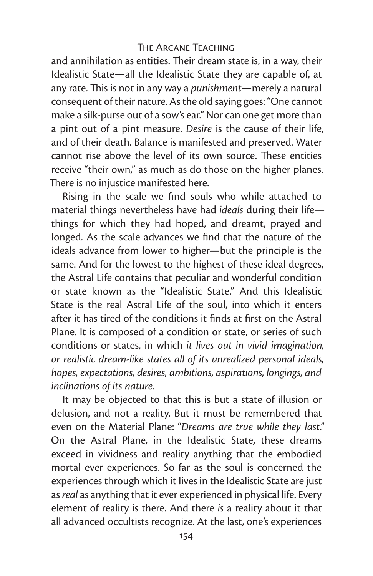and annihilation as entities. Their dream state is, in a way, their Idealistic State—all the Idealistic State they are capable of, at any rate. This is not in any way a *punishment*—merely a natural consequent of their nature. As the old saying goes: "One cannot make a silk‑purse out of a sow's ear." Nor can one get more than a pint out of a pint measure. *Desire* is the cause of their life, and of their death. Balance is manifested and preserved. Water cannot rise above the level of its own source. These entities receive "their own," as much as do those on the higher planes. There is no injustice manifested here.

Rising in the scale we find souls who while attached to material things nevertheless have had *ideals* during their life things for which they had hoped, and dreamt, prayed and longed. As the scale advances we find that the nature of the ideals advance from lower to higher—but the principle is the same. And for the lowest to the highest of these ideal degrees, the Astral Life contains that peculiar and wonderful condition or state known as the "Idealistic State." And this Idealistic State is the real Astral Life of the soul, into which it enters after it has tired of the conditions it finds at first on the Astral Plane. It is composed of a condition or state, or series of such conditions or states, in which *it lives out in vivid imagination, or realistic dream‑like states all of its unrealized personal ideals, hopes, expectations, desires, ambitions, aspirations, longings, and inclinations of its nature*.

It may be objected to that this is but a state of illusion or delusion, and not a reality. But it must be remembered that even on the Material Plane: "*Dreams are true while they last*." On the Astral Plane, in the Idealistic State, these dreams exceed in vividness and reality anything that the embodied mortal ever experiences. So far as the soul is concerned the experiences through which it lives in the Idealistic State are just as *real* as anything that it ever experienced in physical life. Every element of reality is there. And there *is* a reality about it that all advanced occultists recognize. At the last, one's experiences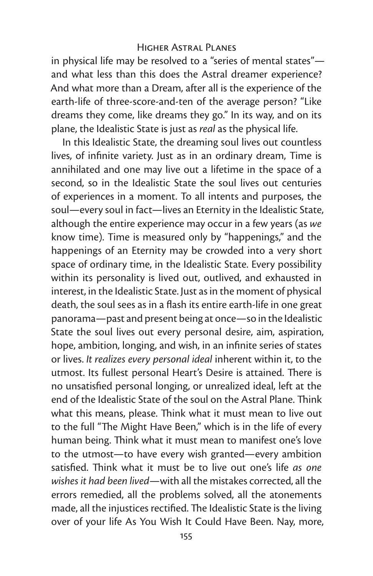in physical life may be resolved to a "series of mental states" and what less than this does the Astral dreamer experience? And what more than a Dream, after all is the experience of the earth-life of three-score-and-ten of the average person? "Like dreams they come, like dreams they go." In its way, and on its plane, the Idealistic State is just as *real* as the physical life.

In this Idealistic State, the dreaming soul lives out countless lives, of infinite variety. Just as in an ordinary dream, Time is annihilated and one may live out a lifetime in the space of a second, so in the Idealistic State the soul lives out centuries of experiences in a moment. To all intents and purposes, the soul—every soul in fact—lives an Eternity in the Idealistic State, although the entire experience may occur in a few years (as *we* know time). Time is measured only by "happenings," and the happenings of an Eternity may be crowded into a very short space of ordinary time, in the Idealistic State. Every possibility within its personality is lived out, outlived, and exhausted in interest, in the Idealistic State. Just as in the moment of physical death, the soul sees as in a flash its entire earth‑life in one great panorama—past and present being at once—so in the Idealistic State the soul lives out every personal desire, aim, aspiration, hope, ambition, longing, and wish, in an infinite series of states or lives. *It realizes every personal ideal* inherent within it, to the utmost. Its fullest personal Heart's Desire is attained. There is no unsatisfied personal longing, or unrealized ideal, left at the end of the Idealistic State of the soul on the Astral Plane. Think what this means, please. Think what it must mean to live out to the full "The Might Have Been," which is in the life of every human being. Think what it must mean to manifest one's love to the utmost—to have every wish granted—every ambition satisfied. Think what it must be to live out one's life *as one wishes it had been lived*—with all the mistakes corrected, all the errors remedied, all the problems solved, all the atonements made, all the injustices rectified. The Idealistic State is the living over of your life As You Wish It Could Have Been. Nay, more,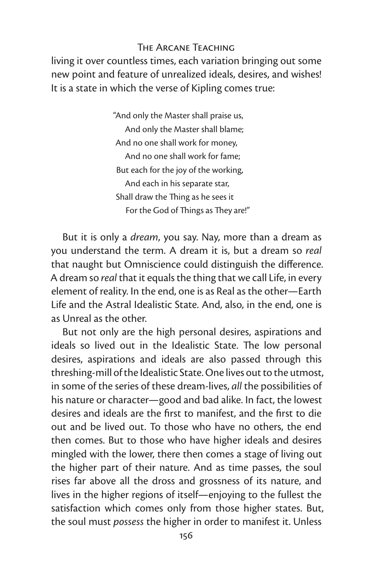living it over countless times, each variation bringing out some new point and feature of unrealized ideals, desires, and wishes! It is a state in which the verse of Kipling comes true:

> "And only the Master shall praise us, And only the Master shall blame; And no one shall work for money, And no one shall work for fame; But each for the joy of the working, And each in his separate star, Shall draw the Thing as he sees it For the God of Things as They are!"

But it is only a *dream*, you say. Nay, more than a dream as you understand the term. A dream it is, but a dream so *real* that naught but Omniscience could distinguish the difference. A dream so *real* that it equals the thing that we call Life, in every element of reality. In the end, one is as Real as the other—Earth Life and the Astral Idealistic State. And, also, in the end, one is as Unreal as the other.

But not only are the high personal desires, aspirations and ideals so lived out in the Idealistic State. The low personal desires, aspirations and ideals are also passed through this threshing‑mill of the Idealistic State. One lives out to the utmost, in some of the series of these dream‑lives, *all* the possibilities of his nature or character—good and bad alike. In fact, the lowest desires and ideals are the first to manifest, and the first to die out and be lived out. To those who have no others, the end then comes. But to those who have higher ideals and desires mingled with the lower, there then comes a stage of living out the higher part of their nature. And as time passes, the soul rises far above all the dross and grossness of its nature, and lives in the higher regions of itself—enjoying to the fullest the satisfaction which comes only from those higher states. But, the soul must *possess* the higher in order to manifest it. Unless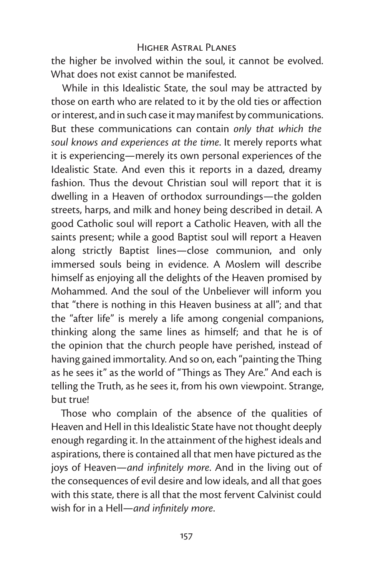#### Higher Astral Planes

the higher be involved within the soul, it cannot be evolved. What does not exist cannot be manifested.

While in this Idealistic State, the soul may be attracted by those on earth who are related to it by the old ties or affection or interest, and in such case it may manifest by communications. But these communications can contain *only that which the soul knows and experiences at the time*. It merely reports what it is experiencing—merely its own personal experiences of the Idealistic State. And even this it reports in a dazed, dreamy fashion. Thus the devout Christian soul will report that it is dwelling in a Heaven of orthodox surroundings—the golden streets, harps, and milk and honey being described in detail. A good Catholic soul will report a Catholic Heaven, with all the saints present; while a good Baptist soul will report a Heaven along strictly Baptist lines—close communion, and only immersed souls being in evidence. A Moslem will describe himself as enjoying all the delights of the Heaven promised by Mohammed. And the soul of the Unbeliever will inform you that "there is nothing in this Heaven business at all"; and that the "after life" is merely a life among congenial companions, thinking along the same lines as himself; and that he is of the opinion that the church people have perished, instead of having gained immortality. And so on, each "painting the Thing as he sees it" as the world of "Things as They Are." And each is telling the Truth, as he sees it, from his own viewpoint. Strange, but true!

Those who complain of the absence of the qualities of Heaven and Hell in this Idealistic State have not thought deeply enough regarding it. In the attainment of the highest ideals and aspirations, there is contained all that men have pictured as the joys of Heaven—*and infinitely more*. And in the living out of the consequences of evil desire and low ideals, and all that goes with this state, there is all that the most fervent Calvinist could wish for in a Hell—*and infinitely more*.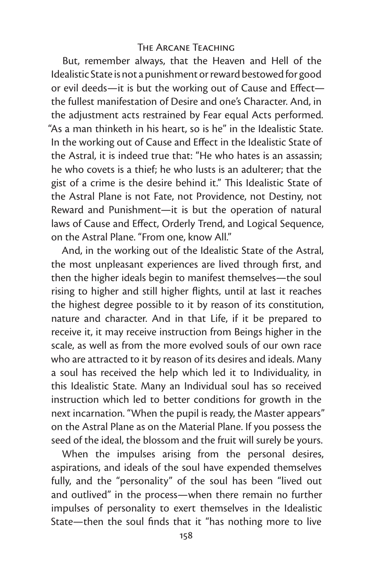But, remember always, that the Heaven and Hell of the Idealistic State is not a punishment or reward bestowed for good or evil deeds—it is but the working out of Cause and Effect the fullest manifestation of Desire and one's Character. And, in the adjustment acts restrained by Fear equal Acts performed. "As a man thinketh in his heart, so is he" in the Idealistic State. In the working out of Cause and Effect in the Idealistic State of the Astral, it is indeed true that: "He who hates is an assassin; he who covets is a thief; he who lusts is an adulterer; that the gist of a crime is the desire behind it." This Idealistic State of the Astral Plane is not Fate, not Providence, not Destiny, not Reward and Punishment—it is but the operation of natural laws of Cause and Effect, Orderly Trend, and Logical Sequence, on the Astral Plane. "From one, know All."

And, in the working out of the Idealistic State of the Astral, the most unpleasant experiences are lived through first, and then the higher ideals begin to manifest themselves—the soul rising to higher and still higher flights, until at last it reaches the highest degree possible to it by reason of its constitution, nature and character. And in that Life, if it be prepared to receive it, it may receive instruction from Beings higher in the scale, as well as from the more evolved souls of our own race who are attracted to it by reason of its desires and ideals. Many a soul has received the help which led it to Individuality, in this Idealistic State. Many an Individual soul has so received instruction which led to better conditions for growth in the next incarnation. "When the pupil is ready, the Master appears" on the Astral Plane as on the Material Plane. If you possess the seed of the ideal, the blossom and the fruit will surely be yours.

When the impulses arising from the personal desires, aspirations, and ideals of the soul have expended themselves fully, and the "personality" of the soul has been "lived out and outlived" in the process—when there remain no further impulses of personality to exert themselves in the Idealistic State—then the soul finds that it "has nothing more to live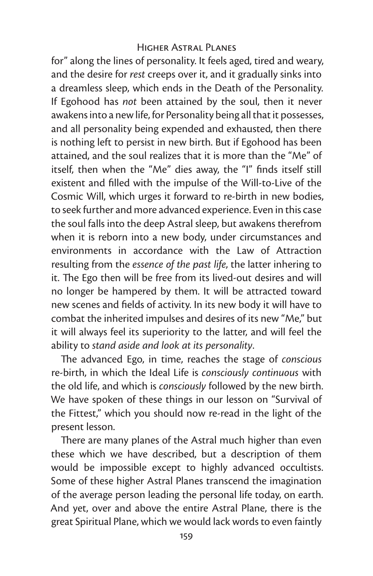#### Higher Astral Planes

for" along the lines of personality. It feels aged, tired and weary, and the desire for *rest* creeps over it, and it gradually sinks into a dreamless sleep, which ends in the Death of the Personality. If Egohood has *not* been attained by the soul, then it never awakens into a new life, for Personality being all that it possesses, and all personality being expended and exhausted, then there is nothing left to persist in new birth. But if Egohood has been attained, and the soul realizes that it is more than the "Me" of itself, then when the "Me" dies away, the "I" finds itself still existent and filled with the impulse of the Will-to-Live of the Cosmic Will, which urges it forward to re‑birth in new bodies, to seek further and more advanced experience. Even in this case the soul falls into the deep Astral sleep, but awakens therefrom when it is reborn into a new body, under circumstances and environments in accordance with the Law of Attraction resulting from the *essence of the past life*, the latter inhering to it. The Ego then will be free from its lived-out desires and will no longer be hampered by them. It will be attracted toward new scenes and fields of activity. In its new body it will have to combat the inherited impulses and desires of its new "Me," but it will always feel its superiority to the latter, and will feel the ability to *stand aside and look at its personality*.

The advanced Ego, in time, reaches the stage of *conscious* re‑birth, in which the Ideal Life is *consciously continuous* with the old life, and which is *consciously* followed by the new birth. We have spoken of these things in our lesson on "Survival of the Fittest," which you should now re‑read in the light of the present lesson.

There are many planes of the Astral much higher than even these which we have described, but a description of them would be impossible except to highly advanced occultists. Some of these higher Astral Planes transcend the imagination of the average person leading the personal life today, on earth. And yet, over and above the entire Astral Plane, there is the great Spiritual Plane, which we would lack words to even faintly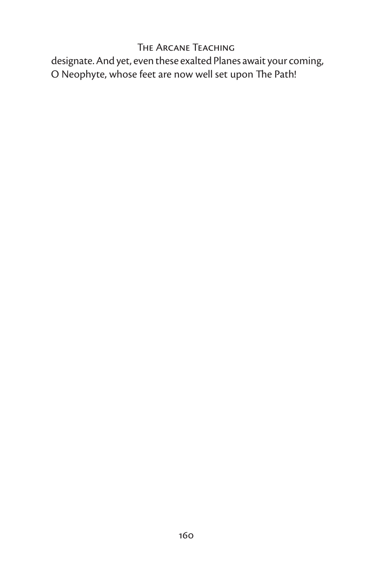designate. And yet, even these exalted Planes await your coming, O Neophyte, whose feet are now well set upon The Path!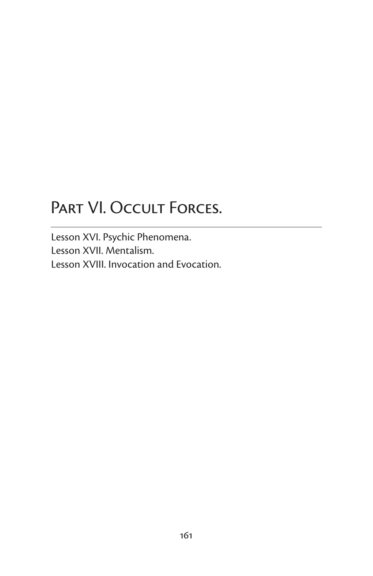## PART VI. OCCULT FORCES.

Lesson XVI. Psychic Phenomena. Lesson XVII. Mentalism. Lesson XVIII. Invocation and Evocation.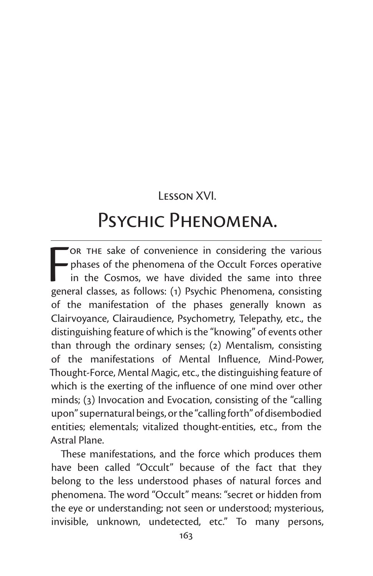## Lesson XVI.

## Psychic Phenomena.

OR THE sake of convenience in considering the various<br>phases of the phenomena of the Occult Forces operative<br>in the Cosmos, we have divided the same into three<br>general classes, as follows: (1) Psychic Phenomena, consisting **OR THE sake of convenience in considering the various** phases of the phenomena of the Occult Forces operative in the Cosmos, we have divided the same into three of the manifestation of the phases generally known as Clairvoyance, Clairaudience, Psychometry, Telepathy, etc., the distinguishing feature of which is the "knowing" of events other than through the ordinary senses; (2) Mentalism, consisting of the manifestations of Mental Influence, Mind‑Power, Thought-Force, Mental Magic, etc., the distinguishing feature of which is the exerting of the influence of one mind over other minds; (3) Invocation and Evocation, consisting of the "calling upon" supernatural beings, or the "calling forth" of disembodied entities; elementals; vitalized thought-entities, etc., from the Astral Plane.

These manifestations, and the force which produces them have been called "Occult" because of the fact that they belong to the less understood phases of natural forces and phenomena. The word "Occult" means: "secret or hidden from the eye or understanding; not seen or understood; mysterious, invisible, unknown, undetected, etc." To many persons,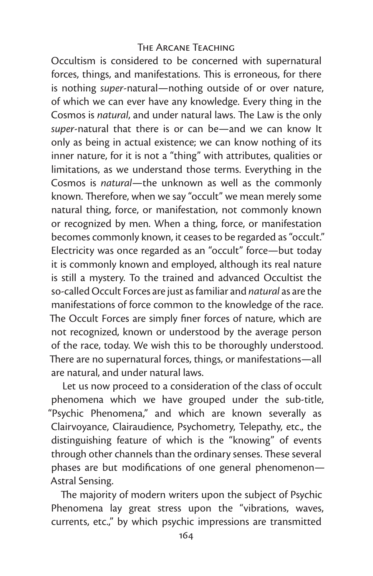Occultism is considered to be concerned with supernatural forces, things, and manifestations. This is erroneous, for there is nothing *super*‑natural—nothing outside of or over nature, of which we can ever have any knowledge. Every thing in the Cosmos is *natural*, and under natural laws. The Law is the only *super*‑natural that there is or can be—and we can know It only as being in actual existence; we can know nothing of its inner nature, for it is not a "thing" with attributes, qualities or limitations, as we understand those terms. Everything in the Cosmos is *natural*—the unknown as well as the commonly known. Therefore, when we say "occult" we mean merely some natural thing, force, or manifestation, not commonly known or recognized by men. When a thing, force, or manifestation becomes commonly known, it ceases to be regarded as "occult." Electricity was once regarded as an "occult" force—but today it is commonly known and employed, although its real nature is still a mystery. To the trained and advanced Occultist the so‑called Occult Forces are just as familiar and *natural* as are the manifestations of force common to the knowledge of the race. The Occult Forces are simply finer forces of nature, which are not recognized, known or understood by the average person of the race, today. We wish this to be thoroughly understood. There are no supernatural forces, things, or manifestations—all are natural, and under natural laws.

Let us now proceed to a consideration of the class of occult phenomena which we have grouped under the sub-title, "Psychic Phenomena," and which are known severally as Clairvoyance, Clairaudience, Psychometry, Telepathy, etc., the distinguishing feature of which is the "knowing" of events through other channels than the ordinary senses. These several phases are but modifications of one general phenomenon— Astral Sensing.

The majority of modern writers upon the subject of Psychic Phenomena lay great stress upon the "vibrations, waves, currents, etc.," by which psychic impressions are transmitted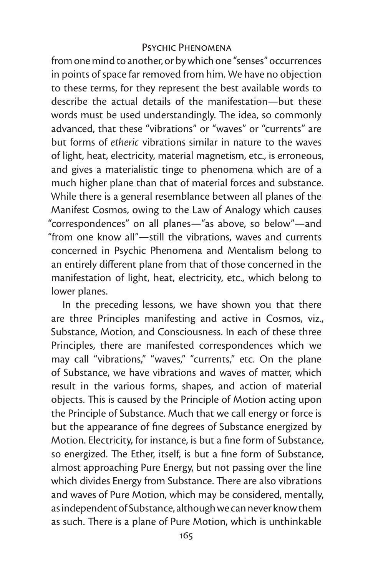#### Psychic Phenomena

from one mind to another, or by which one "senses" occurrences in points of space far removed from him. We have no objection to these terms, for they represent the best available words to describe the actual details of the manifestation—but these words must be used understandingly. The idea, so commonly advanced, that these "vibrations" or "waves" or "currents" are but forms of *etheric* vibrations similar in nature to the waves of light, heat, electricity, material magnetism, etc., is erroneous, and gives a materialistic tinge to phenomena which are of a much higher plane than that of material forces and substance. While there is a general resemblance between all planes of the Manifest Cosmos, owing to the Law of Analogy which causes "correspondences" on all planes—"as above, so below"—and "from one know all"—still the vibrations, waves and currents concerned in Psychic Phenomena and Mentalism belong to an entirely different plane from that of those concerned in the manifestation of light, heat, electricity, etc., which belong to lower planes.

In the preceding lessons, we have shown you that there are three Principles manifesting and active in Cosmos, viz., Substance, Motion, and Consciousness. In each of these three Principles, there are manifested correspondences which we may call "vibrations," "waves," "currents," etc. On the plane of Substance, we have vibrations and waves of matter, which result in the various forms, shapes, and action of material objects. This is caused by the Principle of Motion acting upon the Principle of Substance. Much that we call energy or force is but the appearance of fine degrees of Substance energized by Motion. Electricity, for instance, is but a fine form of Substance, so energized. The Ether, itself, is but a fine form of Substance, almost approaching Pure Energy, but not passing over the line which divides Energy from Substance. There are also vibrations and waves of Pure Motion, which may be considered, mentally, as independent of Substance, although we can never know them as such. There is a plane of Pure Motion, which is unthinkable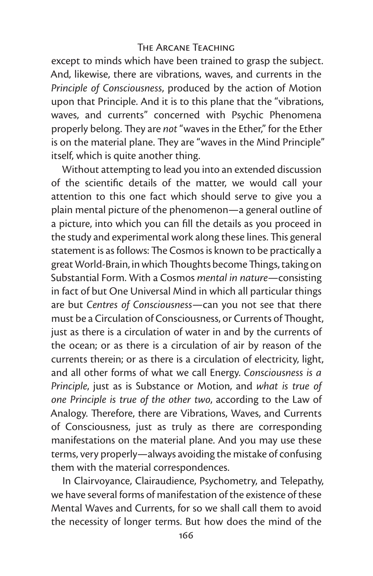except to minds which have been trained to grasp the subject. And, likewise, there are vibrations, waves, and currents in the *Principle of Consciousness*, produced by the action of Motion upon that Principle. And it is to this plane that the "vibrations, waves, and currents" concerned with Psychic Phenomena properly belong. They are *not* "waves in the Ether," for the Ether is on the material plane. They are "waves in the Mind Principle" itself, which is quite another thing.

Without attempting to lead you into an extended discussion of the scientific details of the matter, we would call your attention to this one fact which should serve to give you a plain mental picture of the phenomenon—a general outline of a picture, into which you can fill the details as you proceed in the study and experimental work along these lines. This general statement is as follows: The Cosmos is known to be practically a great World‑Brain, in which Thoughts become Things, taking on Substantial Form. With a Cosmos *mental in nature*—consisting in fact of but One Universal Mind in which all particular things are but *Centres of Consciousness*—can you not see that there must be a Circulation of Consciousness, or Currents of Thought, just as there is a circulation of water in and by the currents of the ocean; or as there is a circulation of air by reason of the currents therein; or as there is a circulation of electricity, light, and all other forms of what we call Energy. *Consciousness is a Principle*, just as is Substance or Motion, and *what is true of one Principle is true of the other two*, according to the Law of Analogy. Therefore, there are Vibrations, Waves, and Currents of Consciousness, just as truly as there are corresponding manifestations on the material plane. And you may use these terms, very properly—always avoiding the mistake of confusing them with the material correspondences.

In Clairvoyance, Clairaudience, Psychometry, and Telepathy, we have several forms of manifestation of the existence of these Mental Waves and Currents, for so we shall call them to avoid the necessity of longer terms. But how does the mind of the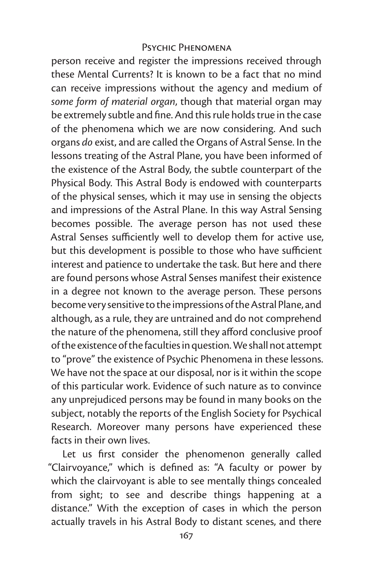#### Psychic Phenomena

person receive and register the impressions received through these Mental Currents? It is known to be a fact that no mind can receive impressions without the agency and medium of *some form of material organ*, though that material organ may be extremely subtle and fine. And this rule holds true in the case of the phenomena which we are now considering. And such organs *do* exist, and are called the Organs of Astral Sense. In the lessons treating of the Astral Plane, you have been informed of the existence of the Astral Body, the subtle counterpart of the Physical Body. This Astral Body is endowed with counterparts of the physical senses, which it may use in sensing the objects and impressions of the Astral Plane. In this way Astral Sensing becomes possible. The average person has not used these Astral Senses sufficiently well to develop them for active use, but this development is possible to those who have sufficient interest and patience to undertake the task. But here and there are found persons whose Astral Senses manifest their existence in a degree not known to the average person. These persons become very sensitive to the impressions of the Astral Plane, and although, as a rule, they are untrained and do not comprehend the nature of the phenomena, still they afford conclusive proof of the existence of the faculties in question. We shall not attempt to "prove" the existence of Psychic Phenomena in these lessons. We have not the space at our disposal, nor is it within the scope of this particular work. Evidence of such nature as to convince any unprejudiced persons may be found in many books on the subject, notably the reports of the English Society for Psychical Research. Moreover many persons have experienced these facts in their own lives.

Let us first consider the phenomenon generally called "Clairvoyance," which is defined as: "A faculty or power by which the clairvoyant is able to see mentally things concealed from sight; to see and describe things happening at a distance." With the exception of cases in which the person actually travels in his Astral Body to distant scenes, and there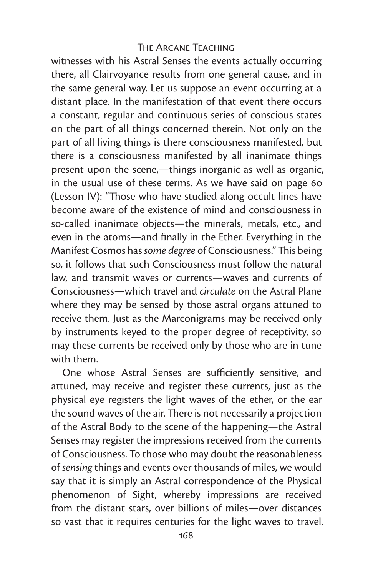witnesses with his Astral Senses the events actually occurring there, all Clairvoyance results from one general cause, and in the same general way. Let us suppose an event occurring at a distant place. In the manifestation of that event there occurs a constant, regular and continuous series of conscious states on the part of all things concerned therein. Not only on the part of all living things is there consciousness manifested, but there is a consciousness manifested by all inanimate things present upon the scene,—things inorganic as well as organic, in the usual use of these terms. As we have said on page 60 (Lesson IV): "Those who have studied along occult lines have become aware of the existence of mind and consciousness in so-called inanimate objects—the minerals, metals, etc., and even in the atoms—and finally in the Ether. Everything in the Manifest Cosmos has *some degree* of Consciousness." This being so, it follows that such Consciousness must follow the natural law, and transmit waves or currents—waves and currents of Consciousness—which travel and *circulate* on the Astral Plane where they may be sensed by those astral organs attuned to receive them. Just as the Marconigrams may be received only by instruments keyed to the proper degree of receptivity, so may these currents be received only by those who are in tune with them.

One whose Astral Senses are sufficiently sensitive, and attuned, may receive and register these currents, just as the physical eye registers the light waves of the ether, or the ear the sound waves of the air. There is not necessarily a projection of the Astral Body to the scene of the happening—the Astral Senses may register the impressions received from the currents of Consciousness. To those who may doubt the reasonableness of *sensing* things and events over thousands of miles, we would say that it is simply an Astral correspondence of the Physical phenomenon of Sight, whereby impressions are received from the distant stars, over billions of miles—over distances so vast that it requires centuries for the light waves to travel.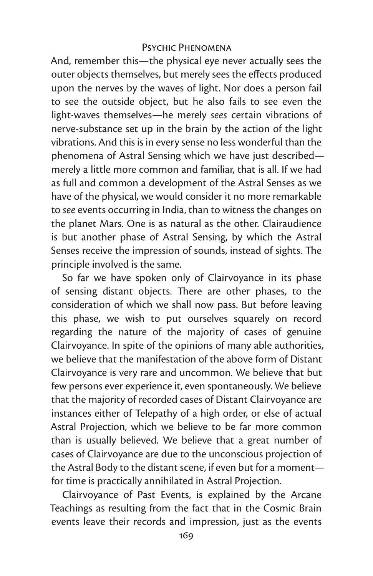And, remember this—the physical eye never actually sees the outer objects themselves, but merely sees the effects produced upon the nerves by the waves of light. Nor does a person fail to see the outside object, but he also fails to see even the light‑waves themselves—he merely *sees* certain vibrations of nerve‑substance set up in the brain by the action of the light vibrations. And this is in every sense no less wonderful than the phenomena of Astral Sensing which we have just described merely a little more common and familiar, that is all. If we had as full and common a development of the Astral Senses as we have of the physical, we would consider it no more remarkable to *see* events occurring in India, than to witness the changes on the planet Mars. One is as natural as the other. Clairaudience is but another phase of Astral Sensing, by which the Astral Senses receive the impression of sounds, instead of sights. The principle involved is the same.

So far we have spoken only of Clairvoyance in its phase of sensing distant objects. There are other phases, to the consideration of which we shall now pass. But before leaving this phase, we wish to put ourselves squarely on record regarding the nature of the majority of cases of genuine Clairvoyance. In spite of the opinions of many able authorities, we believe that the manifestation of the above form of Distant Clairvoyance is very rare and uncommon. We believe that but few persons ever experience it, even spontaneously. We believe that the majority of recorded cases of Distant Clairvoyance are instances either of Telepathy of a high order, or else of actual Astral Projection, which we believe to be far more common than is usually believed. We believe that a great number of cases of Clairvoyance are due to the unconscious projection of the Astral Body to the distant scene, if even but for a moment for time is practically annihilated in Astral Projection.

Clairvoyance of Past Events, is explained by the Arcane Teachings as resulting from the fact that in the Cosmic Brain events leave their records and impression, just as the events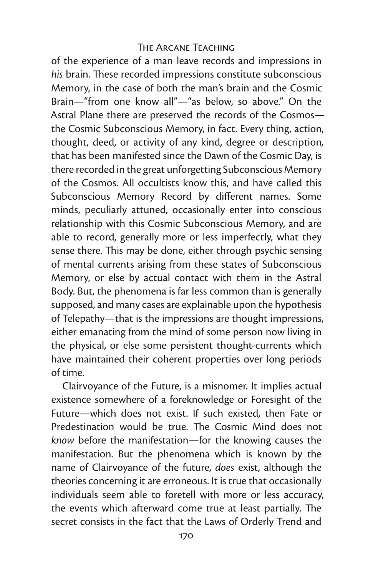of the experience of a man leave records and impressions in *his* brain. These recorded impressions constitute subconscious Memory, in the case of both the man's brain and the Cosmic Brain—"from one know all"—"as below, so above." On the Astral Plane there are preserved the records of the Cosmos the Cosmic Subconscious Memory, in fact. Every thing, action, thought, deed, or activity of any kind, degree or description, that has been manifested since the Dawn of the Cosmic Day, is there recorded in the great unforgetting Subconscious Memory of the Cosmos. All occultists know this, and have called this Subconscious Memory Record by different names. Some minds, peculiarly attuned, occasionally enter into conscious relationship with this Cosmic Subconscious Memory, and are able to record, generally more or less imperfectly, what they sense there. This may be done, either through psychic sensing of mental currents arising from these states of Subconscious Memory, or else by actual contact with them in the Astral Body. But, the phenomena is far less common than is generally supposed, and many cases are explainable upon the hypothesis of Telepathy—that is the impressions are thought impressions, either emanating from the mind of some person now living in the physical, or else some persistent thought-currents which have maintained their coherent properties over long periods of time.

Clairvoyance of the Future, is a misnomer. It implies actual existence somewhere of a foreknowledge or Foresight of the Future—which does not exist. If such existed, then Fate or Predestination would be true. The Cosmic Mind does not *know* before the manifestation—for the knowing causes the manifestation. But the phenomena which is known by the name of Clairvoyance of the future, *does* exist, although the theories concerning it are erroneous. It is true that occasionally individuals seem able to foretell with more or less accuracy, the events which afterward come true at least partially. The secret consists in the fact that the Laws of Orderly Trend and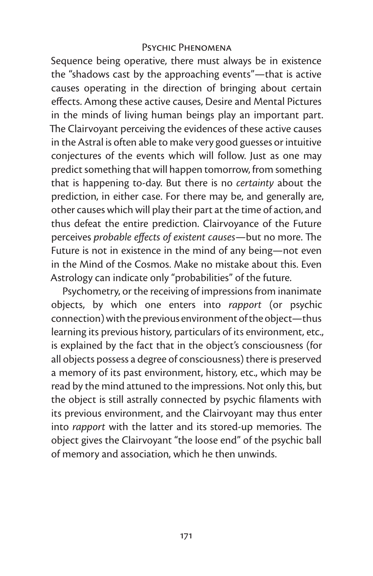#### Psychic Phenomena

Sequence being operative, there must always be in existence the "shadows cast by the approaching events"—that is active causes operating in the direction of bringing about certain effects. Among these active causes, Desire and Mental Pictures in the minds of living human beings play an important part. The Clairvoyant perceiving the evidences of these active causes in the Astral is often able to make very good guesses or intuitive conjectures of the events which will follow. Just as one may predict something that will happen tomorrow, from something that is happening to‑day. But there is no *certainty* about the prediction, in either case. For there may be, and generally are, other causes which will play their part at the time of action, and thus defeat the entire prediction. Clairvoyance of the Future perceives *probable effects of existent causes*—but no more. The Future is not in existence in the mind of any being—not even in the Mind of the Cosmos. Make no mistake about this. Even Astrology can indicate only "probabilities" of the future.

Psychometry, or the receiving of impressions from inanimate objects, by which one enters into *rapport* (or psychic connection) with the previous environment of the object—thus learning its previous history, particulars of its environment, etc., is explained by the fact that in the object's consciousness (for all objects possess a degree of consciousness) there is preserved a memory of its past environment, history, etc., which may be read by the mind attuned to the impressions. Not only this, but the object is still astrally connected by psychic filaments with its previous environment, and the Clairvoyant may thus enter into *rapport* with the latter and its stored‑up memories. The object gives the Clairvoyant "the loose end" of the psychic ball of memory and association, which he then unwinds.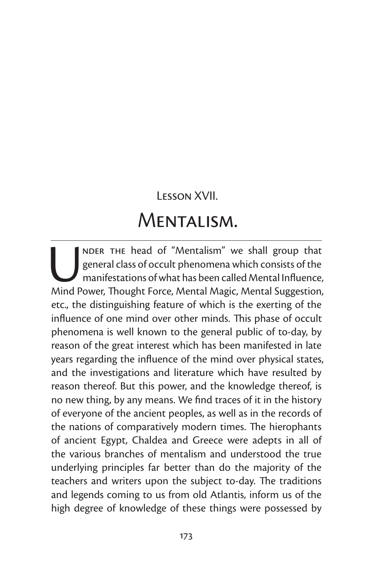## Lesson XVII.

## Mentalism.

NDER THE head of "Mentalism" we shall group that<br>general class of occult phenomena which consists of the<br>manifestations of what has been called Mental Influence,<br>Mind Power Thought Force Mental Magic Mental Suggestion general class of occult phenomena which consists of the manifestations of what has been called Mental Influence, Mind Power, Thought Force, Mental Magic, Mental Suggestion, etc., the distinguishing feature of which is the exerting of the influence of one mind over other minds. This phase of occult phenomena is well known to the general public of to‑day, by reason of the great interest which has been manifested in late years regarding the influence of the mind over physical states, and the investigations and literature which have resulted by reason thereof. But this power, and the knowledge thereof, is no new thing, by any means. We find traces of it in the history of everyone of the ancient peoples, as well as in the records of the nations of comparatively modern times. The hierophants of ancient Egypt, Chaldea and Greece were adepts in all of the various branches of mentalism and understood the true underlying principles far better than do the majority of the teachers and writers upon the subject to‑day. The traditions and legends coming to us from old Atlantis, inform us of the high degree of knowledge of these things were possessed by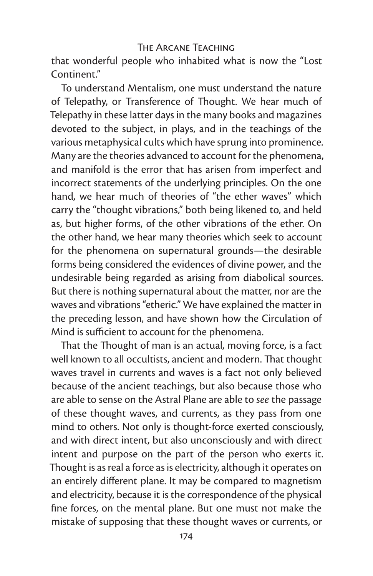that wonderful people who inhabited what is now the "Lost Continent."

To understand Mentalism, one must understand the nature of Telepathy, or Transference of Thought. We hear much of Telepathy in these latter days in the many books and magazines devoted to the subject, in plays, and in the teachings of the various metaphysical cults which have sprung into prominence. Many are the theories advanced to account for the phenomena, and manifold is the error that has arisen from imperfect and incorrect statements of the underlying principles. On the one hand, we hear much of theories of "the ether waves" which carry the "thought vibrations," both being likened to, and held as, but higher forms, of the other vibrations of the ether. On the other hand, we hear many theories which seek to account for the phenomena on supernatural grounds—the desirable forms being considered the evidences of divine power, and the undesirable being regarded as arising from diabolical sources. But there is nothing supernatural about the matter, nor are the waves and vibrations "etheric." We have explained the matter in the preceding lesson, and have shown how the Circulation of Mind is sufficient to account for the phenomena.

That the Thought of man is an actual, moving force, is a fact well known to all occultists, ancient and modern. That thought waves travel in currents and waves is a fact not only believed because of the ancient teachings, but also because those who are able to sense on the Astral Plane are able to *see* the passage of these thought waves, and currents, as they pass from one mind to others. Not only is thought-force exerted consciously, and with direct intent, but also unconsciously and with direct intent and purpose on the part of the person who exerts it. Thought is as real a force as is electricity, although it operates on an entirely different plane. It may be compared to magnetism and electricity, because it is the correspondence of the physical fine forces, on the mental plane. But one must not make the mistake of supposing that these thought waves or currents, or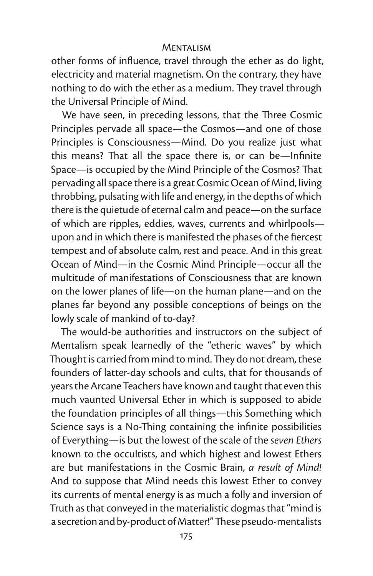## **MENTALISM**

other forms of influence, travel through the ether as do light, electricity and material magnetism. On the contrary, they have nothing to do with the ether as a medium. They travel through the Universal Principle of Mind.

We have seen, in preceding lessons, that the Three Cosmic Principles pervade all space—the Cosmos—and one of those Principles is Consciousness—Mind. Do you realize just what this means? That all the space there is, or can be—Infinite Space—is occupied by the Mind Principle of the Cosmos? That pervading all space there is a great Cosmic Ocean of Mind, living throbbing, pulsating with life and energy, in the depths of which there is the quietude of eternal calm and peace—on the surface of which are ripples, eddies, waves, currents and whirlpools upon and in which there is manifested the phases of the fiercest tempest and of absolute calm, rest and peace. And in this great Ocean of Mind—in the Cosmic Mind Principle—occur all the multitude of manifestations of Consciousness that are known on the lower planes of life—on the human plane—and on the planes far beyond any possible conceptions of beings on the lowly scale of mankind of to-day?

The would-be authorities and instructors on the subject of Mentalism speak learnedly of the "etheric waves" by which Thought is carried from mind to mind. They do not dream, these founders of latter‑day schools and cults, that for thousands of years the Arcane Teachers have known and taught that even this much vaunted Universal Ether in which is supposed to abide the foundation principles of all things—this Something which Science says is a No‑Thing containing the infinite possibilities of Everything—is but the lowest of the scale of the *seven Ethers* known to the occultists, and which highest and lowest Ethers are but manifestations in the Cosmic Brain, *a result of Mind!* And to suppose that Mind needs this lowest Ether to convey its currents of mental energy is as much a folly and inversion of Truth as that conveyed in the materialistic dogmas that "mind is a secretion and by‑product of Matter!" These pseudo‑mentalists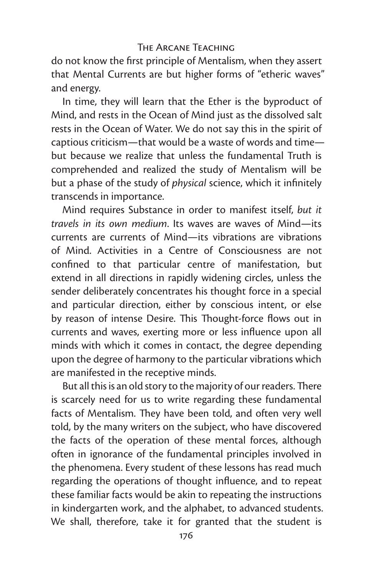do not know the first principle of Mentalism, when they assert that Mental Currents are but higher forms of "etheric waves" and energy.

In time, they will learn that the Ether is the byproduct of Mind, and rests in the Ocean of Mind just as the dissolved salt rests in the Ocean of Water. We do not say this in the spirit of captious criticism—that would be a waste of words and time but because we realize that unless the fundamental Truth is comprehended and realized the study of Mentalism will be but a phase of the study of *physical* science, which it infinitely transcends in importance.

Mind requires Substance in order to manifest itself, *but it travels in its own medium*. Its waves are waves of Mind—its currents are currents of Mind—its vibrations are vibrations of Mind. Activities in a Centre of Consciousness are not confined to that particular centre of manifestation, but extend in all directions in rapidly widening circles, unless the sender deliberately concentrates his thought force in a special and particular direction, either by conscious intent, or else by reason of intense Desire. This Thought-force flows out in currents and waves, exerting more or less influence upon all minds with which it comes in contact, the degree depending upon the degree of harmony to the particular vibrations which are manifested in the receptive minds.

But all this is an old story to the majority of our readers. There is scarcely need for us to write regarding these fundamental facts of Mentalism. They have been told, and often very well told, by the many writers on the subject, who have discovered the facts of the operation of these mental forces, although often in ignorance of the fundamental principles involved in the phenomena. Every student of these lessons has read much regarding the operations of thought influence, and to repeat these familiar facts would be akin to repeating the instructions in kindergarten work, and the alphabet, to advanced students. We shall, therefore, take it for granted that the student is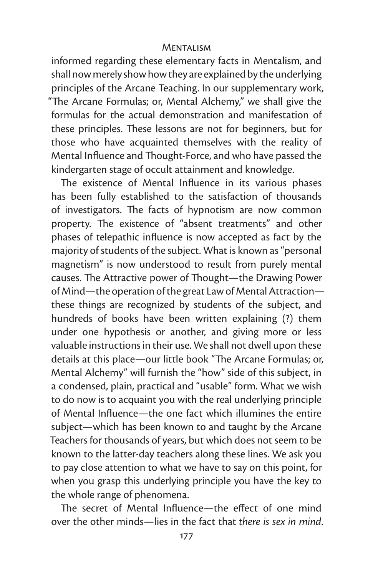### **MENTALISM**

informed regarding these elementary facts in Mentalism, and shall now merely show how they are explained by the underlying principles of the Arcane Teaching. In our supplementary work, "The Arcane Formulas; or, Mental Alchemy," we shall give the formulas for the actual demonstration and manifestation of these principles. These lessons are not for beginners, but for those who have acquainted themselves with the reality of Mental Influence and Thought‑Force, and who have passed the kindergarten stage of occult attainment and knowledge.

The existence of Mental Influence in its various phases has been fully established to the satisfaction of thousands of investigators. The facts of hypnotism are now common property. The existence of "absent treatments" and other phases of telepathic influence is now accepted as fact by the majority of students of the subject. What is known as "personal magnetism" is now understood to result from purely mental causes. The Attractive power of Thought—the Drawing Power of Mind—the operation of the great Law of Mental Attraction these things are recognized by students of the subject, and hundreds of books have been written explaining (?) them under one hypothesis or another, and giving more or less valuable instructions in their use. We shall not dwell upon these details at this place—our little book "The Arcane Formulas; or, Mental Alchemy" will furnish the "how" side of this subject, in a condensed, plain, practical and "usable" form. What we wish to do now is to acquaint you with the real underlying principle of Mental Influence—the one fact which illumines the entire subject—which has been known to and taught by the Arcane Teachers for thousands of years, but which does not seem to be known to the latter-day teachers along these lines. We ask you to pay close attention to what we have to say on this point, for when you grasp this underlying principle you have the key to the whole range of phenomena.

The secret of Mental Influence—the effect of one mind over the other minds—lies in the fact that *there is sex in mind*.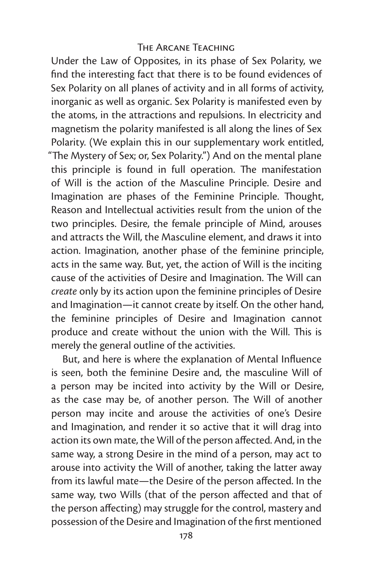Under the Law of Opposites, in its phase of Sex Polarity, we find the interesting fact that there is to be found evidences of Sex Polarity on all planes of activity and in all forms of activity, inorganic as well as organic. Sex Polarity is manifested even by the atoms, in the attractions and repulsions. In electricity and magnetism the polarity manifested is all along the lines of Sex Polarity. (We explain this in our supplementary work entitled, "The Mystery of Sex; or, Sex Polarity.") And on the mental plane this principle is found in full operation. The manifestation of Will is the action of the Masculine Principle. Desire and Imagination are phases of the Feminine Principle. Thought, Reason and Intellectual activities result from the union of the two principles. Desire, the female principle of Mind, arouses and attracts the Will, the Masculine element, and draws it into action. Imagination, another phase of the feminine principle, acts in the same way. But, yet, the action of Will is the inciting cause of the activities of Desire and Imagination. The Will can *create* only by its action upon the feminine principles of Desire and Imagination—it cannot create by itself. On the other hand, the feminine principles of Desire and Imagination cannot produce and create without the union with the Will. This is merely the general outline of the activities.

But, and here is where the explanation of Mental Influence is seen, both the feminine Desire and, the masculine Will of a person may be incited into activity by the Will or Desire, as the case may be, of another person. The Will of another person may incite and arouse the activities of one's Desire and Imagination, and render it so active that it will drag into action its own mate, the Will of the person affected. And, in the same way, a strong Desire in the mind of a person, may act to arouse into activity the Will of another, taking the latter away from its lawful mate—the Desire of the person affected. In the same way, two Wills (that of the person affected and that of the person affecting) may struggle for the control, mastery and possession of the Desire and Imagination of the first mentioned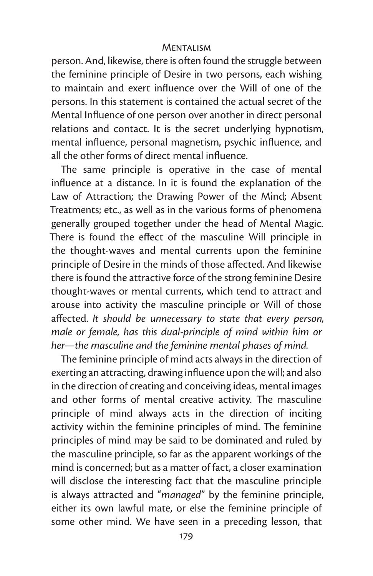### **MENTALISM**

person. And, likewise, there is often found the struggle between the feminine principle of Desire in two persons, each wishing to maintain and exert influence over the Will of one of the persons. In this statement is contained the actual secret of the Mental Influence of one person over another in direct personal relations and contact. It is the secret underlying hypnotism, mental influence, personal magnetism, psychic influence, and all the other forms of direct mental influence.

The same principle is operative in the case of mental influence at a distance. In it is found the explanation of the Law of Attraction; the Drawing Power of the Mind; Absent Treatments; etc., as well as in the various forms of phenomena generally grouped together under the head of Mental Magic. There is found the effect of the masculine Will principle in the thought-waves and mental currents upon the feminine principle of Desire in the minds of those affected. And likewise there is found the attractive force of the strong feminine Desire thought‑waves or mental currents, which tend to attract and arouse into activity the masculine principle or Will of those affected. *It should be unnecessary to state that every person, male or female, has this dual‑principle of mind within him or her—the masculine and the feminine mental phases of mind.*

The feminine principle of mind acts always in the direction of exerting an attracting, drawing influence upon the will; and also in the direction of creating and conceiving ideas, mental images and other forms of mental creative activity. The masculine principle of mind always acts in the direction of inciting activity within the feminine principles of mind. The feminine principles of mind may be said to be dominated and ruled by the masculine principle, so far as the apparent workings of the mind is concerned; but as a matter of fact, a closer examination will disclose the interesting fact that the masculine principle is always attracted and "*managed*" by the feminine principle, either its own lawful mate, or else the feminine principle of some other mind. We have seen in a preceding lesson, that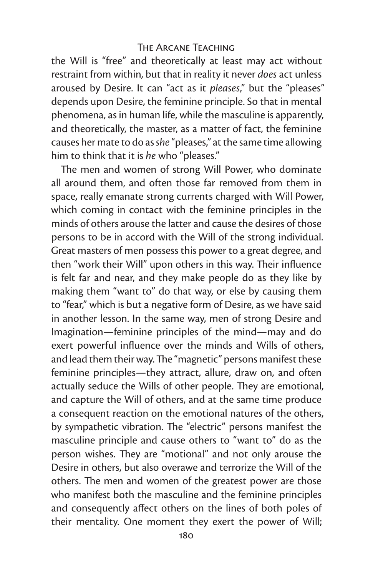the Will is "free" and theoretically at least may act without restraint from within, but that in reality it never *does* act unless aroused by Desire. It can "act as it *pleases*," but the "pleases" depends upon Desire, the feminine principle. So that in mental phenomena, as in human life, while the masculine is apparently, and theoretically, the master, as a matter of fact, the feminine causes her mate to do as *she* "pleases," at the same time allowing him to think that it is *he* who "pleases."

The men and women of strong Will Power, who dominate all around them, and often those far removed from them in space, really emanate strong currents charged with Will Power, which coming in contact with the feminine principles in the minds of others arouse the latter and cause the desires of those persons to be in accord with the Will of the strong individual. Great masters of men possess this power to a great degree, and then "work their Will" upon others in this way. Their influence is felt far and near, and they make people do as they like by making them "want to" do that way, or else by causing them to "fear," which is but a negative form of Desire, as we have said in another lesson. In the same way, men of strong Desire and Imagination—feminine principles of the mind—may and do exert powerful influence over the minds and Wills of others, and lead them their way. The "magnetic" persons manifest these feminine principles—they attract, allure, draw on, and often actually seduce the Wills of other people. They are emotional, and capture the Will of others, and at the same time produce a consequent reaction on the emotional natures of the others, by sympathetic vibration. The "electric" persons manifest the masculine principle and cause others to "want to" do as the person wishes. They are "motional" and not only arouse the Desire in others, but also overawe and terrorize the Will of the others. The men and women of the greatest power are those who manifest both the masculine and the feminine principles and consequently affect others on the lines of both poles of their mentality. One moment they exert the power of Will;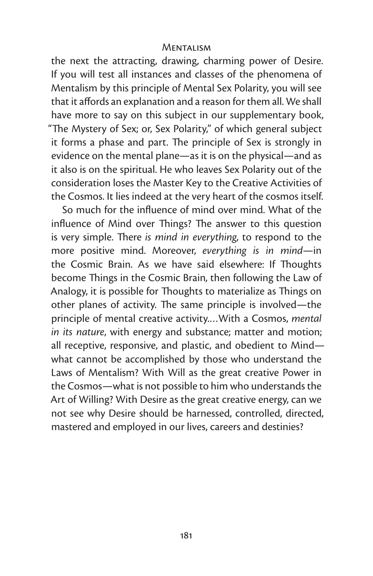### **MENTALISM**

the next the attracting, drawing, charming power of Desire. If you will test all instances and classes of the phenomena of Mentalism by this principle of Mental Sex Polarity, you will see that it affords an explanation and a reason for them all. We shall have more to say on this subject in our supplementary book, "The Mystery of Sex; or, Sex Polarity," of which general subject it forms a phase and part. The principle of Sex is strongly in evidence on the mental plane—as it is on the physical—and as it also is on the spiritual. He who leaves Sex Polarity out of the consideration loses the Master Key to the Creative Activities of the Cosmos. It lies indeed at the very heart of the cosmos itself.

So much for the influence of mind over mind. What of the influence of Mind over Things? The answer to this question is very simple. There *is mind in everything*, to respond to the more positive mind. Moreover, *everything is in mind*—in the Cosmic Brain. As we have said elsewhere: If Thoughts become Things in the Cosmic Brain, then following the Law of Analogy, it is possible for Thoughts to materialize as Things on other planes of activity. The same principle is involved—the principle of mental creative activity.…With a Cosmos, *mental in its nature*, with energy and substance; matter and motion; all receptive, responsive, and plastic, and obedient to Mind what cannot be accomplished by those who understand the Laws of Mentalism? With Will as the great creative Power in the Cosmos—what is not possible to him who understands the Art of Willing? With Desire as the great creative energy, can we not see why Desire should be harnessed, controlled, directed, mastered and employed in our lives, careers and destinies?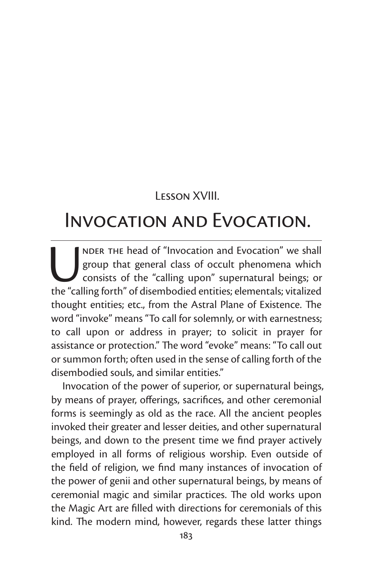# Lesson XVIII.

# Invocation and Evocation.

NDER THE head of "Invocation and Evocation" we shall<br>group that general class of occult phenomena which<br>consists of the "calling upon" supernatural beings; or<br>the "calling forth" of disembodied entities: elementals: vitali group that general class of occult phenomena which consists of the "calling upon" supernatural beings; or the "calling forth" of disembodied entities; elementals; vitalized thought entities; etc., from the Astral Plane of Existence. The word "invoke" means "To call for solemnly, or with earnestness; to call upon or address in prayer; to solicit in prayer for assistance or protection." The word "evoke" means: "To call out or summon forth; often used in the sense of calling forth of the disembodied souls, and similar entities."

Invocation of the power of superior, or supernatural beings, by means of prayer, offerings, sacrifices, and other ceremonial forms is seemingly as old as the race. All the ancient peoples invoked their greater and lesser deities, and other supernatural beings, and down to the present time we find prayer actively employed in all forms of religious worship. Even outside of the field of religion, we find many instances of invocation of the power of genii and other supernatural beings, by means of ceremonial magic and similar practices. The old works upon the Magic Art are filled with directions for ceremonials of this kind. The modern mind, however, regards these latter things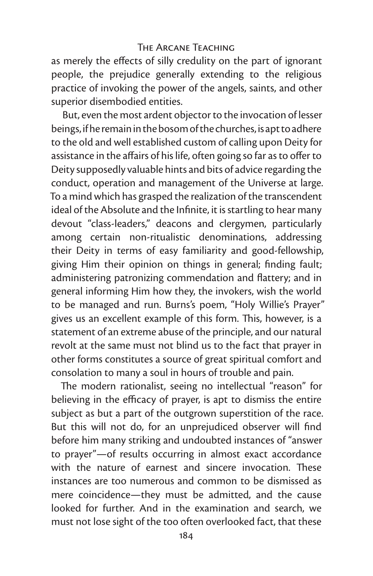as merely the effects of silly credulity on the part of ignorant people, the prejudice generally extending to the religious practice of invoking the power of the angels, saints, and other superior disembodied entities.

But, even the most ardent objector to the invocation of lesser beings, if he remain in the bosom of the churches, is apt to adhere to the old and well established custom of calling upon Deity for assistance in the affairs of his life, often going so far as to offer to Deity supposedly valuable hints and bits of advice regarding the conduct, operation and management of the Universe at large. To a mind which has grasped the realization of the transcendent ideal of the Absolute and the Infinite, it is startling to hear many devout "class‑leaders," deacons and clergymen, particularly among certain non-ritualistic denominations, addressing their Deity in terms of easy familiarity and good-fellowship, giving Him their opinion on things in general; finding fault; administering patronizing commendation and flattery; and in general informing Him how they, the invokers, wish the world to be managed and run. Burns's poem, "Holy Willie's Prayer" gives us an excellent example of this form. This, however, is a statement of an extreme abuse of the principle, and our natural revolt at the same must not blind us to the fact that prayer in other forms constitutes a source of great spiritual comfort and consolation to many a soul in hours of trouble and pain.

The modern rationalist, seeing no intellectual "reason" for believing in the efficacy of prayer, is apt to dismiss the entire subject as but a part of the outgrown superstition of the race. But this will not do, for an unprejudiced observer will find before him many striking and undoubted instances of "answer to prayer"—of results occurring in almost exact accordance with the nature of earnest and sincere invocation. These instances are too numerous and common to be dismissed as mere coincidence—they must be admitted, and the cause looked for further. And in the examination and search, we must not lose sight of the too often overlooked fact, that these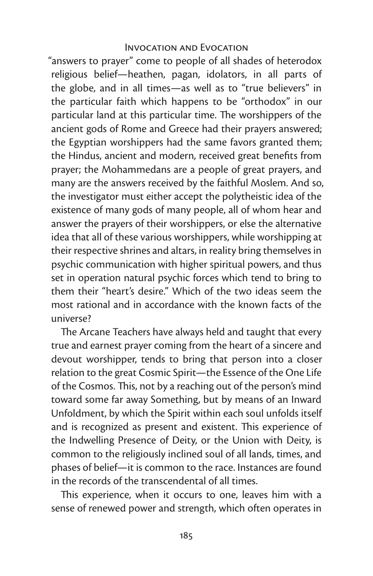"answers to prayer" come to people of all shades of heterodox religious belief—heathen, pagan, idolators, in all parts of the globe, and in all times—as well as to "true believers" in the particular faith which happens to be "orthodox" in our particular land at this particular time. The worshippers of the ancient gods of Rome and Greece had their prayers answered; the Egyptian worshippers had the same favors granted them; the Hindus, ancient and modern, received great benefits from prayer; the Mohammedans are a people of great prayers, and many are the answers received by the faithful Moslem. And so, the investigator must either accept the polytheistic idea of the existence of many gods of many people, all of whom hear and answer the prayers of their worshippers, or else the alternative idea that all of these various worshippers, while worshipping at their respective shrines and altars, in reality bring themselves in psychic communication with higher spiritual powers, and thus set in operation natural psychic forces which tend to bring to them their "heart's desire." Which of the two ideas seem the most rational and in accordance with the known facts of the universe?

The Arcane Teachers have always held and taught that every true and earnest prayer coming from the heart of a sincere and devout worshipper, tends to bring that person into a closer relation to the great Cosmic Spirit—the Essence of the One Life of the Cosmos. This, not by a reaching out of the person's mind toward some far away Something, but by means of an Inward Unfoldment, by which the Spirit within each soul unfolds itself and is recognized as present and existent. This experience of the Indwelling Presence of Deity, or the Union with Deity, is common to the religiously inclined soul of all lands, times, and phases of belief—it is common to the race. Instances are found in the records of the transcendental of all times.

This experience, when it occurs to one, leaves him with a sense of renewed power and strength, which often operates in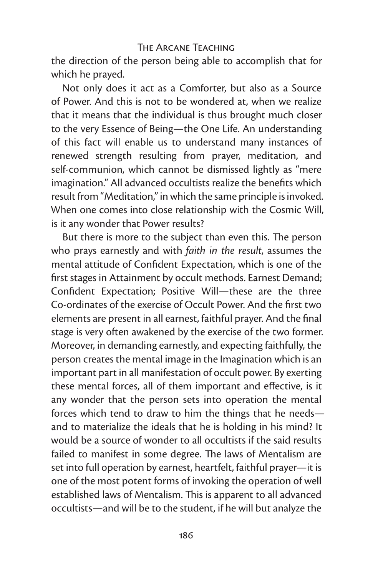the direction of the person being able to accomplish that for which he prayed.

Not only does it act as a Comforter, but also as a Source of Power. And this is not to be wondered at, when we realize that it means that the individual is thus brought much closer to the very Essence of Being—the One Life. An understanding of this fact will enable us to understand many instances of renewed strength resulting from prayer, meditation, and self-communion, which cannot be dismissed lightly as "mere imagination." All advanced occultists realize the benefits which result from "Meditation," in which the same principle is invoked. When one comes into close relationship with the Cosmic Will, is it any wonder that Power results?

But there is more to the subject than even this. The person who prays earnestly and with *faith in the result*, assumes the mental attitude of Confident Expectation, which is one of the first stages in Attainment by occult methods. Earnest Demand; Confident Expectation; Positive Will—these are the three Co‑ordinates of the exercise of Occult Power. And the first two elements are present in all earnest, faithful prayer. And the final stage is very often awakened by the exercise of the two former. Moreover, in demanding earnestly, and expecting faithfully, the person creates the mental image in the Imagination which is an important part in all manifestation of occult power. By exerting these mental forces, all of them important and effective, is it any wonder that the person sets into operation the mental forces which tend to draw to him the things that he needs and to materialize the ideals that he is holding in his mind? It would be a source of wonder to all occultists if the said results failed to manifest in some degree. The laws of Mentalism are set into full operation by earnest, heartfelt, faithful prayer—it is one of the most potent forms of invoking the operation of well established laws of Mentalism. This is apparent to all advanced occultists—and will be to the student, if he will but analyze the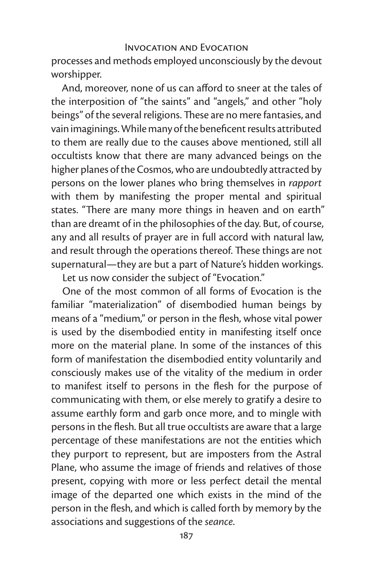# Invocation and Evocation

processes and methods employed unconsciously by the devout worshipper.

And, moreover, none of us can afford to sneer at the tales of the interposition of "the saints" and "angels," and other "holy beings" of the several religions. These are no mere fantasies, and vain imaginings. While many of the beneficent results attributed to them are really due to the causes above mentioned, still all occultists know that there are many advanced beings on the higher planes of the Cosmos, who are undoubtedly attracted by persons on the lower planes who bring themselves in *rapport* with them by manifesting the proper mental and spiritual states. "There are many more things in heaven and on earth" than are dreamt of in the philosophies of the day. But, of course, any and all results of prayer are in full accord with natural law, and result through the operations thereof. These things are not supernatural—they are but a part of Nature's hidden workings.

Let us now consider the subject of "Evocation."

One of the most common of all forms of Evocation is the familiar "materialization" of disembodied human beings by means of a "medium," or person in the flesh, whose vital power is used by the disembodied entity in manifesting itself once more on the material plane. In some of the instances of this form of manifestation the disembodied entity voluntarily and consciously makes use of the vitality of the medium in order to manifest itself to persons in the flesh for the purpose of communicating with them, or else merely to gratify a desire to assume earthly form and garb once more, and to mingle with persons in the flesh. But all true occultists are aware that a large percentage of these manifestations are not the entities which they purport to represent, but are imposters from the Astral Plane, who assume the image of friends and relatives of those present, copying with more or less perfect detail the mental image of the departed one which exists in the mind of the person in the flesh, and which is called forth by memory by the associations and suggestions of the *seance*.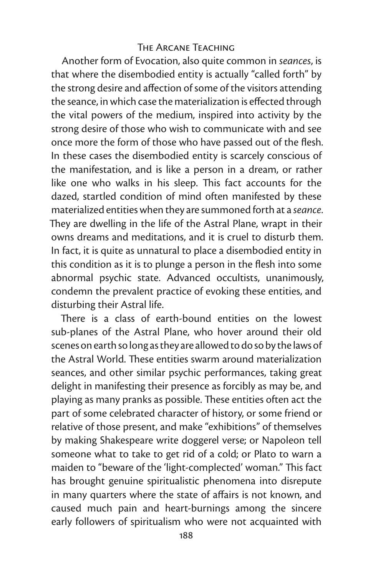Another form of Evocation, also quite common in *seances*, is that where the disembodied entity is actually "called forth" by the strong desire and affection of some of the visitors attending the seance, in which case the materialization is effected through the vital powers of the medium, inspired into activity by the strong desire of those who wish to communicate with and see once more the form of those who have passed out of the flesh. In these cases the disembodied entity is scarcely conscious of the manifestation, and is like a person in a dream, or rather like one who walks in his sleep. This fact accounts for the dazed, startled condition of mind often manifested by these materialized entities when they are summoned forth at a *seance*. They are dwelling in the life of the Astral Plane, wrapt in their owns dreams and meditations, and it is cruel to disturb them. In fact, it is quite as unnatural to place a disembodied entity in this condition as it is to plunge a person in the flesh into some abnormal psychic state. Advanced occultists, unanimously, condemn the prevalent practice of evoking these entities, and disturbing their Astral life.

There is a class of earth-bound entities on the lowest sub-planes of the Astral Plane, who hover around their old scenes on earth so long as they are allowed to do so by the laws of the Astral World. These entities swarm around materialization seances, and other similar psychic performances, taking great delight in manifesting their presence as forcibly as may be, and playing as many pranks as possible. These entities often act the part of some celebrated character of history, or some friend or relative of those present, and make "exhibitions" of themselves by making Shakespeare write doggerel verse; or Napoleon tell someone what to take to get rid of a cold; or Plato to warn a maiden to "beware of the 'light-complected' woman." This fact has brought genuine spiritualistic phenomena into disrepute in many quarters where the state of affairs is not known, and caused much pain and heart‑burnings among the sincere early followers of spiritualism who were not acquainted with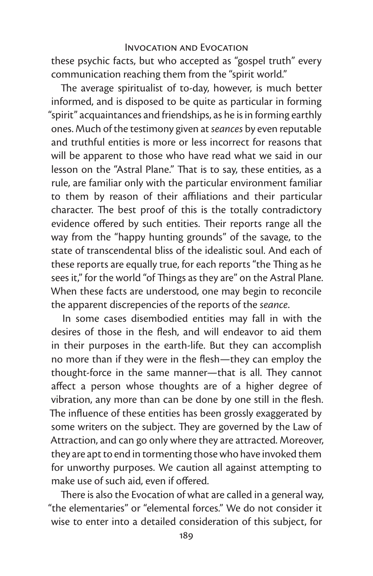### Invocation and Evocation

these psychic facts, but who accepted as "gospel truth" every communication reaching them from the "spirit world."

The average spiritualist of to-day, however, is much better informed, and is disposed to be quite as particular in forming "spirit" acquaintances and friendships, as he is in forming earthly ones. Much of the testimony given at *seances* by even reputable and truthful entities is more or less incorrect for reasons that will be apparent to those who have read what we said in our lesson on the "Astral Plane." That is to say, these entities, as a rule, are familiar only with the particular environment familiar to them by reason of their affiliations and their particular character. The best proof of this is the totally contradictory evidence offered by such entities. Their reports range all the way from the "happy hunting grounds" of the savage, to the state of transcendental bliss of the idealistic soul. And each of these reports are equally true, for each reports "the Thing as he sees it," for the world "of Things as they are" on the Astral Plane. When these facts are understood, one may begin to reconcile the apparent discrepencies of the reports of the *seance*.

In some cases disembodied entities may fall in with the desires of those in the flesh, and will endeavor to aid them in their purposes in the earth-life. But they can accomplish no more than if they were in the flesh—they can employ the thought-force in the same manner—that is all. They cannot affect a person whose thoughts are of a higher degree of vibration, any more than can be done by one still in the flesh. The influence of these entities has been grossly exaggerated by some writers on the subject. They are governed by the Law of Attraction, and can go only where they are attracted. Moreover, they are apt to end in tormenting those who have invoked them for unworthy purposes. We caution all against attempting to make use of such aid, even if offered.

There is also the Evocation of what are called in a general way, "the elementaries" or "elemental forces." We do not consider it wise to enter into a detailed consideration of this subject, for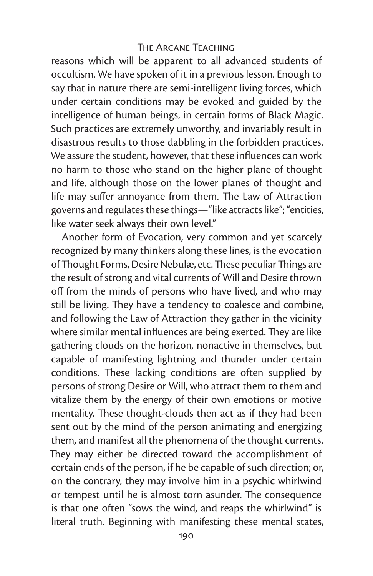reasons which will be apparent to all advanced students of occultism. We have spoken of it in a previous lesson. Enough to say that in nature there are semi-intelligent living forces, which under certain conditions may be evoked and guided by the intelligence of human beings, in certain forms of Black Magic. Such practices are extremely unworthy, and invariably result in disastrous results to those dabbling in the forbidden practices. We assure the student, however, that these influences can work no harm to those who stand on the higher plane of thought and life, although those on the lower planes of thought and life may suffer annoyance from them. The Law of Attraction governs and regulates these things—"like attracts like"; "entities, like water seek always their own level."

Another form of Evocation, very common and yet scarcely recognized by many thinkers along these lines, is the evocation of Thought Forms, Desire Nebulæ, etc. These peculiar Things are the result of strong and vital currents of Will and Desire thrown off from the minds of persons who have lived, and who may still be living. They have a tendency to coalesce and combine, and following the Law of Attraction they gather in the vicinity where similar mental influences are being exerted. They are like gathering clouds on the horizon, nonactive in themselves, but capable of manifesting lightning and thunder under certain conditions. These lacking conditions are often supplied by persons of strong Desire or Will, who attract them to them and vitalize them by the energy of their own emotions or motive mentality. These thought-clouds then act as if they had been sent out by the mind of the person animating and energizing them, and manifest all the phenomena of the thought currents. They may either be directed toward the accomplishment of certain ends of the person, if he be capable of such direction; or, on the contrary, they may involve him in a psychic whirlwind or tempest until he is almost torn asunder. The consequence is that one often "sows the wind, and reaps the whirlwind" is literal truth. Beginning with manifesting these mental states,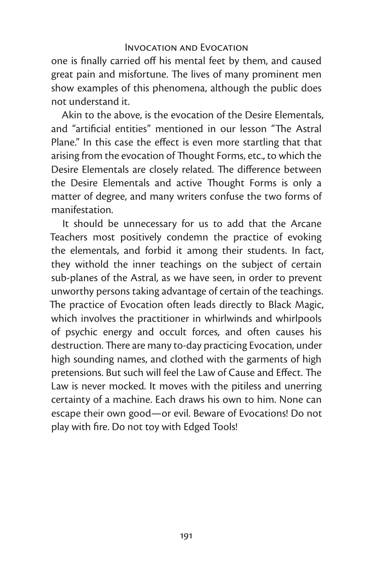## Invocation and Evocation

one is finally carried off his mental feet by them, and caused great pain and misfortune. The lives of many prominent men show examples of this phenomena, although the public does not understand it.

Akin to the above, is the evocation of the Desire Elementals, and "artificial entities" mentioned in our lesson "The Astral Plane." In this case the effect is even more startling that that arising from the evocation of Thought Forms, etc., to which the Desire Elementals are closely related. The difference between the Desire Elementals and active Thought Forms is only a matter of degree, and many writers confuse the two forms of manifestation.

It should be unnecessary for us to add that the Arcane Teachers most positively condemn the practice of evoking the elementals, and forbid it among their students. In fact, they withold the inner teachings on the subject of certain sub-planes of the Astral, as we have seen, in order to prevent unworthy persons taking advantage of certain of the teachings. The practice of Evocation often leads directly to Black Magic, which involves the practitioner in whirlwinds and whirlpools of psychic energy and occult forces, and often causes his destruction. There are many to-day practicing Evocation, under high sounding names, and clothed with the garments of high pretensions. But such will feel the Law of Cause and Effect. The Law is never mocked. It moves with the pitiless and unerring certainty of a machine. Each draws his own to him. None can escape their own good—or evil. Beware of Evocations! Do not play with fire. Do not toy with Edged Tools!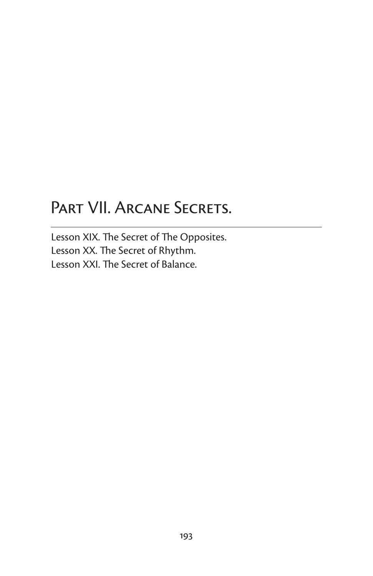# PART VII. ARCANE SECRETS.

Lesson XIX. The Secret of The Opposites. Lesson XX. The Secret of Rhythm. Lesson XXI. The Secret of Balance.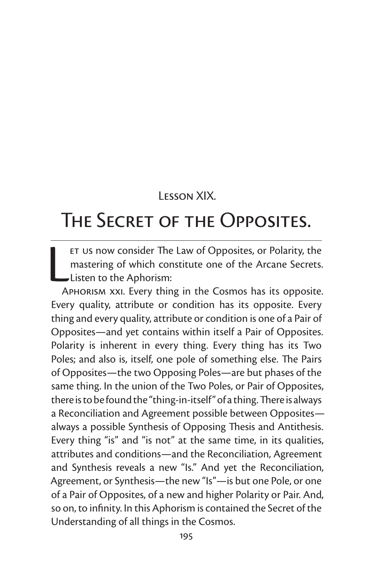# Lesson XIX.

# The Secret of the Opposites.

 $L$ et us now consider The Law of Opposites, or Polarity, the mastering of which constitute one of the Arcane Secrets. -Listen to the Aphorism:

Aphorism xxi. Every thing in the Cosmos has its opposite. Every quality, attribute or condition has its opposite. Every thing and every quality, attribute or condition is one of a Pair of Opposites—and yet contains within itself a Pair of Opposites. Polarity is inherent in every thing. Every thing has its Two Poles; and also is, itself, one pole of something else. The Pairs of Opposites—the two Opposing Poles—are but phases of the same thing. In the union of the Two Poles, or Pair of Opposites, there is to be found the "thing‑in‑itself" of a thing. There is always a Reconciliation and Agreement possible between Opposites always a possible Synthesis of Opposing Thesis and Antithesis. Every thing "is" and "is not" at the same time, in its qualities, attributes and conditions—and the Reconciliation, Agreement and Synthesis reveals a new "Is." And yet the Reconciliation, Agreement, or Synthesis—the new "Is"—is but one Pole, or one of a Pair of Opposites, of a new and higher Polarity or Pair. And, so on, to infinity. In this Aphorism is contained the Secret of the Understanding of all things in the Cosmos.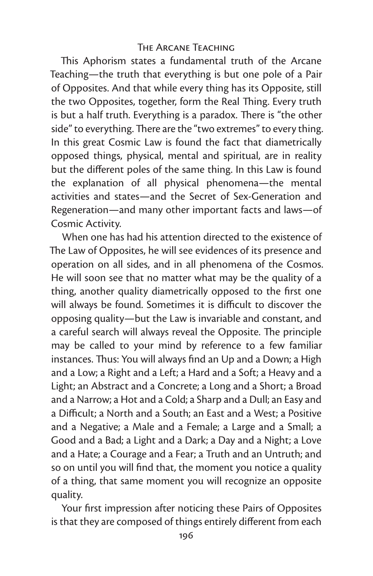This Aphorism states a fundamental truth of the Arcane Teaching—the truth that everything is but one pole of a Pair of Opposites. And that while every thing has its Opposite, still the two Opposites, together, form the Real Thing. Every truth is but a half truth. Everything is a paradox. There is "the other side" to everything. There are the "two extremes" to every thing. In this great Cosmic Law is found the fact that diametrically opposed things, physical, mental and spiritual, are in reality but the different poles of the same thing. In this Law is found the explanation of all physical phenomena—the mental activities and states—and the Secret of Sex‑Generation and Regeneration—and many other important facts and laws—of Cosmic Activity.

When one has had his attention directed to the existence of The Law of Opposites, he will see evidences of its presence and operation on all sides, and in all phenomena of the Cosmos. He will soon see that no matter what may be the quality of a thing, another quality diametrically opposed to the first one will always be found. Sometimes it is difficult to discover the opposing quality—but the Law is invariable and constant, and a careful search will always reveal the Opposite. The principle may be called to your mind by reference to a few familiar instances. Thus: You will always find an Up and a Down; a High and a Low; a Right and a Left; a Hard and a Soft; a Heavy and a Light; an Abstract and a Concrete; a Long and a Short; a Broad and a Narrow; a Hot and a Cold; a Sharp and a Dull; an Easy and a Difficult; a North and a South; an East and a West; a Positive and a Negative; a Male and a Female; a Large and a Small; a Good and a Bad; a Light and a Dark; a Day and a Night; a Love and a Hate; a Courage and a Fear; a Truth and an Untruth; and so on until you will find that, the moment you notice a quality of a thing, that same moment you will recognize an opposite quality.

Your first impression after noticing these Pairs of Opposites is that they are composed of things entirely different from each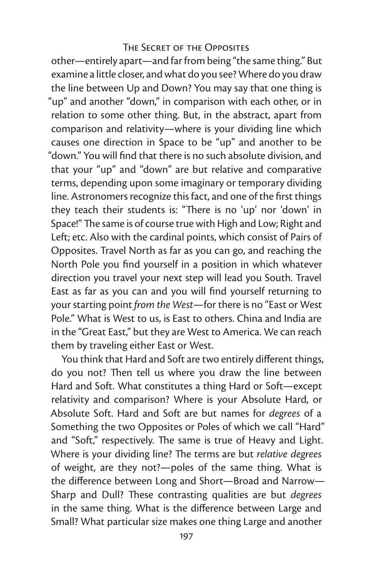## The Secret of the Opposites

other—entirely apart—and far from being "the same thing." But examine a little closer, and what do you see? Where do you draw the line between Up and Down? You may say that one thing is "up" and another "down," in comparison with each other, or in relation to some other thing. But, in the abstract, apart from comparison and relativity—where is your dividing line which causes one direction in Space to be "up" and another to be "down." You will find that there is no such absolute division, and that your "up" and "down" are but relative and comparative terms, depending upon some imaginary or temporary dividing line. Astronomers recognize this fact, and one of the first things they teach their students is: "There is no 'up' nor 'down' in Space!" The same is of course true with High and Low; Right and Left; etc. Also with the cardinal points, which consist of Pairs of Opposites. Travel North as far as you can go, and reaching the North Pole you find yourself in a position in which whatever direction you travel your next step will lead you South. Travel East as far as you can and you will find yourself returning to your starting point *from the West*—for there is no "East or West Pole." What is West to us, is East to others. China and India are in the "Great East," but they are West to America. We can reach them by traveling either East or West.

You think that Hard and Soft are two entirely different things, do you not? Then tell us where you draw the line between Hard and Soft. What constitutes a thing Hard or Soft—except relativity and comparison? Where is your Absolute Hard, or Absolute Soft. Hard and Soft are but names for *degrees* of a Something the two Opposites or Poles of which we call "Hard" and "Soft," respectively. The same is true of Heavy and Light. Where is your dividing line? The terms are but *relative degrees* of weight, are they not?—poles of the same thing. What is the difference between Long and Short—Broad and Narrow— Sharp and Dull? These contrasting qualities are but *degrees* in the same thing. What is the difference between Large and Small? What particular size makes one thing Large and another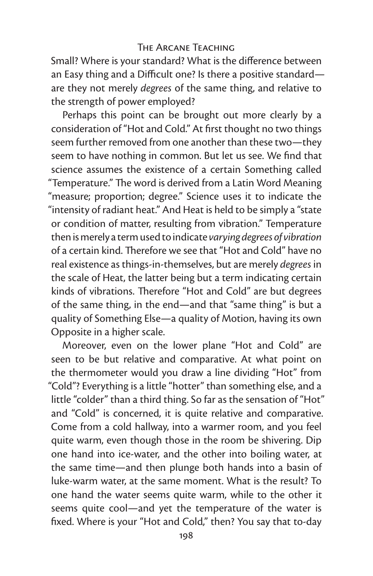Small? Where is your standard? What is the difference between an Easy thing and a Difficult one? Is there a positive standard are they not merely *degrees* of the same thing, and relative to the strength of power employed?

Perhaps this point can be brought out more clearly by a consideration of "Hot and Cold." At first thought no two things seem further removed from one another than these two—they seem to have nothing in common. But let us see. We find that science assumes the existence of a certain Something called "Temperature." The word is derived from a Latin Word Meaning "measure; proportion; degree." Science uses it to indicate the "intensity of radiant heat." And Heat is held to be simply a "state or condition of matter, resulting from vibration." Temperature then is merely a term used to indicate *varying degrees of vibration* of a certain kind. Therefore we see that "Hot and Cold" have no real existence as things‑in‑themselves, but are merely *degrees* in the scale of Heat, the latter being but a term indicating certain kinds of vibrations. Therefore "Hot and Cold" are but degrees of the same thing, in the end—and that "same thing" is but a quality of Something Else—a quality of Motion, having its own Opposite in a higher scale.

Moreover, even on the lower plane "Hot and Cold" are seen to be but relative and comparative. At what point on the thermometer would you draw a line dividing "Hot" from "Cold"? Everything is a little "hotter" than something else, and a little "colder" than a third thing. So far as the sensation of "Hot" and "Cold" is concerned, it is quite relative and comparative. Come from a cold hallway, into a warmer room, and you feel quite warm, even though those in the room be shivering. Dip one hand into ice‑water, and the other into boiling water, at the same time—and then plunge both hands into a basin of luke‑warm water, at the same moment. What is the result? To one hand the water seems quite warm, while to the other it seems quite cool—and yet the temperature of the water is fixed. Where is your "Hot and Cold," then? You say that to-day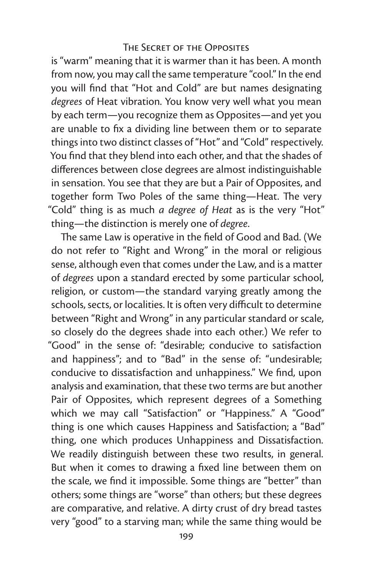### The Secret of the Opposites

is "warm" meaning that it is warmer than it has been. A month from now, you may call the same temperature "cool." In the end you will find that "Hot and Cold" are but names designating *degrees* of Heat vibration. You know very well what you mean by each term—you recognize them as Opposites—and yet you are unable to fix a dividing line between them or to separate things into two distinct classes of "Hot" and "Cold" respectively. You find that they blend into each other, and that the shades of differences between close degrees are almost indistinguishable in sensation. You see that they are but a Pair of Opposites, and together form Two Poles of the same thing—Heat. The very "Cold" thing is as much *a degree of Heat* as is the very "Hot" thing—the distinction is merely one of *degree*.

The same Law is operative in the field of Good and Bad. (We do not refer to "Right and Wrong" in the moral or religious sense, although even that comes under the Law, and is a matter of *degrees* upon a standard erected by some particular school, religion, or custom—the standard varying greatly among the schools, sects, or localities. It is often very difficult to determine between "Right and Wrong" in any particular standard or scale, so closely do the degrees shade into each other.) We refer to "Good" in the sense of: "desirable; conducive to satisfaction and happiness"; and to "Bad" in the sense of: "undesirable; conducive to dissatisfaction and unhappiness." We find, upon analysis and examination, that these two terms are but another Pair of Opposites, which represent degrees of a Something which we may call "Satisfaction" or "Happiness." A "Good" thing is one which causes Happiness and Satisfaction; a "Bad" thing, one which produces Unhappiness and Dissatisfaction. We readily distinguish between these two results, in general. But when it comes to drawing a fixed line between them on the scale, we find it impossible. Some things are "better" than others; some things are "worse" than others; but these degrees are comparative, and relative. A dirty crust of dry bread tastes very "good" to a starving man; while the same thing would be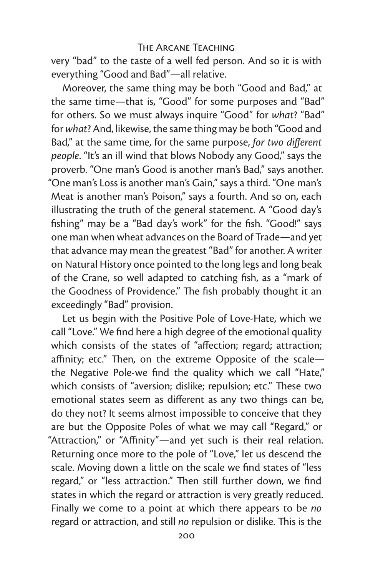very "bad" to the taste of a well fed person. And so it is with everything "Good and Bad"—all relative.

Moreover, the same thing may be both "Good and Bad," at the same time—that is, "Good" for some purposes and "Bad" for others. So we must always inquire "Good" for *what*? "Bad" for *what*? And, likewise, the same thing may be both "Good and Bad," at the same time, for the same purpose, *for two different people*. "It's an ill wind that blows Nobody any Good," says the proverb. "One man's Good is another man's Bad," says another. "One man's Loss is another man's Gain," says a third. "One man's Meat is another man's Poison," says a fourth. And so on, each illustrating the truth of the general statement. A "Good day's fishing" may be a "Bad day's work" for the fish. "Good!" says one man when wheat advances on the Board of Trade—and yet that advance may mean the greatest "Bad" for another. A writer on Natural History once pointed to the long legs and long beak of the Crane, so well adapted to catching fish, as a "mark of the Goodness of Providence." The fish probably thought it an exceedingly "Bad" provision.

Let us begin with the Positive Pole of Love‑Hate, which we call "Love." We find here a high degree of the emotional quality which consists of the states of "affection; regard; attraction; affinity; etc." Then, on the extreme Opposite of the scale the Negative Pole‑we find the quality which we call "Hate," which consists of "aversion; dislike; repulsion; etc." These two emotional states seem as different as any two things can be, do they not? It seems almost impossible to conceive that they are but the Opposite Poles of what we may call "Regard," or "Attraction," or "Affinity"—and yet such is their real relation. Returning once more to the pole of "Love," let us descend the scale. Moving down a little on the scale we find states of "less regard," or "less attraction." Then still further down, we find states in which the regard or attraction is very greatly reduced. Finally we come to a point at which there appears to be *no* regard or attraction, and still *no* repulsion or dislike. This is the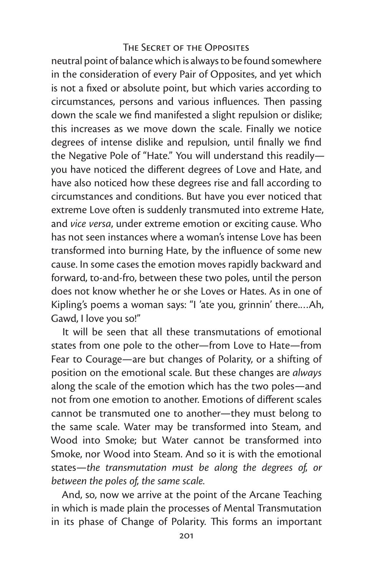## The Secret of the Opposites

neutral point of balance which is always to be found somewhere in the consideration of every Pair of Opposites, and yet which is not a fixed or absolute point, but which varies according to circumstances, persons and various influences. Then passing down the scale we find manifested a slight repulsion or dislike; this increases as we move down the scale. Finally we notice degrees of intense dislike and repulsion, until finally we find the Negative Pole of "Hate." You will understand this readily you have noticed the different degrees of Love and Hate, and have also noticed how these degrees rise and fall according to circumstances and conditions. But have you ever noticed that extreme Love often is suddenly transmuted into extreme Hate, and *vice versa*, under extreme emotion or exciting cause. Who has not seen instances where a woman's intense Love has been transformed into burning Hate, by the influence of some new cause. In some cases the emotion moves rapidly backward and forward, to-and-fro, between these two poles, until the person does not know whether he or she Loves or Hates. As in one of Kipling's poems a woman says: "I 'ate you, grinnin' there.…Ah, Gawd, I love you so!"

It will be seen that all these transmutations of emotional states from one pole to the other—from Love to Hate—from Fear to Courage—are but changes of Polarity, or a shifting of position on the emotional scale. But these changes are *always* along the scale of the emotion which has the two poles—and not from one emotion to another. Emotions of different scales cannot be transmuted one to another—they must belong to the same scale. Water may be transformed into Steam, and Wood into Smoke; but Water cannot be transformed into Smoke, nor Wood into Steam. And so it is with the emotional states—*the transmutation must be along the degrees of, or between the poles of, the same scale.*

And, so, now we arrive at the point of the Arcane Teaching in which is made plain the processes of Mental Transmutation in its phase of Change of Polarity. This forms an important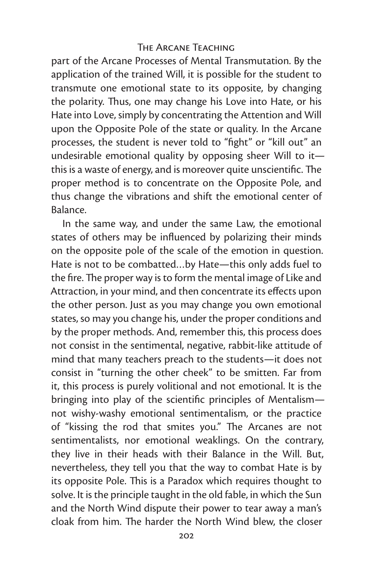part of the Arcane Processes of Mental Transmutation. By the application of the trained Will, it is possible for the student to transmute one emotional state to its opposite, by changing the polarity. Thus, one may change his Love into Hate, or his Hate into Love, simply by concentrating the Attention and Will upon the Opposite Pole of the state or quality. In the Arcane processes, the student is never told to "fight" or "kill out" an undesirable emotional quality by opposing sheer Will to it this is a waste of energy, and is moreover quite unscientific. The proper method is to concentrate on the Opposite Pole, and thus change the vibrations and shift the emotional center of Balance.

In the same way, and under the same Law, the emotional states of others may be influenced by polarizing their minds on the opposite pole of the scale of the emotion in question. Hate is not to be combatted…by Hate—this only adds fuel to the fire. The proper way is to form the mental image of Like and Attraction, in your mind, and then concentrate its effects upon the other person. Just as you may change you own emotional states, so may you change his, under the proper conditions and by the proper methods. And, remember this, this process does not consist in the sentimental, negative, rabbit-like attitude of mind that many teachers preach to the students—it does not consist in "turning the other cheek" to be smitten. Far from it, this process is purely volitional and not emotional. It is the bringing into play of the scientific principles of Mentalism not wishy‑washy emotional sentimentalism, or the practice of "kissing the rod that smites you." The Arcanes are not sentimentalists, nor emotional weaklings. On the contrary, they live in their heads with their Balance in the Will. But, nevertheless, they tell you that the way to combat Hate is by its opposite Pole. This is a Paradox which requires thought to solve. It is the principle taught in the old fable, in which the Sun and the North Wind dispute their power to tear away a man's cloak from him. The harder the North Wind blew, the closer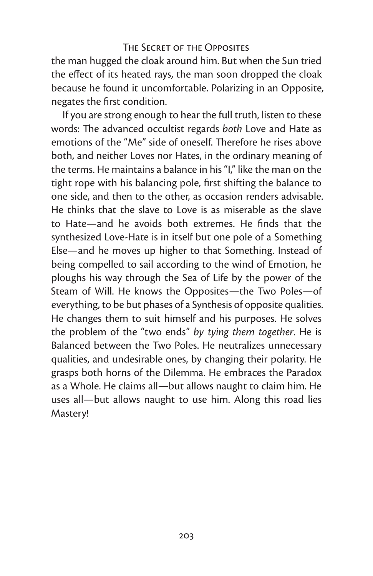# The Secret of the Opposites

the man hugged the cloak around him. But when the Sun tried the effect of its heated rays, the man soon dropped the cloak because he found it uncomfortable. Polarizing in an Opposite, negates the first condition.

If you are strong enough to hear the full truth, listen to these words: The advanced occultist regards *both* Love and Hate as emotions of the "Me" side of oneself. Therefore he rises above both, and neither Loves nor Hates, in the ordinary meaning of the terms. He maintains a balance in his "I," like the man on the tight rope with his balancing pole, first shifting the balance to one side, and then to the other, as occasion renders advisable. He thinks that the slave to Love is as miserable as the slave to Hate—and he avoids both extremes. He finds that the synthesized Love-Hate is in itself but one pole of a Something Else—and he moves up higher to that Something. Instead of being compelled to sail according to the wind of Emotion, he ploughs his way through the Sea of Life by the power of the Steam of Will. He knows the Opposites—the Two Poles—of everything, to be but phases of a Synthesis of opposite qualities. He changes them to suit himself and his purposes. He solves the problem of the "two ends" *by tying them together*. He is Balanced between the Two Poles. He neutralizes unnecessary qualities, and undesirable ones, by changing their polarity. He grasps both horns of the Dilemma. He embraces the Paradox as a Whole. He claims all—but allows naught to claim him. He uses all—but allows naught to use him. Along this road lies Mastery!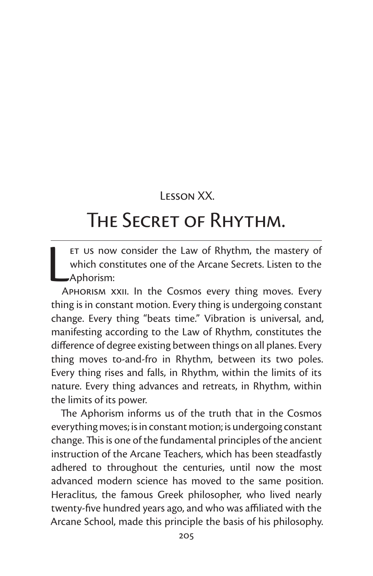# Lesson XX.

# The Secret of Rhythm.

 $L$ et us now consider the Law of Rhythm, the mastery of which constitutes one of the Arcane Secrets. Listen to the Aphorism:

Aphorism xxii. In the Cosmos every thing moves. Every thing is in constant motion. Every thing is undergoing constant change. Every thing "beats time." Vibration is universal, and, manifesting according to the Law of Rhythm, constitutes the difference of degree existing between things on all planes. Every thing moves to‑and‑fro in Rhythm, between its two poles. Every thing rises and falls, in Rhythm, within the limits of its nature. Every thing advances and retreats, in Rhythm, within the limits of its power.

The Aphorism informs us of the truth that in the Cosmos everything moves; is in constant motion; is undergoing constant change. This is one of the fundamental principles of the ancient instruction of the Arcane Teachers, which has been steadfastly adhered to throughout the centuries, until now the most advanced modern science has moved to the same position. Heraclitus, the famous Greek philosopher, who lived nearly twenty‑five hundred years ago, and who was affiliated with the Arcane School, made this principle the basis of his philosophy.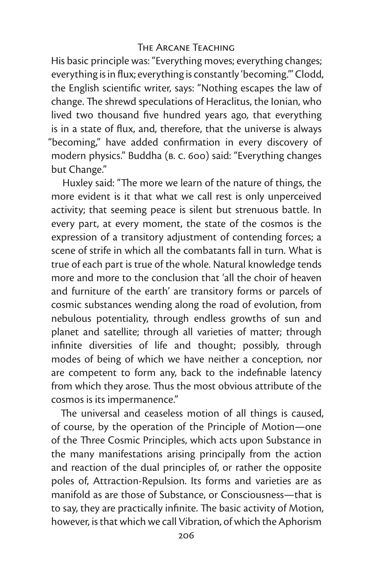His basic principle was: "Everything moves; everything changes; everything is in flux; everything is constantly 'becoming.'" Clodd, the English scientific writer, says: "Nothing escapes the law of change. The shrewd speculations of Heraclitus, the Ionian, who lived two thousand five hundred years ago, that everything is in a state of flux, and, therefore, that the universe is always "becoming," have added confirmation in every discovery of modern physics." Buddha (B. C. 600) said: "Everything changes but Change."

Huxley said: "The more we learn of the nature of things, the more evident is it that what we call rest is only unperceived activity; that seeming peace is silent but strenuous battle. In every part, at every moment, the state of the cosmos is the expression of a transitory adjustment of contending forces; a scene of strife in which all the combatants fall in turn. What is true of each part is true of the whole. Natural knowledge tends more and more to the conclusion that 'all the choir of heaven and furniture of the earth' are transitory forms or parcels of cosmic substances wending along the road of evolution, from nebulous potentiality, through endless growths of sun and planet and satellite; through all varieties of matter; through infinite diversities of life and thought; possibly, through modes of being of which we have neither a conception, nor are competent to form any, back to the indefinable latency from which they arose. Thus the most obvious attribute of the cosmos is its impermanence."

The universal and ceaseless motion of all things is caused, of course, by the operation of the Principle of Motion—one of the Three Cosmic Principles, which acts upon Substance in the many manifestations arising principally from the action and reaction of the dual principles of, or rather the opposite poles of, Attraction-Repulsion. Its forms and varieties are as manifold as are those of Substance, or Consciousness—that is to say, they are practically infinite. The basic activity of Motion, however, is that which we call Vibration, of which the Aphorism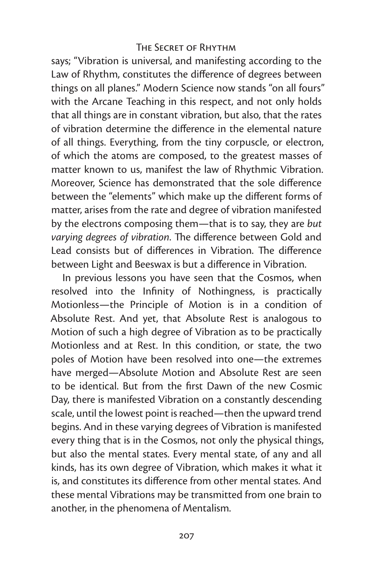## The Secret of Rhythm

says; "Vibration is universal, and manifesting according to the Law of Rhythm, constitutes the difference of degrees between things on all planes." Modern Science now stands "on all fours" with the Arcane Teaching in this respect, and not only holds that all things are in constant vibration, but also, that the rates of vibration determine the difference in the elemental nature of all things. Everything, from the tiny corpuscle, or electron, of which the atoms are composed, to the greatest masses of matter known to us, manifest the law of Rhythmic Vibration. Moreover, Science has demonstrated that the sole difference between the "elements" which make up the different forms of matter, arises from the rate and degree of vibration manifested by the electrons composing them—that is to say, they are *but varying degrees of vibration*. The difference between Gold and Lead consists but of differences in Vibration. The difference between Light and Beeswax is but a difference in Vibration.

In previous lessons you have seen that the Cosmos, when resolved into the Infinity of Nothingness, is practically Motionless—the Principle of Motion is in a condition of Absolute Rest. And yet, that Absolute Rest is analogous to Motion of such a high degree of Vibration as to be practically Motionless and at Rest. In this condition, or state, the two poles of Motion have been resolved into one—the extremes have merged—Absolute Motion and Absolute Rest are seen to be identical. But from the first Dawn of the new Cosmic Day, there is manifested Vibration on a constantly descending scale, until the lowest point is reached—then the upward trend begins. And in these varying degrees of Vibration is manifested every thing that is in the Cosmos, not only the physical things, but also the mental states. Every mental state, of any and all kinds, has its own degree of Vibration, which makes it what it is, and constitutes its difference from other mental states. And these mental Vibrations may be transmitted from one brain to another, in the phenomena of Mentalism.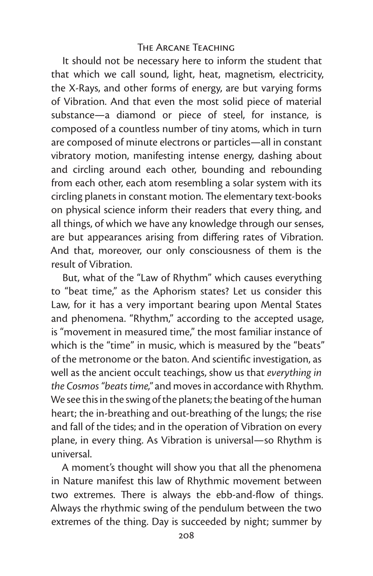It should not be necessary here to inform the student that that which we call sound, light, heat, magnetism, electricity, the X‑Rays, and other forms of energy, are but varying forms of Vibration. And that even the most solid piece of material substance—a diamond or piece of steel, for instance, is composed of a countless number of tiny atoms, which in turn are composed of minute electrons or particles—all in constant vibratory motion, manifesting intense energy, dashing about and circling around each other, bounding and rebounding from each other, each atom resembling a solar system with its circling planets in constant motion. The elementary text-books on physical science inform their readers that every thing, and all things, of which we have any knowledge through our senses, are but appearances arising from differing rates of Vibration. And that, moreover, our only consciousness of them is the result of Vibration.

But, what of the "Law of Rhythm" which causes everything to "beat time," as the Aphorism states? Let us consider this Law, for it has a very important bearing upon Mental States and phenomena. "Rhythm," according to the accepted usage, is "movement in measured time," the most familiar instance of which is the "time" in music, which is measured by the "beats" of the metronome or the baton. And scientific investigation, as well as the ancient occult teachings, show us that *everything in the Cosmos "beats time,"* and moves in accordance with Rhythm. We see this in the swing of the planets; the beating of the human heart; the in-breathing and out-breathing of the lungs; the rise and fall of the tides; and in the operation of Vibration on every plane, in every thing. As Vibration is universal—so Rhythm is universal.

A moment's thought will show you that all the phenomena in Nature manifest this law of Rhythmic movement between two extremes. There is always the ebb-and-flow of things. Always the rhythmic swing of the pendulum between the two extremes of the thing. Day is succeeded by night; summer by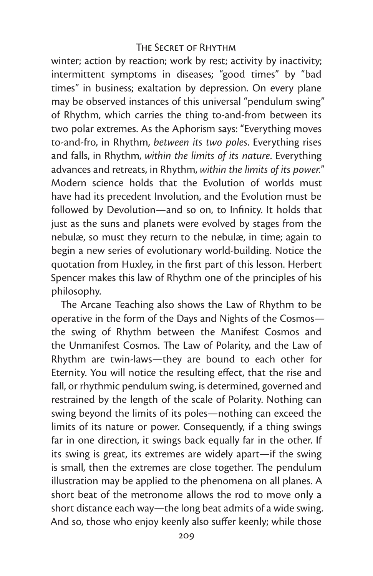## The Secret of Rhythm

winter; action by reaction; work by rest; activity by inactivity; intermittent symptoms in diseases; "good times" by "bad times" in business; exaltation by depression. On every plane may be observed instances of this universal "pendulum swing" of Rhythm, which carries the thing to-and-from between its two polar extremes. As the Aphorism says: "Everything moves to‑and‑fro, in Rhythm, *between its two poles*. Everything rises and falls, in Rhythm, *within the limits of its nature*. Everything advances and retreats, in Rhythm, *within the limits of its power.*" Modern science holds that the Evolution of worlds must have had its precedent Involution, and the Evolution must be followed by Devolution—and so on, to Infinity. It holds that just as the suns and planets were evolved by stages from the nebulæ, so must they return to the nebulæ, in time; again to begin a new series of evolutionary world‑building. Notice the quotation from Huxley, in the first part of this lesson. Herbert Spencer makes this law of Rhythm one of the principles of his philosophy.

The Arcane Teaching also shows the Law of Rhythm to be operative in the form of the Days and Nights of the Cosmos the swing of Rhythm between the Manifest Cosmos and the Unmanifest Cosmos. The Law of Polarity, and the Law of Rhythm are twin‑laws—they are bound to each other for Eternity. You will notice the resulting effect, that the rise and fall, or rhythmic pendulum swing, is determined, governed and restrained by the length of the scale of Polarity. Nothing can swing beyond the limits of its poles—nothing can exceed the limits of its nature or power. Consequently, if a thing swings far in one direction, it swings back equally far in the other. If its swing is great, its extremes are widely apart—if the swing is small, then the extremes are close together. The pendulum illustration may be applied to the phenomena on all planes. A short beat of the metronome allows the rod to move only a short distance each way—the long beat admits of a wide swing. And so, those who enjoy keenly also suffer keenly; while those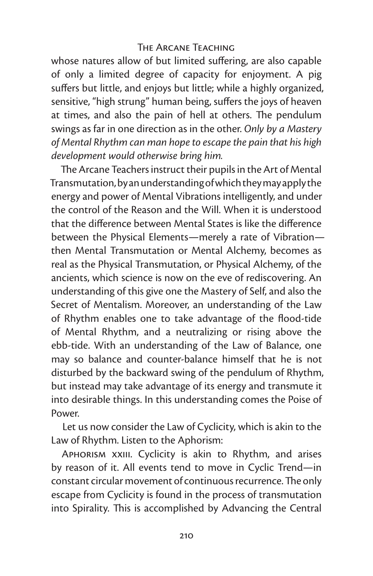whose natures allow of but limited suffering, are also capable of only a limited degree of capacity for enjoyment. A pig suffers but little, and enjoys but little; while a highly organized, sensitive, "high strung" human being, suffers the joys of heaven at times, and also the pain of hell at others. The pendulum swings as far in one direction as in the other. *Only by a Mastery of Mental Rhythm can man hope to escape the pain that his high development would otherwise bring him.*

The Arcane Teachers instruct their pupils in the Art of Mental Transmutation, by an understanding of which they may apply the energy and power of Mental Vibrations intelligently, and under the control of the Reason and the Will. When it is understood that the difference between Mental States is like the difference between the Physical Elements—merely a rate of Vibration then Mental Transmutation or Mental Alchemy, becomes as real as the Physical Transmutation, or Physical Alchemy, of the ancients, which science is now on the eve of rediscovering. An understanding of this give one the Mastery of Self, and also the Secret of Mentalism. Moreover, an understanding of the Law of Rhythm enables one to take advantage of the flood-tide of Mental Rhythm, and a neutralizing or rising above the ebb-tide. With an understanding of the Law of Balance, one may so balance and counter‑balance himself that he is not disturbed by the backward swing of the pendulum of Rhythm, but instead may take advantage of its energy and transmute it into desirable things. In this understanding comes the Poise of **Power** 

Let us now consider the Law of Cyclicity, which is akin to the Law of Rhythm. Listen to the Aphorism:

Aphorism xxiii. Cyclicity is akin to Rhythm, and arises by reason of it. All events tend to move in Cyclic Trend—in constant circular movement of continuous recurrence. The only escape from Cyclicity is found in the process of transmutation into Spirality. This is accomplished by Advancing the Central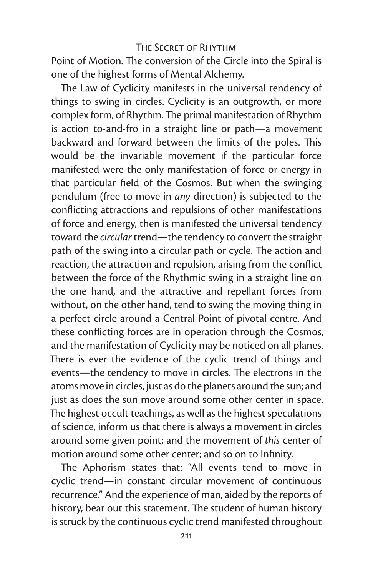#### The Secret of Rhythm

Point of Motion. The conversion of the Circle into the Spiral is one of the highest forms of Mental Alchemy.

The Law of Cyclicity manifests in the universal tendency of things to swing in circles. Cyclicity is an outgrowth, or more complex form, of Rhythm. The primal manifestation of Rhythm is action to-and-fro in a straight line or path—a movement backward and forward between the limits of the poles. This would be the invariable movement if the particular force manifested were the only manifestation of force or energy in that particular field of the Cosmos. But when the swinging pendulum (free to move in *any* direction) is subjected to the conflicting attractions and repulsions of other manifestations of force and energy, then is manifested the universal tendency toward the *circular* trend—the tendency to convert the straight path of the swing into a circular path or cycle. The action and reaction, the attraction and repulsion, arising from the conflict between the force of the Rhythmic swing in a straight line on the one hand, and the attractive and repellant forces from without, on the other hand, tend to swing the moving thing in a perfect circle around a Central Point of pivotal centre. And these conflicting forces are in operation through the Cosmos, and the manifestation of Cyclicity may be noticed on all planes. There is ever the evidence of the cyclic trend of things and events—the tendency to move in circles. The electrons in the atoms move in circles, just as do the planets around the sun; and just as does the sun move around some other center in space. The highest occult teachings, as well as the highest speculations of science, inform us that there is always a movement in circles around some given point; and the movement of *this* center of motion around some other center; and so on to Infinity.

The Aphorism states that: "All events tend to move in cyclic trend—in constant circular movement of continuous recurrence." And the experience of man, aided by the reports of history, bear out this statement. The student of human history is struck by the continuous cyclic trend manifested throughout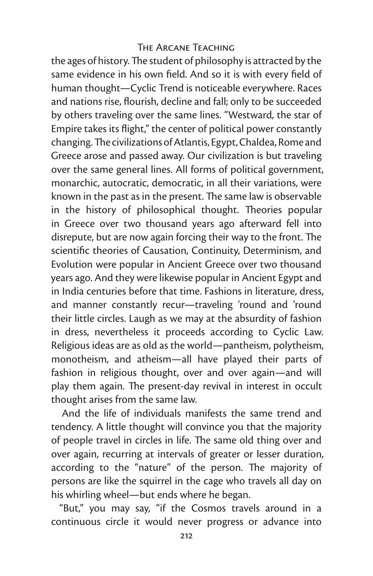the ages of history. The student of philosophy is attracted by the same evidence in his own field. And so it is with every field of human thought—Cyclic Trend is noticeable everywhere. Races and nations rise, flourish, decline and fall; only to be succeeded by others traveling over the same lines. "Westward, the star of Empire takes its flight," the center of political power constantly changing. The civilizations of Atlantis, Egypt, Chaldea, Rome and Greece arose and passed away. Our civilization is but traveling over the same general lines. All forms of political government, monarchic, autocratic, democratic, in all their variations, were known in the past as in the present. The same law is observable in the history of philosophical thought. Theories popular in Greece over two thousand years ago afterward fell into disrepute, but are now again forcing their way to the front. The scientific theories of Causation, Continuity, Determinism, and Evolution were popular in Ancient Greece over two thousand years ago. And they were likewise popular in Ancient Egypt and in India centuries before that time. Fashions in literature, dress, and manner constantly recur—traveling 'round and 'round their little circles. Laugh as we may at the absurdity of fashion in dress, nevertheless it proceeds according to Cyclic Law. Religious ideas are as old as the world—pantheism, polytheism, monotheism, and atheism—all have played their parts of fashion in religious thought, over and over again—and will play them again. The present‑day revival in interest in occult thought arises from the same law.

And the life of individuals manifests the same trend and tendency. A little thought will convince you that the majority of people travel in circles in life. The same old thing over and over again, recurring at intervals of greater or lesser duration, according to the "nature" of the person. The majority of persons are like the squirrel in the cage who travels all day on his whirling wheel—but ends where he began.

"But," you may say, "if the Cosmos travels around in a continuous circle it would never progress or advance into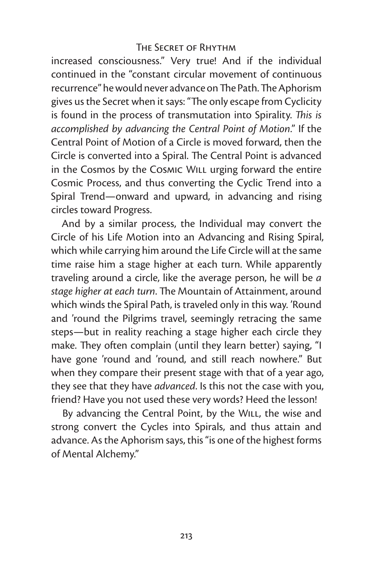### The Secret of Rhythm

increased consciousness." Very true! And if the individual continued in the "constant circular movement of continuous recurrence" he would never advance on The Path. The Aphorism gives us the Secret when it says: "The only escape from Cyclicity is found in the process of transmutation into Spirality. *This is accomplished by advancing the Central Point of Motion*." If the Central Point of Motion of a Circle is moved forward, then the Circle is converted into a Spiral. The Central Point is advanced in the Cosmos by the Cosmic Will urging forward the entire Cosmic Process, and thus converting the Cyclic Trend into a Spiral Trend—onward and upward, in advancing and rising circles toward Progress.

And by a similar process, the Individual may convert the Circle of his Life Motion into an Advancing and Rising Spiral, which while carrying him around the Life Circle will at the same time raise him a stage higher at each turn. While apparently traveling around a circle, like the average person, he will be *a stage higher at each turn*. The Mountain of Attainment, around which winds the Spiral Path, is traveled only in this way. 'Round and 'round the Pilgrims travel, seemingly retracing the same steps—but in reality reaching a stage higher each circle they make. They often complain (until they learn better) saying, "I have gone 'round and 'round, and still reach nowhere." But when they compare their present stage with that of a year ago, they see that they have *advanced*. Is this not the case with you, friend? Have you not used these very words? Heed the lesson!

By advancing the Central Point, by the WILL, the wise and strong convert the Cycles into Spirals, and thus attain and advance. As the Aphorism says, this "is one of the highest forms of Mental Alchemy."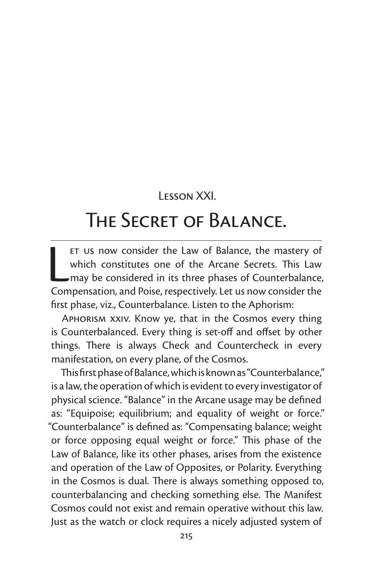# Lesson XXI.

# The Secret of Balance.

ET US now consider the Law of Balance, the mastery of which constitutes one of the Arcane Secrets. This Law may be considered in its three phases of Counterbalance, Compensation, and Poise, respectively. Let us now conside et us now consider the Law of Balance, the mastery of which constitutes one of the Arcane Secrets. This Law may be considered in its three phases of Counterbalance, first phase, viz., Counterbalance. Listen to the Aphorism:

Aphorism xxiv. Know ye, that in the Cosmos every thing is Counterbalanced. Every thing is set‑off and offset by other things. There is always Check and Countercheck in every manifestation, on every plane, of the Cosmos.

This first phase of Balance, which is known as "Counterbalance," is a law, the operation of which is evident to every investigator of physical science. "Balance" in the Arcane usage may be defined as: "Equipoise; equilibrium; and equality of weight or force." "Counterbalance" is defined as: "Compensating balance; weight or force opposing equal weight or force." This phase of the Law of Balance, like its other phases, arises from the existence and operation of the Law of Opposites, or Polarity. Everything in the Cosmos is dual. There is always something opposed to, counterbalancing and checking something else. The Manifest Cosmos could not exist and remain operative without this law. Just as the watch or clock requires a nicely adjusted system of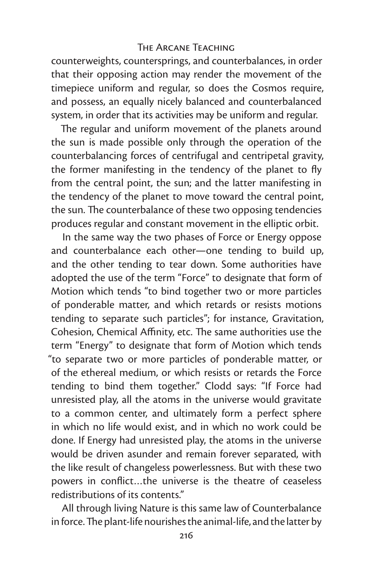counterweights, countersprings, and counterbalances, in order that their opposing action may render the movement of the timepiece uniform and regular, so does the Cosmos require, and possess, an equally nicely balanced and counterbalanced system, in order that its activities may be uniform and regular.

The regular and uniform movement of the planets around the sun is made possible only through the operation of the counterbalancing forces of centrifugal and centripetal gravity, the former manifesting in the tendency of the planet to fly from the central point, the sun; and the latter manifesting in the tendency of the planet to move toward the central point, the sun. The counterbalance of these two opposing tendencies produces regular and constant movement in the elliptic orbit.

In the same way the two phases of Force or Energy oppose and counterbalance each other—one tending to build up, and the other tending to tear down. Some authorities have adopted the use of the term "Force" to designate that form of Motion which tends "to bind together two or more particles of ponderable matter, and which retards or resists motions tending to separate such particles"; for instance, Gravitation, Cohesion, Chemical Affinity, etc. The same authorities use the term "Energy" to designate that form of Motion which tends "to separate two or more particles of ponderable matter, or of the ethereal medium, or which resists or retards the Force tending to bind them together." Clodd says: "If Force had unresisted play, all the atoms in the universe would gravitate to a common center, and ultimately form a perfect sphere in which no life would exist, and in which no work could be done. If Energy had unresisted play, the atoms in the universe would be driven asunder and remain forever separated, with the like result of changeless powerlessness. But with these two powers in conflict…the universe is the theatre of ceaseless redistributions of its contents."

All through living Nature is this same law of Counterbalance in force. The plant‑life nourishes the animal‑life, and the latter by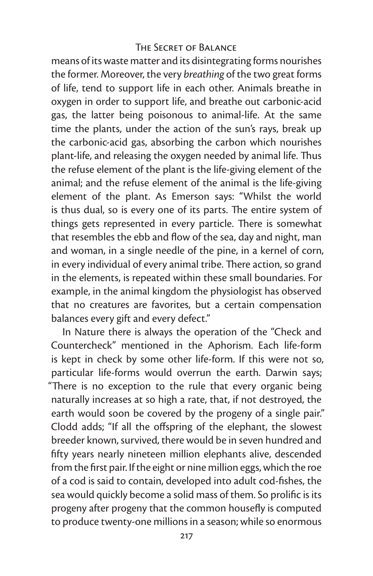means of its waste matter and its disintegrating forms nourishes the former. Moreover, the very *breathing* of the two great forms of life, tend to support life in each other. Animals breathe in oxygen in order to support life, and breathe out carbonic‑acid gas, the latter being poisonous to animal-life. At the same time the plants, under the action of the sun's rays, break up the carbonic‑acid gas, absorbing the carbon which nourishes plant‑life, and releasing the oxygen needed by animal life. Thus the refuse element of the plant is the life‑giving element of the animal; and the refuse element of the animal is the life‑giving element of the plant. As Emerson says: "Whilst the world is thus dual, so is every one of its parts. The entire system of things gets represented in every particle. There is somewhat that resembles the ebb and flow of the sea, day and night, man and woman, in a single needle of the pine, in a kernel of corn, in every individual of every animal tribe. There action, so grand in the elements, is repeated within these small boundaries. For example, in the animal kingdom the physiologist has observed that no creatures are favorites, but a certain compensation balances every gift and every defect."

In Nature there is always the operation of the "Check and Countercheck" mentioned in the Aphorism. Each life-form is kept in check by some other life-form. If this were not so, particular life-forms would overrun the earth. Darwin says; "There is no exception to the rule that every organic being naturally increases at so high a rate, that, if not destroyed, the earth would soon be covered by the progeny of a single pair." Clodd adds; "If all the offspring of the elephant, the slowest breeder known, survived, there would be in seven hundred and fifty years nearly nineteen million elephants alive, descended from the first pair. If the eight or nine million eggs, which the roe of a cod is said to contain, developed into adult cod-fishes, the sea would quickly become a solid mass of them. So prolific is its progeny after progeny that the common housefly is computed to produce twenty‑one millions in a season; while so enormous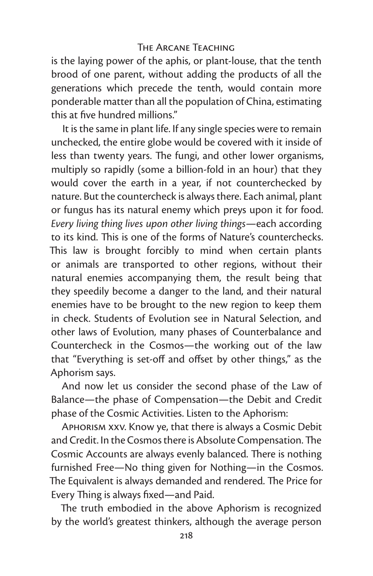is the laying power of the aphis, or plant‑louse, that the tenth brood of one parent, without adding the products of all the generations which precede the tenth, would contain more ponderable matter than all the population of China, estimating this at five hundred millions."

It is the same in plant life. If any single species were to remain unchecked, the entire globe would be covered with it inside of less than twenty years. The fungi, and other lower organisms, multiply so rapidly (some a billion-fold in an hour) that they would cover the earth in a year, if not counterchecked by nature. But the countercheck is always there. Each animal, plant or fungus has its natural enemy which preys upon it for food. *Every living thing lives upon other living things*—each according to its kind. This is one of the forms of Nature's counterchecks. This law is brought forcibly to mind when certain plants or animals are transported to other regions, without their natural enemies accompanying them, the result being that they speedily become a danger to the land, and their natural enemies have to be brought to the new region to keep them in check. Students of Evolution see in Natural Selection, and other laws of Evolution, many phases of Counterbalance and Countercheck in the Cosmos—the working out of the law that "Everything is set‑off and offset by other things," as the Aphorism says.

And now let us consider the second phase of the Law of Balance—the phase of Compensation—the Debit and Credit phase of the Cosmic Activities. Listen to the Aphorism:

Aphorism xxv. Know ye, that there is always a Cosmic Debit and Credit. In the Cosmos there is Absolute Compensation. The Cosmic Accounts are always evenly balanced. There is nothing furnished Free—No thing given for Nothing—in the Cosmos. The Equivalent is always demanded and rendered. The Price for Every Thing is always fixed—and Paid.

The truth embodied in the above Aphorism is recognized by the world's greatest thinkers, although the average person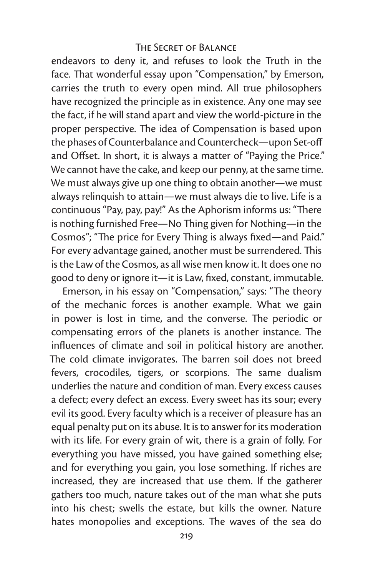endeavors to deny it, and refuses to look the Truth in the face. That wonderful essay upon "Compensation," by Emerson, carries the truth to every open mind. All true philosophers have recognized the principle as in existence. Any one may see the fact, if he will stand apart and view the world‑picture in the proper perspective. The idea of Compensation is based upon the phases of Counterbalance and Countercheck—upon Set-off and Offset. In short, it is always a matter of "Paying the Price." We cannot have the cake, and keep our penny, at the same time. We must always give up one thing to obtain another—we must always relinquish to attain—we must always die to live. Life is a continuous "Pay, pay, pay!" As the Aphorism informs us: "There is nothing furnished Free—No Thing given for Nothing—in the Cosmos"; "The price for Every Thing is always fixed—and Paid." For every advantage gained, another must be surrendered. This is the Law of the Cosmos, as all wise men know it. It does one no good to deny or ignore it—it is Law, fixed, constant, immutable.

Emerson, in his essay on "Compensation," says: "The theory of the mechanic forces is another example. What we gain in power is lost in time, and the converse. The periodic or compensating errors of the planets is another instance. The influences of climate and soil in political history are another. The cold climate invigorates. The barren soil does not breed fevers, crocodiles, tigers, or scorpions. The same dualism underlies the nature and condition of man. Every excess causes a defect; every defect an excess. Every sweet has its sour; every evil its good. Every faculty which is a receiver of pleasure has an equal penalty put on its abuse. It is to answer for its moderation with its life. For every grain of wit, there is a grain of folly. For everything you have missed, you have gained something else; and for everything you gain, you lose something. If riches are increased, they are increased that use them. If the gatherer gathers too much, nature takes out of the man what she puts into his chest; swells the estate, but kills the owner. Nature hates monopolies and exceptions. The waves of the sea do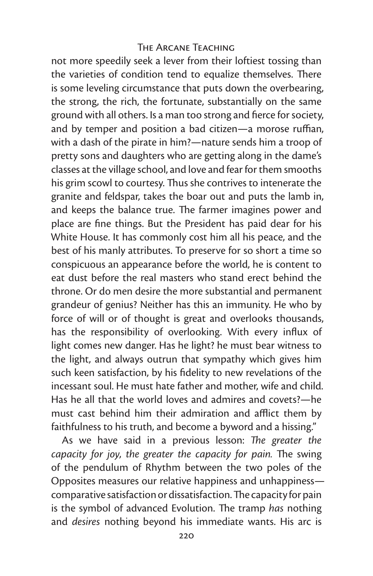not more speedily seek a lever from their loftiest tossing than the varieties of condition tend to equalize themselves. There is some leveling circumstance that puts down the overbearing, the strong, the rich, the fortunate, substantially on the same ground with all others. Is a man too strong and fierce for society, and by temper and position a bad citizen—a morose ruffian, with a dash of the pirate in him?—nature sends him a troop of pretty sons and daughters who are getting along in the dame's classes at the village school, and love and fear for them smooths his grim scowl to courtesy. Thus she contrives to intenerate the granite and feldspar, takes the boar out and puts the lamb in, and keeps the balance true. The farmer imagines power and place are fine things. But the President has paid dear for his White House. It has commonly cost him all his peace, and the best of his manly attributes. To preserve for so short a time so conspicuous an appearance before the world, he is content to eat dust before the real masters who stand erect behind the throne. Or do men desire the more substantial and permanent grandeur of genius? Neither has this an immunity. He who by force of will or of thought is great and overlooks thousands, has the responsibility of overlooking. With every influx of light comes new danger. Has he light? he must bear witness to the light, and always outrun that sympathy which gives him such keen satisfaction, by his fidelity to new revelations of the incessant soul. He must hate father and mother, wife and child. Has he all that the world loves and admires and covets?—he must cast behind him their admiration and afflict them by faithfulness to his truth, and become a byword and a hissing."

As we have said in a previous lesson: *The greater the capacity for joy, the greater the capacity for pain.* The swing of the pendulum of Rhythm between the two poles of the Opposites measures our relative happiness and unhappiness comparative satisfaction or dissatisfaction. The capacity for pain is the symbol of advanced Evolution. The tramp *has* nothing and *desires* nothing beyond his immediate wants. His arc is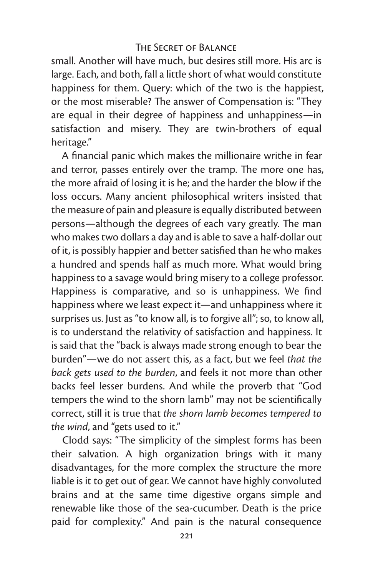small. Another will have much, but desires still more. His arc is large. Each, and both, fall a little short of what would constitute happiness for them. Query: which of the two is the happiest, or the most miserable? The answer of Compensation is: "They are equal in their degree of happiness and unhappiness—in satisfaction and misery. They are twin-brothers of equal heritage."

A financial panic which makes the millionaire writhe in fear and terror, passes entirely over the tramp. The more one has, the more afraid of losing it is he; and the harder the blow if the loss occurs. Many ancient philosophical writers insisted that the measure of pain and pleasure is equally distributed between persons—although the degrees of each vary greatly. The man who makes two dollars a day and is able to save a half-dollar out of it, is possibly happier and better satisfied than he who makes a hundred and spends half as much more. What would bring happiness to a savage would bring misery to a college professor. Happiness is comparative, and so is unhappiness. We find happiness where we least expect it—and unhappiness where it surprises us. Just as "to know all, is to forgive all"; so, to know all, is to understand the relativity of satisfaction and happiness. It is said that the "back is always made strong enough to bear the burden"—we do not assert this, as a fact, but we feel *that the back gets used to the burden*, and feels it not more than other backs feel lesser burdens. And while the proverb that "God tempers the wind to the shorn lamb" may not be scientifically correct, still it is true that *the shorn lamb becomes tempered to the wind*, and "gets used to it."

Clodd says: "The simplicity of the simplest forms has been their salvation. A high organization brings with it many disadvantages, for the more complex the structure the more liable is it to get out of gear. We cannot have highly convoluted brains and at the same time digestive organs simple and renewable like those of the sea‑cucumber. Death is the price paid for complexity." And pain is the natural consequence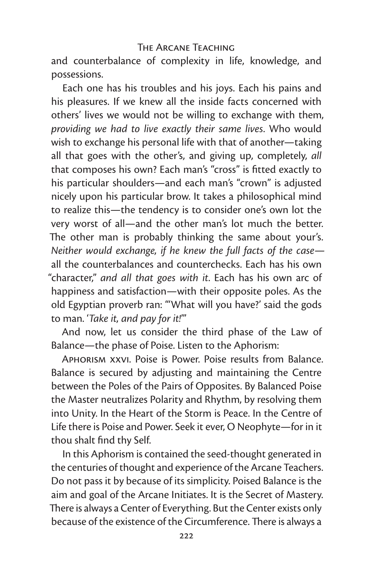and counterbalance of complexity in life, knowledge, and possessions.

Each one has his troubles and his joys. Each his pains and his pleasures. If we knew all the inside facts concerned with others' lives we would not be willing to exchange with them, *providing we had to live exactly their same lives*. Who would wish to exchange his personal life with that of another—taking all that goes with the other's, and giving up, completely, *all* that composes his own? Each man's "cross" is fitted exactly to his particular shoulders—and each man's "crown" is adjusted nicely upon his particular brow. It takes a philosophical mind to realize this—the tendency is to consider one's own lot the very worst of all—and the other man's lot much the better. The other man is probably thinking the same about your's. *Neither would exchange, if he knew the full facts of the case* all the counterbalances and counterchecks. Each has his own "character," *and all that goes with it*. Each has his own arc of happiness and satisfaction—with their opposite poles. As the old Egyptian proverb ran: "'What will you have?' said the gods to man. '*Take it, and pay for it!*'"

And now, let us consider the third phase of the Law of Balance—the phase of Poise. Listen to the Aphorism:

Aphorism xxvi. Poise is Power. Poise results from Balance. Balance is secured by adjusting and maintaining the Centre between the Poles of the Pairs of Opposites. By Balanced Poise the Master neutralizes Polarity and Rhythm, by resolving them into Unity. In the Heart of the Storm is Peace. In the Centre of Life there is Poise and Power. Seek it ever, O Neophyte—for in it thou shalt find thy Self.

In this Aphorism is contained the seed‑thought generated in the centuries of thought and experience of the Arcane Teachers. Do not pass it by because of its simplicity. Poised Balance is the aim and goal of the Arcane Initiates. It is the Secret of Mastery. There is always a Center of Everything. But the Center exists only because of the existence of the Circumference. There is always a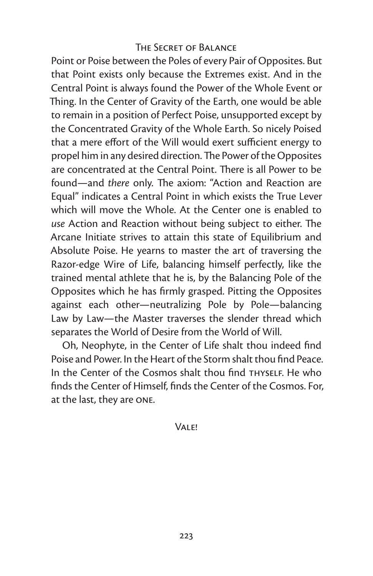Point or Poise between the Poles of every Pair of Opposites. But that Point exists only because the Extremes exist. And in the Central Point is always found the Power of the Whole Event or Thing. In the Center of Gravity of the Earth, one would be able to remain in a position of Perfect Poise, unsupported except by the Concentrated Gravity of the Whole Earth. So nicely Poised that a mere effort of the Will would exert sufficient energy to propel him in any desired direction. The Power of the Opposites are concentrated at the Central Point. There is all Power to be found—and *there* only. The axiom: "Action and Reaction are Equal" indicates a Central Point in which exists the True Lever which will move the Whole. At the Center one is enabled to *use* Action and Reaction without being subject to either. The Arcane Initiate strives to attain this state of Equilibrium and Absolute Poise. He yearns to master the art of traversing the Razor‑edge Wire of Life, balancing himself perfectly, like the trained mental athlete that he is, by the Balancing Pole of the Opposites which he has firmly grasped. Pitting the Opposites against each other—neutralizing Pole by Pole—balancing Law by Law—the Master traverses the slender thread which separates the World of Desire from the World of Will.

Oh, Neophyte, in the Center of Life shalt thou indeed find Poise and Power. In the Heart of the Storm shalt thou find Peace. In the Center of the Cosmos shalt thou find THYSELE. He who finds the Center of Himself, finds the Center of the Cosmos. For, at the last, they are one.

#### Vale!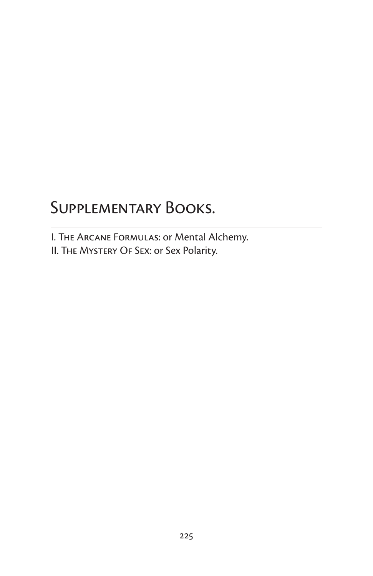# Supplementary Books.

I. The Arcane Formulas: or Mental Alchemy. II. The Mystery Of Sex: or Sex Polarity.